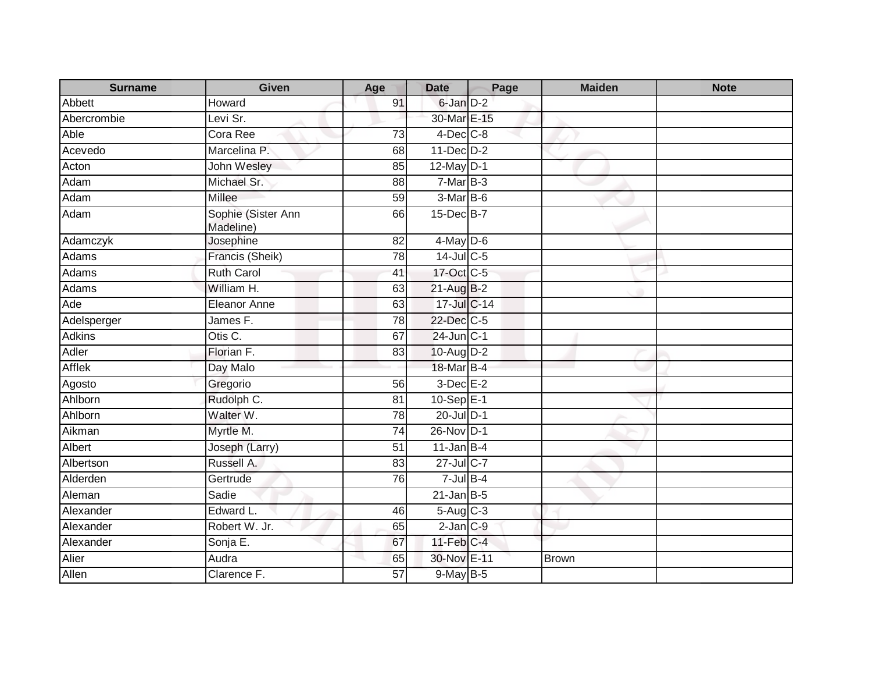| <b>Surname</b> | Given                           | Age             | <b>Date</b>     | Page | <b>Maiden</b> | <b>Note</b> |
|----------------|---------------------------------|-----------------|-----------------|------|---------------|-------------|
| Abbett         | Howard                          | 91              | 6-Jan D-2       |      |               |             |
| Abercrombie    | Levi Sr.                        |                 | 30-Mar E-15     |      |               |             |
| Able           | Cora Ree                        | 73              | $4$ -Dec $C$ -8 |      |               |             |
| Acevedo        | Marcelina P.                    | 68              | 11-Dec D-2      |      |               |             |
| Acton          | <b>John Wesley</b>              | 85              | $12$ -May $D-1$ |      |               |             |
| Adam           | Michael Sr.                     | 88              | $7-MarB-3$      |      |               |             |
| Adam           | Millee                          | 59              | 3-Mar B-6       |      |               |             |
| Adam           | Sophie (Sister Ann<br>Madeline) | 66              | 15-Dec B-7      |      |               |             |
| Adamczyk       | Josephine                       | 82              | $4$ -May D-6    |      |               |             |
| Adams          | Francis (Sheik)                 | 78              | $14$ -Jul C-5   |      |               |             |
| Adams          | <b>Ruth Carol</b>               | 41              | 17-Oct C-5      |      |               |             |
| Adams          | William H.                      | 63              | 21-Aug B-2      |      |               |             |
| Ade            | Eleanor Anne                    | 63              | 17-Jul C-14     |      |               |             |
| Adelsperger    | James F.                        | 78              | 22-Dec C-5      |      |               |             |
| <b>Adkins</b>  | Otis C.                         | 67              | 24-Jun C-1      |      |               |             |
| Adler          | Florian F.                      | 83              | $10$ -Aug $D-2$ |      |               |             |
| <b>Afflek</b>  | Day Malo                        |                 | 18-Mar B-4      |      |               |             |
| Agosto         | Gregorio                        | 56              | $3$ -Dec $E-2$  |      |               |             |
| Ahlborn        | Rudolph C.                      | 81              | $10-SepE-1$     |      |               |             |
| Ahlborn        | Walter W.                       | 78              | $20$ -Jul $D-1$ |      |               |             |
| Aikman         | Myrtle M.                       | $\overline{74}$ | 26-Nov D-1      |      |               |             |
| Albert         | Joseph (Larry)                  | 51              | $11$ -Jan B-4   |      |               |             |
| Albertson      | Russell A.                      | 83              | 27-Jul C-7      |      |               |             |
| Alderden       | Gertrude                        | 76              | $7$ -Jul $B-4$  |      |               |             |
| Aleman         | Sadie                           |                 | $21$ -Jan B-5   |      |               |             |
| Alexander      | Edward L.                       | 46              | $5-Aug$ $C-3$   |      |               |             |
| Alexander      | Robert W. Jr.                   | 65              | $2$ -Jan $C-9$  |      |               |             |
| Alexander      | Sonja E.                        | 67              | $11$ -Feb $C-4$ |      |               |             |
| Alier          | Audra                           | 65              | 30-Nov E-11     |      | <b>Brown</b>  |             |
| Allen          | Clarence F.                     | 57              | 9-May B-5       |      |               |             |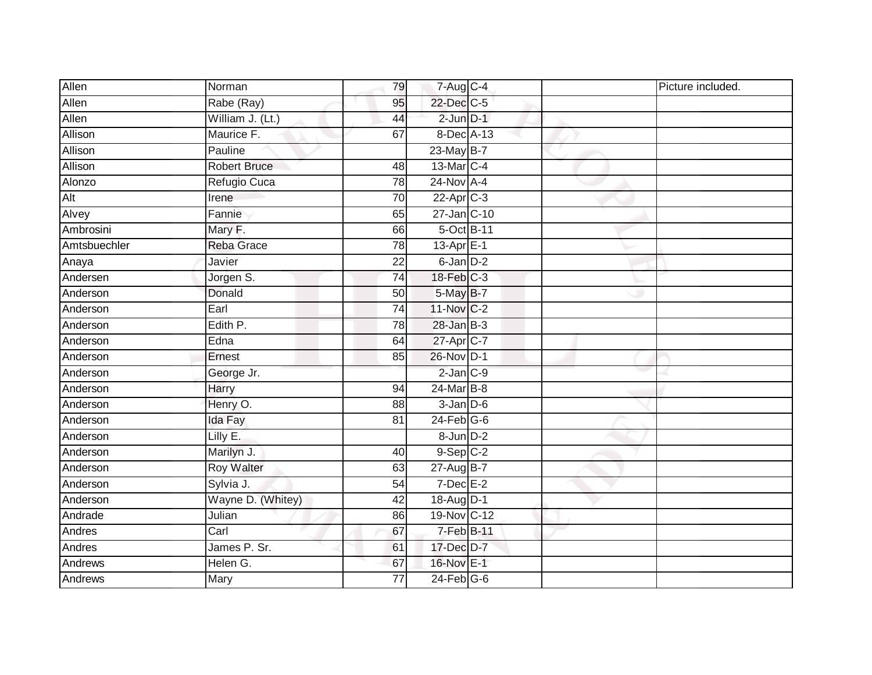| Allen          | Norman              | 79              | 7-Aug C-4                  |  | Picture included. |
|----------------|---------------------|-----------------|----------------------------|--|-------------------|
| Allen          | Rabe (Ray)          | 95              | 22-Dec C-5                 |  |                   |
| Allen          | William J. (Lt.)    | 44              | $2$ -Jun $D-1$             |  |                   |
| Allison        | Maurice F.          | 67              | 8-Dec A-13                 |  |                   |
| Allison        | Pauline             |                 | $23$ -May B-7              |  |                   |
| Allison        | <b>Robert Bruce</b> | 48              | 13-Mar C-4                 |  |                   |
| Alonzo         | Refugio Cuca        | $\overline{78}$ | 24-Nov A-4                 |  |                   |
| Alt            | Irene               | 70              | $22$ -Apr $C-3$            |  |                   |
| Alvey          | Fannie              | 65              | 27-Jan C-10                |  |                   |
| Ambrosini      | Mary F.             | 66              | 5-Oct B-11                 |  |                   |
| Amtsbuechler   | Reba Grace          | 78              | $13-Apr \nightharpoonup 1$ |  |                   |
| Anaya          | Javier              | 22              | 6-Jan D-2                  |  |                   |
| Andersen       | Jorgen S.           | $\overline{74}$ | 18-Feb C-3                 |  |                   |
| Anderson       | Donald              | 50              | 5-May B-7                  |  |                   |
| Anderson       | Earl                | $\overline{74}$ | 11-Nov C-2                 |  |                   |
| Anderson       | Edith P.            | 78              | $28$ -Jan B-3              |  |                   |
| Anderson       | Edna                | 64              | 27-Apr C-7                 |  |                   |
| Anderson       | Ernest              | 85              | 26-Nov D-1                 |  |                   |
| Anderson       | George Jr.          |                 | $2$ -Jan $C-9$             |  |                   |
| Anderson       | Harry               | 94              | $24$ -Mar $B-8$            |  |                   |
| Anderson       | Henry O.            | 88              | $3$ -Jan $D-6$             |  |                   |
| Anderson       | Ida Fay             | 81              | $24$ -Feb $G-6$            |  |                   |
| Anderson       | Lilly E.            |                 | $8$ -Jun $D-2$             |  |                   |
| Anderson       | Marilyn J.          | 40              | $9-Sep$ $C-2$              |  |                   |
| Anderson       | <b>Roy Walter</b>   | 63              | $27$ -Aug $B$ -7           |  |                   |
| Anderson       | Sylvia J.           | 54              | $7$ -Dec $E-2$             |  |                   |
| Anderson       | Wayne D. (Whitey)   | 42              | 18-Aug D-1                 |  |                   |
| Andrade        | Julian              | 86              | 19-Nov C-12                |  |                   |
| Andres         | Carl                | 67              | $7-Feb$ B-11               |  |                   |
| Andres         | James P. Sr.        | 61              | 17-Dec D-7                 |  |                   |
| Andrews        | Helen G.            | 67              | 16-Nov E-1                 |  |                   |
| <b>Andrews</b> | Mary                | $\overline{77}$ | $24$ -Feb $G-6$            |  |                   |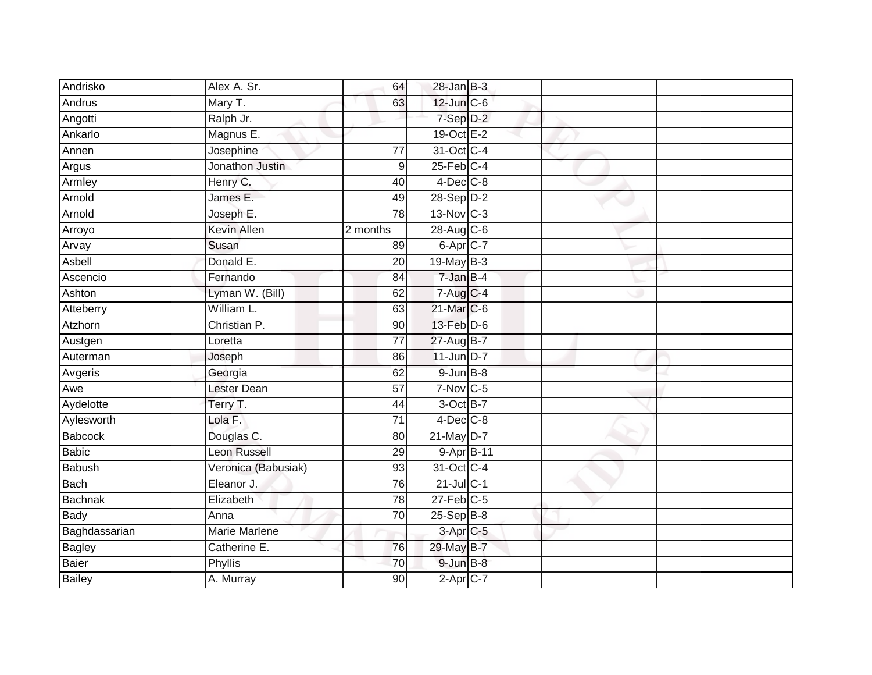| Andrisko       | Alex A. Sr.          | 64              | $28$ -Jan B-3          |  |  |
|----------------|----------------------|-----------------|------------------------|--|--|
| Andrus         | Mary T.              | 63              | 12-Jun C-6             |  |  |
| Angotti        | Ralph Jr.            |                 | 7-Sep D-2              |  |  |
| Ankarlo        | Magnus E.            |                 | 19-Oct E-2             |  |  |
| Annen          | Josephine            | $\overline{77}$ | 31-Oct C-4             |  |  |
| Argus          | Jonathon Justin      | 9               | $25$ -Feb $C-4$        |  |  |
| Armley         | Henry C.             | 40              | $4$ -Dec $C$ -8        |  |  |
| Arnold         | James E.             | 49              | 28-Sep D-2             |  |  |
| Arnold         | Joseph E.            | 78              | 13-Nov C-3             |  |  |
| Arroyo         | Kevin Allen          | 2 months        | 28-Aug C-6             |  |  |
| Arvay          | Susan                | 89              | 6-Apr C-7              |  |  |
| Asbell         | Donald E.            | 20              | 19-May B-3             |  |  |
| Ascencio       | Fernando             | 84              | $7 - Jan$ $B - 4$      |  |  |
| Ashton         | Lyman W. (Bill)      | 62              | $7-Aug$ <sub>C-4</sub> |  |  |
| Atteberry      | William L.           | 63              | 21-Mar C-6             |  |  |
| Atzhorn        | Christian P.         | 90              | 13-Feb D-6             |  |  |
| Austgen        | Loretta              | 77              | 27-Aug B-7             |  |  |
| Auterman       | Joseph               | 86              | $11$ -Jun D-7          |  |  |
| Avgeris        | Georgia              | 62              | $9$ -Jun $B$ -8        |  |  |
| Awe            | <b>Lester Dean</b>   | 57              | 7-Nov C-5              |  |  |
| Aydelotte      | Terry T.             | 44              | 3-Oct B-7              |  |  |
| Aylesworth     | Lola F.              | $\overline{71}$ | $4$ -Dec $C$ -8        |  |  |
| <b>Babcock</b> | Douglas C.           | 80              | 21-May D-7             |  |  |
| <b>Babic</b>   | <b>Leon Russell</b>  | 29              | $9-Apr\overline{B-11}$ |  |  |
| <b>Babush</b>  | Veronica (Babusiak)  | 93              | 31-Oct C-4             |  |  |
| <b>Bach</b>    | Eleanor J.           | 76              | $21$ -Jul C-1          |  |  |
| <b>Bachnak</b> | Elizabeth            | 78              | $27$ -Feb $C-5$        |  |  |
| <b>Bady</b>    | Anna                 | 70              | 25-Sep B-8             |  |  |
| Baghdassarian  | <b>Marie Marlene</b> |                 | 3-Apr C-5              |  |  |
| <b>Bagley</b>  | Catherine E.         | 76              | 29-May B-7             |  |  |
| Baier          | Phyllis              | 70              | $9$ -Jun $B$ -8        |  |  |
| <b>Bailey</b>  | A. Murray            | 90              | $2-Apr$ C-7            |  |  |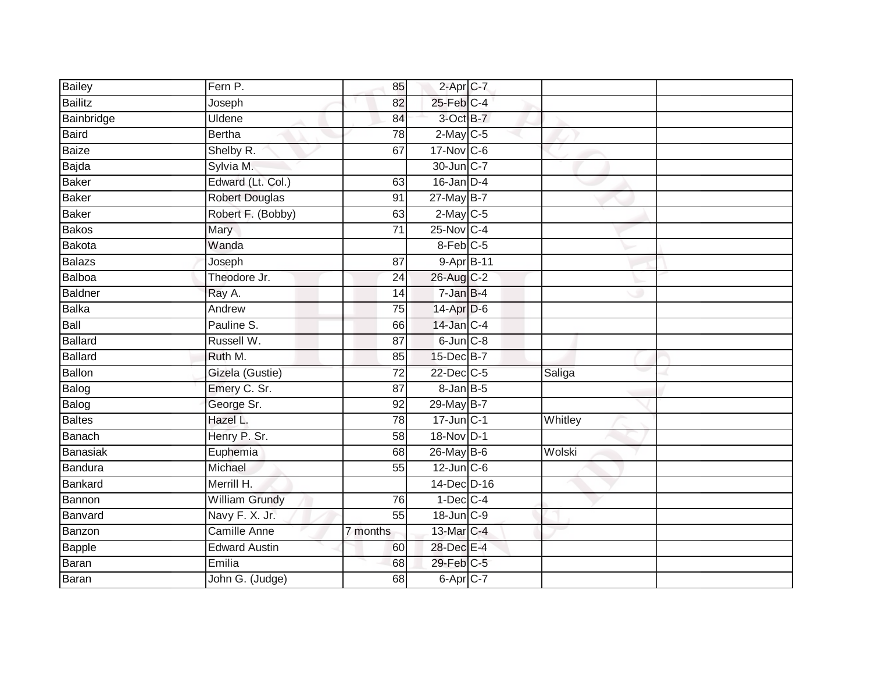| <b>Bailey</b>  | Fern P.               | 85              | 2-Apr C-7         |         |  |
|----------------|-----------------------|-----------------|-------------------|---------|--|
| <b>Bailitz</b> | Joseph                | 82              | $25$ -Feb $C-4$   |         |  |
| Bainbridge     | <b>Uldene</b>         | 84              | 3-Oct B-7         |         |  |
| <b>Baird</b>   | <b>Bertha</b>         | 78              | $2$ -May C-5      |         |  |
| <b>Baize</b>   | Shelby R.             | 67              | 17-Nov C-6        |         |  |
| Bajda          | Sylvia M.             |                 | 30-Jun C-7        |         |  |
| <b>Baker</b>   | Edward (Lt. Col.)     | 63              | $16$ -Jan $D-4$   |         |  |
| <b>Baker</b>   | <b>Robert Douglas</b> | 91              | 27-May B-7        |         |  |
| <b>Baker</b>   | Robert F. (Bobby)     | 63              | $2$ -May C-5      |         |  |
| <b>Bakos</b>   | Mary                  | 71              | 25-Nov C-4        |         |  |
| <b>Bakota</b>  | Wanda                 |                 | 8-Feb C-5         |         |  |
| <b>Balazs</b>  | Joseph                | 87              | 9-Apr B-11        |         |  |
| Balboa         | Theodore Jr.          | 24              | 26-Aug C-2        |         |  |
| Baldner        | Ray A.                | 14              | $7 - JanB - 4$    |         |  |
| <b>Balka</b>   | Andrew                | $\overline{75}$ | 14-Apr D-6        |         |  |
| Ball           | Pauline S.            | 66              | $14$ -Jan $C-4$   |         |  |
| <b>Ballard</b> | Russell W.            | $\overline{87}$ | $6$ -Jun $C-8$    |         |  |
| <b>Ballard</b> | Ruth M.               | 85              | 15-Dec B-7        |         |  |
| <b>Ballon</b>  | Gizela (Gustie)       | $\overline{72}$ | 22-Dec C-5        | Saliga  |  |
| Balog          | Emery C. Sr.          | 87              | $8 - Jan$ $B - 5$ |         |  |
| Balog          | George Sr.            | 92              | 29-May B-7        |         |  |
| <b>Baltes</b>  | Hazel L.              | 78              | $17$ -Jun $C-1$   | Whitley |  |
| <b>Banach</b>  | Henry P. Sr.          | 58              | 18-Nov D-1        |         |  |
| Banasiak       | Euphemia              | 68              | 26-May B-6        | Wolski  |  |
| Bandura        | Michael               | 55              | $12$ -Jun $C$ -6  |         |  |
| <b>Bankard</b> | Merrill H.            |                 | 14-Dec D-16       |         |  |
| Bannon         | William Grundy        | 76              | $1-Dec$ $C-4$     |         |  |
| Banvard        | Navy F. X. Jr.        | $\overline{55}$ | 18-Jun C-9        |         |  |
| Banzon         | Camille Anne          | 7 months        | 13-Mar C-4        |         |  |
| <b>Bapple</b>  | <b>Edward Austin</b>  | 60              | 28-Dec E-4        |         |  |
| Baran          | Emilia                | 68              | 29-Feb C-5        |         |  |
| <b>Baran</b>   | John G. (Judge)       | 68              | 6-Apr C-7         |         |  |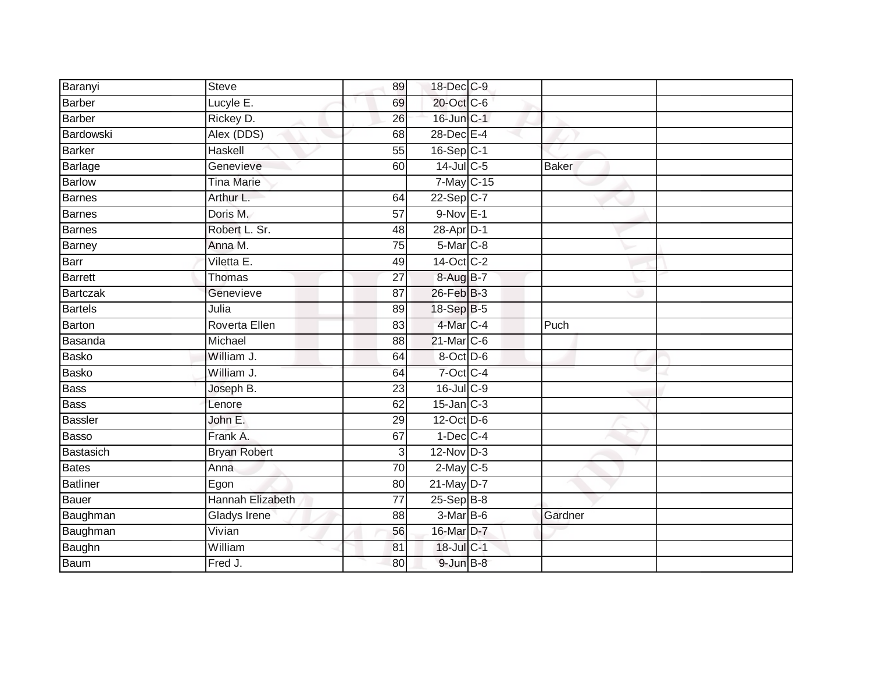| Baranyi         | Steve               | 89              | 18-Dec C-9      |              |  |
|-----------------|---------------------|-----------------|-----------------|--------------|--|
| <b>Barber</b>   | Lucyle E.           | 69              | 20-Oct C-6      |              |  |
| <b>Barber</b>   | Rickey D.           | 26              | 16-Jun C-1      |              |  |
| Bardowski       | Alex (DDS)          | 68              | 28-Dec E-4      |              |  |
| <b>Barker</b>   | <b>Haskell</b>      | 55              | 16-Sep C-1      |              |  |
| Barlage         | Genevieve           | 60              | $14$ -Jul C-5   | <b>Baker</b> |  |
| <b>Barlow</b>   | <b>Tina Marie</b>   |                 | 7-May C-15      |              |  |
| <b>Barnes</b>   | Arthur L.           | 64              | 22-Sep C-7      |              |  |
| Barnes          | Doris M.            | 57              | $9-Nov$ E-1     |              |  |
| <b>Barnes</b>   | Robert L. Sr.       | $\overline{48}$ | 28-Apr D-1      |              |  |
| Barney          | Anna M.             | 75              | $5-Mar$ $C-8$   |              |  |
| Barr            | Viletta E.          | 49              | 14-Oct C-2      |              |  |
| <b>Barrett</b>  | <b>Thomas</b>       | $\overline{27}$ | 8-Aug B-7       |              |  |
| Bartczak        | Genevieve           | 87              | 26-Feb B-3      |              |  |
| <b>Bartels</b>  | Julia               | 89              | 18-Sep B-5      |              |  |
| <b>Barton</b>   | Roverta Ellen       | 83              | 4-Mar C-4       | Puch         |  |
| Basanda         | Michael             | $\overline{88}$ | 21-Mar C-6      |              |  |
| <b>Basko</b>    | William J.          | 64              | 8-Oct D-6       |              |  |
| <b>Basko</b>    | William J.          | 64              | 7-Oct C-4       |              |  |
| <b>Bass</b>     | Joseph B.           | 23              | $16$ -Jul C-9   |              |  |
| <b>Bass</b>     | Lenore              | 62              | $15$ -Jan $C-3$ |              |  |
| <b>Bassler</b>  | John E.             | 29              | 12-Oct D-6      |              |  |
| Basso           | Frank A.            | 67              | $1-Dec$ $C-4$   |              |  |
| Bastasich       | <b>Bryan Robert</b> | 3               | $12$ -Nov $D-3$ |              |  |
| <b>Bates</b>    | Anna                | 70              | $2$ -May C-5    |              |  |
| <b>Batliner</b> | Egon                | 80              | $21$ -May $D-7$ |              |  |
| <b>Bauer</b>    | Hannah Elizabeth    | $\overline{77}$ | $25-Sep$ $B-8$  |              |  |
| Baughman        | Gladys Irene        | 88              | 3-Mar B-6       | Gardner      |  |
| Baughman        | Vivian              | 56              | 16-Mar D-7      |              |  |
| Baughn          | William             | 81              | 18-Jul C-1      |              |  |
| Baum            | Fred J.             | 80              | $9$ -Jun $B-8$  |              |  |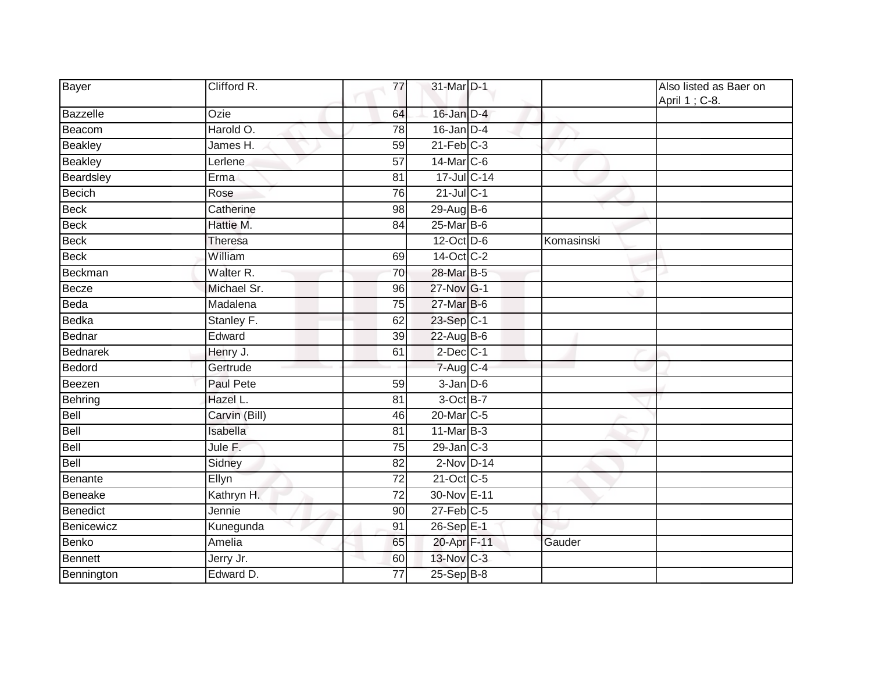| Bayer           | Clifford R.   | 77              | 31-Mar D-1      |            | Also listed as Baer on<br>April 1; C-8. |
|-----------------|---------------|-----------------|-----------------|------------|-----------------------------------------|
| Bazzelle        | Ozie          | 64              | 16-Jan D-4      |            |                                         |
| Beacom          | Harold O.     | 78              | $16$ -Jan $D-4$ |            |                                         |
| <b>Beakley</b>  | James H.      | 59              | $21$ -Feb $C-3$ |            |                                         |
| Beakley         | Lerlene       | $\overline{57}$ | 14-Mar C-6      |            |                                         |
| Beardsley       | Erma          | 81              | 17-Jul C-14     |            |                                         |
| <b>Becich</b>   | Rose          | 76              | $21$ -Jul C-1   |            |                                         |
| <b>Beck</b>     | Catherine     | 98              | $29$ -Aug B-6   |            |                                         |
| <b>Beck</b>     | Hattie M.     | 84              | 25-Mar B-6      |            |                                         |
| <b>Beck</b>     | Theresa       |                 | 12-Oct D-6      | Komasinski |                                         |
| <b>Beck</b>     | William       | 69              | 14-Oct C-2      |            |                                         |
| Beckman         | Walter R.     | 70              | 28-Mar B-5      |            |                                         |
| Becze           | Michael Sr.   | 96              | 27-Nov G-1      |            |                                         |
| Beda            | Madalena      | $\overline{75}$ | 27-Mar B-6      |            |                                         |
| <b>Bedka</b>    | Stanley F.    | 62              | 23-Sep C-1      |            |                                         |
| Bednar          | Edward        | 39              | 22-Aug B-6      |            |                                         |
| <b>Bednarek</b> | Henry J.      | 61              | $2$ -Dec $C-1$  |            |                                         |
| <b>Bedord</b>   | Gertrude      |                 | 7-Aug C-4       |            |                                         |
| Beezen          | Paul Pete     | 59              | $3$ -Jan $D$ -6 |            |                                         |
| Behring         | Hazel L.      | 81              | 3-Oct B-7       |            |                                         |
| Bell            | Carvin (Bill) | 46              | 20-Mar C-5      |            |                                         |
| Bell            | Isabella      | 81              | $11$ -Mar $B-3$ |            |                                         |
| Bell            | Jule F.       | $\overline{75}$ | $29$ -Jan $C-3$ |            |                                         |
| Bell            | Sidney        | 82              | $2-Nov$ D-14    |            |                                         |
| Benante         | Ellyn         | $\overline{72}$ | 21-Oct C-5      |            |                                         |
| Beneake         | Kathryn H.    | 72              | 30-Nov E-11     |            |                                         |
| Benedict        | Jennie        | 90              | $27$ -Feb $C-5$ |            |                                         |
| Benicewicz      | Kunegunda     | 91              | 26-Sep E-1      |            |                                         |
| Benko           | Amelia        | 65              | 20-Apr F-11     | Gauder     |                                         |
| <b>Bennett</b>  | Jerry Jr.     | 60              | 13-Nov C-3      |            |                                         |
| Bennington      | Edward D.     | 77              | 25-Sep B-8      |            |                                         |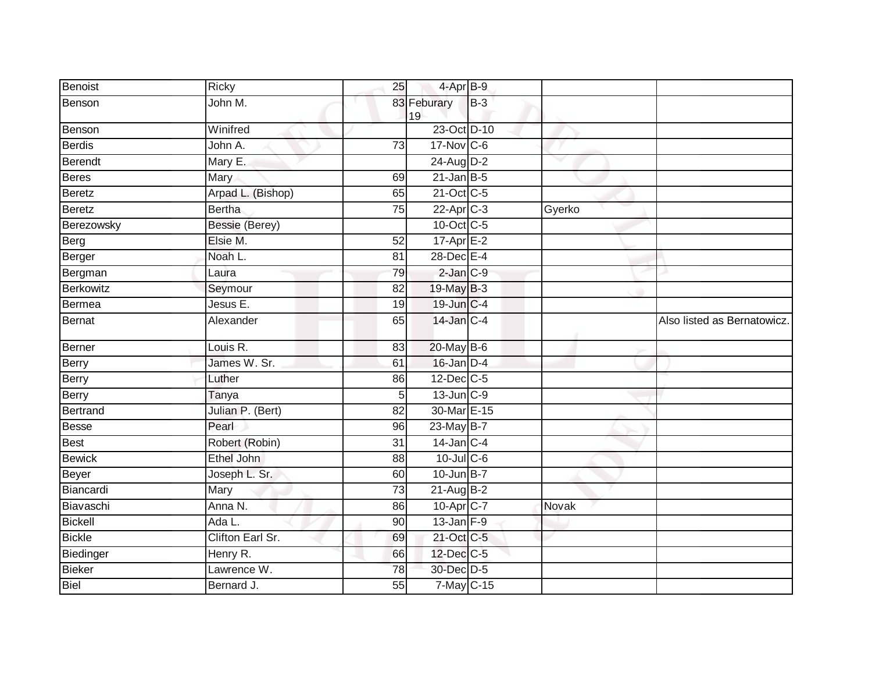| Benoist          | Ricky             | 25              | 4-Apr B-9         |       |        |                             |
|------------------|-------------------|-----------------|-------------------|-------|--------|-----------------------------|
| Benson           | John M.           |                 | 83 Feburary<br>19 | $B-3$ |        |                             |
| Benson           | Winifred          |                 | 23-Oct D-10       |       |        |                             |
| Berdis           | John A.           | 73              | 17-Nov C-6        |       |        |                             |
| <b>Berendt</b>   | Mary E.           |                 | 24-Aug D-2        |       | v      |                             |
| <b>Beres</b>     | Mary              | 69              | $21$ -Jan B-5     |       |        |                             |
| <b>Beretz</b>    | Arpad L. (Bishop) | 65              | $21$ -Oct $C-5$   |       |        |                             |
| <b>Beretz</b>    | <b>Bertha</b>     | $\overline{75}$ | 22-Apr C-3        |       | Gyerko |                             |
| Berezowsky       | Bessie (Berey)    |                 | 10-Oct C-5        |       |        |                             |
| Berg             | Elsie M.          | 52              | $17$ -Apr $E-2$   |       |        |                             |
| Berger           | Noah L.           | 81              | 28-Dec E-4        |       |        |                             |
| Bergman          | Laura             | 79              | $2$ -Jan $C-9$    |       |        |                             |
| <b>Berkowitz</b> | Seymour           | $\overline{82}$ | 19-May B-3        |       |        |                             |
| Bermea           | Jesus E.          | 19              | 19-Jun C-4        |       |        |                             |
| Bernat           | Alexander         | 65              | 14-Jan C-4        |       |        | Also listed as Bernatowicz. |
| <b>Berner</b>    | Louis R.          | 83              | 20-May B-6        |       |        |                             |
| <b>Berry</b>     | James W. Sr.      | 61              | $16$ -Jan $D-4$   |       |        |                             |
| <b>Berry</b>     | Luther            | 86              | 12-Dec C-5        |       |        |                             |
| <b>Berry</b>     | Tanya             | 5               | 13-Jun C-9        |       |        |                             |
| Bertrand         | Julian P. (Bert)  | $\overline{82}$ | 30-Mar E-15       |       |        |                             |
| <b>Besse</b>     | Pearl             | 96              | 23-May B-7        |       |        |                             |
| Best             | Robert (Robin)    | 31              | $14$ -Jan C-4     |       |        |                             |
| <b>Bewick</b>    | Ethel John        | 88              | $10$ -Jul C-6     |       |        |                             |
| Beyer            | Joseph L. Sr.     | 60              | $10$ -Jun $B - 7$ |       |        |                             |
| Biancardi        | Mary              | $\overline{73}$ | $21-Aug$ B-2      |       |        |                             |
| Biavaschi        | Anna N.           | 86              | 10-Apr C-7        |       | Novak  |                             |
| Bickell          | Ada L.            | 90              | $13$ -Jan $F-9$   |       |        |                             |
| <b>Bickle</b>    | Clifton Earl Sr.  | 69              | 21-Oct C-5        |       |        |                             |
| Biedinger        | Henry R.          | 66              | 12-Dec C-5        |       |        |                             |
| <b>Bieker</b>    | Lawrence W.       | 78              | 30-Dec D-5        |       |        |                             |
| Biel             | Bernard J.        | 55              | $7$ -May $C$ -15  |       |        |                             |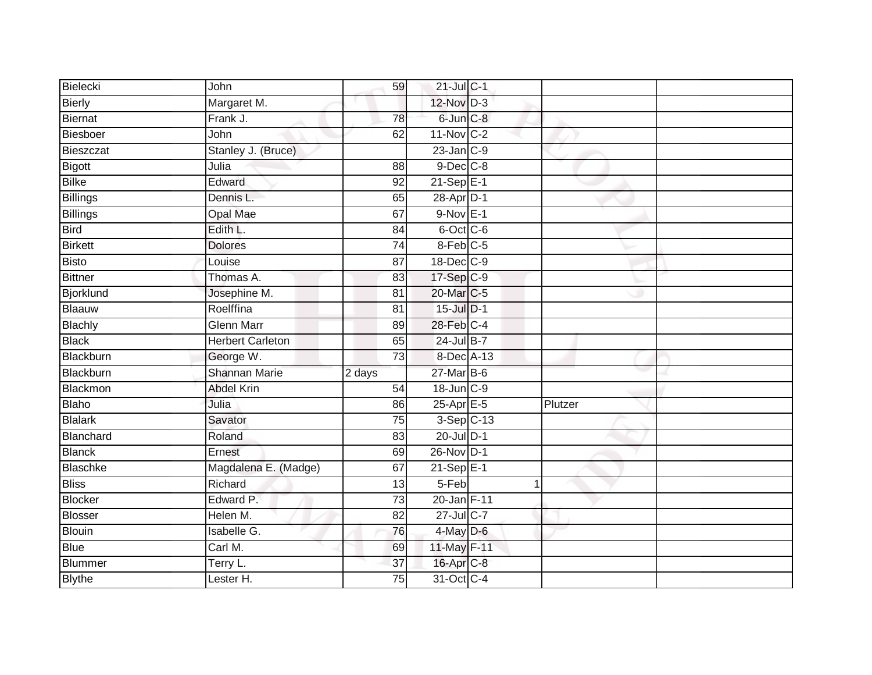| Bielecki        | John                    | 59              | 21-Jul C-1       |         |  |
|-----------------|-------------------------|-----------------|------------------|---------|--|
| <b>Bierly</b>   | Margaret M.             |                 | 12-Nov D-3       |         |  |
| <b>Biernat</b>  | Frank J.                | 78              | 6-Jun C-8        |         |  |
| Biesboer        | John                    | 62              | $11-Nov$ C-2     |         |  |
| Bieszczat       | Stanley J. (Bruce)      |                 | $23$ -Jan $C-9$  |         |  |
| <b>Bigott</b>   | Julia                   | 88              | $9$ -Dec $C$ -8  |         |  |
| Bilke           | Edward                  | 92              | $21-SepE-1$      |         |  |
| <b>Billings</b> | Dennis L.               | 65              | 28-Apr D-1       |         |  |
| <b>Billings</b> | <b>Opal Mae</b>         | 67              | $9-Nov E-1$      |         |  |
| <b>Bird</b>     | Edith L.                | $\overline{84}$ | 6-Oct C-6        |         |  |
| <b>Birkett</b>  | <b>Dolores</b>          | 74              | 8-Feb C-5        |         |  |
| Bisto           | Louise                  | $\overline{87}$ | 18-Dec C-9       |         |  |
| <b>Bittner</b>  | Thomas A.               | 83              | 17-Sep C-9       |         |  |
| Bjorklund       | Josephine M.            | 81              | 20-Mar C-5       |         |  |
| Blaauw          | Roelffina               | 81              | 15-Jul D-1       |         |  |
| <b>Blachly</b>  | <b>Glenn Marr</b>       | 89              | 28-Feb C-4       |         |  |
| <b>Black</b>    | <b>Herbert Carleton</b> | 65              | 24-Jul B-7       |         |  |
| Blackburn       | George W.               | 73              | 8-Dec A-13       |         |  |
| Blackburn       | <b>Shannan Marie</b>    | 2 days          | $27$ -Mar $B$ -6 |         |  |
| Blackmon        | <b>Abdel Krin</b>       | 54              | 18-Jun C-9       |         |  |
| <b>Blaho</b>    | Julia                   | 86              | 25-Apr E-5       | Plutzer |  |
| <b>Blalark</b>  | Savator                 | $\overline{75}$ | 3-Sep C-13       |         |  |
| Blanchard       | Roland                  | 83              | 20-Jul D-1       |         |  |
| <b>Blanck</b>   | Ernest                  | 69              | 26-Nov D-1       |         |  |
| Blaschke        | Magdalena E. (Madge)    | 67              | 21-Sep E-1       |         |  |
| <b>Bliss</b>    | Richard                 | 13              | 5-Feb            |         |  |
| <b>Blocker</b>  | Edward P.               | 73              | 20-Jan F-11      |         |  |
| <b>Blosser</b>  | Helen M.                | 82              | $27$ -Jul C-7    |         |  |
| <b>Blouin</b>   | Isabelle G.             | 76              | 4-May D-6        |         |  |
| <b>Blue</b>     | Carl M.                 | 69              | 11-May F-11      |         |  |
| Blummer         | Terry L.                | 37              | 16-Apr C-8       |         |  |
| <b>Blythe</b>   | Lester H.               | 75              | 31-Oct C-4       |         |  |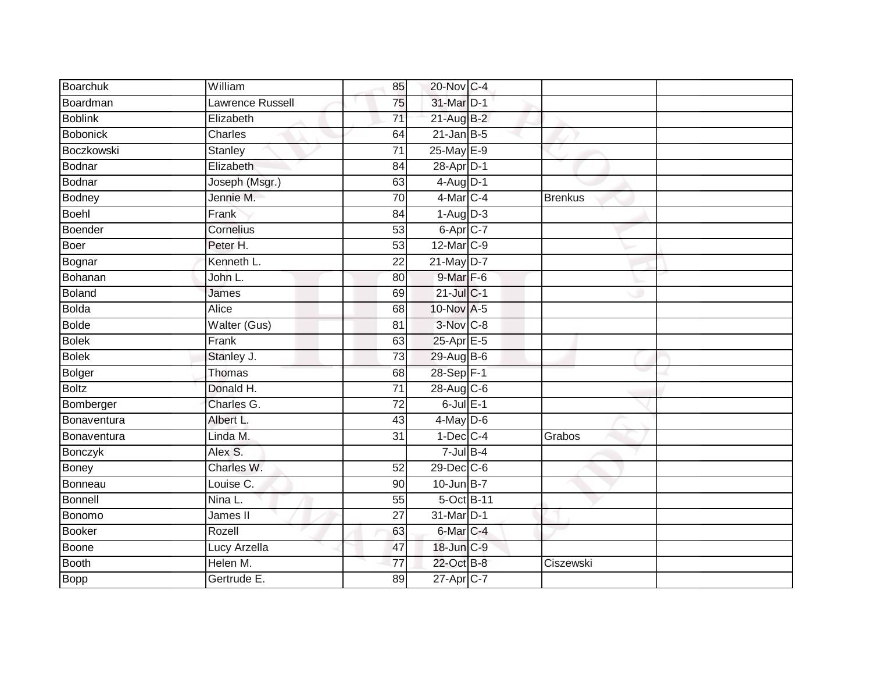| Boarchuk        | William                 | 85              | 20-Nov C-4             |           |  |
|-----------------|-------------------------|-----------------|------------------------|-----------|--|
| Boardman        | <b>Lawrence Russell</b> | 75              | 31-Mar D-1             |           |  |
| <b>Boblink</b>  | Elizabeth               | $\overline{71}$ | 21-Aug B-2             |           |  |
| <b>Bobonick</b> | <b>Charles</b>          | 64              | $21$ -Jan B-5          |           |  |
| Boczkowski      | <b>Stanley</b>          | $\overline{71}$ | 25-May E-9             |           |  |
| Bodnar          | Elizabeth               | 84              | 28-Apr D-1             |           |  |
| <b>Bodnar</b>   | Joseph (Msgr.)          | 63              | $4$ -Aug $D-1$         |           |  |
| <b>Bodney</b>   | Jennie M.               | 70              | 4-Mar C-4              | Brenkus   |  |
| <b>Boehl</b>    | Frank                   | 84              | $1-\overline{Aug}$ D-3 |           |  |
| Boender         | Cornelius               | 53              | 6-Apr C-7              |           |  |
| Boer            | Peter H.                | 53              | 12-Mar C-9             |           |  |
| Bognar          | Kenneth L.              | 22              | 21-May D-7             |           |  |
| Bohanan         | John L.                 | 80              | 9-Mar F-6              |           |  |
| <b>Boland</b>   | James                   | 69              | $21$ -Jul C-1          |           |  |
| <b>Bolda</b>    | <b>Alice</b>            | 68              | 10-Nov A-5             |           |  |
| <b>Bolde</b>    | Walter (Gus)            | 81              | $3-Nov$ C-8            |           |  |
| <b>Bolek</b>    | Frank                   | 63              | $25$ -Apr $E$ -5       |           |  |
| <b>Bolek</b>    | Stanley J.              | 73              | 29-Aug B-6             |           |  |
| <b>Bolger</b>   | <b>Thomas</b>           | 68              | 28-Sep F-1             |           |  |
| <b>Boltz</b>    | Donald H.               | $\overline{71}$ | 28-Aug C-6             |           |  |
| Bomberger       | Charles G.              | $\overline{72}$ | $6$ -Jul $E-1$         |           |  |
| Bonaventura     | Albert L.               | 43              | $4$ -May $D$ -6        |           |  |
| Bonaventura     | Linda M.                | $\overline{31}$ | $1$ -Dec $ C-4 $       | Grabos    |  |
| <b>Bonczyk</b>  | Alex S.                 |                 | $7 -$ Jul $B - 4$      |           |  |
| <b>Boney</b>    | Charles W.              | 52              | $29$ -Dec $C$ -6       |           |  |
| Bonneau         | Louise C.               | 90              | $10$ -Jun B-7          |           |  |
| <b>Bonnell</b>  | Nina L.                 | 55              | 5-Oct B-11             |           |  |
| Bonomo          | James II                | 27              | 31-Mar <sub>D-1</sub>  |           |  |
| <b>Booker</b>   | Rozell                  | 63              | 6-Mar C-4              |           |  |
| <b>Boone</b>    | Lucy Arzella            | 47              | 18-Jun C-9             |           |  |
| <b>Booth</b>    | Helen M.                | $\overline{77}$ | 22-Oct B-8             | Ciszewski |  |
| <b>Bopp</b>     | Gertrude E.             | 89              | 27-Apr C-7             |           |  |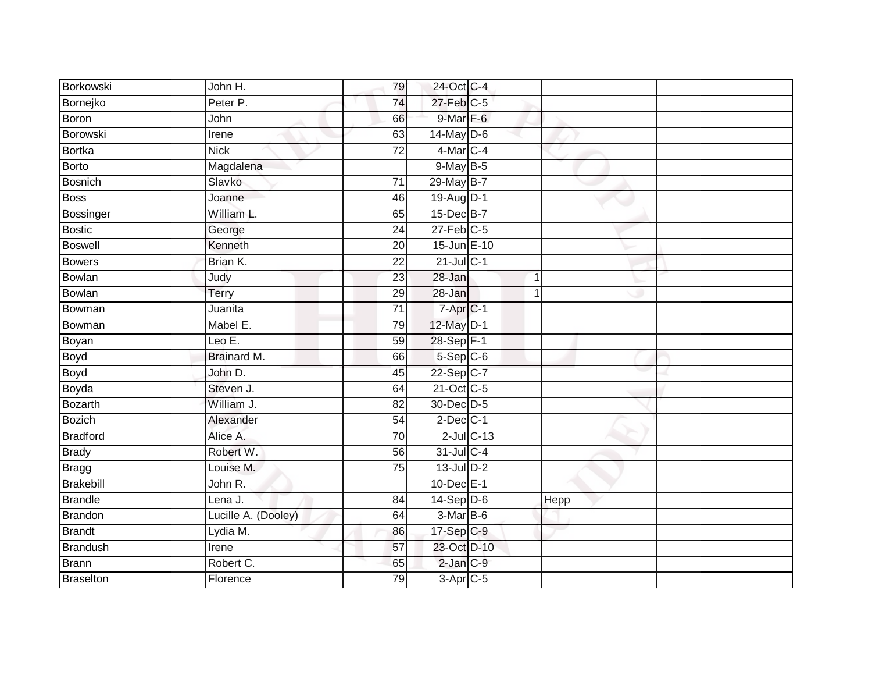| Borkowski        | John H.             | 79              | 24-Oct C-4             |                  |      |  |
|------------------|---------------------|-----------------|------------------------|------------------|------|--|
| Bornejko         | Peter P.            | 74              | $27$ -Feb $C-5$        |                  |      |  |
| Boron            | John                | 66              | 9-Mar F-6              |                  |      |  |
| Borowski         | Irene               | 63              | $14$ -May D-6          |                  |      |  |
| <b>Bortka</b>    | <b>Nick</b>         | $\overline{72}$ | $4$ -Mar $C-4$         |                  |      |  |
| <b>Borto</b>     | Magdalena           |                 | 9-May B-5              |                  |      |  |
| Bosnich          | Slavko              | 71              | $29$ -May B-7          |                  |      |  |
| <b>Boss</b>      | Joanne              | 46              | 19-Aug D-1             |                  |      |  |
| Bossinger        | William L.          | 65              | 15-Dec B-7             |                  |      |  |
| <b>Bostic</b>    | George              | $\overline{24}$ | $27$ -Feb $C-5$        |                  |      |  |
| <b>Boswell</b>   | Kenneth             | $\overline{20}$ | 15-Jun E-10            |                  |      |  |
| Bowers           | Brian K.            | $\overline{22}$ | $21$ -Jul C-1          |                  |      |  |
| <b>Bowlan</b>    | Judy                | 23              | 28-Jan                 |                  | 1    |  |
| Bowlan           | Terry               | 29              | 28-Jan                 |                  |      |  |
| Bowman           | Juanita             | $\overline{71}$ | 7-Apr C-1              |                  |      |  |
| Bowman           | Mabel E.            | 79              | 12-May D-1             |                  |      |  |
| Boyan            | Leo $E$ .           | 59              | 28-Sep F-1             |                  |      |  |
| Boyd             | <b>Brainard M.</b>  | 66              | $5-Sep$ $C-6$          |                  |      |  |
| <b>Boyd</b>      | John D.             | 45              | 22-Sep C-7             |                  |      |  |
| Boyda            | Steven J.           | 64              | 21-Oct C-5             |                  |      |  |
| Bozarth          | William J.          | 82              | 30-Dec D-5             |                  |      |  |
| <b>Bozich</b>    | Alexander           | 54              | $2$ -Dec $C-1$         |                  |      |  |
| <b>Bradford</b>  | Alice A.            | 70              |                        | $2$ -Jul $C$ -13 |      |  |
| <b>Brady</b>     | Robert W.           | 56              | 31-Jul C-4             |                  |      |  |
| <b>Bragg</b>     | Louise M.           | 75              | $13$ -Jul $D-2$        |                  |      |  |
| Brakebill        | John R.             |                 | $10$ -Dec $E-1$        |                  |      |  |
| <b>Brandle</b>   | Lena J.             | 84              | $14-Sep$ D-6           |                  | Hepp |  |
| Brandon          | Lucille A. (Dooley) | 64              | $3-MarB-6$             |                  |      |  |
| <b>Brandt</b>    | Lydia M.            | 86              | 17-Sep C-9             |                  |      |  |
| Brandush         | Irene               | 57              | 23-Oct D-10            |                  |      |  |
| Brann            | Robert C.           | 65              | 2-Jan C-9              |                  |      |  |
| <b>Braselton</b> | Florence            | 79              | $3-\overline{Apr}$ C-5 |                  |      |  |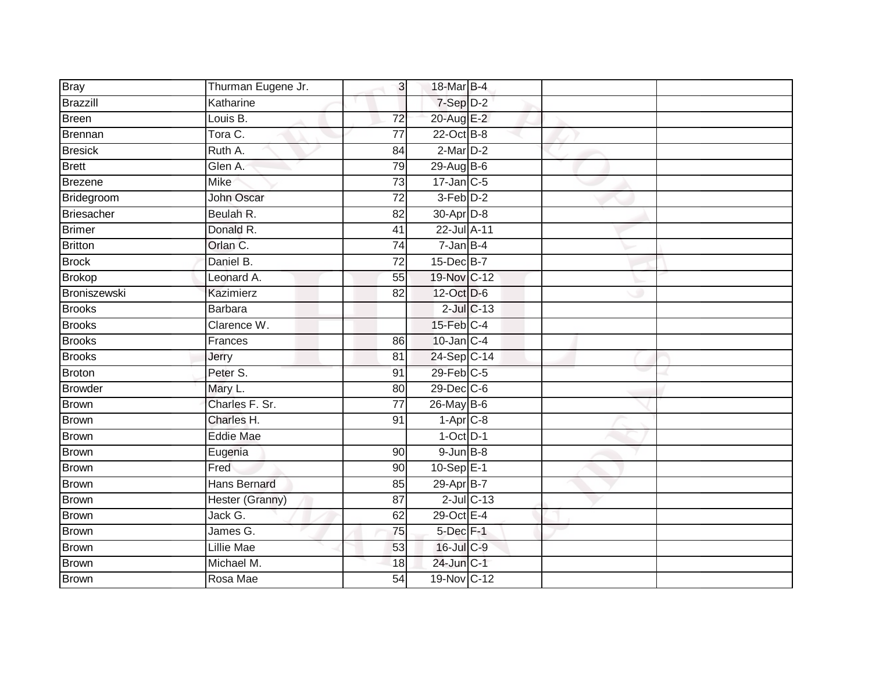| <b>Bray</b>       | Thurman Eugene Jr.  | 3               | 18-Mar B-4       |  |  |
|-------------------|---------------------|-----------------|------------------|--|--|
| <b>Brazzill</b>   | Katharine           |                 | 7-Sep D-2        |  |  |
| Breen             | Louis B.            | $\overline{72}$ | 20-Aug E-2       |  |  |
| Brennan           | Tora C.             | 77              | 22-Oct B-8       |  |  |
| <b>Bresick</b>    | Ruth A.             | 84              | $2-MarD-2$       |  |  |
| <b>Brett</b>      | Glen A.             | 79              | 29-Aug B-6       |  |  |
| <b>Brezene</b>    | Mike                | $\overline{73}$ | $17$ -Jan C-5    |  |  |
| Bridegroom        | John Oscar          | 72              | 3-Feb D-2        |  |  |
| <b>Briesacher</b> | Beulah R.           | 82              | 30-Apr D-8       |  |  |
| <b>Brimer</b>     | Donald R.           | 41              | 22-Jul A-11      |  |  |
| <b>Britton</b>    | Orlan C.            | 74              | $7 - Jan$ B-4    |  |  |
| <b>Brock</b>      | Daniel B.           | 72              | 15-Dec B-7       |  |  |
| <b>Brokop</b>     | Leonard A.          | 55              | 19-Nov C-12      |  |  |
| Broniszewski      | Kazimierz           | 82              | 12-Oct D-6       |  |  |
| <b>Brooks</b>     | <b>Barbara</b>      |                 | $2$ -Jul $C$ -13 |  |  |
| <b>Brooks</b>     | Clarence W.         |                 | 15-Feb C-4       |  |  |
| <b>Brooks</b>     | Frances             | 86              | 10-Jan C-4       |  |  |
| <b>Brooks</b>     | Jerry               | 81              | 24-Sep C-14      |  |  |
| <b>Broton</b>     | Peter S.            | 91              | 29-Feb C-5       |  |  |
| <b>Browder</b>    | Mary L.             | $\overline{80}$ | 29-Dec C-6       |  |  |
| <b>Brown</b>      | Charles F. Sr.      | $\overline{77}$ | 26-May B-6       |  |  |
| <b>Brown</b>      | Charles H.          | 91              | $1-Apr$ $C-8$    |  |  |
| Brown             | <b>Eddie Mae</b>    |                 | $1$ -Oct $D-1$   |  |  |
| <b>Brown</b>      | Eugenia             | 90              | $9$ -Jun $B$ -8  |  |  |
| <b>Brown</b>      | Fred                | 90              | $10-Sep$ E-1     |  |  |
| Brown             | <b>Hans Bernard</b> | 85              | 29-Apr B-7       |  |  |
| <b>Brown</b>      | Hester (Granny)     | $\overline{87}$ | $2$ -Jul $C$ -13 |  |  |
| <b>Brown</b>      | Jack G.             | 62              | 29-Oct E-4       |  |  |
| <b>Brown</b>      | James G.            | 75              | 5-Dec F-1        |  |  |
| <b>Brown</b>      | <b>Lillie Mae</b>   | 53              | 16-Jul C-9       |  |  |
| <b>Brown</b>      | Michael M.          | 18              | 24-Jun C-1       |  |  |
| <b>Brown</b>      | Rosa Mae            | $\overline{54}$ | 19-Nov C-12      |  |  |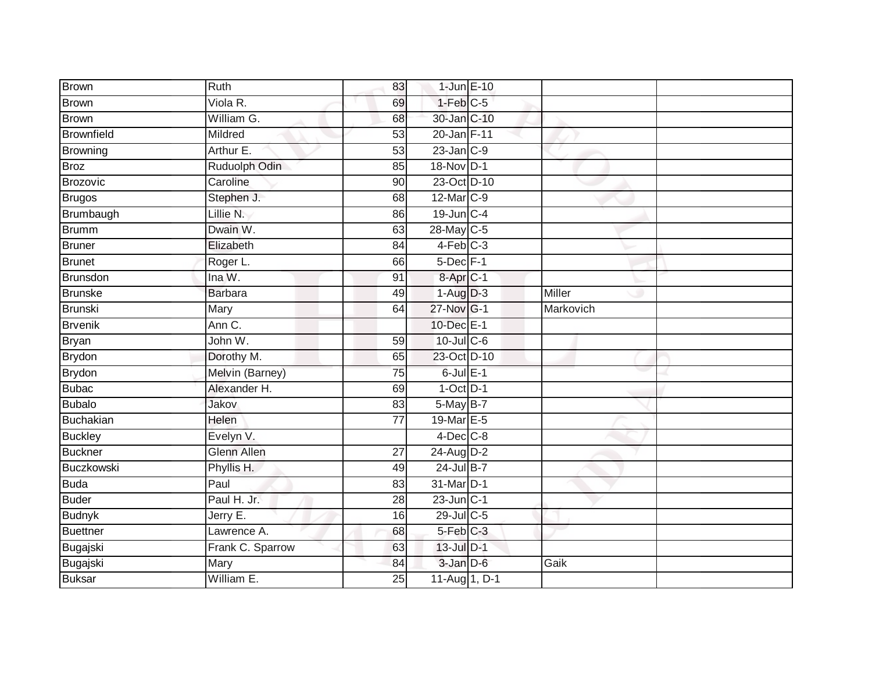| <b>Brown</b>     | Ruth               | 83              | $1$ -Jun $E-10$       |           |  |
|------------------|--------------------|-----------------|-----------------------|-----------|--|
| Brown            | Viola R.           | 69              | $1-Feb$ $C-5$         |           |  |
| <b>Brown</b>     | William G.         | 68              | 30-Jan C-10           |           |  |
| Brownfield       | Mildred            | 53              | 20-Jan F-11           |           |  |
| Browning         | Arthur E.          | $\overline{53}$ | $23$ -Jan $C-9$       |           |  |
| <b>Broz</b>      | Ruduolph Odin      | 85              | 18-Nov D-1            |           |  |
| Brozovic         | Caroline           | 90              | 23-Oct D-10           |           |  |
| <b>Brugos</b>    | Stephen J.         | 68              | 12-Mar C-9            |           |  |
| Brumbaugh        | Lillie N.          | 86              | $19$ -Jun $C-4$       |           |  |
| <b>Brumm</b>     | Dwain W.           | 63              | 28-May C-5            |           |  |
| <b>Bruner</b>    | Elizabeth          | $\overline{84}$ | $4-Feb$ $C-3$         |           |  |
| <b>Brunet</b>    | Roger L.           | 66              | $5$ -Dec $F-1$        |           |  |
| Brunsdon         | Ina $W$ .          | 91              | 8-Apr <sub>IC-1</sub> |           |  |
| <b>Brunske</b>   | <b>Barbara</b>     | 49              | $1-Aug$ $D-3$         | Miller    |  |
| Brunski          | Mary               | 64              | 27-Nov G-1            | Markovich |  |
| <b>Brvenik</b>   | Ann C.             |                 | 10-Dec E-1            |           |  |
| <b>Bryan</b>     | John W.            | 59              | 10-Jul C-6            |           |  |
| <b>Brydon</b>    | Dorothy M.         | 65              | 23-Oct D-10           |           |  |
| <b>Brydon</b>    | Melvin (Barney)    | 75              | $6$ -Jul $E-1$        |           |  |
| <b>Bubac</b>     | Alexander H.       | 69              | $1$ -Oct $D-1$        |           |  |
| <b>Bubalo</b>    | Jakov              | 83              | 5-May B-7             |           |  |
| <b>Buchakian</b> | Helen              | $\overline{77}$ | 19-Mar E-5            |           |  |
| <b>Buckley</b>   | Evelyn V.          |                 | $4$ -Dec $C$ -8       |           |  |
| <b>Buckner</b>   | <b>Glenn Allen</b> | 27              | $24$ -Aug $D-2$       |           |  |
| Buczkowski       | Phyllis H.         | 49              | $24$ -Jul $B-7$       |           |  |
| <b>Buda</b>      | Paul               | 83              | 31-Mar D-1            |           |  |
| <b>Buder</b>     | Paul H. Jr.        | 28              | $23$ -Jun $ C-1 $     |           |  |
| <b>Budnyk</b>    | Jerry E.           | 16              | 29-Jul C-5            |           |  |
| <b>Buettner</b>  | Lawrence A.        | 68              | 5-Feb C-3             |           |  |
| Bugajski         | Frank C. Sparrow   | 63              | 13-Jul D-1            |           |  |
| Bugajski         | Mary               | 84              | $3$ -Jan $D$ -6       | Gaik      |  |
| <b>Buksar</b>    | William E.         | 25              | 11-Aug 1, D-1         |           |  |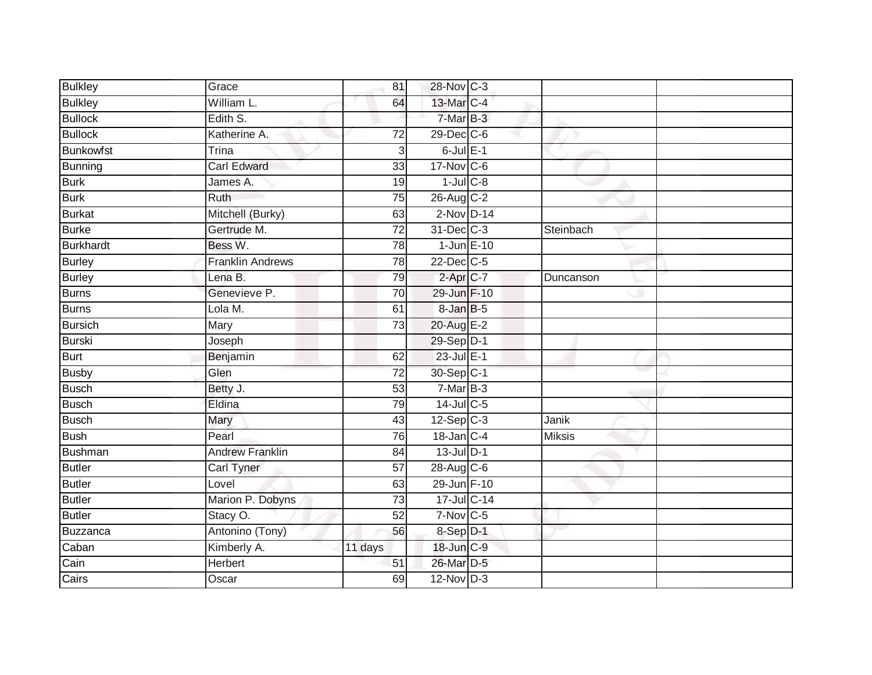| <b>Bulkley</b>   | Grace                   | 81              | 28-Nov C-3             |                 |           |  |
|------------------|-------------------------|-----------------|------------------------|-----------------|-----------|--|
| <b>Bulkley</b>   | William L.              | 64              | 13-Mar C-4             |                 |           |  |
| <b>Bullock</b>   | Edith S.                |                 | 7-Mar B-3              |                 |           |  |
| <b>Bullock</b>   | Katherine A.            | $\overline{72}$ | $29$ -Dec $C$ -6       |                 |           |  |
| <b>Bunkowfst</b> | Trina                   | $\overline{3}$  | $6$ -Jul $E-1$         |                 |           |  |
| Bunning          | <b>Carl Edward</b>      | 33              | 17-Nov C-6             |                 |           |  |
| <b>Burk</b>      | James A.                | 19              | $1$ -Jul $C-8$         |                 |           |  |
| <b>Burk</b>      | Ruth                    | 75              | 26-Aug C-2             |                 |           |  |
| Burkat           | Mitchell (Burky)        | 63              | $2-Nov$ D-14           |                 |           |  |
| <b>Burke</b>     | Gertrude M.             | $\overline{72}$ | 31-Dec C-3             |                 | Steinbach |  |
| Burkhardt        | Bess W.                 | 78              |                        | $1$ -Jun $E-10$ |           |  |
| <b>Burley</b>    | <b>Franklin Andrews</b> | 78              | 22-Dec C-5             |                 |           |  |
| <b>Burley</b>    | Lena B.                 | 79              | $2-Apr$ <sub>C-7</sub> |                 | Duncanson |  |
| Burns            | Genevieve P.            | 70              | 29-Jun F-10            |                 |           |  |
| <b>Burns</b>     | Lola M.                 | 61              | 8-Jan B-5              |                 |           |  |
| <b>Bursich</b>   | Mary                    | 73              | 20-Aug E-2             |                 |           |  |
| Burski           | Joseph                  |                 | 29-Sep D-1             |                 |           |  |
| <b>Burt</b>      | Benjamin                | 62              | 23-Jul E-1             |                 |           |  |
| <b>Busby</b>     | Glen                    | 72              | 30-Sep C-1             |                 |           |  |
| <b>Busch</b>     | Betty J.                | 53              | $7-MarB-3$             |                 |           |  |
| <b>Busch</b>     | Eldina                  | 79              | $14$ -Jul C-5          |                 |           |  |
| <b>Busch</b>     | Mary                    | 43              | $12-Sep$ C-3           |                 | Janik     |  |
| Bush             | Pearl                   | 76              | $18$ -Jan C-4          |                 | Miksis    |  |
| <b>Bushman</b>   | <b>Andrew Franklin</b>  | 84              | $13$ -Jul $D-1$        |                 |           |  |
| Butler           | Carl Tyner              | 57              | 28-Aug C-6             |                 |           |  |
| <b>Butler</b>    | Lovel                   | 63              | 29-Jun F-10            |                 |           |  |
| <b>Butler</b>    | Marion P. Dobyns        | 73              | 17-Jul C-14            |                 |           |  |
| Butler           | Stacy O.                | 52              | $7-Nov$ C-5            |                 |           |  |
| Buzzanca         | Antonino (Tony)         | 56              | 8-Sep D-1              |                 |           |  |
| Caban            | Kimberly A.             | 11 days         | 18-Jun C-9             |                 |           |  |
| Cain             | Herbert                 | 51              | 26-Mar D-5             |                 |           |  |
| Cairs            | Oscar                   | 69              | $12-Nov$ D-3           |                 |           |  |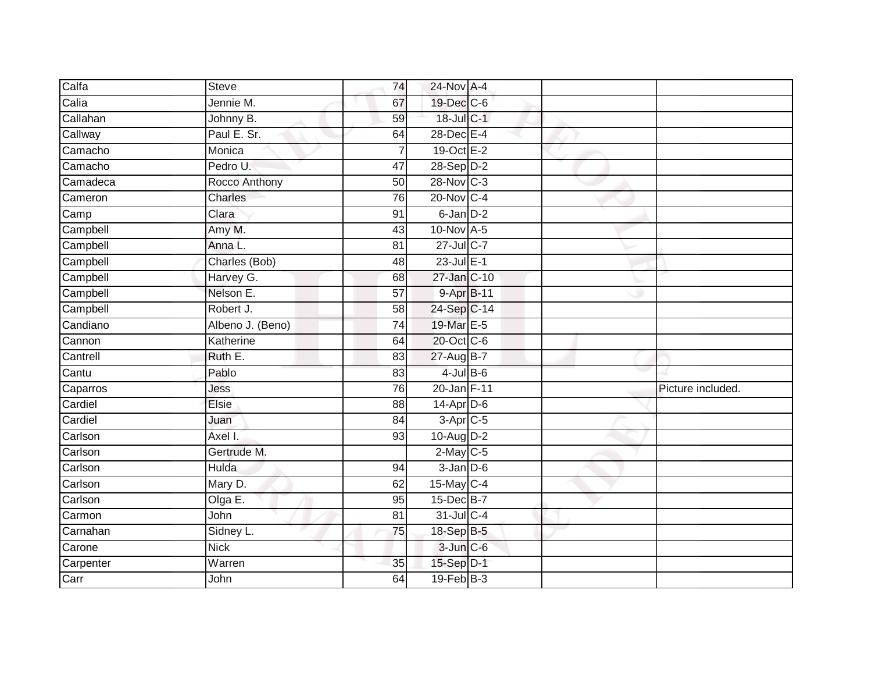| Calfa     | <b>Steve</b>     | 74              | 24-Nov A-4      |  |                   |
|-----------|------------------|-----------------|-----------------|--|-------------------|
| Calia     | Jennie M.        | 67              | 19-Dec C-6      |  |                   |
| Callahan  | Johnny B.        | 59              | 18-Jul C-1      |  |                   |
| Callway   | Paul E. Sr.      | 64              | 28-Dec E-4      |  |                   |
| Camacho   | Monica           | $\overline{7}$  | 19-Oct E-2      |  |                   |
| Camacho   | Pedro U.         | 47              | $28-Sep D-2$    |  |                   |
| Camadeca  | Rocco Anthony    | $\overline{50}$ | 28-Nov C-3      |  |                   |
| Cameron   | Charles          | 76              | 20-Nov C-4      |  |                   |
| Camp      | Clara            | 91              | 6-Jan D-2       |  |                   |
| Campbell  | Amy M.           | 43              | 10-Nov A-5      |  |                   |
| Campbell  | Anna L.          | 81              | 27-Jul C-7      |  |                   |
| Campbell  | Charles (Bob)    | 48              | $23$ -Jul E-1   |  |                   |
| Campbell  | Harvey G.        | 68              | 27-Jan C-10     |  |                   |
| Campbell  | Nelson E.        | 57              | 9-Apr B-11      |  |                   |
| Campbell  | Robert J.        | 58              | 24-Sep C-14     |  |                   |
| Candiano  | Albeno J. (Beno) | 74              | 19-Mar E-5      |  |                   |
| Cannon    | Katherine        | 64              | 20-Oct C-6      |  |                   |
| Cantrell  | Ruth E.          | 83              | 27-Aug B-7      |  |                   |
| Cantu     | Pablo            | 83              | $4$ -Jul $B$ -6 |  |                   |
| Caparros  | Jess             | $\overline{76}$ | 20-Jan F-11     |  | Picture included. |
| Cardiel   | Elsie            | 88              | $14$ -Apr $D-6$ |  |                   |
| Cardiel   | Juan             | 84              | $3-Apr$ C-5     |  |                   |
| Carlson   | Axel I.          | 93              | 10-Aug D-2      |  |                   |
| Carlson   | Gertrude M.      |                 | $2$ -May C-5    |  |                   |
| Carlson   | Hulda            | 94              | $3$ -Jan $D$ -6 |  |                   |
| Carlson   | Mary D.          | 62              | 15-May C-4      |  |                   |
| Carlson   | Olga E.          | 95              | 15-Dec B-7      |  |                   |
| Carmon    | John             | 81              | 31-Jul C-4      |  |                   |
| Carnahan  | Sidney L.        | 75              | 18-Sep B-5      |  |                   |
| Carone    | <b>Nick</b>      |                 | 3-Jun C-6       |  |                   |
| Carpenter | Warren           | 35              | 15-Sep D-1      |  |                   |
| Carr      | John             | 64              | $19$ -Feb $B-3$ |  |                   |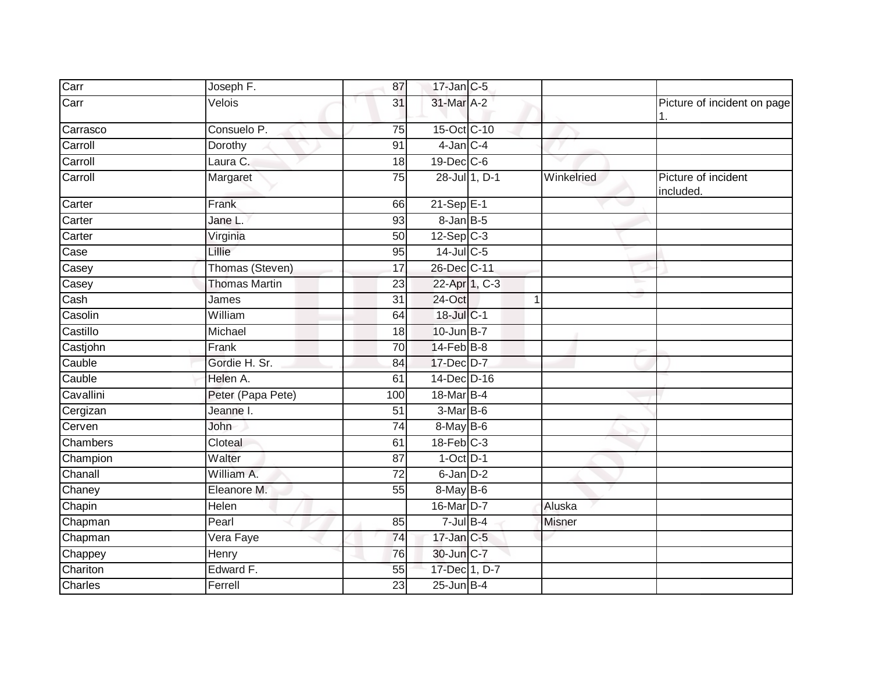| Carr            | Joseph F.            | 87              | $17$ -Jan $C$ -5 |   |               |                                   |
|-----------------|----------------------|-----------------|------------------|---|---------------|-----------------------------------|
| Carr            | Velois               | 31              | 31-Mar A-2       |   |               | Picture of incident on page<br>1. |
| Carrasco        | Consuelo P.          | $\overline{75}$ | 15-Oct C-10      |   |               |                                   |
| Carroll         | Dorothy              | 91              | $4$ -Jan $C-4$   |   |               |                                   |
| Carroll         | Laura C.             | 18              | 19-Dec C-6       |   |               |                                   |
| Carroll         | Margaret             | 75              | 28-Jul 1, D-1    |   | Winkelried    | Picture of incident<br>included.  |
| Carter          | Frank                | 66              | $21-SepE-1$      |   |               |                                   |
| Carter          | Jane L.              | 93              | $8 - JanB - 5$   |   |               |                                   |
| Carter          | Virginia             | 50              | $12-Sep$ $C-3$   |   |               |                                   |
| Case            | Lillie               | 95              | 14-Jul C-5       |   |               |                                   |
| Casey           | Thomas (Steven)      | 17              | 26-Dec C-11      |   |               |                                   |
| Casey           | <b>Thomas Martin</b> | 23              | 22-Apr 1, C-3    |   |               |                                   |
| Cash            | James                | 31              | 24-Oct           | 1 |               |                                   |
| Casolin         | William              | 64              | 18-Jul C-1       |   |               |                                   |
| Castillo        | Michael              | 18              | 10-Jun B-7       |   |               |                                   |
| Castjohn        | Frank                | 70              | 14-Feb B-8       |   |               |                                   |
| Cauble          | Gordie H. Sr.        | 84              | 17-Dec D-7       |   |               |                                   |
| Cauble          | Helen A.             | 61              | 14-Dec D-16      |   |               |                                   |
| Cavallini       | Peter (Papa Pete)    | 100             | 18-Mar B-4       |   |               |                                   |
| Cergizan        | Jeanne I.            | 51              | $3-MarB-6$       |   |               |                                   |
| Cerven          | John                 | 74              | $8$ -May B-6     |   |               |                                   |
| <b>Chambers</b> | Cloteal              | 61              | $18$ -Feb $C-3$  |   |               |                                   |
| Champion        | Walter               | 87              | $1$ -Oct $D-1$   |   |               |                                   |
| Chanall         | William A.           | $\overline{72}$ | $6$ -Jan $D-2$   |   |               |                                   |
| Chaney          | Eleanore M.          | 55              | 8-May B-6        |   |               |                                   |
| Chapin          | Helen                |                 | 16-Mar D-7       |   | Aluska        |                                   |
| Chapman         | Pearl                | 85              | $7 -$ Jul B-4    |   | <b>Misner</b> |                                   |
| Chapman         | Vera Faye            | 74              | $17$ -Jan $C-5$  |   |               |                                   |
| Chappey         | Henry                | 76              | 30-Jun C-7       |   |               |                                   |
| Chariton        | Edward F.            | 55              | 17-Dec 1, D-7    |   |               |                                   |
| Charles         | Ferrell              | 23              | $25$ -Jun $B-4$  |   |               |                                   |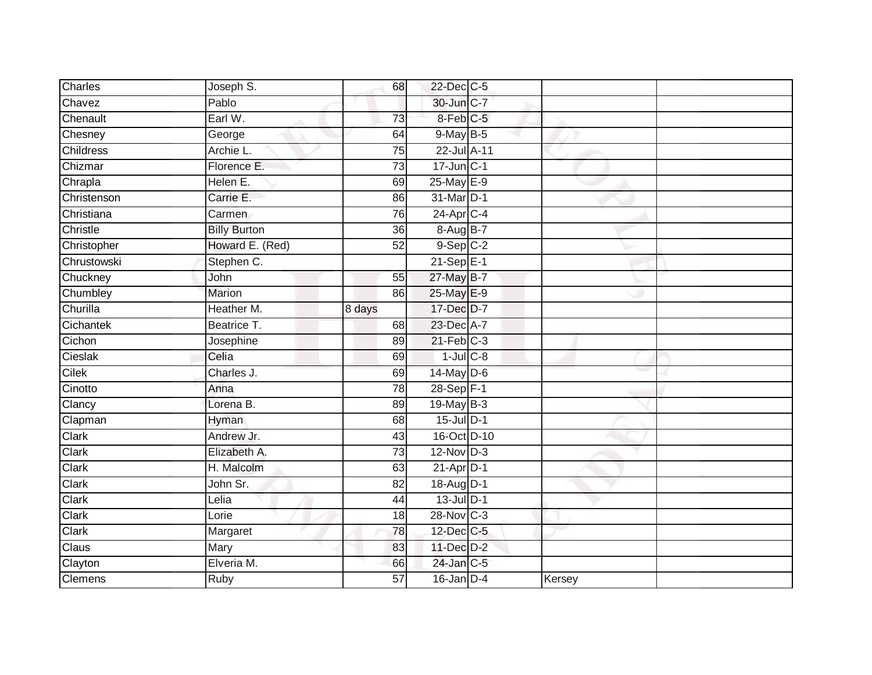| Charles          | Joseph S.           | 68              | 22-Dec C-5              |        |  |
|------------------|---------------------|-----------------|-------------------------|--------|--|
| Chavez           | Pablo               |                 | 30-Jun C-7              |        |  |
| Chenault         | Earl W.             | 73              | 8-Feb C-5               |        |  |
| Chesney          | George              | 64              | 9-May B-5               |        |  |
| <b>Childress</b> | Archie L.           | 75              | 22-Jul A-11             |        |  |
| Chizmar          | Florence E.         | $\overline{73}$ | 17-Jun C-1              |        |  |
| Chrapla          | Helen E.            | 69              | $25-\overline{May}$ E-9 |        |  |
| Christenson      | Carrie E.           | 86              | 31-Mar D-1              |        |  |
| Christiana       | Carmen              | 76              | 24-Apr C-4              |        |  |
| Christle         | <b>Billy Burton</b> | $\overline{36}$ | 8-Aug B-7               |        |  |
| Christopher      | Howard E. (Red)     | $\overline{52}$ | $9-Sep$ $C-2$           |        |  |
| Chrustowski      | Stephen C.          |                 | $21-Sep$ E-1            |        |  |
| Chuckney         | John                | 55              | 27-May B-7              |        |  |
| Chumbley         | Marion              | 86              | 25-May E-9              |        |  |
| Churilla         | Heather M.          | 8 days          | 17-Dec D-7              |        |  |
| Cichantek        | Beatrice T.         | 68              | 23-Dec A-7              |        |  |
| Cichon           | Josephine           | 89              | $21$ -Feb $C-3$         |        |  |
| Cieslak          | Celia               | 69              | $1$ -Jul $C-8$          |        |  |
| Cilek            | Charles J.          | 69              | 14-May D-6              |        |  |
| Cinotto          | Anna                | $\overline{78}$ | 28-Sep F-1              |        |  |
| Clancy           | Lorena B.           | 89              | 19-May B-3              |        |  |
| Clapman          | Hyman               | $\overline{68}$ | 15-Jul D-1              |        |  |
| Clark            | Andrew Jr.          | 43              | 16-Oct D-10             |        |  |
| Clark            | Elizabeth A.        | $\overline{73}$ | $12$ -Nov $D-3$         |        |  |
| Clark            | H. Malcolm          | 63              | $21-Apr$ D-1            |        |  |
| Clark            | John Sr.            | 82              | 18-Aug D-1              |        |  |
| Clark            | Lelia               | 44              | $13$ -Jul $D-1$         |        |  |
| Clark            | Lorie               | 18              | 28-Nov C-3              |        |  |
| Clark            | Margaret            | 78              | 12-Dec C-5              |        |  |
| Claus            | Mary                | 83              | 11-Dec D-2              |        |  |
| Clayton          | Elveria M.          | 66              | 24-Jan C-5              |        |  |
| Clemens          | Ruby                | 57              | $16$ -Jan $D-4$         | Kersey |  |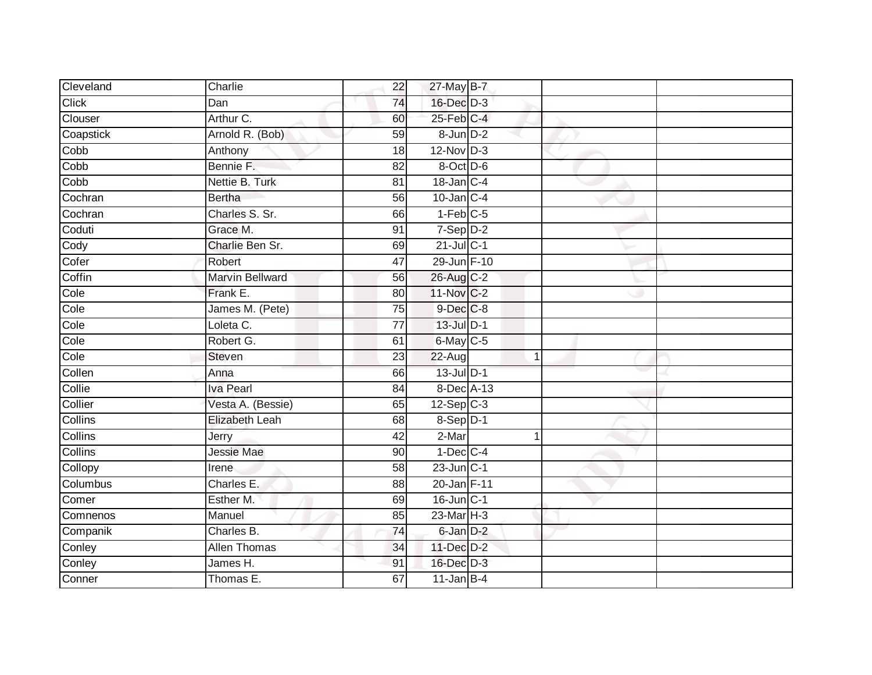| Cleveland      | Charlie                | 22              | 27-May B-7             |                |  |
|----------------|------------------------|-----------------|------------------------|----------------|--|
| <b>Click</b>   | Dan                    | 74              | 16-Dec D-3             |                |  |
| Clouser        | Arthur C.              | 60              | 25-Feb C-4             |                |  |
| Coapstick      | Arnold R. (Bob)        | 59              | $8$ -Jun $D-2$         |                |  |
| Cobb           | Anthony                | $\overline{18}$ | $12$ -Nov $D-3$        |                |  |
| Cobb           | Bennie F.              | 82              | 8-Oct D-6              |                |  |
| Cobb           | Nettie B. Turk         | 81              | 18-Jan C-4             |                |  |
| Cochran        | <b>Bertha</b>          | 56              | $10$ -Jan C-4          |                |  |
| Cochran        | Charles S. Sr.         | 66              | $1-Feb$ <sub>C-5</sub> |                |  |
| Coduti         | Grace M.               | 91              | 7-Sep D-2              |                |  |
| Cody           | Charlie Ben Sr.        | 69              | $21$ -Jul C-1          |                |  |
| Cofer          | Robert                 | 47              | 29-Jun F-10            |                |  |
| Coffin         | <b>Marvin Bellward</b> | 56              | 26-Aug C-2             |                |  |
| Cole           | Frank E.               | 80              | 11-Nov C-2             |                |  |
| Cole           | James M. (Pete)        | $\overline{75}$ | 9-Dec C-8              |                |  |
| Cole           | Loleta C.              | 77              | 13-Jul D-1             |                |  |
| Cole           | Robert G.              | 61              | $6$ -May $C$ -5        |                |  |
| Cole           | Steven                 | 23              | 22-Aug                 | $\overline{1}$ |  |
| Collen         | Anna                   | 66              | 13-Jul D-1             |                |  |
| Collie         | <b>Iva Pearl</b>       | 84              | 8-Dec A-13             |                |  |
| Collier        | Vesta A. (Bessie)      | 65              | $12-Sep$ $C-3$         |                |  |
| <b>Collins</b> | Elizabeth Leah         | 68              | 8-Sep D-1              |                |  |
| Collins        | Jerry                  | 42              | 2-Mar                  | 1              |  |
| <b>Collins</b> | Jessie Mae             | 90              | $1-Dec$ $C-4$          |                |  |
| Collopy        | Irene                  | 58              | $23$ -Jun $C-1$        |                |  |
| Columbus       | Charles E.             | 88              | 20-Jan F-11            |                |  |
| Comer          | Esther M.              | 69              | $16$ -Jun $C-1$        |                |  |
| Comnenos       | Manuel                 | 85              | $23$ -Mar $H - 3$      |                |  |
| Companik       | Charles B.             | 74              | 6-Jan D-2              |                |  |
| Conley         | <b>Allen Thomas</b>    | 34              | 11-Dec D-2             |                |  |
| Conley         | James H.               | 91              | 16-Dec D-3             |                |  |
| Conner         | Thomas E.              | 67              | $11$ -Jan B-4          |                |  |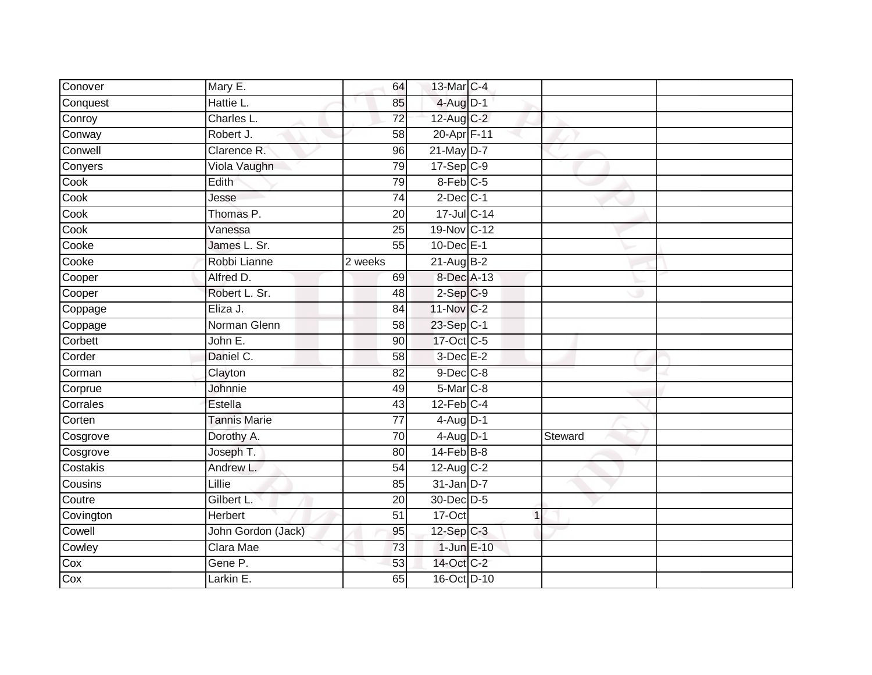| Conover   | Mary E.             | 64              | 13-Mar C-4       |         |  |
|-----------|---------------------|-----------------|------------------|---------|--|
| Conquest  | Hattie L.           | 85              | $4$ -Aug D-1     |         |  |
| Conroy    | Charles L.          | $\overline{72}$ | 12-Aug C-2       |         |  |
| Conway    | Robert J.           | 58              | 20-Apr F-11      |         |  |
| Conwell   | Clarence R.         | 96              | $21$ -May D-7    |         |  |
| Conyers   | Viola Vaughn        | 79              | $17-Sep$ C-9     |         |  |
| Cook      | Edith               | 79              | $8$ -Feb $C$ -5  |         |  |
| Cook      | Jesse               | 74              | $2$ -Dec $C-1$   |         |  |
| Cook      | Thomas P.           | 20              | 17-Jul C-14      |         |  |
| Cook      | Vanessa             | 25              | 19-Nov C-12      |         |  |
| Cooke     | James L. Sr.        | 55              | 10-Dec E-1       |         |  |
| Cooke     | Robbi Lianne        | 2 weeks         | $21-Aug$ B-2     |         |  |
| Cooper    | Alfred D.           | 69              | 8-Dec A-13       |         |  |
| Cooper    | Robert L. Sr.       | 48              | $2-Sep$ $C-9$    |         |  |
| Coppage   | Eliza J.            | $\overline{84}$ | 11-Nov C-2       |         |  |
| Coppage   | Norman Glenn        | 58              | 23-Sep C-1       |         |  |
| Corbett   | John E.             | 90              | 17-Oct C-5       |         |  |
| Corder    | Daniel C.           | 58              | $3$ -Dec $E-2$   |         |  |
| Corman    | Clayton             | 82              | 9-Dec C-8        |         |  |
| Corprue   | Johnnie             | 49              | 5-Mar C-8        |         |  |
| Corrales  | Estella             | 43              | $12$ -Feb $C-4$  |         |  |
| Corten    | <b>Tannis Marie</b> | $\overline{77}$ | $4-Aug$ D-1      |         |  |
| Cosgrove  | Dorothy A.          | 70              | $4$ -Aug D-1     | Steward |  |
| Cosgrove  | Joseph T.           | 80              | $14$ -Feb $B$ -8 |         |  |
| Costakis  | Andrew L.           | 54              | $12$ -Aug C-2    |         |  |
| Cousins   | Lillie              | 85              | 31-Jan D-7       |         |  |
| Coutre    | Gilbert L.          | 20              | 30-Dec D-5       |         |  |
| Covington | Herbert             | 51              | 17-Oct           | 1       |  |
| Cowell    | John Gordon (Jack)  | 95              | $12$ -Sep C-3    |         |  |
| Cowley    | Clara Mae           | 73              | $1$ -Jun $E-10$  |         |  |
| Cox       | Gene P.             | 53              | 14-Oct C-2       |         |  |
| Cox       | Larkin E.           | 65              | 16-Oct D-10      |         |  |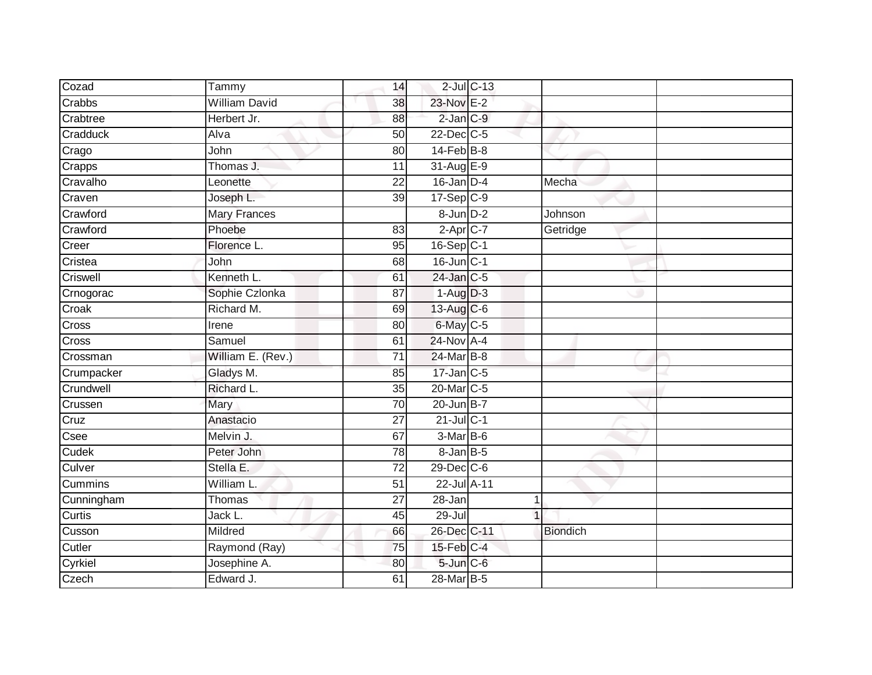| Cozad      | Tammy                | 14              |                  | $2$ -Jul $C$ -13 |                 |  |
|------------|----------------------|-----------------|------------------|------------------|-----------------|--|
| Crabbs     | <b>William David</b> | 38              | 23-Nov E-2       |                  |                 |  |
| Crabtree   | Herbert Jr.          | 88              | 2-Jan C-9        |                  |                 |  |
| Cradduck   | Alva                 | 50              | $22$ -Dec $C-5$  |                  |                 |  |
| Crago      | John                 | 80              | $14$ -Feb $B$ -8 |                  |                 |  |
| Crapps     | Thomas J.            | 11              | 31-Aug E-9       |                  |                 |  |
| Cravalho   | Leonette             | 22              | $16$ -Jan $D-4$  |                  | Mecha           |  |
| Craven     | Joseph L.            | 39              | $17-Sep$ $C-9$   |                  |                 |  |
| Crawford   | <b>Mary Frances</b>  |                 | $8$ -Jun $D-2$   |                  | Johnson         |  |
| Crawford   | Phoebe               | 83              | $2-Apr$ C-7      |                  | Getridge        |  |
| Creer      | Florence L.          | $\overline{95}$ | 16-Sep C-1       |                  |                 |  |
| Cristea    | John                 | 68              | $16$ -Jun $C-1$  |                  |                 |  |
| Criswell   | Kenneth L.           | 61              | $24$ -Jan C-5    |                  |                 |  |
| Crnogorac  | Sophie Czlonka       | 87              | $1-Aug$ $D-3$    |                  |                 |  |
| Croak      | Richard M.           | 69              | 13-Aug $C-6$     |                  |                 |  |
| Cross      | Irene                | 80              | 6-May C-5        |                  |                 |  |
| Cross      | Samuel               | 61              | 24-Nov A-4       |                  |                 |  |
| Crossman   | William E. (Rev.)    | 71              | 24-Mar B-8       |                  |                 |  |
| Crumpacker | Gladys M.            | 85              | $17$ -Jan C-5    |                  |                 |  |
| Crundwell  | Richard L.           | 35              | 20-Mar C-5       |                  |                 |  |
| Crussen    | Mary                 | 70              | $20$ -Jun $B-7$  |                  |                 |  |
| Cruz       | Anastacio            | $\overline{27}$ | $21$ -Jul C-1    |                  |                 |  |
| Csee       | Melvin J.            | 67              | 3-Mar B-6        |                  |                 |  |
| Cudek      | Peter John           | 78              | $8$ -Jan $B$ -5  |                  |                 |  |
| Culver     | Stella E.            | 72              | $29$ -Dec $C$ -6 |                  |                 |  |
| Cummins    | William L.           | $\overline{51}$ | 22-Jul A-11      |                  |                 |  |
| Cunningham | Thomas               | $\overline{27}$ | 28-Jan           |                  |                 |  |
| Curtis     | Jack L.              | 45              | 29-Jul           |                  |                 |  |
| Cusson     | Mildred              | 66              | 26-Dec C-11      |                  | <b>Biondich</b> |  |
| Cutler     | Raymond (Ray)        | 75              | $15$ -Feb $C-4$  |                  |                 |  |
| Cyrkiel    | Josephine A.         | 80              | 5-Jun C-6        |                  |                 |  |
| Czech      | Edward J.            | 61              | 28-Mar B-5       |                  |                 |  |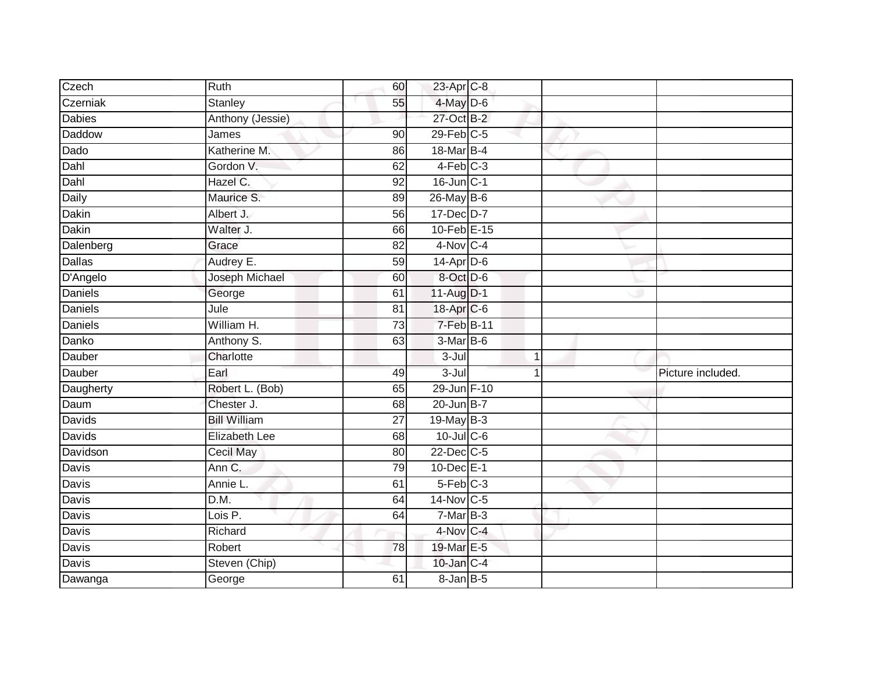| Czech          | Ruth                | 60              | 23-Apr C-8             |                |                   |
|----------------|---------------------|-----------------|------------------------|----------------|-------------------|
| Czerniak       | <b>Stanley</b>      | 55              | 4-May D-6              |                |                   |
| <b>Dabies</b>  | Anthony (Jessie)    |                 | 27-Oct B-2             |                |                   |
| Daddow         | James               | 90              | $29$ -Feb $C$ -5       |                |                   |
| Dado           | Katherine M.        | 86              | 18-Mar B-4             |                |                   |
| Dahl           | Gordon V.           | 62              | $4-Feb$ <sub>C-3</sub> |                |                   |
| Dahl           | Hazel C.            | 92              | 16-Jun C-1             |                |                   |
| Daily          | Maurice S.          | 89              | 26-May B-6             |                |                   |
| Dakin          | Albert J.           | 56              | 17-Dec D-7             |                |                   |
| <b>Dakin</b>   | Walter J.           | 66              | 10-Feb E-15            |                |                   |
| Dalenberg      | Grace               | 82              | 4-Nov C-4              |                |                   |
| <b>Dallas</b>  | Audrey E.           | 59              | $14$ -Apr $D-6$        |                |                   |
| D'Angelo       | Joseph Michael      | 60              | 8-Oct D-6              |                |                   |
| Daniels        | George              | 61              | 11-Aug D-1             |                |                   |
| <b>Daniels</b> | Jule                | 81              | 18-Apr C-6             |                |                   |
| Daniels        | William H.          | $\overline{73}$ | 7-Feb B-11             |                |                   |
| Danko          | Anthony S.          | 63              | 3-Mar B-6              |                |                   |
| Dauber         | Charlotte           |                 | $3 -$ Jul              | $\overline{1}$ |                   |
| Dauber         | Earl                | 49              | $3 -$ Jul              |                | Picture included. |
| Daugherty      | Robert L. (Bob)     | 65              | 29-Jun F-10            |                |                   |
| Daum           | Chester J.          | 68              | $20$ -Jun $B-7$        |                |                   |
| Davids         | <b>Bill William</b> | $\overline{27}$ | 19-May B-3             |                |                   |
| Davids         | Elizabeth Lee       | 68              | $10$ -Jul $C$ -6       |                |                   |
| Davidson       | <b>Cecil May</b>    | 80              | 22-Dec C-5             |                |                   |
| Davis          | Ann C.              | 79              | 10-Dec E-1             |                |                   |
| <b>Davis</b>   | Annie L.            | 61              | $5-Feb$ <sub>C-3</sub> |                |                   |
| Davis          | D.M.                | 64              | 14-Nov C-5             |                |                   |
| Davis          | Lois P.             | 64              | $7-Mar$ B-3            |                |                   |
| Davis          | Richard             |                 | 4-Nov C-4              |                |                   |
| Davis          | Robert              | 78              | 19-Mar E-5             |                |                   |
| Davis          | Steven (Chip)       |                 | 10-Jan C-4             |                |                   |
| Dawanga        | George              | 61              | $8 - Jan$ $B - 5$      |                |                   |
|                |                     |                 |                        |                |                   |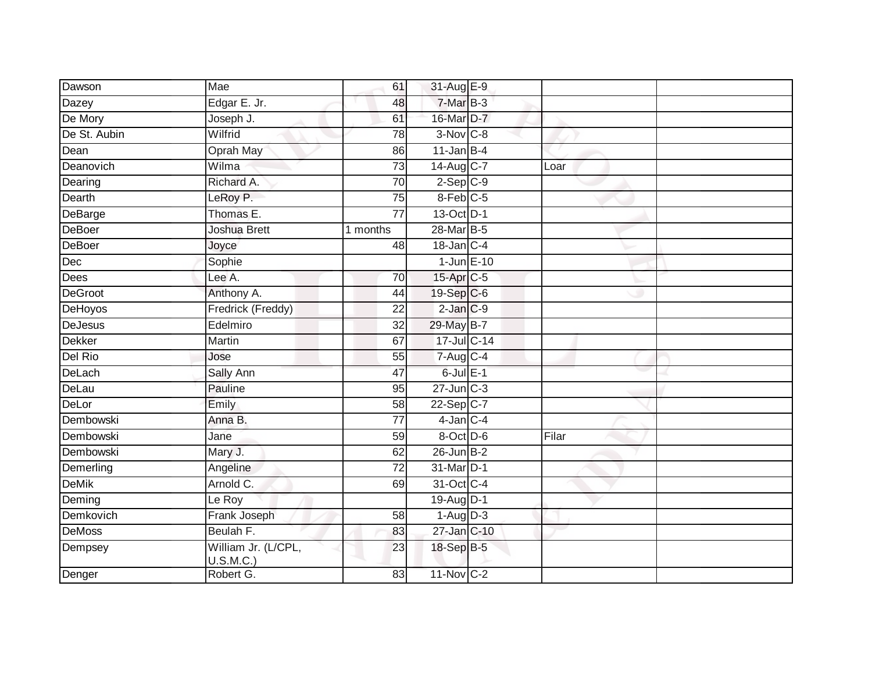| Dawson         | Mae                              | 61              | 31-Aug E-9       |       |  |
|----------------|----------------------------------|-----------------|------------------|-------|--|
| Dazey          | Edgar E. Jr.                     | 48              | 7-Mar B-3        |       |  |
| De Mory        | Joseph J.                        | 61              | 16-Mar D-7       |       |  |
| De St. Aubin   | Wilfrid                          | 78              | $3-Nov$ C-8      |       |  |
| Dean           | <b>Oprah May</b>                 | 86              | $11$ -Jan B-4    |       |  |
| Deanovich      | Wilma                            | $\overline{73}$ | 14-Aug C-7       | Loar  |  |
| Dearing        | Richard A.                       | 70              | $2-Sep$ $C-9$    |       |  |
| Dearth         | LeRoy P.                         | 75              | 8-Feb C-5        |       |  |
| DeBarge        | Thomas E.                        | 77              | 13-Oct D-1       |       |  |
| <b>DeBoer</b>  | Joshua Brett                     | 1 months        | 28-Mar B-5       |       |  |
| DeBoer         | Joyce                            | 48              | $18$ -Jan $C-4$  |       |  |
| Dec            | Sophie                           |                 | $1$ -Jun $E-10$  |       |  |
| Dees           | Lee A.                           | 70              | 15-Apr C-5       |       |  |
| DeGroot        | Anthony A.                       | 44              | 19-Sep C-6       |       |  |
| <b>DeHoyos</b> | <b>Fredrick (Freddy)</b>         | $\overline{22}$ | $2$ -Jan $C-9$   |       |  |
| DeJesus        | Edelmiro                         | 32              | 29-May B-7       |       |  |
| <b>Dekker</b>  | <b>Martin</b>                    | 67              | 17-Jul C-14      |       |  |
| Del Rio        | Jose                             | 55              | 7-Aug C-4        |       |  |
| DeLach         | Sally Ann                        | 47              | $6$ -Jul $E-1$   |       |  |
| DeLau          | Pauline                          | 95              | $27 - Jun$ $C-3$ |       |  |
| DeLor          | Emily                            | 58              | $22-Sep C-7$     |       |  |
| Dembowski      | Anna B.                          | $\overline{77}$ | $4$ -Jan $C-4$   |       |  |
| Dembowski      | Jane                             | 59              | 8-Oct D-6        | Filar |  |
| Dembowski      | Mary J.                          | 62              | 26-Jun B-2       |       |  |
| Demerling      | Angeline                         | 72              | 31-Mar D-1       |       |  |
| <b>DeMik</b>   | Arnold C.                        | 69              | 31-Oct C-4       |       |  |
| Deming         | Le Roy                           |                 | 19-Aug D-1       |       |  |
| Demkovich      | Frank Joseph                     | 58              | $1-Aug$ $D-3$    |       |  |
| <b>DeMoss</b>  | Beulah F.                        | 83              | 27-Jan C-10      |       |  |
| Dempsey        | William Jr. (L/CPL,<br>U.S.M.C.) | 23              | 18-Sep B-5       |       |  |
| Denger         | Robert G.                        | 83              | 11-Nov C-2       |       |  |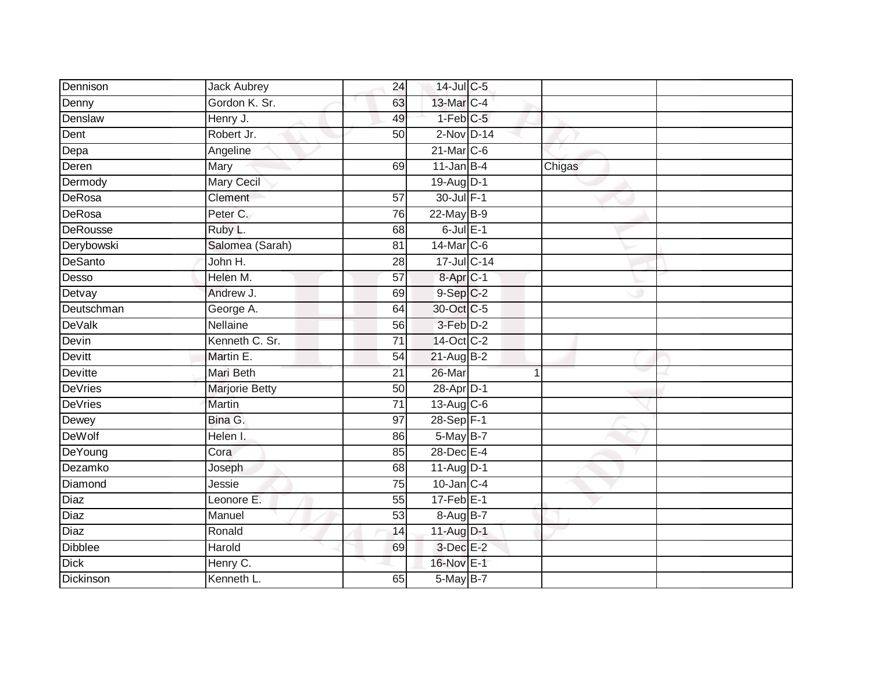| Dennison        | <b>Jack Aubrey</b>    | 24              | 14-Jul C-5            |        |  |
|-----------------|-----------------------|-----------------|-----------------------|--------|--|
| Denny           | Gordon K. Sr.         | 63              | 13-Mar C-4            |        |  |
| Denslaw         | Henry J.              | 49              | $1-Feb$ $C-5$         |        |  |
| Dent            | Robert Jr.            | 50              | $2-Nov$ D-14          |        |  |
| Depa            | Angeline              |                 | $21$ -Mar $C-6$       |        |  |
| Deren           | Mary                  | 69              | $11$ -Jan B-4         | Chigas |  |
| Dermody         | <b>Mary Cecil</b>     |                 | 19-Aug D-1            |        |  |
| DeRosa          | Clement               | 57              | 30-Jul F-1            |        |  |
| DeRosa          | Peter C.              | 76              | $22$ -May B-9         |        |  |
| <b>DeRousse</b> | Ruby L.               | 68              | $6$ -Jul $E-1$        |        |  |
| Derybowski      | Salomea (Sarah)       | 81              | 14-Mar C-6            |        |  |
| DeSanto         | John H.               | 28              | 17-Jul C-14           |        |  |
| Desso           | Helen M.              | 57              | 8-Apr <sub>C-1</sub>  |        |  |
| Detvay          | Andrew J.             | 69              | $9-Sep$ $C-2$         |        |  |
| Deutschman      | George A.             | 64              | 30-Oct C-5            |        |  |
| <b>DeValk</b>   | Nellaine              | 56              | 3-Feb D-2             |        |  |
| Devin           | Kenneth C. Sr.        | $\overline{71}$ | 14-Oct C-2            |        |  |
| Devitt          | Martin E.             | 54              | $21-AugB-2$           |        |  |
| Devitte         | Mari Beth             | $\overline{21}$ | 26-Mar                |        |  |
| <b>DeVries</b>  | <b>Marjorie Betty</b> | 50              | 28-Apr <sub>D-1</sub> |        |  |
| <b>DeVries</b>  | Martin                | $\overline{71}$ | $13-Aug$ $C-6$        |        |  |
| Dewey           | Bina G.               | 97              | 28-Sep F-1            |        |  |
| <b>DeWolf</b>   | Helen I.              | 86              | $5$ -May $B-7$        |        |  |
| DeYoung         | Cora                  | 85              | 28-Dec E-4            |        |  |
| Dezamko         | Joseph                | 68              | $11-Aug$ D-1          |        |  |
| Diamond         | Jessie                | 75              | $10$ -Jan $C-4$       |        |  |
| Diaz            | Leonore E.            | 55              | $17$ -Feb $E-1$       |        |  |
| Diaz            | Manuel                | 53              | 8-Aug B-7             |        |  |
| Diaz            | Ronald                | 14              | 11-Aug D-1            |        |  |
| Dibblee         | Harold                | 69              | $3$ -Dec $E-2$        |        |  |
| <b>Dick</b>     | Henry C.              |                 | 16-Nov E-1            |        |  |
| Dickinson       | Kenneth L.            | 65              | 5-May B-7             |        |  |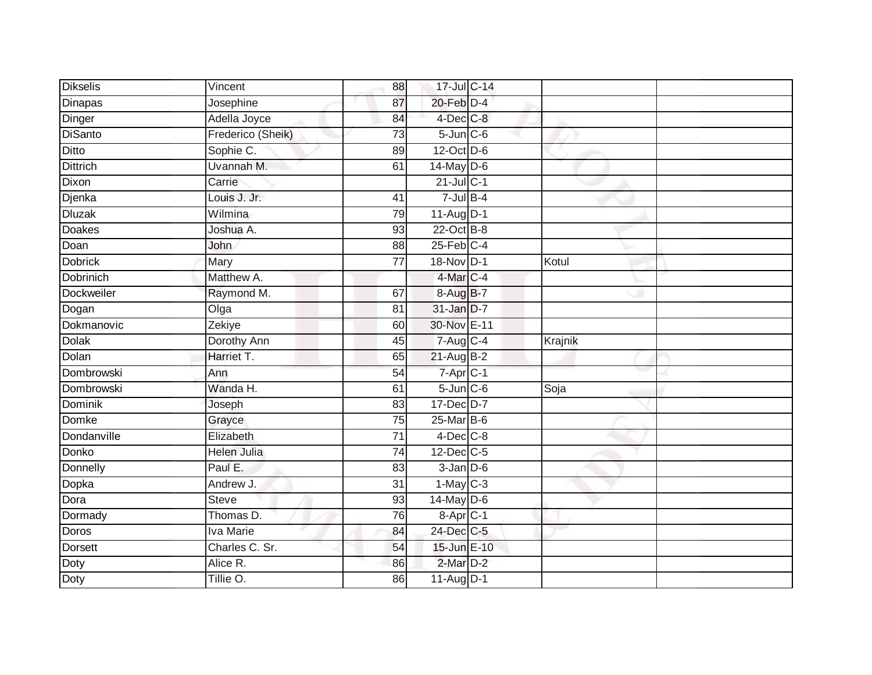| <b>Dikselis</b>   | Vincent           | 88 | 17-Jul C-14           |         |
|-------------------|-------------------|----|-----------------------|---------|
| Dinapas           | Josephine         | 87 | $20$ -Feb $D-4$       |         |
| Dinger            | Adella Joyce      | 84 | 4-Dec C-8             |         |
| <b>DiSanto</b>    | Frederico (Sheik) | 73 | $5$ -Jun $C$ -6       |         |
| Ditto             | Sophie C.         | 89 | 12-Oct D-6            |         |
| <b>Dittrich</b>   | Uvannah M.        | 61 | $14$ -May D-6         |         |
| Dixon             | Carrie            |    | $21$ -Jul C-1         |         |
| Djenka            | Louis J. Jr.      | 41 | $7 -$ Jul B-4         |         |
| <b>Dluzak</b>     | Wilmina           | 79 | 11-Aug D-1            |         |
| <b>Doakes</b>     | Joshua A.         | 93 | 22-Oct B-8            |         |
| Doan              | <b>John</b>       | 88 | $25$ -Feb $C-4$       |         |
| <b>Dobrick</b>    | Mary              | 77 | 18-Nov D-1            | Kotul   |
| Dobrinich         | Matthew A.        |    | 4-Mar <sub>IC-4</sub> |         |
| <b>Dockweiler</b> | Raymond M.        | 67 | 8-Aug B-7             |         |
| Dogan             | Olga              | 81 | 31-Jan D-7            |         |
| Dokmanovic        | Zekiye            | 60 | 30-Nov E-11           |         |
| Dolak             | Dorothy Ann       | 45 | $7-Aug$ C-4           | Krajnik |
| Dolan             | Harriet T.        | 65 | $21-Aug$ B-2          |         |
| Dombrowski        | Ann               | 54 | 7-Apr C-1             |         |
| <b>Dombrowski</b> | Wanda H.          | 61 | $5$ -Jun $C$ -6       | Soja    |
| Dominik           | Joseph            | 83 | 17-Dec D-7            |         |
| Domke             | Grayce            | 75 | 25-Mar B-6            |         |
| Dondanville       | Elizabeth         | 71 | $4$ -Dec $C$ -8       |         |
| Donko             | Helen Julia       | 74 | $12$ -Dec $C-5$       |         |
| Donnelly          | Paul E.           | 83 | $3$ -Jan $D$ -6       |         |
| Dopka             | Andrew J.         | 31 | $1-May$ $C-3$         |         |
| Dora              | <b>Steve</b>      | 93 | 14-May D-6            |         |
| Dormady           | Thomas D.         | 76 | $8-Apr$ $C-1$         |         |
| <b>Doros</b>      | <b>Iva Marie</b>  | 84 | 24-Dec C-5            |         |
| Dorsett           | Charles C. Sr.    | 54 | 15-Jun E-10           |         |
| Doty              | Alice R.          | 86 | 2-Mar D-2             |         |
| Doty              | Tillie O.         | 86 | $11-Aug$ D-1          |         |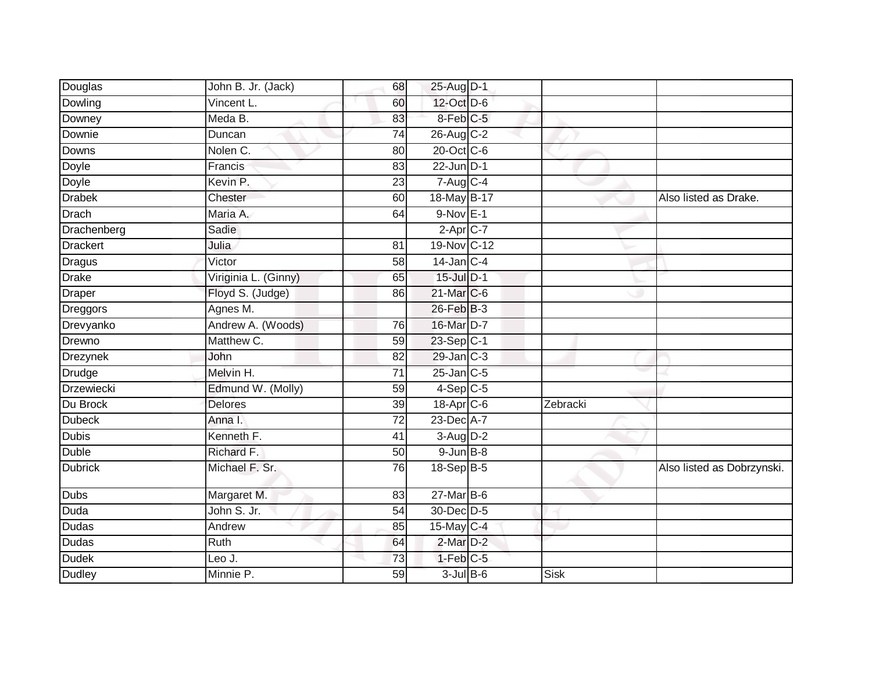| John B. Jr. (Jack)   | 68              |  |                                                                                                                                                                                                                                                                                                                                                                                                                                                                                                                               |                            |
|----------------------|-----------------|--|-------------------------------------------------------------------------------------------------------------------------------------------------------------------------------------------------------------------------------------------------------------------------------------------------------------------------------------------------------------------------------------------------------------------------------------------------------------------------------------------------------------------------------|----------------------------|
| Vincent L.           | 60              |  |                                                                                                                                                                                                                                                                                                                                                                                                                                                                                                                               |                            |
| Meda B.              | 83              |  |                                                                                                                                                                                                                                                                                                                                                                                                                                                                                                                               |                            |
| Duncan               | 74              |  |                                                                                                                                                                                                                                                                                                                                                                                                                                                                                                                               |                            |
| Nolen C.             | 80              |  |                                                                                                                                                                                                                                                                                                                                                                                                                                                                                                                               |                            |
| Francis              | 83              |  |                                                                                                                                                                                                                                                                                                                                                                                                                                                                                                                               |                            |
| Kevin P.             | 23              |  |                                                                                                                                                                                                                                                                                                                                                                                                                                                                                                                               |                            |
| Chester              | 60              |  |                                                                                                                                                                                                                                                                                                                                                                                                                                                                                                                               | Also listed as Drake.      |
| Maria A.             | 64              |  |                                                                                                                                                                                                                                                                                                                                                                                                                                                                                                                               |                            |
| Sadie                |                 |  |                                                                                                                                                                                                                                                                                                                                                                                                                                                                                                                               |                            |
| Julia                | 81              |  |                                                                                                                                                                                                                                                                                                                                                                                                                                                                                                                               |                            |
| Victor               | 58              |  |                                                                                                                                                                                                                                                                                                                                                                                                                                                                                                                               |                            |
| Viriginia L. (Ginny) | 65              |  |                                                                                                                                                                                                                                                                                                                                                                                                                                                                                                                               |                            |
| Floyd S. (Judge)     | 86              |  |                                                                                                                                                                                                                                                                                                                                                                                                                                                                                                                               |                            |
| Agnes M.             |                 |  |                                                                                                                                                                                                                                                                                                                                                                                                                                                                                                                               |                            |
| Andrew A. (Woods)    | 76              |  |                                                                                                                                                                                                                                                                                                                                                                                                                                                                                                                               |                            |
| Matthew C.           | 59              |  |                                                                                                                                                                                                                                                                                                                                                                                                                                                                                                                               |                            |
| John                 | 82              |  |                                                                                                                                                                                                                                                                                                                                                                                                                                                                                                                               |                            |
| Melvin H.            | 71              |  |                                                                                                                                                                                                                                                                                                                                                                                                                                                                                                                               |                            |
| Edmund W. (Molly)    | 59              |  |                                                                                                                                                                                                                                                                                                                                                                                                                                                                                                                               |                            |
| <b>Delores</b>       | 39              |  | Zebracki                                                                                                                                                                                                                                                                                                                                                                                                                                                                                                                      |                            |
| Anna I.              | $\overline{72}$ |  |                                                                                                                                                                                                                                                                                                                                                                                                                                                                                                                               |                            |
| Kenneth F.           | 41              |  |                                                                                                                                                                                                                                                                                                                                                                                                                                                                                                                               |                            |
| Richard F.           | 50              |  |                                                                                                                                                                                                                                                                                                                                                                                                                                                                                                                               |                            |
| Michael F. Sr.       | 76              |  |                                                                                                                                                                                                                                                                                                                                                                                                                                                                                                                               | Also listed as Dobrzynski. |
| Margaret M.          | 83              |  |                                                                                                                                                                                                                                                                                                                                                                                                                                                                                                                               |                            |
| John S. Jr.          | 54              |  |                                                                                                                                                                                                                                                                                                                                                                                                                                                                                                                               |                            |
| Andrew               | 85              |  |                                                                                                                                                                                                                                                                                                                                                                                                                                                                                                                               |                            |
| Ruth                 | 64              |  |                                                                                                                                                                                                                                                                                                                                                                                                                                                                                                                               |                            |
| Leo J.               | 73              |  |                                                                                                                                                                                                                                                                                                                                                                                                                                                                                                                               |                            |
| Minnie P.            | 59              |  | <b>Sisk</b>                                                                                                                                                                                                                                                                                                                                                                                                                                                                                                                   |                            |
|                      |                 |  | 25-Aug D-1<br>12-Oct D-6<br>8-Feb C-5<br>$26$ -Aug C-2<br>$20$ -Oct $C$ -6<br>$22$ -Jun $D-1$<br>$7-Aug$ <sub>C-4</sub><br>18-May B-17<br>$9-Nov$ E-1<br>$2-Apr$ C-7<br>19-Nov C-12<br>$14$ -Jan C-4<br>15-Jul D-1<br>21-Mar <sub>C-6</sub><br>26-Feb B-3<br>16-Mar D-7<br>23-Sep C-1<br>$29$ -Jan $C-3$<br>$25$ -Jan $C$ -5<br>$4-Sep$ C-5<br>$18$ -Apr $C$ -6<br>23-Dec A-7<br>$3-AugD-2$<br>$9$ -Jun $B$ -8<br>18-Sep B-5<br>$27$ -Mar $B$ -6<br>30-Dec D-5<br>$15$ -May C-4<br>2-Mar D-2<br>$1-Feb$ $C-5$<br>$3$ -Jul B-6 |                            |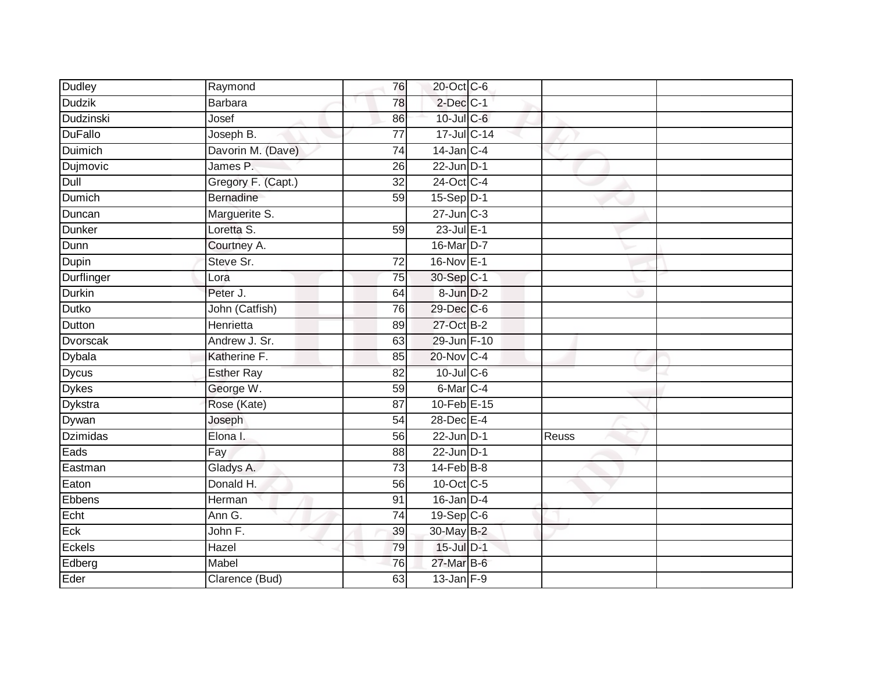| Dudley           | Raymond            | 76              | 20-Oct C-6              |       |  |
|------------------|--------------------|-----------------|-------------------------|-------|--|
| <b>Dudzik</b>    | <b>Barbara</b>     | 78              | $2$ -Dec $C-1$          |       |  |
| <b>Dudzinski</b> | Josef              | 86              | 10-Jul C-6              |       |  |
| <b>DuFallo</b>   | Joseph B.          | 77              | 17-Jul C-14             |       |  |
| <b>Duimich</b>   | Davorin M. (Dave)  | $\overline{74}$ | $14$ -Jan $C-4$         |       |  |
| Dujmovic         | James P.           | 26              | $22$ -Jun $D-1$         |       |  |
| Dull             | Gregory F. (Capt.) | $\overline{32}$ | 24-Oct C-4              |       |  |
| <b>Dumich</b>    | Bernadine          | 59              | 15-Sep D-1              |       |  |
| Duncan           | Marguerite S.      |                 | 27-Jun C-3              |       |  |
| <b>Dunker</b>    | Loretta S.         | 59              | $23$ -Jul $E-1$         |       |  |
| Dunn             | Courtney A.        |                 | 16-Mar D-7              |       |  |
| Dupin            | Steve Sr.          | 72              | 16-Nov E-1              |       |  |
| Durflinger       | Lora               | 75              | 30-Sep C-1              |       |  |
| <b>Durkin</b>    | Peter J.           | 64              | 8-Jun D-2               |       |  |
| Dutko            | John (Catfish)     | 76              | 29-Dec C-6              |       |  |
| Dutton           | Henrietta          | 89              | 27-Oct B-2              |       |  |
| Dvorscak         | Andrew J. Sr.      | 63              | 29-Jun F-10             |       |  |
| Dybala           | Katherine F.       | 85              | 20-Nov C-4              |       |  |
| Dycus            | <b>Esther Ray</b>  | 82              | $10$ -Jul C-6           |       |  |
| <b>Dykes</b>     | George W.          | 59              | 6-Mar C-4               |       |  |
| Dykstra          | Rose (Kate)        | 87              | 10-Feb E-15             |       |  |
| Dywan            | Joseph             | 54              | 28-Dec E-4              |       |  |
| Dzimidas         | Elona I.           | 56              | $22$ -Jun $D-1$         | Reuss |  |
| Eads             | Fay                | 88              | $22$ -Jun $D-1$         |       |  |
| Eastman          | Gladys A.          | 73              | $14$ -Feb $B$ -8        |       |  |
| Eaton            | Donald H.          | 56              | 10-Oct C-5              |       |  |
| Ebbens           | Herman             | 91              | $16$ -Jan $D-4$         |       |  |
| Echt             | Ann G.             | $\overline{74}$ | $19-Sep$ <sub>C-6</sub> |       |  |
| Eck              | John F.            | 39              | 30-May B-2              |       |  |
| Eckels           | Hazel              | 79              | 15-Jul D-1              |       |  |
| Edberg           | Mabel              | 76              | 27-Mar B-6              |       |  |
| Eder             | Clarence (Bud)     | 63              | $13$ -Jan F-9           |       |  |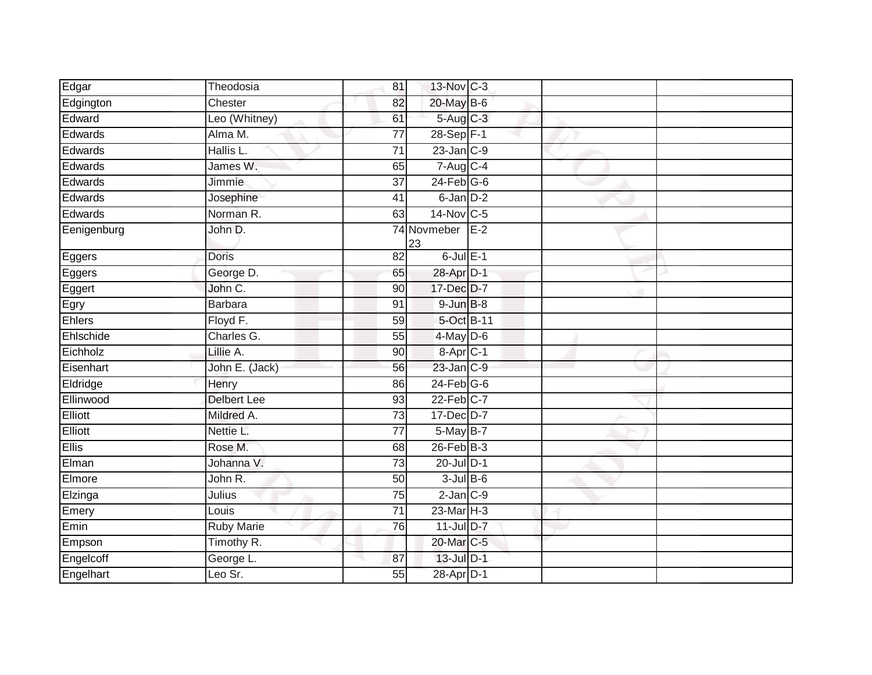| Edgar        | Theodosia          | 81              | 13-Nov C-3                 |       |  |
|--------------|--------------------|-----------------|----------------------------|-------|--|
| Edgington    | Chester            | 82              | 20-May B-6                 |       |  |
| Edward       | Leo (Whitney)      | 61              | 5-Aug C-3                  |       |  |
| Edwards      | Alma M.            | 77              | 28-Sep F-1                 |       |  |
| Edwards      | Hallis L.          | $\overline{71}$ | $23$ -Jan $C-9$            |       |  |
| Edwards      | James W.           | 65              | $7 - \overline{Aug C - 4}$ |       |  |
| Edwards      | Jimmie             | 37              | $24$ -Feb $G-6$            |       |  |
| Edwards      | Josephine          | 41              | 6-Jan D-2                  |       |  |
| Edwards      | Norman R.          | 63              | 14-Nov C-5                 |       |  |
| Eenigenburg  | John D.            |                 | 74 Novmeber<br>23          | $E-2$ |  |
| Eggers       | Doris              | 82              | $6$ -Jul $E-1$             |       |  |
| Eggers       | George D.          | 65              | 28-Apr D-1                 |       |  |
| Eggert       | John C.            | 90              | 17-Dec D-7                 |       |  |
| Egry         | <b>Barbara</b>     | 91              | $9 - JunB - 8$             |       |  |
| Ehlers       | Floyd F.           | 59              | 5-Oct B-11                 |       |  |
| Ehlschide    | Charles G.         | 55              | 4-May D-6                  |       |  |
| Eichholz     | Lillie A.          | 90              | 8-Apr C-1                  |       |  |
| Eisenhart    | John E. (Jack)     | 56              | $23$ -Jan $C-9$            |       |  |
| Eldridge     | Henry              | 86              | $24$ -Feb $G-6$            |       |  |
| Ellinwood    | <b>Delbert Lee</b> | 93              | $22$ -Feb $C-7$            |       |  |
| Elliott      | Mildred A.         | 73              | 17-Dec D-7                 |       |  |
| Elliott      | Nettie L.          | $\overline{77}$ | $5$ -May B-7               |       |  |
| <b>Ellis</b> | Rose M.            | 68              | $26$ -Feb $B-3$            |       |  |
| Elman        | Johanna V.         | 73              | 20-Jul D-1                 |       |  |
| Elmore       | John R.            | 50              | $3$ -Jul $B$ -6            |       |  |
| Elzinga      | Julius             | 75              | $2$ -Jan $C-9$             |       |  |
| Emery        | Louis              | $\overline{71}$ | $23$ -Mar $H - 3$          |       |  |
| Emin         | Ruby Marie         | 76              | $11$ -Jul D-7              |       |  |
| Empson       | Timothy R.         |                 | 20-Mar C-5                 |       |  |
| Engelcoff    | George L.          | 87              | 13-Jul D-1                 |       |  |
| Engelhart    | Leo Sr.            | 55              | 28-Apr D-1                 |       |  |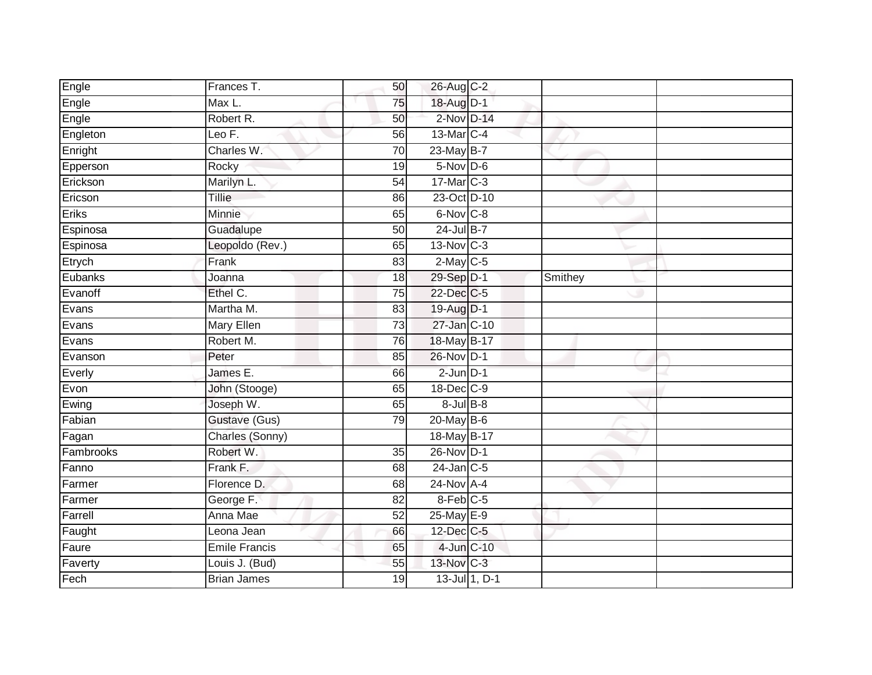| Engle           | Frances T.           | 50              | 26-Aug C-2              |         |  |
|-----------------|----------------------|-----------------|-------------------------|---------|--|
| Engle           | Max L.               | 75              | 18-Aug D-1              |         |  |
| Engle           | Robert R.            | 50              | 2-Nov D-14              |         |  |
| Engleton        | Leo F.               | 56              | 13-Mar C-4              |         |  |
| Enright         | Charles W.           | $\overline{70}$ | 23-May B-7              |         |  |
| <b>Epperson</b> | Rocky                | 19              | $5-Nov$ D-6             |         |  |
| Erickson        | Marilyn L.           | 54              | 17-Mar C-3              |         |  |
| Ericson         | <b>Tillie</b>        | 86              | 23-Oct D-10             |         |  |
| Eriks           | Minnie               | 65              | 6-Nov C-8               |         |  |
| Espinosa        | Guadalupe            | 50              | 24-Jul B-7              |         |  |
| Espinosa        | Leopoldo (Rev.)      | 65              | $13-Nov$ <sub>C-3</sub> |         |  |
| Etrych          | Frank                | 83              | $2$ -May C-5            |         |  |
| Eubanks         | Joanna               | 18              | 29-Sep D-1              | Smithey |  |
| Evanoff         | Ethel C.             | 75              | 22-Dec C-5              |         |  |
| Evans           | Martha M.            | 83              | 19-Aug D-1              |         |  |
| Evans           | <b>Mary Ellen</b>    | 73              | 27-Jan C-10             |         |  |
| Evans           | Robert M.            | 76              | 18-May B-17             |         |  |
| Evanson         | Peter                | 85              | 26-Nov D-1              |         |  |
| Everly          | James E.             | 66              | $2$ -Jun $D-1$          |         |  |
| Evon            | John (Stooge)        | 65              | 18-Dec C-9              |         |  |
| Ewing           | Joseph W.            | 65              | $8 -$ Jul $B - 8$       |         |  |
| Fabian          | Gustave (Gus)        | 79              | $20$ -May B-6           |         |  |
| Fagan           | Charles (Sonny)      |                 | 18-May B-17             |         |  |
| Fambrooks       | Robert W.            | 35              | 26-Nov D-1              |         |  |
| Fanno           | Frank F.             | 68              | $24$ -Jan $C-5$         |         |  |
| Farmer          | Florence D.          | 68              | 24-Nov A-4              |         |  |
| Farmer          | George F.            | $\overline{82}$ | 8-Feb C-5               |         |  |
| Farrell         | Anna Mae             | 52              | 25-May E-9              |         |  |
| Faught          | Leona Jean           | 66              | 12-Dec C-5              |         |  |
| Faure           | <b>Emile Francis</b> | 65              | 4-Jun C-10              |         |  |
| Faverty         | Louis J. (Bud)       | 55              | 13-Nov C-3              |         |  |
| Fech            | <b>Brian James</b>   | $\overline{19}$ | 13-Jul 1, D-1           |         |  |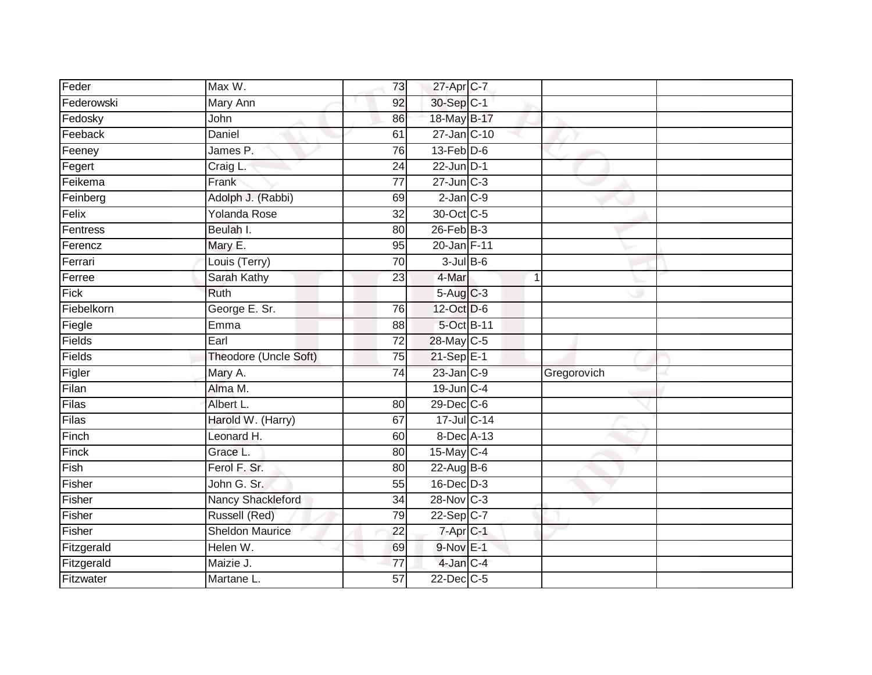| Feder       | Max W.                 | 73              | 27-Apr C-7      |   |             |  |
|-------------|------------------------|-----------------|-----------------|---|-------------|--|
| Federowski  | Mary Ann               | 92              | 30-Sep C-1      |   |             |  |
| Fedosky     | John                   | 86              | 18-May B-17     |   |             |  |
| Feeback     | Daniel                 | 61              | 27-Jan C-10     |   |             |  |
| Feeney      | James P.               | $\overline{76}$ | $13$ -Feb $D-6$ |   |             |  |
| Fegert      | Craig L.               | 24              | $22$ -Jun $D-1$ |   |             |  |
| Feikema     | Frank                  | 77              | $27$ -Jun $C-3$ |   |             |  |
| Feinberg    | Adolph J. (Rabbi)      | 69              | $2$ -Jan $C-9$  |   |             |  |
| Felix       | <b>Yolanda Rose</b>    | 32              | 30-Oct C-5      |   |             |  |
| Fentress    | Beulah I.              | 80              | $26$ -Feb $B-3$ |   |             |  |
| Ferencz     | Mary E.                | 95              | 20-Jan F-11     |   |             |  |
| Ferrari     | Louis (Terry)          | $\overline{70}$ | $3$ -Jul $B$ -6 |   |             |  |
| Ferree      | Sarah Kathy            | 23              | 4-Mar           | 1 |             |  |
| <b>Fick</b> | <b>Ruth</b>            |                 | 5-Aug C-3       |   |             |  |
| Fiebelkorn  | George E. Sr.          | 76              | 12-Oct D-6      |   |             |  |
| Fiegle      | Emma                   | 88              | 5-Oct B-11      |   |             |  |
| Fields      | Earl                   | $\overline{72}$ | 28-May C-5      |   |             |  |
| Fields      | Theodore (Uncle Soft)  | $\overline{75}$ | $21$ -Sep $E-1$ |   |             |  |
| Figler      | Mary A.                | 74              | $23$ -Jan $C-9$ |   | Gregorovich |  |
| Filan       | Alma M.                |                 | $19$ -Jun $C-4$ |   |             |  |
| Filas       | Albert L.              | 80              | 29-Dec C-6      |   |             |  |
| Filas       | Harold W. (Harry)      | 67              | 17-Jul C-14     |   |             |  |
| Finch       | Leonard H.             | 60              | 8-Dec A-13      |   |             |  |
| Finck       | Grace L.               | 80              | 15-May C-4      |   |             |  |
| Fish        | Ferol F. Sr.           | 80              | 22-Aug B-6      |   |             |  |
| Fisher      | John G. Sr.            | 55              | $16$ -Dec $D-3$ |   |             |  |
| Fisher      | Nancy Shackleford      | 34              | 28-Nov C-3      |   |             |  |
| Fisher      | Russell (Red)          | 79              | $22-Sep C-7$    |   |             |  |
| Fisher      | <b>Sheldon Maurice</b> | 22              | $7$ -Apr $C-1$  |   |             |  |
| Fitzgerald  | Helen W.               | 69              | 9-Nov E-1       |   |             |  |
| Fitzgerald  | Maizie J.              | 77              | 4-Jan C-4       |   |             |  |
| Fitzwater   | Martane L.             | 57              | 22-Dec C-5      |   |             |  |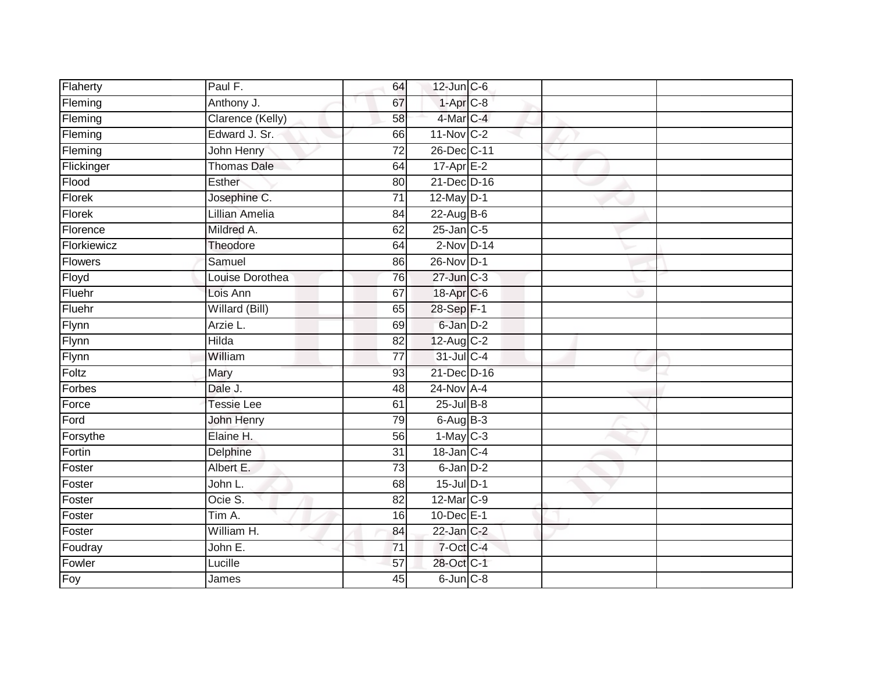| Flaherty       | Paul F.              | 64              | $12$ -Jun $C$ -6 |  |  |
|----------------|----------------------|-----------------|------------------|--|--|
| Fleming        | Anthony J.           | 67              | $1-Apr$ $C-8$    |  |  |
| Fleming        | Clarence (Kelly)     | 58              | 4-Mar C-4        |  |  |
| Fleming        | Edward J. Sr.        | 66              | 11-Nov C-2       |  |  |
| Fleming        | John Henry           | $\overline{72}$ | 26-Dec C-11      |  |  |
| Flickinger     | <b>Thomas Dale</b>   | 64              | 17-Apr E-2       |  |  |
| Flood          | Esther               | 80              | 21-Dec D-16      |  |  |
| Florek         | Josephine C.         | 71              | 12-May D-1       |  |  |
| Florek         | Lillian Amelia       | 84              | 22-Aug B-6       |  |  |
| Florence       | Mildred A.           | 62              | $25$ -Jan $C$ -5 |  |  |
| Florkiewicz    | Theodore             | 64              | $2-Nov$ D-14     |  |  |
| <b>Flowers</b> | Samuel               | 86              | 26-Nov D-1       |  |  |
| Floyd          | Louise Dorothea      | 76              | $27$ -Jun $C-3$  |  |  |
| Fluehr         | Lois Ann             | 67              | 18-Apr C-6       |  |  |
| Fluehr         | Willard (Bill)       | 65              | 28-Sep F-1       |  |  |
| Flynn          | Arzie L.             | 69              | 6-Jan D-2        |  |  |
| Flynn          | <b>Hilda</b>         | $\overline{82}$ | 12-Aug C-2       |  |  |
| Flynn          | William              | $\overline{77}$ | 31-Jul C-4       |  |  |
| Foltz          | Mary                 | 93              | 21-Dec D-16      |  |  |
| Forbes         | Dale J.              | 48              | 24-Nov A-4       |  |  |
| Force          | <b>Tessie Lee</b>    | 61              | $25$ -Jul $B-8$  |  |  |
| Ford           | John Henry           | 79              | $6-AugB-3$       |  |  |
| Forsythe       | Elaine H.            | 56              | $1-May$ C-3      |  |  |
| Fortin         | Delphine             | 31              | 18-Jan C-4       |  |  |
| Foster         | Albert E.            | 73              | $6$ -Jan $D-2$   |  |  |
| Foster         | John L.              | 68              | $15$ -Jul $D-1$  |  |  |
| Foster         | Ocie S.              | 82              | 12-Mar C-9       |  |  |
| Foster         | $\overline{T}$ im A. | 16              | 10-Dec E-1       |  |  |
| Foster         | William H.           | 84              | $22$ -Jan $C-2$  |  |  |
| Foudray        | John E.              | $\overline{71}$ | 7-Oct C-4        |  |  |
| Fowler         | Lucille              | 57              | 28-Oct C-1       |  |  |
| Foy            | James                | $\overline{45}$ | $6$ -Jun $C-8$   |  |  |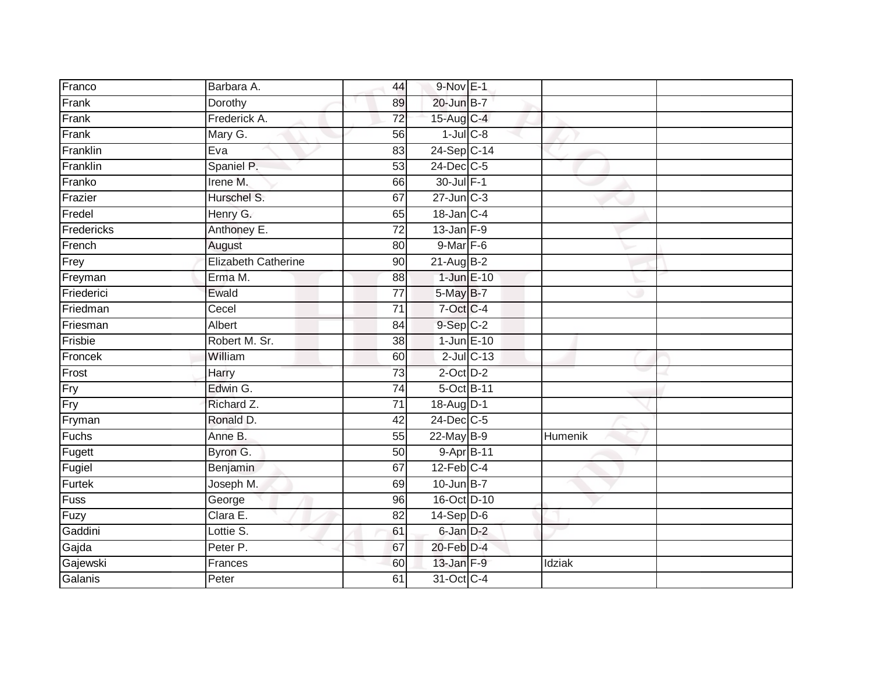| Franco     | Barbara A.          | 44              | 9-Nov E-1        |         |  |
|------------|---------------------|-----------------|------------------|---------|--|
| Frank      | Dorothy             | 89              | 20-Jun B-7       |         |  |
| Frank      | Frederick A.        | $\overline{72}$ | 15-Aug C-4       |         |  |
| Frank      | Mary G.             | 56              | $1$ -Jul $C$ -8  |         |  |
| Franklin   | Eva                 | 83              | 24-Sep C-14      |         |  |
| Franklin   | Spaniel P.          | 53              | 24-Dec C-5       |         |  |
| Franko     | Irene M.            | 66              | 30-Jul F-1       |         |  |
| Frazier    | Hurschel S.         | 67              | $27$ -Jun $C-3$  |         |  |
| Fredel     | Henry G.            | 65              | $18$ -Jan C-4    |         |  |
| Fredericks | Anthoney E.         | 72              | $13$ -Jan F-9    |         |  |
| French     | August              | 80              | 9-Mar F-6        |         |  |
| Frey       | Elizabeth Catherine | 90              | $21 - Aug$ B-2   |         |  |
| Freyman    | Erma M.             | 88              | $1$ -Jun $E-10$  |         |  |
| Friederici | Ewald               | 77              | 5-May B-7        |         |  |
| Friedman   | Cecel               | $\overline{71}$ | 7-Oct C-4        |         |  |
| Friesman   | Albert              | 84              | 9-Sep C-2        |         |  |
| Frisbie    | Robert M. Sr.       | $\overline{38}$ | $1$ -Jun $E-10$  |         |  |
| Froncek    | William             | 60              | $2$ -Jul $C$ -13 |         |  |
| Frost      | Harry               | 73              | $2$ -Oct $D-2$   |         |  |
| Fry        | Edwin G.            | 74              | $5$ -Oct $B-11$  |         |  |
| Fry        | Richard Z.          | $\overline{71}$ | 18-Aug D-1       |         |  |
| Fryman     | Ronald D.           | 42              | 24-Dec C-5       |         |  |
| Fuchs      | Anne B.             | 55              | 22-May B-9       | Humenik |  |
| Fugett     | Byron G.            | 50              | 9-Apr B-11       |         |  |
| Fugiel     | Benjamin            | 67              | $12$ -Feb $C-4$  |         |  |
| Furtek     | Joseph M.           | 69              | $10$ -Jun B-7    |         |  |
| Fuss       | George              | 96              | 16-Oct D-10      |         |  |
| Fuzy       | Clara E.            | 82              | $14-Sep$ D-6     |         |  |
| Gaddini    | Lottie S.           | 61              | 6-Jan D-2        |         |  |
| Gajda      | Peter P.            | 67              | 20-Feb D-4       |         |  |
| Gajewski   | Frances             | 60              | $13$ -Jan $F-9$  | Idziak  |  |
| Galanis    | Peter               | 61              | 31-Oct C-4       |         |  |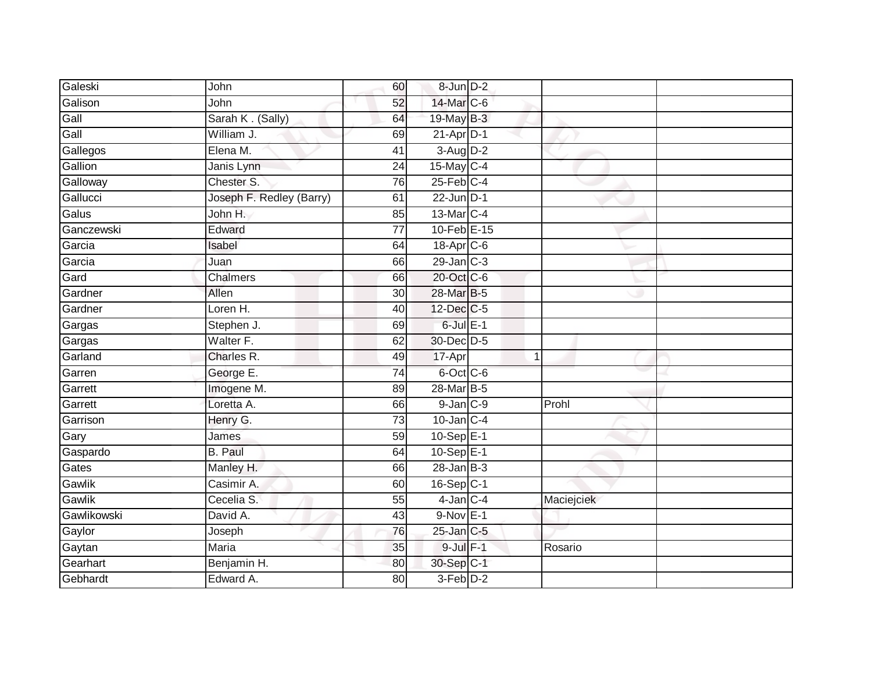| John                     | 60              |        |                                                                                                                                                                                                                                                                                                                                                                                                                                                                                                                             |              |
|--------------------------|-----------------|--------|-----------------------------------------------------------------------------------------------------------------------------------------------------------------------------------------------------------------------------------------------------------------------------------------------------------------------------------------------------------------------------------------------------------------------------------------------------------------------------------------------------------------------------|--------------|
| John                     | 52              |        |                                                                                                                                                                                                                                                                                                                                                                                                                                                                                                                             |              |
| Sarah K. (Sally)         | 64              |        |                                                                                                                                                                                                                                                                                                                                                                                                                                                                                                                             |              |
| William J.               | 69              |        |                                                                                                                                                                                                                                                                                                                                                                                                                                                                                                                             |              |
| Elena M.                 | $\overline{41}$ |        |                                                                                                                                                                                                                                                                                                                                                                                                                                                                                                                             |              |
| Janis Lynn               | 24              |        |                                                                                                                                                                                                                                                                                                                                                                                                                                                                                                                             |              |
| Chester S.               | 76              |        |                                                                                                                                                                                                                                                                                                                                                                                                                                                                                                                             |              |
| Joseph F. Redley (Barry) | 61              |        |                                                                                                                                                                                                                                                                                                                                                                                                                                                                                                                             |              |
| John H.                  | 85              |        |                                                                                                                                                                                                                                                                                                                                                                                                                                                                                                                             |              |
| Edward                   | $\overline{77}$ |        |                                                                                                                                                                                                                                                                                                                                                                                                                                                                                                                             |              |
| Isabel                   | 64              |        |                                                                                                                                                                                                                                                                                                                                                                                                                                                                                                                             |              |
| Juan                     | 66              |        |                                                                                                                                                                                                                                                                                                                                                                                                                                                                                                                             |              |
| Chalmers                 | 66              |        |                                                                                                                                                                                                                                                                                                                                                                                                                                                                                                                             |              |
| Allen                    | 30              |        |                                                                                                                                                                                                                                                                                                                                                                                                                                                                                                                             |              |
| Loren H.                 | 40              |        |                                                                                                                                                                                                                                                                                                                                                                                                                                                                                                                             |              |
| Stephen J.               | 69              |        |                                                                                                                                                                                                                                                                                                                                                                                                                                                                                                                             |              |
| Walter F.                | 62              |        |                                                                                                                                                                                                                                                                                                                                                                                                                                                                                                                             |              |
| Charles R.               | 49              | 17-Apr |                                                                                                                                                                                                                                                                                                                                                                                                                                                                                                                             |              |
| George E.                | 74              |        |                                                                                                                                                                                                                                                                                                                                                                                                                                                                                                                             |              |
| Imogene M.               | 89              |        |                                                                                                                                                                                                                                                                                                                                                                                                                                                                                                                             |              |
| Loretta A.               | 66              |        | Prohl                                                                                                                                                                                                                                                                                                                                                                                                                                                                                                                       |              |
| Henry G.                 | $\overline{73}$ |        |                                                                                                                                                                                                                                                                                                                                                                                                                                                                                                                             |              |
| James                    | 59              |        |                                                                                                                                                                                                                                                                                                                                                                                                                                                                                                                             |              |
| <b>B.</b> Paul           | 64              |        |                                                                                                                                                                                                                                                                                                                                                                                                                                                                                                                             |              |
| Manley H.                | 66              |        |                                                                                                                                                                                                                                                                                                                                                                                                                                                                                                                             |              |
| Casimir A.               | 60              |        |                                                                                                                                                                                                                                                                                                                                                                                                                                                                                                                             |              |
| Cecelia S.               | 55              |        | Maciejciek                                                                                                                                                                                                                                                                                                                                                                                                                                                                                                                  |              |
| David A.                 | 43              |        |                                                                                                                                                                                                                                                                                                                                                                                                                                                                                                                             |              |
| Joseph                   | 76              |        |                                                                                                                                                                                                                                                                                                                                                                                                                                                                                                                             |              |
| Maria                    | 35              |        | Rosario                                                                                                                                                                                                                                                                                                                                                                                                                                                                                                                     |              |
| Benjamin H.              | 80              |        |                                                                                                                                                                                                                                                                                                                                                                                                                                                                                                                             |              |
| Edward A.                | 80              |        |                                                                                                                                                                                                                                                                                                                                                                                                                                                                                                                             |              |
|                          |                 |        | 8-Jun D-2<br>14-Mar C-6<br>19-May B-3<br>$21-Apr D-1$<br>$3-Aug$ $D-2$<br>15-May C-4<br>$25$ -Feb $C-4$<br>$22$ -Jun $D-1$<br>13-Mar C-4<br>10-Feb E-15<br>18-Apr <sub>C-6</sub><br>$29$ -Jan $C-3$<br>20-Oct C-6<br>28-Mar B-5<br>12-Dec C-5<br>$6$ -Jul $E-1$<br>30-Dec D-5<br>6-Oct C-6<br>28-Mar B-5<br>$9$ -Jan $C-9$<br>$10$ -Jan $C-4$<br>$10-Sep$ E-1<br>$10-Sep$ $E-1$<br>$28 - Jan$ $B-3$<br>$16-Sep$ C-1<br>$4$ -Jan $C-4$<br>$9-Nov$ E-1<br>$25$ -Jan $C$ -5<br>9-Jul F-1<br>30-Sep C-1<br>3-Feb <sup>D-2</sup> | $\mathbf{1}$ |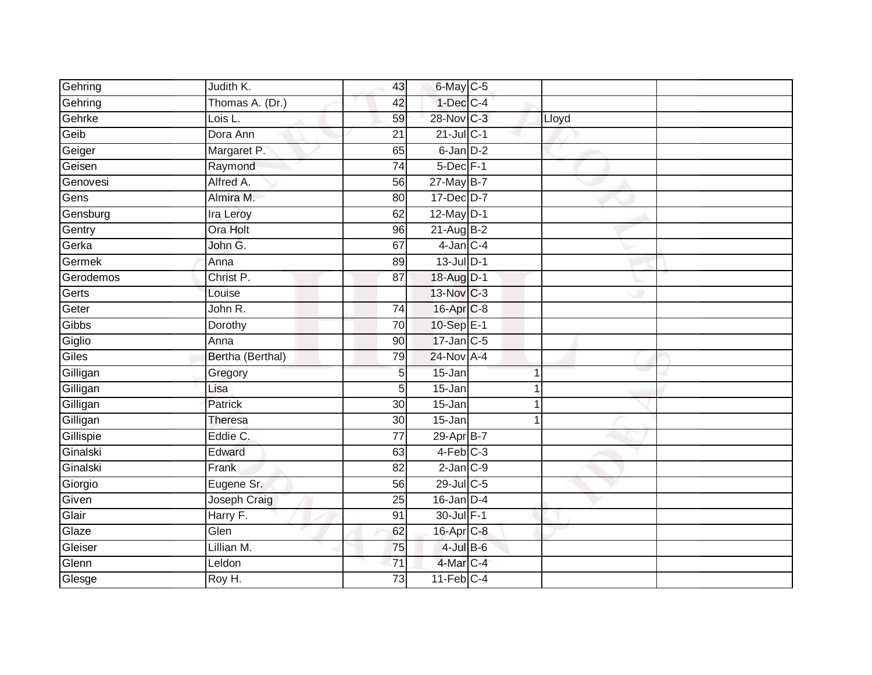| Gehring   | Judith K.        | 43              | 6-May C-5        |       |  |
|-----------|------------------|-----------------|------------------|-------|--|
| Gehring   | Thomas A. (Dr.)  | 42              | $1$ -Dec $C$ -4  |       |  |
| Gehrke    | Lois L.          | 59              | 28-Nov C-3       | Lloyd |  |
| Geib      | Dora Ann         | 21              | $21$ -Jul C-1    |       |  |
| Geiger    | Margaret P.      | 65              | 6-Jan D-2        |       |  |
| Geisen    | Raymond          | 74              | $5$ -Dec $F-1$   |       |  |
| Genovesi  | Alfred A.        | 56              | 27-May B-7       |       |  |
| Gens      | Almira M.        | 80              | 17-Dec D-7       |       |  |
| Gensburg  | Ira Leroy        | 62              | $12$ -May $D-1$  |       |  |
| Gentry    | Ora Holt         | 96              | $21 - Aug$ $B-2$ |       |  |
| Gerka     | John G.          | 67              | $4$ -Jan $C-4$   |       |  |
| Germek    | Anna             | 89              | 13-Jul D-1       |       |  |
| Gerodemos | Christ P.        | 87              | 18-Aug D-1       |       |  |
| Gerts     | Louise           |                 | 13-Nov C-3       |       |  |
| Geter     | John R.          | $\overline{74}$ | 16-Apr C-8       |       |  |
| Gibbs     | Dorothy          | 70              | 10-Sep E-1       |       |  |
| Giglio    | Anna             | 90              | $17$ -Jan C-5    |       |  |
| Giles     | Bertha (Berthal) | 79              | 24-Nov A-4       |       |  |
| Gilligan  | Gregory          | 5               | 15-Jan           |       |  |
| Gilligan  | Lisa             | 5               | $15 - Jan$       |       |  |
| Gilligan  | Patrick          | 30              | 15-Jan           |       |  |
| Gilligan  | Theresa          | 30              | 15-Jan           |       |  |
| Gillispie | Eddie C.         | 77              | 29-Apr B-7       |       |  |
| Ginalski  | Edward           | 63              | $4-Feb$ $C-3$    |       |  |
| Ginalski  | Frank            | 82              | $2$ -Jan $C-9$   |       |  |
| Giorgio   | Eugene Sr.       | 56              | 29-Jul C-5       |       |  |
| Given     | Joseph Craig     | $\overline{25}$ | $16$ -Jan $D-4$  |       |  |
| Glair     | Harry F.         | 91              | 30-Jul F-1       |       |  |
| Glaze     | Glen             | 62              | 16-Apr C-8       |       |  |
| Gleiser   | Lillian M.       | 75              | $4$ -Jul $B$ -6  |       |  |
| Glenn     | Leldon           | $\overline{71}$ | 4-Mar C-4        |       |  |
| Glesge    | Roy H.           | $\overline{73}$ | $11$ -Feb $C-4$  |       |  |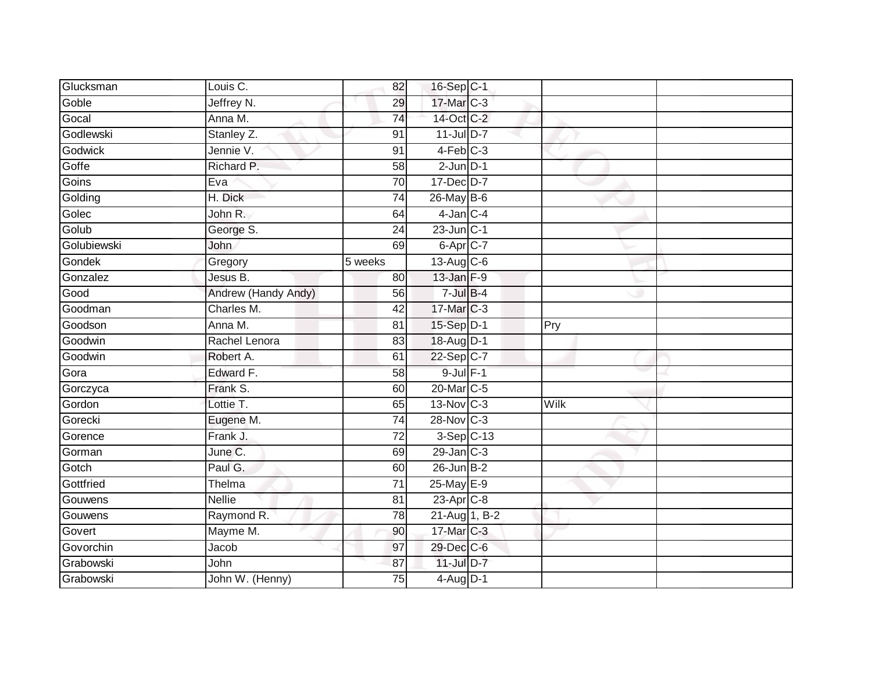| Glucksman   | Louis C.            | 82              | 16-Sep C-1      |      |  |
|-------------|---------------------|-----------------|-----------------|------|--|
| Goble       | Jeffrey N.          | 29              | 17-Mar C-3      |      |  |
| Gocal       | Anna M.             | $\overline{74}$ | 14-Oct C-2      |      |  |
| Godlewski   | Stanley Z.          | 91              | 11-Jul D-7      |      |  |
| Godwick     | Jennie V.           | 91              | $4-Feb$ $C-3$   |      |  |
| Goffe       | Richard P.          | 58              | $2$ -Jun $D-1$  |      |  |
| Goins       | Eva                 | $\overline{70}$ | 17-Dec D-7      |      |  |
| Golding     | H. Dick             | 74              | 26-May B-6      |      |  |
| Golec       | John R.             | 64              | $4$ -Jan $C-4$  |      |  |
| Golub       | George S.           | 24              | $23$ -Jun $C-1$ |      |  |
| Golubiewski | John                | 69              | 6-Apr C-7       |      |  |
| Gondek      | Gregory             | 5 weeks         | 13-Aug C-6      |      |  |
| Gonzalez    | Jesus B.            | 80              | 13-Jan F-9      |      |  |
| Good        | Andrew (Handy Andy) | 56              | $7$ -Jul $B-4$  |      |  |
| Goodman     | Charles M.          | 42              | 17-Mar C-3      |      |  |
| Goodson     | Anna M.             | 81              | 15-Sep D-1      | Pry  |  |
| Goodwin     | Rachel Lenora       | 83              | 18-Aug D-1      |      |  |
| Goodwin     | Robert A.           | 61              | 22-Sep C-7      |      |  |
| Gora        | Edward F.           | 58              | 9-Jul F-1       |      |  |
| Gorczyca    | Frank S.            | 60              | 20-Mar C-5      |      |  |
| Gordon      | Lottie T.           | 65              | 13-Nov C-3      | Wilk |  |
| Gorecki     | Eugene M.           | 74              | 28-Nov C-3      |      |  |
| Gorence     | Frank J.            | 72              | $3-Sep$ C-13    |      |  |
| Gorman      | June C.             | 69              | $29$ -Jan $C-3$ |      |  |
| Gotch       | Paul G.             | 60              | $26$ -Jun $B-2$ |      |  |
| Gottfried   | Thelma              | 71              | 25-May E-9      |      |  |
| Gouwens     | <b>Nellie</b>       | 81              | $23$ -Apr $C-8$ |      |  |
| Gouwens     | Raymond R.          | 78              | 21-Aug 1, B-2   |      |  |
| Govert      | Mayme M.            | 90              | 17-Mar C-3      |      |  |
| Govorchin   | Jacob               | 97              | 29-Dec C-6      |      |  |
| Grabowski   | John                | 87              | 11-Jul D-7      |      |  |
| Grabowski   | John W. (Henny)     | $\overline{75}$ | $4-Aug$ D-1     |      |  |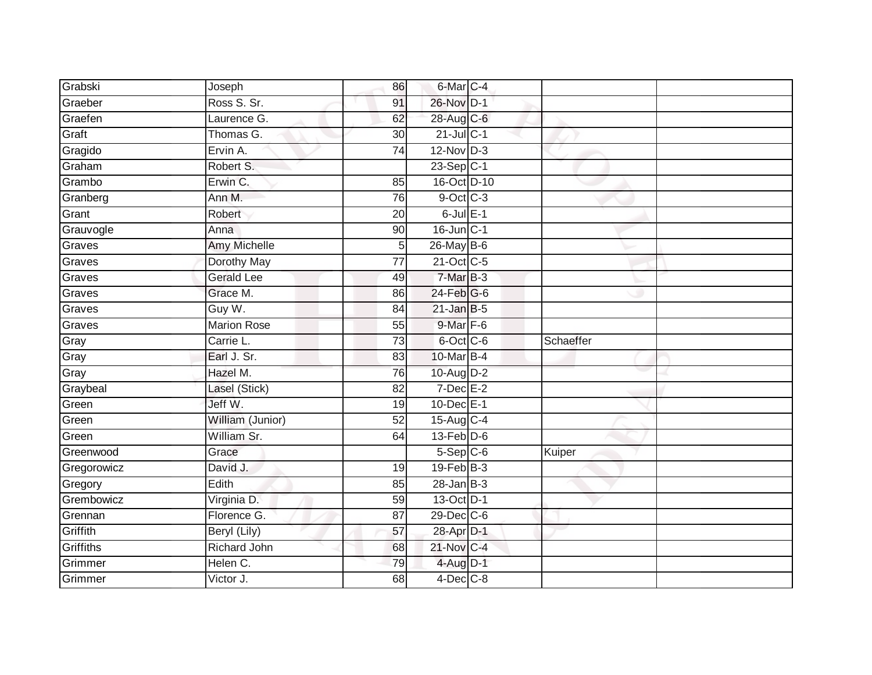| Grabski            | Joseph                | 86              | 6-Mar C-4                    |           |
|--------------------|-----------------------|-----------------|------------------------------|-----------|
| Graeber            | Ross S. Sr.           | 91              | 26-Nov D-1                   |           |
| Graefen            | Laurence G.           | 62              | 28-Aug C-6                   |           |
| Graft              | Thomas G.             | 30              | $21$ -Jul C-1                |           |
| Gragido            | Ervin A.              | $\overline{74}$ | $12$ -Nov $D-3$              |           |
| Graham             | Robert S.             |                 | $23-Sep$ C-1                 |           |
| Grambo             | Erwin C.              | 85              | 16-Oct D-10                  |           |
| Granberg           | Ann M.                | 76              | $9$ -Oct C-3                 |           |
| Grant              | Robert                | 20              | $6$ -Jul $E-1$               |           |
| Grauvogle          | Anna                  | 90              | $16$ -Jun $C-1$              |           |
| Graves             | Amy Michelle          | 5               | 26-May B-6                   |           |
| Graves             | Dorothy May           | $\overline{77}$ | 21-Oct C-5                   |           |
| Graves             | <b>Gerald Lee</b>     | 49              | $7-MarB-3$                   |           |
| Graves             | Grace M.              | 86              | $24$ -Feb $G-6$              |           |
| Graves             | Guy W.                | 84              | $21$ -Jan B-5                |           |
| Graves             | <b>Marion Rose</b>    | 55              | 9-Mar F-6                    |           |
|                    |                       |                 |                              |           |
| Gray               | Carrie L.             | $\overline{73}$ | 6-Oct C-6                    | Schaeffer |
| Gray               | Earl J. Sr.           | 83              | 10-Mar B-4                   |           |
| Gray               | Hazel M.              | 76              | 10-Aug D-2                   |           |
| Graybeal           | Lasel (Stick)         | 82              | $7$ -Dec $E-2$               |           |
| Green              | Jeff W.               | 19              | 10-Dec E-1                   |           |
| Green              | William (Junior)      | 52              | 15-Aug C-4                   |           |
| Green              | William Sr.           | 64              | $13$ -Feb $D-6$              |           |
| Greenwood          | Grace                 |                 | $5-$ Sep $C-6$               | Kuiper    |
| Gregorowicz        | David J.              | 19              | $19$ -Feb $B-3$              |           |
| Gregory            | Edith                 | 85              | $28 - Jan$ $B-3$             |           |
| Grembowicz         | Virginia D.           | 59              | 13-Oct D-1                   |           |
| Grennan            | Florence G.           | 87              | 29-Dec C-6                   |           |
| Griffith           | Beryl (Lily)          | 57              | 28-Apr D-1                   |           |
| Griffiths          | Richard John          | 68              | 21-Nov C-4                   |           |
| Grimmer<br>Grimmer | Helen C.<br>Victor J. | 79              | 4-Aug D-1<br>$4$ -Dec $C$ -8 |           |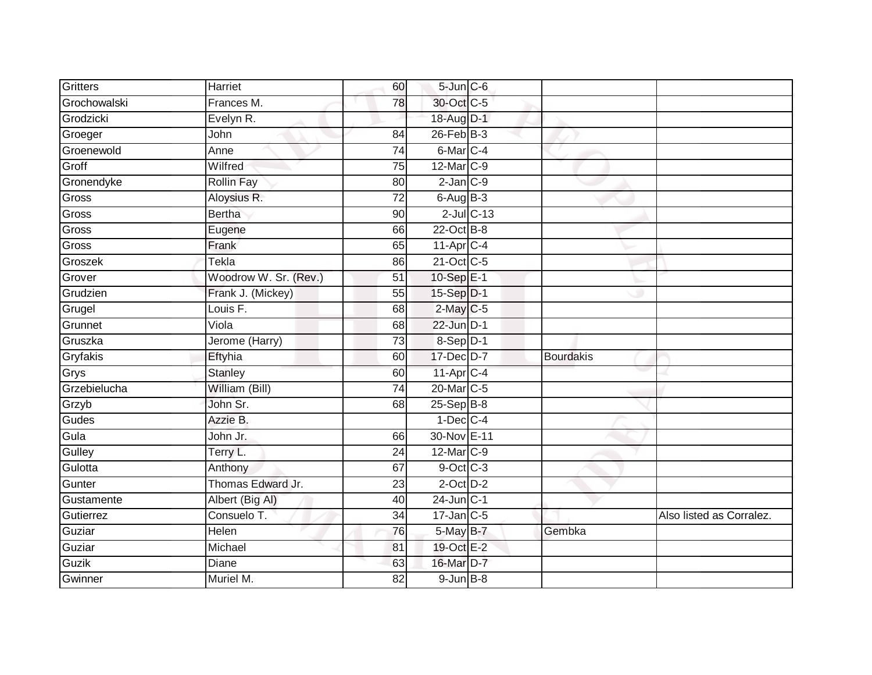| Gritters     | Harriet               | 60              | $5 - Jun$ $C - 6$         |                  |                          |
|--------------|-----------------------|-----------------|---------------------------|------------------|--------------------------|
| Grochowalski | Frances M.            | 78              | 30-Oct C-5                |                  |                          |
| Grodzicki    | Evelyn R.             |                 | 18-Aug D-1                |                  |                          |
| Groeger      | John                  | 84              | $26$ -Feb $B-3$           |                  |                          |
| Groenewold   | Anne                  | $\overline{74}$ | 6-Mar C-4                 |                  |                          |
| Groff        | Wilfred               | 75              | 12-Mar C-9                |                  |                          |
| Gronendyke   | Rollin Fay            | 80              | $2$ -Jan $C-9$            |                  |                          |
| Gross        | Aloysius R.           | 72              | $6$ -Aug $B$ -3           |                  |                          |
| Gross        | <b>Bertha</b>         | 90              | $2$ -Jul $C$ -13          |                  |                          |
| Gross        | Eugene                | 66              | $22$ -Oct B-8             |                  |                          |
| Gross        | Frank                 | 65              | 11-Apr C-4                |                  |                          |
| Groszek      | Tekla                 | 86              | 21-Oct C-5                |                  |                          |
| Grover       | Woodrow W. Sr. (Rev.) | 51              | 10-Sep E-1                |                  |                          |
| Grudzien     | Frank J. (Mickey)     | 55              | 15-Sep D-1                |                  |                          |
| Grugel       | Louis F.              | 68              | 2-May C-5                 |                  |                          |
| Grunnet      | Viola                 | 68              | 22-Jun D-1                |                  |                          |
| Gruszka      | Jerome (Harry)        | 73              | $8-Sep$ D-1               |                  |                          |
| Gryfakis     | Eftyhia               | 60              | 17-Dec D-7                | <b>Bourdakis</b> |                          |
| Grys         | <b>Stanley</b>        | 60              | 11-Apr C-4                |                  |                          |
| Grzebielucha | William (Bill)        | 74              | 20-Mar C-5                |                  |                          |
| Grzyb        | John Sr.              | 68              | $25 - Sep$ $B-8$          |                  |                          |
| Gudes        | Azzie B.              |                 | $1$ -Dec $ C-4 $          |                  |                          |
| Gula         | John Jr.              | 66              | 30-Nov E-11               |                  |                          |
| Gulley       | Terry L.              | 24              | 12-Mar C-9                |                  |                          |
| Gulotta      | Anthony               | 67              | $9$ -Oct $ C-3 $          |                  |                          |
| Gunter       | Thomas Edward Jr.     | 23              | $2$ -Oct $D-2$            |                  |                          |
| Gustamente   | Albert (Big Al)       | 40              | $24$ -Jun $C-1$           |                  |                          |
| Gutierrez    | Consuelo T.           | 34              | $17 - Jan$ <sub>C-5</sub> |                  | Also listed as Corralez. |
| Guziar       | Helen                 | 76              | 5-May B-7                 | Gembka           |                          |
| Guziar       | Michael               | 81              | 19-Oct E-2                |                  |                          |
| Guzik        | Diane                 | 63              | 16-Mar D-7                |                  |                          |
| Gwinner      | Muriel M.             | $\overline{82}$ | $9$ -Jun $B$ -8           |                  |                          |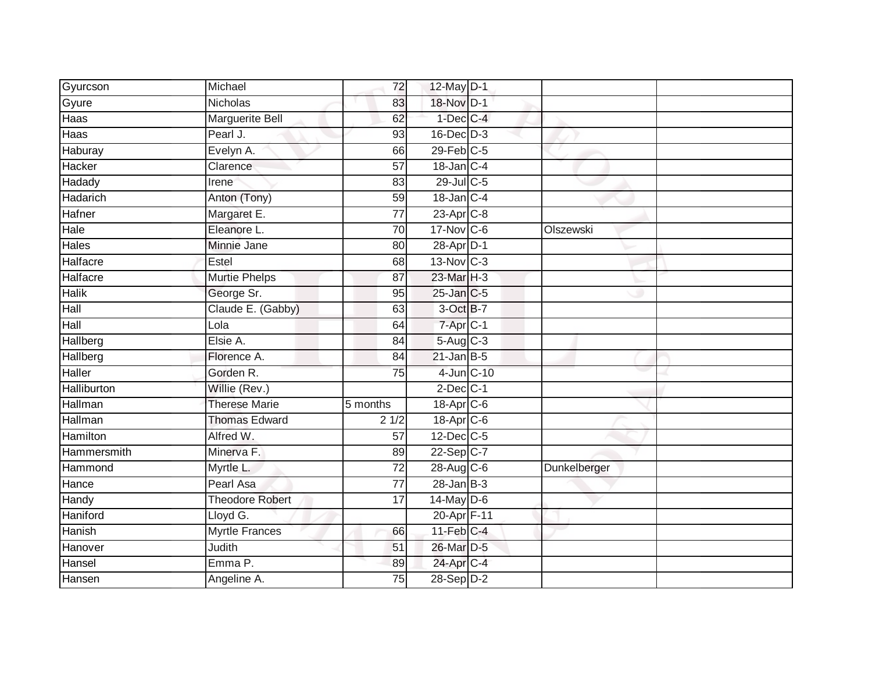| Gyurcson           | Michael                | 72              | 12-May D-1             |              |  |
|--------------------|------------------------|-----------------|------------------------|--------------|--|
| Gyure              | <b>Nicholas</b>        | 83              | 18-Nov D-1             |              |  |
| Haas               | <b>Marguerite Bell</b> | 62              | $1-Dec$ $C-4$          |              |  |
| Haas               | Pearl J.               | 93              | $16$ -Dec $D-3$        |              |  |
| Haburay            | Evelyn A.              | 66              | $29$ -Feb $C-5$        |              |  |
| Hacker             | Clarence               | 57              | 18-Jan C-4             |              |  |
| Hadady             | <b>Irene</b>           | 83              | 29-Jul C-5             |              |  |
| Hadarich           | Anton (Tony)           | 59              | $18 - Jan$ $C - 4$     |              |  |
| Hafner             | Margaret E.            | $\overline{77}$ | $23$ -Apr $C-8$        |              |  |
| Hale               | Eleanore L.            | 70              | 17-Nov C-6             | Olszewski    |  |
| <b>Hales</b>       | Minnie Jane            | 80              | 28-Apr D-1             |              |  |
| Halfacre           | Estel                  | 68              | 13-Nov C-3             |              |  |
| Halfacre           | <b>Murtie Phelps</b>   | 87              | 23-Mar <sub>H-3</sub>  |              |  |
| <b>Halik</b>       | George Sr.             | 95              | 25-Jan C-5             |              |  |
| Hall               | Claude E. (Gabby)      | 63              | 3-Oct B-7              |              |  |
| Hall               | Lola                   | 64              | 7-Apr <sub>C-1</sub>   |              |  |
| Hallberg           | Elsie A.               | 84              | 5-Aug C-3              |              |  |
| Hallberg           | Florence A.            | 84              | $21$ -Jan B-5          |              |  |
| Haller             | Gorden R.              | 75              | 4-Jun C-10             |              |  |
| <b>Halliburton</b> | Willie (Rev.)          |                 | $2$ -Dec $C-1$         |              |  |
| Hallman            | <b>Therese Marie</b>   | 5 months        | 18-Apr C-6             |              |  |
| Hallman            | <b>Thomas Edward</b>   | 21/2            | 18-Apr C-6             |              |  |
| <b>Hamilton</b>    | Alfred W.              | 57              | 12-Dec C-5             |              |  |
| Hammersmith        | Minerva F.             | 89              | 22-Sep C-7             |              |  |
| Hammond            | Myrtle L.              | 72              | $28$ -Aug C-6          | Dunkelberger |  |
| Hance              | Pearl Asa              | 77              | $28 - Jan$ $B-3$       |              |  |
| Handy              | <b>Theodore Robert</b> | 17              | $14$ -May D-6          |              |  |
| Haniford           | Lloyd G.               |                 | 20-Apr <sub>F-11</sub> |              |  |
| <b>Hanish</b>      | <b>Myrtle Frances</b>  | 66              | $11$ -Feb $ C-4 $      |              |  |
| Hanover            | Judith                 | 51              | 26-Mar D-5             |              |  |
| Hansel             | Emma P.                | 89              | 24-Apr C-4             |              |  |
| Hansen             | Angeline A.            | $\overline{75}$ | 28-Sep D-2             |              |  |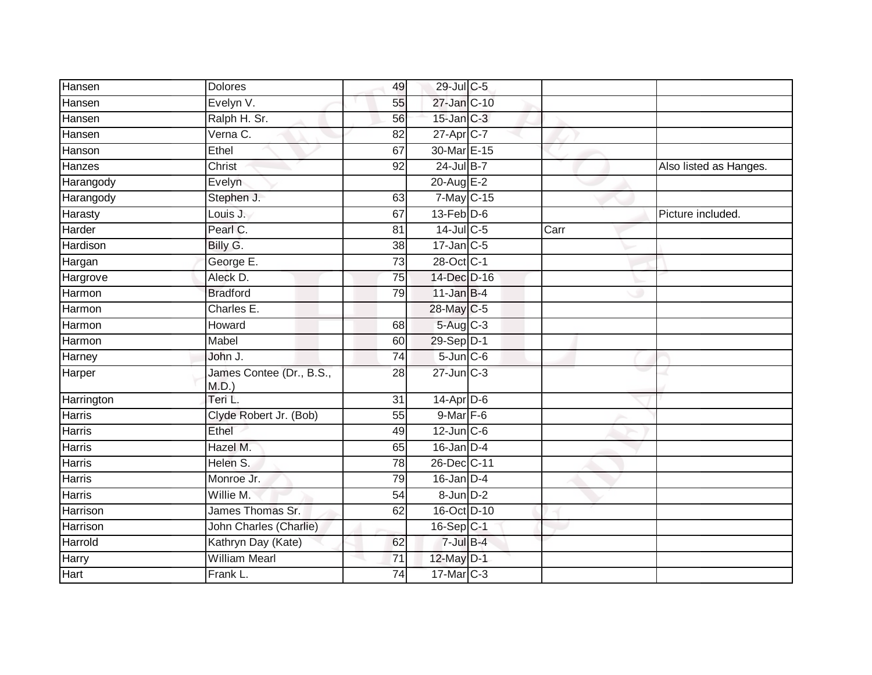| Hansen     | <b>Dolores</b>                       | 49              | 29-Jul C-5        |      |                        |
|------------|--------------------------------------|-----------------|-------------------|------|------------------------|
| Hansen     | Evelyn V.                            | 55              | 27-Jan C-10       |      |                        |
| Hansen     | Ralph H. Sr.                         | 56              | $15$ -Jan $C-3$   |      |                        |
| Hansen     | Verna C.                             | 82              | $27$ -Apr $C$ -7  |      |                        |
| Hanson     | Ethel                                | 67              | 30-Mar E-15       |      |                        |
| Hanzes     | Christ                               | 92              | $24$ -Jul B-7     |      | Also listed as Hanges. |
| Harangody  | Evelyn                               |                 | 20-Aug E-2        |      |                        |
| Harangody  | Stephen J.                           | 63              | 7-May C-15        |      |                        |
| Harasty    | Louis J.                             | 67              | $13$ -Feb $ D-6$  |      | Picture included.      |
| Harder     | Pearl C.                             | $\overline{81}$ | $14$ -Jul C-5     | Carr |                        |
| Hardison   | Billy G.                             | 38              | $17$ -Jan C-5     |      |                        |
| Hargan     | George E.                            | 73              | 28-Oct C-1        |      |                        |
| Hargrove   | Aleck D.                             | 75              | 14-Dec D-16       |      |                        |
| Harmon     | <b>Bradford</b>                      | 79              | $11$ -Jan B-4     |      |                        |
| Harmon     | Charles E.                           |                 | 28-May C-5        |      |                        |
| Harmon     | Howard                               | 68              | 5-Aug C-3         |      |                        |
| Harmon     | Mabel                                | 60              | 29-Sep D-1        |      |                        |
| Harney     | John J.                              | 74              | $5 - Jun$ $C - 6$ |      |                        |
| Harper     | James Contee (Dr., B.S.,<br>$M.D.$ ) | 28              | $27$ -Jun $C-3$   |      |                        |
| Harrington | Teri L.                              | 31              | 14-Apr D-6        |      |                        |
| Harris     | Clyde Robert Jr. (Bob)               | 55              | $9$ -Mar $F-6$    |      |                        |
| Harris     | Ethel                                | 49              | $12$ -Jun $C$ -6  |      |                        |
| Harris     | Hazel M.                             | 65              | $16$ -Jan D-4     |      |                        |
| Harris     | Helen S.                             | 78              | 26-Dec C-11       |      |                        |
| Harris     | Monroe Jr.                           | 79              | $16$ -Jan $D-4$   |      |                        |
| Harris     | Willie M.                            | 54              | 8-Jun D-2         |      |                        |
| Harrison   | James Thomas Sr.                     | 62              | 16-Oct D-10       |      |                        |
| Harrison   | John Charles (Charlie)               |                 | 16-Sep C-1        |      |                        |
| Harrold    | Kathryn Day (Kate)                   | 62              | $7$ -Jul $B-4$    |      |                        |
| Harry      | <b>William Mearl</b>                 | 71              | 12-May D-1        |      |                        |
| Hart       | Frank L.                             | 74              | 17-Mar C-3        |      |                        |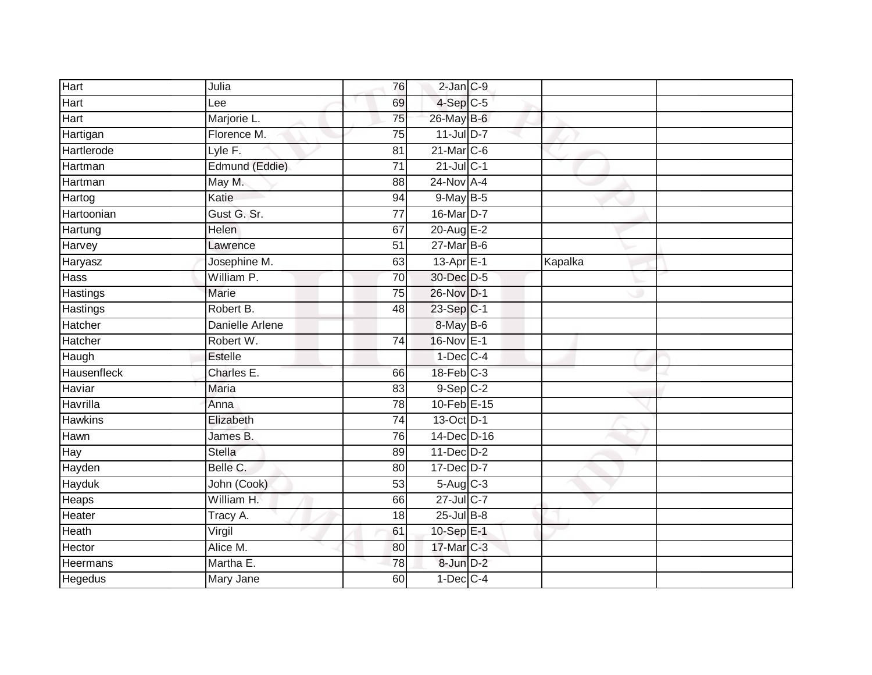| Hart           | Julia           | 76              | 2-Jan C-9              |         |  |
|----------------|-----------------|-----------------|------------------------|---------|--|
| Hart           | Lee             | 69              | $4-Sep$ C-5            |         |  |
| <b>Hart</b>    | Marjorie L.     | 75              | 26-May B-6             |         |  |
| Hartigan       | Florence M.     | $\overline{75}$ | 11-Jul D-7             |         |  |
| Hartlerode     | Lyle F.         | $\overline{81}$ | $21$ -Mar $C-6$        |         |  |
| Hartman        | Edmund (Eddie)  | $\overline{71}$ | $21$ -Jul C-1          |         |  |
| Hartman        | May M.          | 88              | $24$ -Nov A-4          |         |  |
| Hartog         | Katie           | 94              | 9-May B-5              |         |  |
| Hartoonian     | Gust G. Sr.     | $\overline{77}$ | 16-Mar D-7             |         |  |
| Hartung        | Helen           | 67              | 20-Aug E-2             |         |  |
| Harvey         | Lawrence        | $\overline{51}$ | 27-Mar B-6             |         |  |
| Haryasz        | Josephine M.    | 63              | $13$ -Apr $E-1$        | Kapalka |  |
| <b>Hass</b>    | William P.      | 70              | 30-Dec D-5             |         |  |
| Hastings       | Marie           | 75              | 26-Nov D-1             |         |  |
| Hastings       | Robert B.       | $\overline{48}$ | 23-Sep C-1             |         |  |
| Hatcher        | Danielle Arlene |                 | 8-May B-6              |         |  |
| Hatcher        | Robert W.       | $\overline{74}$ | 16-Nov E-1             |         |  |
| Haugh          | Estelle         |                 | $1-Dec$ $C-4$          |         |  |
| Hausenfleck    | Charles E.      | 66              | $18$ -Feb $C-3$        |         |  |
| Haviar         | Maria           | 83              | $9-Sep$ <sub>C-2</sub> |         |  |
| Havrilla       | Anna            | 78              | 10-Feb E-15            |         |  |
| <b>Hawkins</b> | Elizabeth       | 74              | 13-Oct D-1             |         |  |
| Hawn           | James B.        | 76              | 14-Dec D-16            |         |  |
| Hay            | <b>Stella</b>   | 89              | $11$ -Dec $D-2$        |         |  |
| Hayden         | Belle C.        | 80              | 17-Dec D-7             |         |  |
| Hayduk         | John (Cook)     | 53              | $5-Aug$ $C-3$          |         |  |
| Heaps          | William H.      | 66              | 27-Jul C-7             |         |  |
| Heater         | Tracy A.        | 18              | $25$ -Jul $B-8$        |         |  |
| Heath          | Virgil          | 61              | 10-Sep E-1             |         |  |
| Hector         | Alice M.        | 80              | 17-Mar C-3             |         |  |
| Heermans       | Martha E.       | 78              | $8$ -Jun $D-2$         |         |  |
| Hegedus        | Mary Jane       | 60              | $1$ -Dec $C$ -4        |         |  |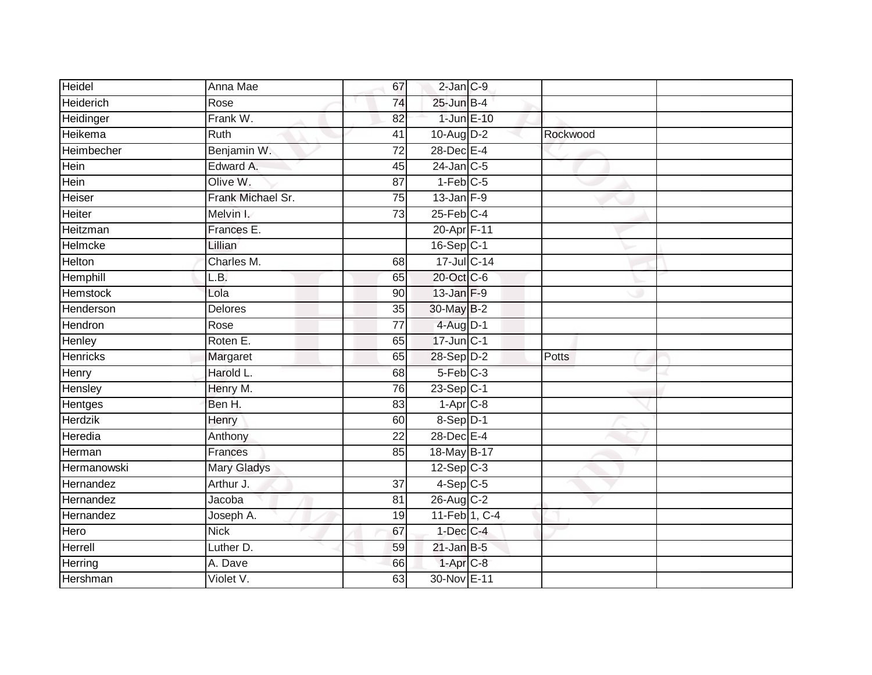| Heidel           | Anna Mae           | 67              | $2$ -Jan $C-9$         |          |  |
|------------------|--------------------|-----------------|------------------------|----------|--|
| <b>Heiderich</b> | Rose               | 74              | 25-Jun B-4             |          |  |
| Heidinger        | Frank W.           | 82              | 1-Jun E-10             |          |  |
| Heikema          | Ruth               | 41              | $10-Au\overline{g}D-2$ | Rockwood |  |
| Heimbecher       | Benjamin W.        | $\overline{72}$ | 28-Dec E-4             |          |  |
| Hein             | Edward A.          | 45              | $24$ -Jan C-5          |          |  |
| Hein             | Olive W.           | 87              | $1-Feb$ C-5            |          |  |
| Heiser           | Frank Michael Sr.  | 75              | $13$ -Jan $F-9$        |          |  |
| Heiter           | Melvin I.          | 73              | $25$ -Feb $C-4$        |          |  |
| Heitzman         | Frances E.         |                 | 20-Apr F-11            |          |  |
| Helmcke          | Lillian            |                 | 16-Sep C-1             |          |  |
| Helton           | Charles M.         | 68              | 17-Jul C-14            |          |  |
| Hemphill         | L.B.               | 65              | 20-Oct C-6             |          |  |
| <b>Hemstock</b>  | Lola               | 90              | 13-Jan F-9             |          |  |
| Henderson        | <b>Delores</b>     | $\overline{35}$ | 30-May B-2             |          |  |
| Hendron          | Rose               | 77              | $4$ -Aug $D-1$         |          |  |
| Henley           | Roten E.           | 65              | $17$ -Jun $C-1$        |          |  |
| <b>Henricks</b>  | Margaret           | 65              | 28-Sep D-2             | Potts    |  |
| Henry            | Harold L.          | 68              | 5-Feb C-3              |          |  |
| Hensley          | Henry M.           | 76              | $23-Sep C-1$           |          |  |
| Hentges          | Ben H.             | 83              | $1-Apr$ $C-8$          |          |  |
| <b>Herdzik</b>   | Henry              | 60              | 8-Sep D-1              |          |  |
| Heredia          | Anthony            | 22              | 28-Dec E-4             |          |  |
| Herman           | Frances            | 85              | 18-May B-17            |          |  |
| Hermanowski      | <b>Mary Gladys</b> |                 | $12-Sep C-3$           |          |  |
| Hernandez        | Arthur J.          | 37              | $4-Sep$ C-5            |          |  |
| Hernandez        | Jacoba             | 81              | 26-Aug C-2             |          |  |
| Hernandez        | Joseph A.          | 19              | 11-Feb 1, C-4          |          |  |
| Hero             | <b>Nick</b>        | 67              | $1$ -Dec $C$ -4        |          |  |
| Herrell          | Luther D.          | 59              | $21$ -Jan B-5          |          |  |
| Herring          | A. Dave            | 66              | 1-Apr C-8              |          |  |
| Hershman         | Violet V.          | 63              | 30-Nov E-11            |          |  |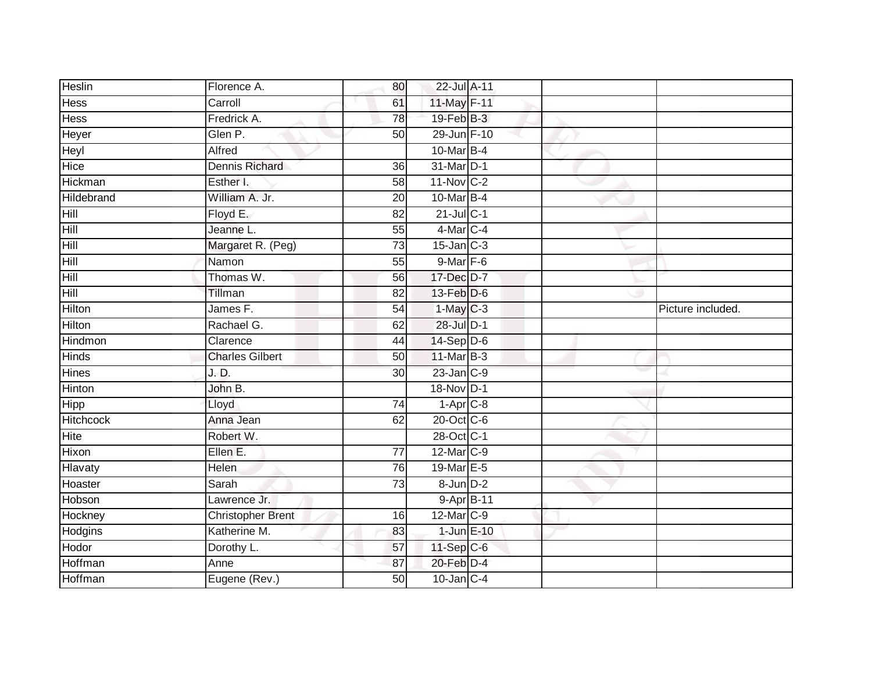| <b>Heslin</b>    | Florence A.              | 80              | 22-Jul A-11             |  |                   |
|------------------|--------------------------|-----------------|-------------------------|--|-------------------|
| <b>Hess</b>      | Carroll                  | 61              | 11-May F-11             |  |                   |
| <b>Hess</b>      | Fredrick A.              | 78              | $19$ -Feb $B-3$         |  |                   |
| Heyer            | Glen P.                  | 50              | 29-Jun F-10             |  |                   |
| Heyl             | Alfred                   |                 | 10-Mar B-4              |  |                   |
| Hice             | <b>Dennis Richard</b>    | 36              | 31-Mar D-1              |  |                   |
| Hickman          | Esther I.                | 58              | $11-Nov$ <sub>C-2</sub> |  |                   |
| Hildebrand       | William A. Jr.           | 20              | 10-Mar B-4              |  |                   |
| Hill             | Floyd E.                 | 82              | $21$ -Jul C-1           |  |                   |
| Hill             | Jeanne L.                | 55              | 4-Mar C-4               |  |                   |
| Hill             | Margaret R. (Peg)        | 73              | $15$ -Jan $C-3$         |  |                   |
| Hill             | Namon                    | $\overline{55}$ | 9-Mar F-6               |  |                   |
| Hill             | Thomas W.                | 56              | 17-Dec D-7              |  |                   |
| Hill             | Tillman                  | $\overline{82}$ | $13$ -Feb $D-6$         |  |                   |
| Hilton           | James F.                 | $\overline{54}$ | 1-May C-3               |  | Picture included. |
| Hilton           | Rachael G.               | 62              | 28-Jul D-1              |  |                   |
| Hindmon          | Clarence                 | 44              | 14-Sep D-6              |  |                   |
| Hinds            | <b>Charles Gilbert</b>   | 50              | 11-Mar B-3              |  |                   |
| <b>Hines</b>     | J. D.                    | 30 <sup>°</sup> | 23-Jan C-9              |  |                   |
| Hinton           | John B.                  |                 | 18-Nov D-1              |  |                   |
| Hipp             | Lloyd                    | 74              | $1-Apr$ $C-8$           |  |                   |
| <b>Hitchcock</b> | Anna Jean                | 62              | $20$ -Oct $C$ -6        |  |                   |
| <b>Hite</b>      | Robert W.                |                 | 28-Oct C-1              |  |                   |
| Hixon            | Ellen E.                 | 77              | 12-Mar C-9              |  |                   |
| <b>Hlavaty</b>   | Helen                    | 76              | 19-Mar E-5              |  |                   |
| Hoaster          | Sarah                    | 73              | $8$ -Jun $D-2$          |  |                   |
| Hobson           | Lawrence Jr.             |                 | 9-Apr B-11              |  |                   |
| Hockney          | <b>Christopher Brent</b> | 16              | 12-Mar C-9              |  |                   |
| Hodgins          | Katherine M.             | 83              | $1$ -Jun $E-10$         |  |                   |
| Hodor            | Dorothy L.               | 57              | 11-Sep C-6              |  |                   |
| Hoffman          | Anne                     | 87              | 20-Feb D-4              |  |                   |
| Hoffman          | Eugene (Rev.)            | 50              | $10$ -Jan $C-4$         |  |                   |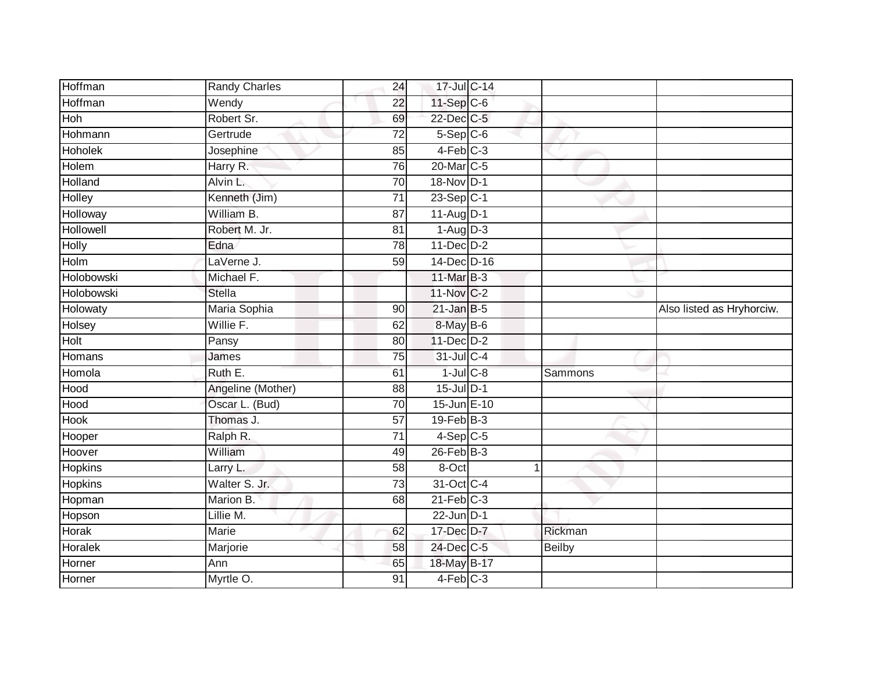| Hoffman        | <b>Randy Charles</b> | 24              | 17-Jul C-14             |               |                           |
|----------------|----------------------|-----------------|-------------------------|---------------|---------------------------|
| Hoffman        | Wendy                | 22              | $11-Sep$ C-6            |               |                           |
| Hoh            | Robert Sr.           | 69              | 22-Dec C-5              |               |                           |
| Hohmann        | Gertrude             | $\overline{72}$ | $5-Sep$ $C-6$           |               |                           |
| <b>Hoholek</b> | Josephine            | 85              | $4-Feb$ $C-3$           |               |                           |
| Holem          | Harry R.             | 76              | 20-Mar C-5              |               |                           |
| Holland        | Alvin L.             | 70              | 18-Nov D-1              |               |                           |
| Holley         | Kenneth (Jim)        | 71              | $23-Sep$ <sub>C-1</sub> |               |                           |
| Holloway       | William B.           | 87              | 11-Aug D-1              |               |                           |
| Hollowell      | Robert M. Jr.        | 81              | $1-Aug$ $D-3$           |               |                           |
| <b>Holly</b>   | Edna                 | $\overline{78}$ | 11-Dec D-2              |               |                           |
| Holm           | LaVerne J.           | 59              | 14-Dec D-16             |               |                           |
| Holobowski     | Michael F.           |                 | 11-Mar B-3              |               |                           |
| Holobowski     | <b>Stella</b>        |                 | 11-Nov C-2              |               |                           |
| Holowaty       | Maria Sophia         | 90              | $21$ -Jan B-5           |               | Also listed as Hryhorciw. |
| Holsey         | Willie F.            | 62              | 8-May B-6               |               |                           |
| Holt           | Pansy                | 80              | 11-Dec D-2              |               |                           |
| Homans         | James                | $\overline{75}$ | 31-Jul C-4              |               |                           |
| Homola         | Ruth E.              | 61              | $1$ -Jul $C-8$          | Sammons       |                           |
| Hood           | Angeline (Mother)    | 88              | $15$ -Jul $D-1$         |               |                           |
| Hood           | Oscar L. (Bud)       | 70              | 15-Jun E-10             |               |                           |
| <b>Hook</b>    | Thomas J.            | 57              | $19$ -Feb $B-3$         |               |                           |
| Hooper         | Ralph R.             | 71              | $4-Sep$ C-5             |               |                           |
| Hoover         | William              | 49              | $26$ -Feb $B-3$         |               |                           |
| <b>Hopkins</b> | Larry L.             | 58              | 8-Oct                   | 1             |                           |
| <b>Hopkins</b> | Walter S. Jr.        | 73              | 31-Oct C-4              |               |                           |
| Hopman         | Marion B.            | 68              | $21$ -Feb $C-3$         |               |                           |
| Hopson         | Lillie M.            |                 | $22$ -Jun $ D-1 $       |               |                           |
| Horak          | Marie                | 62              | 17-Dec D-7              | Rickman       |                           |
| Horalek        | Marjorie             | 58              | 24-Dec C-5              | <b>Beilby</b> |                           |
| Horner         | Ann                  | 65              | 18-May B-17             |               |                           |
| Horner         | Myrtle O.            | 91              | $4-Feb$ $C-3$           |               |                           |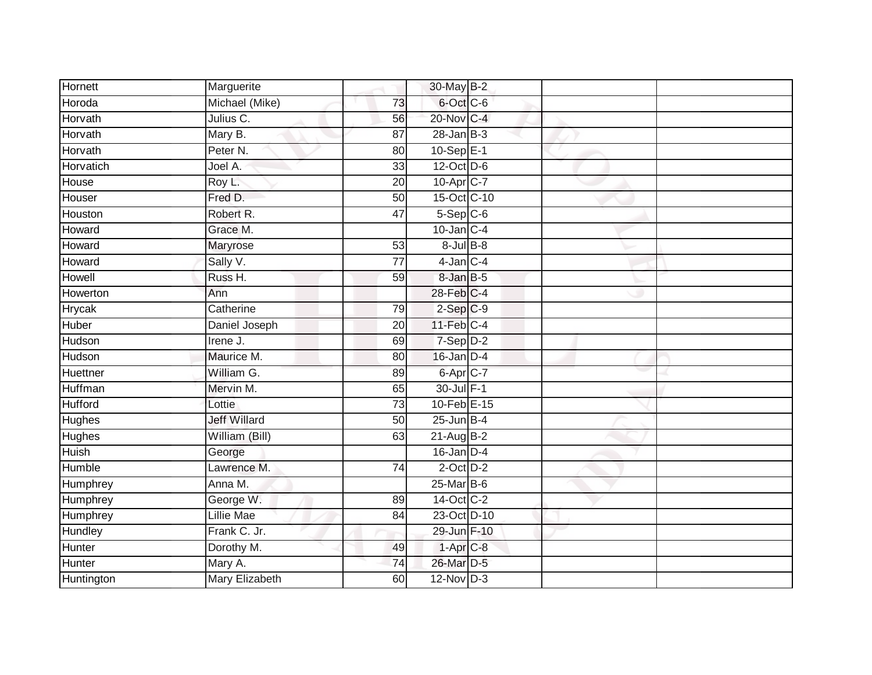| <b>Hornett</b> | Marguerite            |                 | 30-May B-2                   |  |  |
|----------------|-----------------------|-----------------|------------------------------|--|--|
| Horoda         | Michael (Mike)        | 73              | 6-Oct C-6                    |  |  |
| Horvath        | Julius C.             | 56              | 20-Nov C-4                   |  |  |
| Horvath        | Mary B.               | $\overline{87}$ | $28 - Jan$ $B-3$             |  |  |
| Horvath        | Peter N.              | $\overline{80}$ | $10-Sep$ E-1                 |  |  |
| Horvatich      | Joel A.               | 33              | 12-Oct D-6                   |  |  |
| House          | Roy L.                | $\overline{20}$ | 10-Apr C-7                   |  |  |
| Houser         | Fred D.               | 50              | 15-Oct C-10                  |  |  |
| Houston        | Robert R.             | $\overline{47}$ | $5-$ Sep $C-6$               |  |  |
| Howard         | Grace M.              |                 | $10$ -Jan C-4                |  |  |
| Howard         | Maryrose              | 53              | $8 -$ Jul $B - 8$            |  |  |
| Howard         | Sally V.              | $\overline{77}$ | $4$ -Jan $C-4$               |  |  |
| Howell         | Russ H.               | 59              | 8-Jan B-5                    |  |  |
| Howerton       | Ann                   |                 | $28$ -Feb $C-4$              |  |  |
| <b>Hrycak</b>  | Catherine             | 79              | $2-Sep$ $C-9$                |  |  |
| Huber          | Daniel Joseph         | 20              | $11$ -Feb $C-4$              |  |  |
| Hudson         | Irene J.              | 69              | $7-Sep D-2$                  |  |  |
| Hudson         | Maurice M.            | 80              | $16$ -Jan D-4                |  |  |
| Huettner       | William G.            | 89              | $6 - \overline{Apr}$ $C - 7$ |  |  |
| Huffman        | Mervin M.             | 65              | 30-Jul F-1                   |  |  |
| Hufford        | Lottie                | 73              | 10-Feb E-15                  |  |  |
| <b>Hughes</b>  | <b>Jeff Willard</b>   | 50              | $25$ -Jun $B-4$              |  |  |
| <b>Hughes</b>  | William (Bill)        | 63              | $21-Aug$ B-2                 |  |  |
| <b>Huish</b>   | George                |                 | $16$ -Jan $D-4$              |  |  |
| Humble         | Lawrence M.           | 74              | $2$ -Oct $D-2$               |  |  |
| Humphrey       | Anna M.               |                 | $25$ -Mar $B$ -6             |  |  |
| Humphrey       | George W.             | 89              | 14-Oct C-2                   |  |  |
| Humphrey       | <b>Lillie Mae</b>     | 84              | 23-Oct D-10                  |  |  |
| Hundley        | Frank C. Jr.          |                 | 29-Jun F-10                  |  |  |
| Hunter         | Dorothy M.            | 49              | $1-AprC-8$                   |  |  |
| Hunter         | Mary A.               | 74              | 26-Mar D-5                   |  |  |
| Huntington     | <b>Mary Elizabeth</b> | 60              | $12-Nov$ D-3                 |  |  |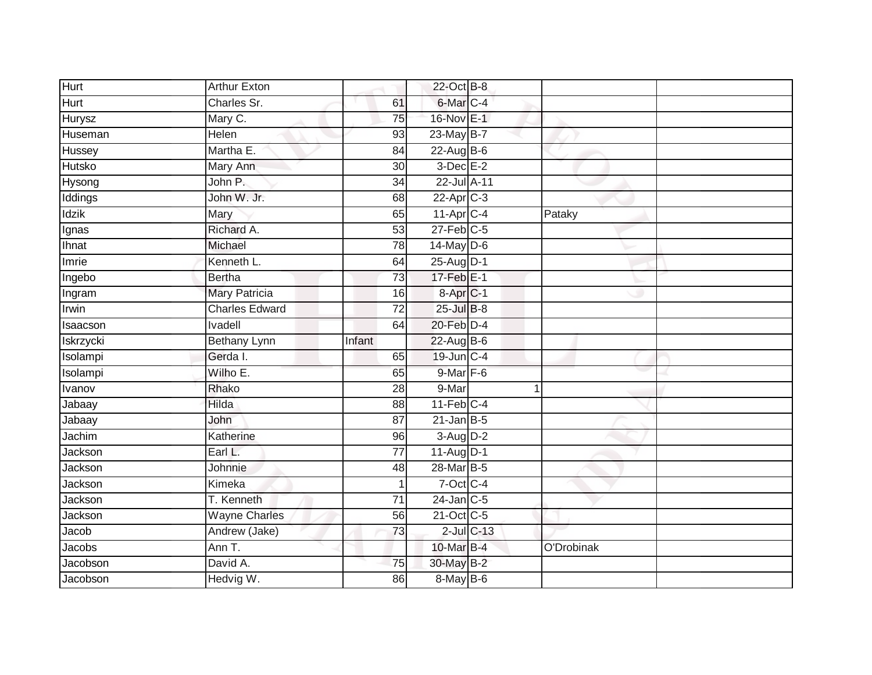| <b>Hurt</b>   | <b>Arthur Exton</b>   |                 | 22-Oct B-8           |                  |            |  |
|---------------|-----------------------|-----------------|----------------------|------------------|------------|--|
| Hurt          | Charles Sr.           | 61              | 6-Mar C-4            |                  |            |  |
| Hurysz        | Mary C.               | 75              | 16-Nov E-1           |                  |            |  |
| Huseman       | Helen                 | 93              | 23-May B-7           |                  |            |  |
| Hussey        | Martha E.             | $\overline{84}$ | $22$ -Aug B-6        |                  |            |  |
| Hutsko        | Mary Ann              | 30              | $3$ -Dec $E-2$       |                  |            |  |
| Hysong        | John P.               | 34              | 22-Jul A-11          |                  |            |  |
| Iddings       | John W. Jr.           | 68              | 22-Apr C-3           |                  |            |  |
| Idzik         | Mary                  | 65              | $11-AprC-4$          |                  | Pataky     |  |
| Ignas         | Richard A.            | 53              | $27$ -Feb $ C-5 $    |                  |            |  |
| <b>Ihnat</b>  | Michael               | 78              | 14-May D-6           |                  |            |  |
| Imrie         | Kenneth L.            | 64              | 25-Aug D-1           |                  |            |  |
| Ingebo        | <b>Bertha</b>         | 73              | 17-Feb E-1           |                  |            |  |
| Ingram        | <b>Mary Patricia</b>  | 16              | 8-Apr <sub>C-1</sub> |                  |            |  |
| Irwin         | <b>Charles Edward</b> | $\overline{72}$ | $25$ -Jul $B-8$      |                  |            |  |
| Isaacson      | Ivadell               | 64              | 20-Feb D-4           |                  |            |  |
| Iskrzycki     | <b>Bethany Lynn</b>   | Infant          | 22-Aug B-6           |                  |            |  |
| Isolampi      | Gerda I.              | 65              | 19-Jun C-4           |                  |            |  |
| Isolampi      | Wilho E.              | 65              | 9-Mar F-6            |                  |            |  |
| <b>Ivanov</b> | Rhako                 | 28              | 9-Mar                | 1                |            |  |
| Jabaay        | Hilda                 | 88              | $11$ -Feb $C-4$      |                  |            |  |
| Jabaay        | John                  | $\overline{87}$ | $21$ -Jan B-5        |                  |            |  |
| Jachim        | Katherine             | 96              | 3-Aug D-2            |                  |            |  |
| Jackson       | Earl L.               | $\overline{77}$ | $11-Aug$ D-1         |                  |            |  |
| Jackson       | Johnnie               | 48              | 28-Mar B-5           |                  |            |  |
| Jackson       | Kimeka                |                 | $7$ -Oct C-4         |                  |            |  |
| Jackson       | T. Kenneth            | $\overline{71}$ | $24$ -Jan $C-5$      |                  |            |  |
| Jackson       | <b>Wayne Charles</b>  | 56              | 21-Oct C-5           |                  |            |  |
| Jacob         | Andrew (Jake)         | 73              |                      | $2$ -Jul $C$ -13 |            |  |
| Jacobs        | Ann T.                |                 | 10-Mar B-4           |                  | O'Drobinak |  |
| Jacobson      | David A.              | 75              | 30-May B-2           |                  |            |  |
| Jacobson      | Hedvig W.             | 86              | 8-May B-6            |                  |            |  |
|               |                       |                 |                      |                  |            |  |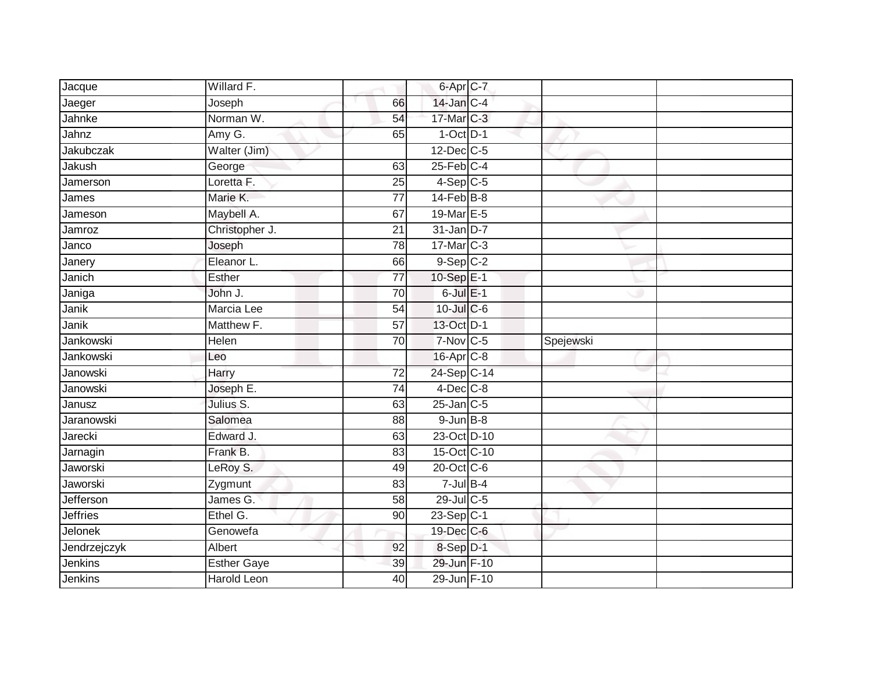| Jacque             | Willard F.                               |                       | 6-Apr C-7                  |           |  |
|--------------------|------------------------------------------|-----------------------|----------------------------|-----------|--|
| Jaeger             | Joseph                                   | 66                    | $14$ -Jan $C-4$            |           |  |
| Jahnke             | Norman W.                                | 54                    | 17-Mar C-3                 |           |  |
| Jahnz              | Amy G.                                   | 65                    | $1-Oct$ D-1                |           |  |
| <b>Jakubczak</b>   | Walter (Jim)                             |                       | $12$ -Dec $C-5$            |           |  |
| Jakush             | George                                   | 63                    | $25$ -Feb $C-4$            |           |  |
| Jamerson           | Loretta F.                               | 25                    | $4-Sep$ C-5                |           |  |
| James              | Marie K.                                 | $\overline{77}$       | $14$ -Feb $B$ -8           |           |  |
| Jameson            | Maybell A.                               | 67                    | 19-Mar E-5                 |           |  |
| Jamroz             | Christopher J.                           | 21                    | $31$ -Jan D-7              |           |  |
| Janco              | Joseph                                   | 78                    | 17-Mar C-3                 |           |  |
| Janery             | Eleanor L.                               | 66                    | $9-Sep$ $C-2$              |           |  |
| Janich             | <b>Esther</b>                            | 77                    | $10 - SepE-1$              |           |  |
| Janiga             | John J.                                  | 70                    | $6$ -Jul $E-1$             |           |  |
| Janik              | Marcia Lee                               | 54                    | 10-Jul C-6                 |           |  |
| Janik              | Matthew F.                               | 57                    | 13-Oct D-1                 |           |  |
|                    |                                          |                       |                            |           |  |
| Jankowski          | Helen                                    | $\overline{70}$       | $7-Nov$ C-5                | Spejewski |  |
| Jankowski          | Leo                                      |                       | 16-Apr C-8                 |           |  |
| Janowski           | Harry                                    | 72                    | 24-Sep C-14                |           |  |
| Janowski           | Joseph E.                                | 74                    | $4$ -Dec $C-8$             |           |  |
| Janusz             | Julius S.                                | 63                    | $25$ -Jan $C$ -5           |           |  |
| Jaranowski         | Salomea                                  | 88                    | $9$ -Jun $B$ -8            |           |  |
| Jarecki            | Edward J.                                | 63                    | 23-Oct D-10                |           |  |
| Jarnagin           | Frank B.                                 | 83                    | 15-Oct C-10                |           |  |
| Jaworski           | LeRoy S.                                 | 49                    | 20-Oct C-6                 |           |  |
| Jaworski           | Zygmunt                                  | 83                    | $7$ -Jul $B-4$             |           |  |
| Jefferson          | James G.                                 | 58                    | 29-Jul C-5                 |           |  |
| <b>Jeffries</b>    | Ethel G.                                 | 90                    | $23-Sep C-1$               |           |  |
| Jelonek            | Genowefa                                 |                       | 19-Dec C-6                 |           |  |
| Jendrzejczyk       | Albert                                   | 92                    | 8-Sep D-1                  |           |  |
| Jenkins<br>Jenkins | <b>Esther Gaye</b><br><b>Harold Leon</b> | 39<br>$\overline{40}$ | 29-Jun F-10<br>29-Jun F-10 |           |  |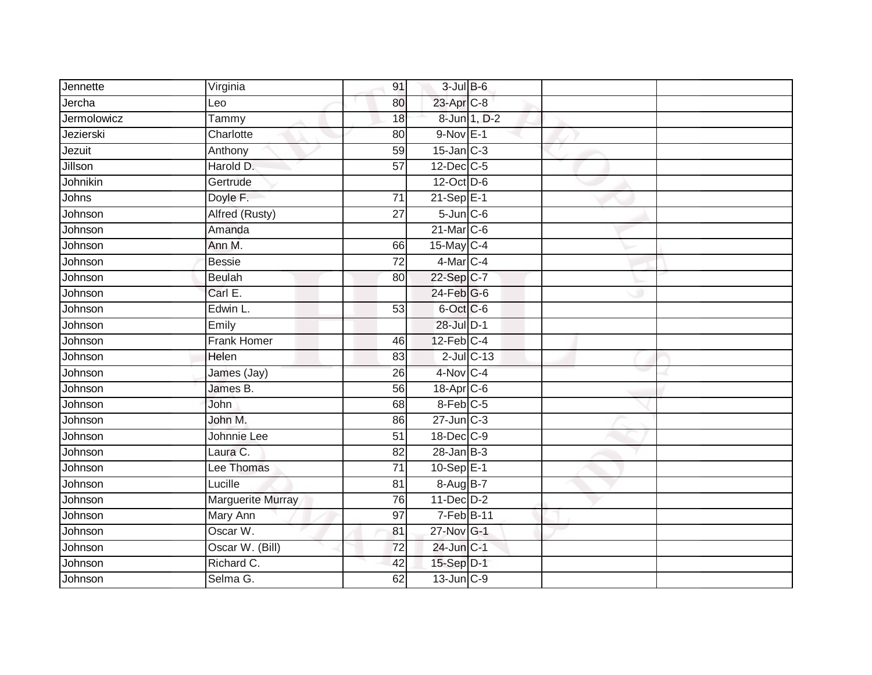| Jennette    | Virginia                 | 91              | $3$ -Jul $B$ -6        |                  |  |
|-------------|--------------------------|-----------------|------------------------|------------------|--|
| Jercha      | Leo                      | 80              | 23-Apr <sub>C-8</sub>  |                  |  |
| Jermolowicz | Tammy                    | $\overline{18}$ |                        | 8-Jun 1, D-2     |  |
| Jezierski   | Charlotte                | 80              | $9-Nov$ E-1            |                  |  |
| Jezuit      | Anthony                  | 59              | $15$ -Jan $C-3$        |                  |  |
| Jillson     | Harold D.                | 57              | $12$ -Dec $C-5$        |                  |  |
| Johnikin    | Gertrude                 |                 | 12-Oct D-6             |                  |  |
| Johns       | Doyle F.                 | 71              | $21-Sep$ E-1           |                  |  |
| Johnson     | Alfred (Rusty)           | 27              | $5$ -Jun $C$ -6        |                  |  |
| Johnson     | Amanda                   |                 | 21-Mar <sub>IC-6</sub> |                  |  |
| Johnson     | Ann M.                   | 66              | 15-May C-4             |                  |  |
| Johnson     | <b>Bessie</b>            | $\overline{72}$ | 4-Mar C-4              |                  |  |
| Johnson     | Beulah                   | 80              | 22-Sep C-7             |                  |  |
| Johnson     | Carl E.                  |                 | 24-Feb G-6             |                  |  |
| Johnson     | Edwin L.                 | 53              | 6-Oct C-6              |                  |  |
| Johnson     | Emily                    |                 | 28-Jul D-1             |                  |  |
| Johnson     | <b>Frank Homer</b>       | 46              | $12$ -Feb $C-4$        |                  |  |
| Johnson     | Helen                    | 83              |                        | $2$ -Jul $C$ -13 |  |
| Johnson     | James (Jay)              | 26              | 4-Nov C-4              |                  |  |
| Johnson     | James B.                 | 56              | 18-Apr C-6             |                  |  |
| Johnson     | <b>John</b>              | 68              | 8-Feb C-5              |                  |  |
| Johnson     | John M.                  | 86              | $27$ -Jun $C-3$        |                  |  |
| Johnson     | Johnnie Lee              | 51              | 18-Dec C-9             |                  |  |
| Johnson     | Laura C.                 | 82              | $28$ -Jan $B-3$        |                  |  |
| Johnson     | Lee Thomas               | 71              | 10-Sep $E-1$           |                  |  |
| Johnson     | Lucille                  | $\overline{81}$ | 8-Aug B-7              |                  |  |
| Johnson     | <b>Marguerite Murray</b> | 76              | $11$ -Dec $D-2$        |                  |  |
| Johnson     | Mary Ann                 | 97              | 7-Feb B-11             |                  |  |
| Johnson     | Oscar W.                 | 81              | 27-Nov G-1             |                  |  |
| Johnson     | Oscar W. (Bill)          | 72              | 24-Jun C-1             |                  |  |
| Johnson     | Richard C.               | 42              | 15-Sep D-1             |                  |  |
| Johnson     | Selma G.                 | 62              | 13-Jun C-9             |                  |  |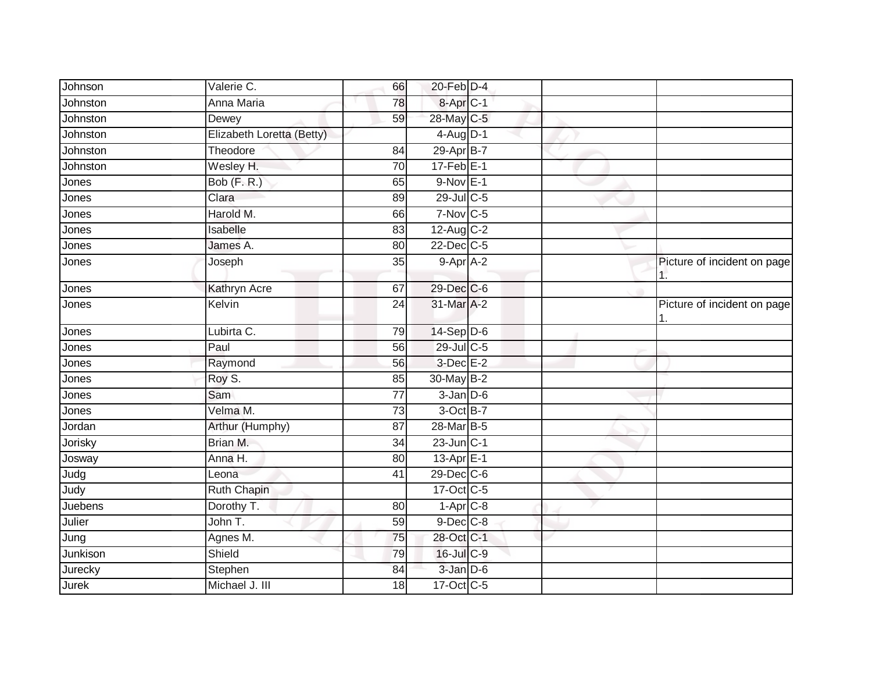| Johnson  | Valerie C.                | 66              | $20$ -Feb $D-4$            |  |                             |
|----------|---------------------------|-----------------|----------------------------|--|-----------------------------|
| Johnston | Anna Maria                | 78              | 8-Apr C-1                  |  |                             |
| Johnston | Dewey                     | 59              | 28-May C-5                 |  |                             |
| Johnston | Elizabeth Loretta (Betty) |                 | $4$ -Aug D-1               |  |                             |
| Johnston | Theodore                  | $\overline{84}$ | 29-Apr B-7                 |  |                             |
| Johnston | Wesley H.                 | 70              | $17$ -Feb $E-1$            |  |                             |
| Jones    | Bob (F. R.)               | 65              | $9-Nov$ E-1                |  |                             |
| Jones    | Clara                     | 89              | 29-Jul C-5                 |  |                             |
| Jones    | Harold M.                 | 66              | $7-Nov$ C-5                |  |                             |
| Jones    | Isabelle                  | 83              | 12-Aug C-2                 |  |                             |
| Jones    | James A.                  | 80              | 22-Dec C-5                 |  |                             |
| Jones    | Joseph                    | 35              | $9-Apr$ A-2                |  | Picture of incident on page |
| Jones    | Kathryn Acre              | 67              | 29-Dec C-6                 |  |                             |
| Jones    | Kelvin                    | 24              | 31-Mar A-2                 |  | Picture of incident on page |
| Jones    | Lubirta C.                | 79              | $14-Sep$ D-6               |  |                             |
| Jones    | Paul                      | 56              | 29-Jul C-5                 |  |                             |
| Jones    | Raymond                   | 56              | 3-Dec E-2                  |  |                             |
| Jones    | Roy S.                    | 85              | 30-May B-2                 |  |                             |
| Jones    | Sam                       | 77              | $3$ -Jan $D$ -6            |  |                             |
| Jones    | Velma M.                  | 73              | 3-Oct B-7                  |  |                             |
| Jordan   | Arthur (Humphy)           | $\overline{87}$ | 28-Mar B-5                 |  |                             |
| Jorisky  | Brian M.                  | 34              | $23$ -Jun $C-1$            |  |                             |
| Josway   | Anna H.                   | 80              | $13-Apr \nightharpoonup 1$ |  |                             |
| Judg     | Leona                     | 41              | 29-Dec C-6                 |  |                             |
| Judy     | <b>Ruth Chapin</b>        |                 | 17-Oct C-5                 |  |                             |
| Juebens  | Dorothy T.                | 80              | $1-Apr$ $C-8$              |  |                             |
| Julier   | John T.                   | 59              | $9$ -Dec $C$ -8            |  |                             |
| Jung     | Agnes M.                  | 75              | 28-Oct C-1                 |  |                             |
| Junkison | Shield                    | 79              | 16-Jul C-9                 |  |                             |
| Jurecky  | Stephen                   | 84              | 3-Jan D-6                  |  |                             |
| Jurek    | Michael J. III            | 18              | $17-Oct$ $C-5$             |  |                             |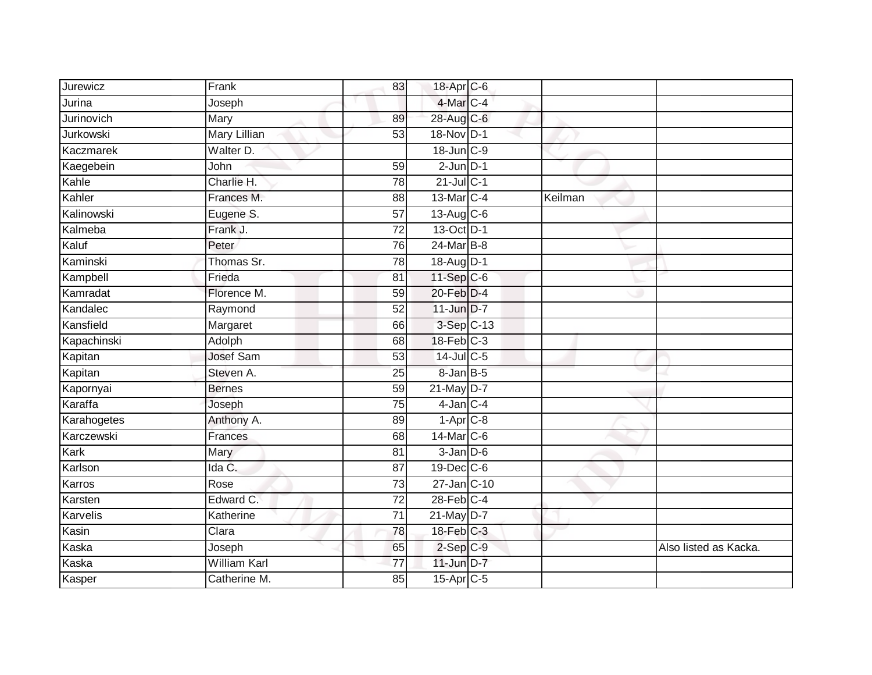| Jurewicz    | Frank               | 83              | 18-Apr C-6                 |         |                       |
|-------------|---------------------|-----------------|----------------------------|---------|-----------------------|
| Jurina      | Joseph              |                 | 4-Mar <sub>IC-4</sub>      |         |                       |
| Jurinovich  | Mary                | 89              | 28-Aug C-6                 |         |                       |
| Jurkowski   | <b>Mary Lillian</b> | 53              | 18-Nov D-1                 |         |                       |
| Kaczmarek   | Walter D.           |                 | 18-Jun C-9                 |         |                       |
| Kaegebein   | John                | 59              | $2$ -Jun $D-1$             |         |                       |
| Kahle       | Charlie H.          | $\overline{78}$ | $21$ -Jul C-1              |         |                       |
| Kahler      | Frances M.          | 88              | 13-Mar C-4                 | Keilman |                       |
| Kalinowski  | Eugene S.           | $\overline{57}$ | 13-Aug C-6                 |         |                       |
| Kalmeba     | Frank J.            | 72              | 13-Oct D-1                 |         |                       |
| Kaluf       | Peter               | 76              | $24$ -Mar $B-8$            |         |                       |
| Kaminski    | Thomas Sr.          | 78              | 18-Aug D-1                 |         |                       |
| Kampbell    | Frieda              | 81              | $11-Sep$ C-6               |         |                       |
| Kamradat    | Florence M.         | 59              | 20-Feb D-4                 |         |                       |
| Kandalec    | Raymond             | 52              | 11-Jun D-7                 |         |                       |
| Kansfield   | Margaret            | 66              | 3-Sep C-13                 |         |                       |
| Kapachinski | Adolph              | 68              | 18-Feb C-3                 |         |                       |
| Kapitan     | <b>Josef Sam</b>    | 53              | 14-Jul C-5                 |         |                       |
| Kapitan     | Steven A.           | 25              | 8-Jan B-5                  |         |                       |
| Kapornyai   | <b>Bernes</b>       | 59              | 21-May D-7                 |         |                       |
| Karaffa     | Joseph              | $\overline{75}$ | $4$ -Jan $C-4$             |         |                       |
| Karahogetes | Anthony A.          | 89              | $1-AprC-8$                 |         |                       |
| Karczewski  | Frances             | 68              | 14-Mar C-6                 |         |                       |
| Kark        | Mary                | 81              | $3$ -Jan $D$ -6            |         |                       |
| Karlson     | Ida C.              | 87              | $19$ -Dec $ C$ -6          |         |                       |
| Karros      | Rose                | 73              | $27 - Jan$ <sub>C-10</sub> |         |                       |
| Karsten     | Edward C.           | $\overline{72}$ | $28$ -Feb $C-4$            |         |                       |
| Karvelis    | Katherine           | $\overline{71}$ | $21$ -May D-7              |         |                       |
| Kasin       | Clara               | 78              | 18-Feb C-3                 |         |                       |
| Kaska       | Joseph              | 65              | $2-Sep$ $C-9$              |         | Also listed as Kacka. |
| Kaska       | William Karl        | $\overline{77}$ | 11-Jun D-7                 |         |                       |
| Kasper      | Catherine M.        | 85              | 15-Apr C-5                 |         |                       |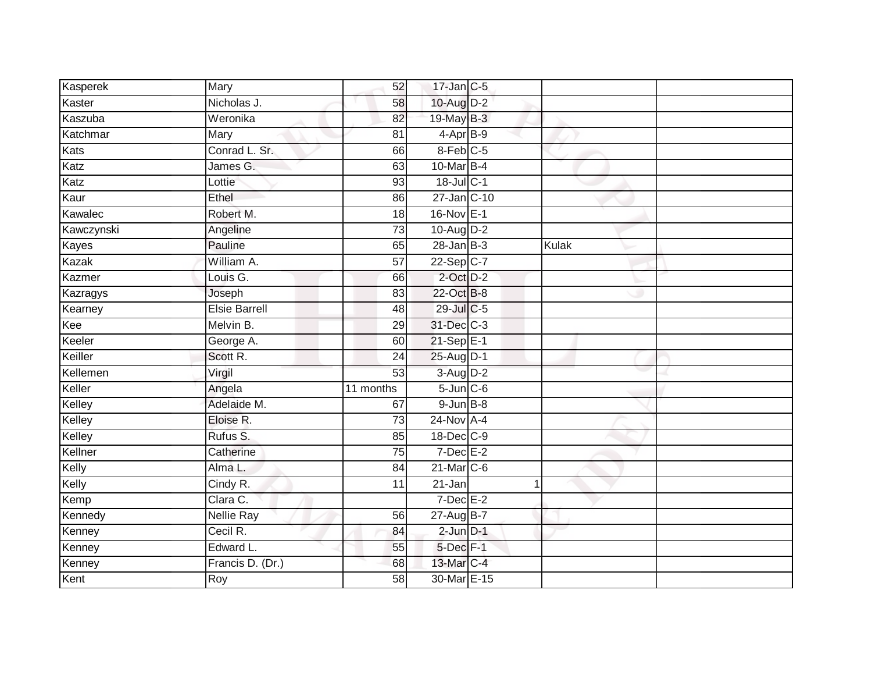| Kasperek     | Mary                 | 52              | $17$ -Jan C-5     |       |  |
|--------------|----------------------|-----------------|-------------------|-------|--|
| Kaster       | Nicholas J.          | 58              | 10-Aug D-2        |       |  |
| Kaszuba      | Weronika             | 82              | 19-May B-3        |       |  |
| Katchmar     | Mary                 | 81              | $4-Apr$ B-9       |       |  |
| Kats         | Conrad L. Sr.        | 66              | 8-Feb C-5         |       |  |
| Katz         | James G.             | 63              | 10-Mar B-4        |       |  |
| Katz         | Lottie               | 93              | 18-Jul C-1        |       |  |
| Kaur         | Ethel                | 86              | 27-Jan C-10       |       |  |
| Kawalec      | Robert M.            | 18              | 16-Nov E-1        |       |  |
| Kawczynski   | Angeline             | 73              | 10-Aug $D-2$      |       |  |
| Kayes        | Pauline              | 65              | $28$ -Jan B-3     | Kulak |  |
| <b>Kazak</b> | William A.           | 57              | 22-Sep C-7        |       |  |
| Kazmer       | Louis G.             | 66              | $2$ -Oct $D-2$    |       |  |
| Kazragys     | Joseph               | 83              | 22-Oct B-8        |       |  |
| Kearney      | <b>Elsie Barrell</b> | 48              | 29-Jul C-5        |       |  |
| Kee          | Melvin B.            | 29              | 31-Dec C-3        |       |  |
| Keeler       | George A.            | 60              | $21-SepE-1$       |       |  |
| Keiller      | Scott R.             | 24              | 25-Aug D-1        |       |  |
| Kellemen     | Virgil               | 53              | 3-Aug D-2         |       |  |
| Keller       | Angela               | 11 months       | $5 - Jun$ $C - 6$ |       |  |
| Kelley       | Adelaide M.          | 67              | $9$ -Jun $B$ -8   |       |  |
| Kelley       | Eloise R.            | 73              | 24-Nov A-4        |       |  |
| Kelley       | Rufus S.             | 85              | 18-Dec C-9        |       |  |
| Kellner      | Catherine            | 75              | $7$ -Dec $E-2$    |       |  |
| Kelly        | Alma L.              | 84              | 21-Mar C-6        |       |  |
| Kelly        | Cindy R.             | 11              | $21 - Jan$        | 1     |  |
| Kemp         | Clara C.             |                 | $7$ -Dec $E-2$    |       |  |
| Kennedy      | Nellie Ray           | 56              | 27-Aug B-7        |       |  |
| Kenney       | Cecil R.             | 84              | $2$ -Jun $D-1$    |       |  |
| Kenney       | Edward L.            | 55              | 5-Dec F-1         |       |  |
| Kenney       | Francis D. (Dr.)     | 68              | 13-Mar C-4        |       |  |
| Kent         | Roy                  | $\overline{58}$ | 30-Mar E-15       |       |  |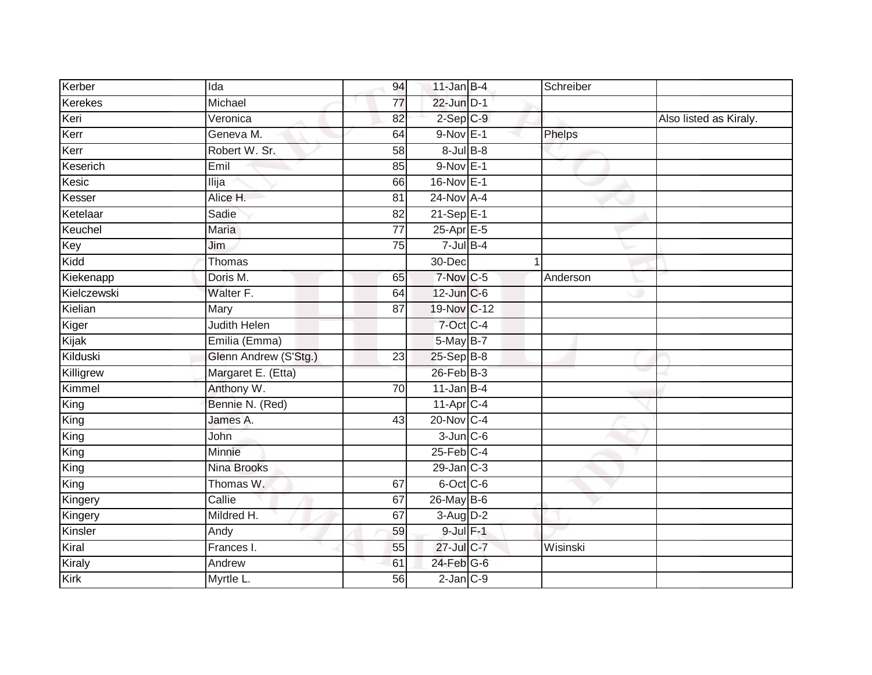| Kerber            | Ida                   | 94              | $11$ -Jan B-4     | Schreiber |                        |
|-------------------|-----------------------|-----------------|-------------------|-----------|------------------------|
| <b>Kerekes</b>    | Michael               | 77              | $22$ -Jun $D-1$   |           |                        |
| Keri              | Veronica              | 82              | $2-Sep$ $C-9$     |           | Also listed as Kiraly. |
| Kerr              | Geneva M.             | 64              | $9-Nov$ E-1       | Phelps    |                        |
| Kerr              | Robert W. Sr.         | $\overline{58}$ | $8 -$ Jul $B - 8$ |           |                        |
| Keserich          | Emil                  | 85              | $9-Nov$ E-1       |           |                        |
| Kesic             | <b>Ilija</b>          | 66              | 16-Nov E-1        |           |                        |
| Kesser            | Alice H.              | 81              | 24-Nov A-4        |           |                        |
| Ketelaar          | Sadie                 | 82              | $21-SepE-1$       |           |                        |
| Keuchel           | Maria                 | $\overline{77}$ | 25-Apr E-5        |           |                        |
| Key               | Jim                   | 75              | $7$ -Jul $B-4$    |           |                        |
| Kidd              | Thomas                |                 | 30-Dec            | 1         |                        |
| Kiekenapp         | Doris M.              | 65              | 7-Nov C-5         | Anderson  |                        |
| Kielczewski       | Walter F.             | 64              | 12-Jun C-6        |           |                        |
| Kielian           | Mary                  | $\overline{87}$ | 19-Nov C-12       |           |                        |
| Kiger             | <b>Judith Helen</b>   |                 | $7$ -Oct $ C-4 $  |           |                        |
| Kijak             | Emilia (Emma)         |                 | $5$ -May $B-7$    |           |                        |
| Kilduski          | Glenn Andrew (S'Stg.) | 23              | 25-Sep B-8        |           |                        |
| Killigrew         | Margaret E. (Etta)    |                 | $26$ -Feb $ B-3 $ |           |                        |
| Kimmel            | Anthony W.            | $\overline{70}$ | $11$ -Jan B-4     |           |                        |
| King              | Bennie N. (Red)       |                 | $11-AprC-4$       |           |                        |
| King              | James A.              | 43              | 20-Nov C-4        |           |                        |
| King              | John                  |                 | $3$ -Jun $C$ -6   |           |                        |
| King              | Minnie                |                 | $25$ -Feb $C-4$   |           |                        |
| King              | <b>Nina Brooks</b>    |                 | $29$ -Jan $C-3$   |           |                        |
| $\overline{King}$ | Thomas W.             | 67              | 6-Oct C-6         |           |                        |
| Kingery           | Callie                | 67              | 26-May B-6        |           |                        |
| Kingery           | Mildred H.            | 67              | $3-Aug$ $D-2$     |           |                        |
| Kinsler           | Andy                  | 59              | 9-Jul F-1         |           |                        |
| Kiral             | Frances I.            | 55              | 27-Jul C-7        | Wisinski  |                        |
| Kiraly            | Andrew                | 61              | 24-Feb G-6        |           |                        |
| Kirk              | Myrtle L.             | 56              | $2$ -Jan $C-9$    |           |                        |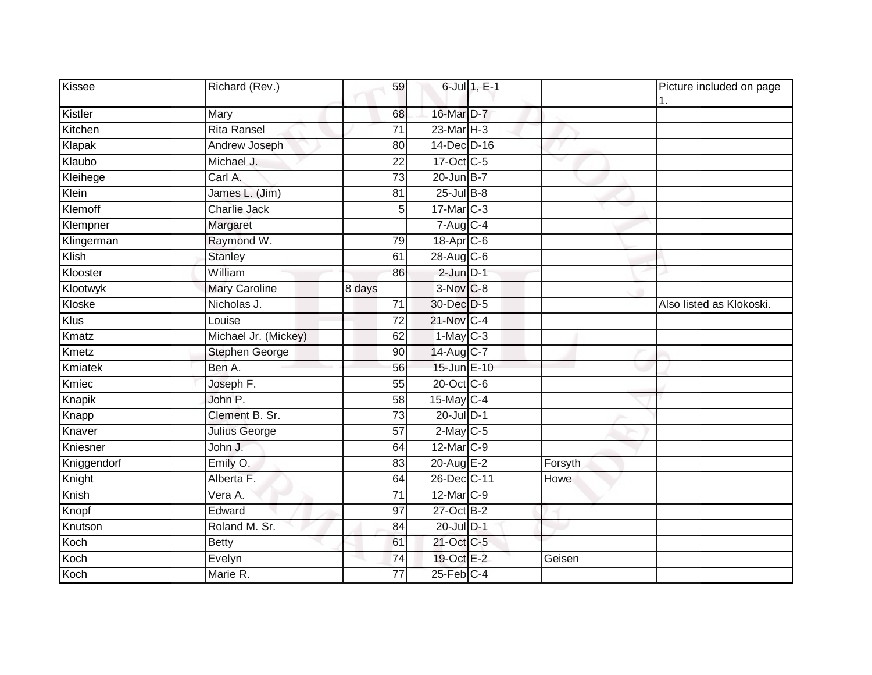| Kissee      | Richard (Rev.)              | 59              | 6-Jul 1, E-1           |         | Picture included on page<br>1. |
|-------------|-----------------------------|-----------------|------------------------|---------|--------------------------------|
| Kistler     | Mary                        | 68              | 16-Mar D-7             |         |                                |
| Kitchen     | <b>Rita Ransel</b>          | 71              | $23$ -Mar $H-3$        |         |                                |
| Klapak      | Andrew Joseph               | 80              | 14-Dec D-16            |         |                                |
| Klaubo      | Michael J.                  | 22              | 17-Oct C-5             |         |                                |
| Kleihege    | Carl A.                     | 73              | $20$ -Jun $B-7$        |         |                                |
| Klein       | James L. (Jim)              | 81              | $25$ -Jul $B-8$        |         |                                |
| Klemoff     | <b>Charlie Jack</b>         | 5               | $17$ -Mar $C-3$        |         |                                |
| Klempner    | Margaret                    |                 | $7-Aug$ <sub>C-4</sub> |         |                                |
| Klingerman  | Raymond W.                  | 79              | 18-Apr C-6             |         |                                |
| Klish       | Stanley                     | 61              | 28-Aug C-6             |         |                                |
| Klooster    | William                     | 86              | $2$ -Jun $D-1$         |         |                                |
| Klootwyk    | <b>Mary Caroline</b>        | 8 days          | 3-Nov C-8              |         |                                |
| Kloske      | Nicholas J.                 | 71              | 30-Dec D-5             |         | Also listed as Klokoski.       |
| Klus        | Louise                      | $\overline{72}$ | 21-Nov C-4             |         |                                |
| Kmatz       | Michael Jr. (Mickey)        | 62              | $1-May$ C-3            |         |                                |
| Kmetz       | Stephen George              | 90              | 14-Aug C-7             |         |                                |
| Kmiatek     | Ben A.                      | 56              | 15-Jun E-10            |         |                                |
| Kmiec       | Joseph F.                   | 55              | 20-Oct C-6             |         |                                |
| Knapik      | John P.                     | 58              | 15-May C-4             |         |                                |
| Knapp       | Clement B. Sr.              | 73              | 20-Jul D-1             |         |                                |
| Knaver      | Julius George               | 57              | $2$ -May C-5           |         |                                |
| Kniesner    | John J.                     | 64              | 12-Mar C-9             |         |                                |
| Kniggendorf | Emily O.                    | 83              | $20$ -Aug E-2          | Forsyth |                                |
| Knight      | Alberta F.                  | 64              | 26-Dec C-11            | Howe    |                                |
| Knish       | $\overline{\text{Vera}}$ A. | $\overline{71}$ | 12-Mar C-9             |         |                                |
| Knopf       | Edward                      | 97              | 27-Oct B-2             |         |                                |
| Knutson     | Roland M. Sr.               | 84              | 20-Jul D-1             |         |                                |
| Koch        | <b>Betty</b>                | 61              | 21-Oct C-5             |         |                                |
| Koch        | Evelyn                      | 74              | 19-Oct E-2             | Geisen  |                                |
| Koch        | Marie R.                    | 77              | $25$ -Feb $C-4$        |         |                                |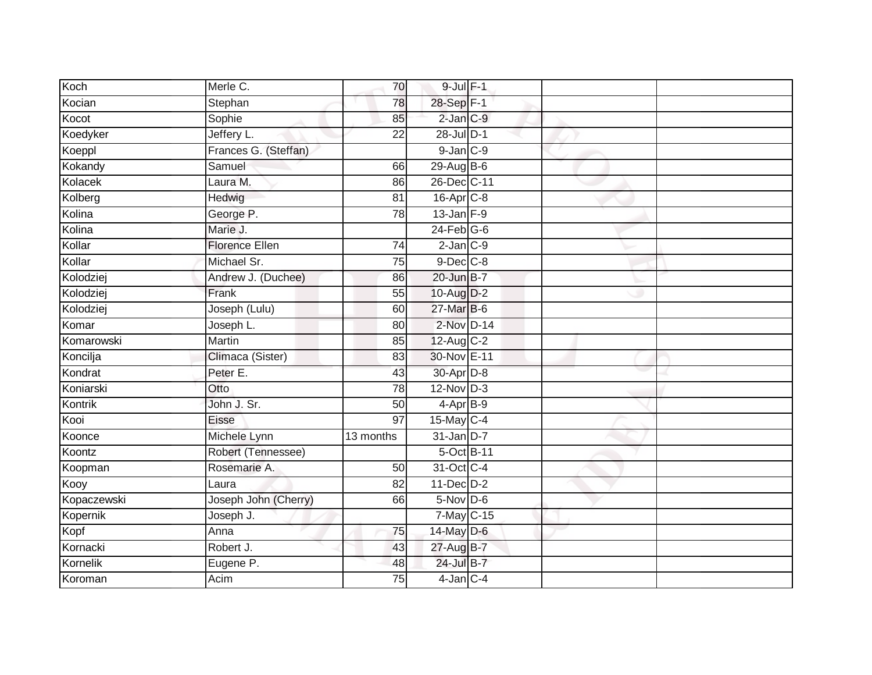| Koch        | Merle C.              | 70              | $9$ -Jul $F-1$  |  |  |
|-------------|-----------------------|-----------------|-----------------|--|--|
| Kocian      | Stephan               | 78              | 28-Sep F-1      |  |  |
| Kocot       | Sophie                | 85              | 2-Jan C-9       |  |  |
| Koedyker    | Jeffery L.            | 22              | 28-Jul D-1      |  |  |
| Koeppl      | Frances G. (Steffan)  |                 | $9$ -Jan $C-9$  |  |  |
| Kokandy     | Samuel                | 66              | 29-Aug B-6      |  |  |
| Kolacek     | Laura M.              | 86              | 26-Dec C-11     |  |  |
| Kolberg     | Hedwig                | 81              | $16$ -Apr $C-8$ |  |  |
| Kolina      | George P.             | 78              | $13$ -Jan F-9   |  |  |
| Kolina      | Marie J.              |                 | $24$ -Feb $G-6$ |  |  |
| Kollar      | <b>Florence Ellen</b> | 74              | $2$ -Jan $C-9$  |  |  |
| Kollar      | Michael Sr.           | 75              | $9$ -Dec $C$ -8 |  |  |
| Kolodziej   | Andrew J. (Duchee)    | 86              | 20-Jun B-7      |  |  |
| Kolodziej   | Frank                 | 55              | 10-Aug D-2      |  |  |
| Kolodziej   | Joseph (Lulu)         | 60              | 27-Mar B-6      |  |  |
| Komar       | Joseph L.             | 80              | $2$ -Nov $D-14$ |  |  |
| Komarowski  | Martin                | 85              | 12-Aug C-2      |  |  |
| Koncilja    | Climaca (Sister)      | 83              | 30-Nov E-11     |  |  |
| Kondrat     | Peter E.              | 43              | 30-Apr D-8      |  |  |
| Koniarski   | Otto                  | 78              | $12$ -Nov $D-3$ |  |  |
| Kontrik     | John J. Sr.           | 50              | $4-AprB-9$      |  |  |
| Kooi        | Eisse                 | $\overline{97}$ | 15-May C-4      |  |  |
| Koonce      | Michele Lynn          | 13 months       | $31$ -Jan D-7   |  |  |
| Koontz      | Robert (Tennessee)    |                 | 5-Oct B-11      |  |  |
| Koopman     | Rosemarie A.          | 50              | 31-Oct C-4      |  |  |
| Kooy        | Laura                 | 82              | $11$ -Dec $D-2$ |  |  |
| Kopaczewski | Joseph John (Cherry)  | 66              | 5-Nov D-6       |  |  |
| Kopernik    | Joseph J.             |                 | 7-May C-15      |  |  |
| Kopf        | Anna                  | 75              | 14-May D-6      |  |  |
| Kornacki    | Robert J.             | 43              | 27-Aug B-7      |  |  |
| Kornelik    | Eugene P.             | 48              | 24-Jul B-7      |  |  |
| Koroman     | Acim                  | $\overline{75}$ | $4$ -Jan $C$ -4 |  |  |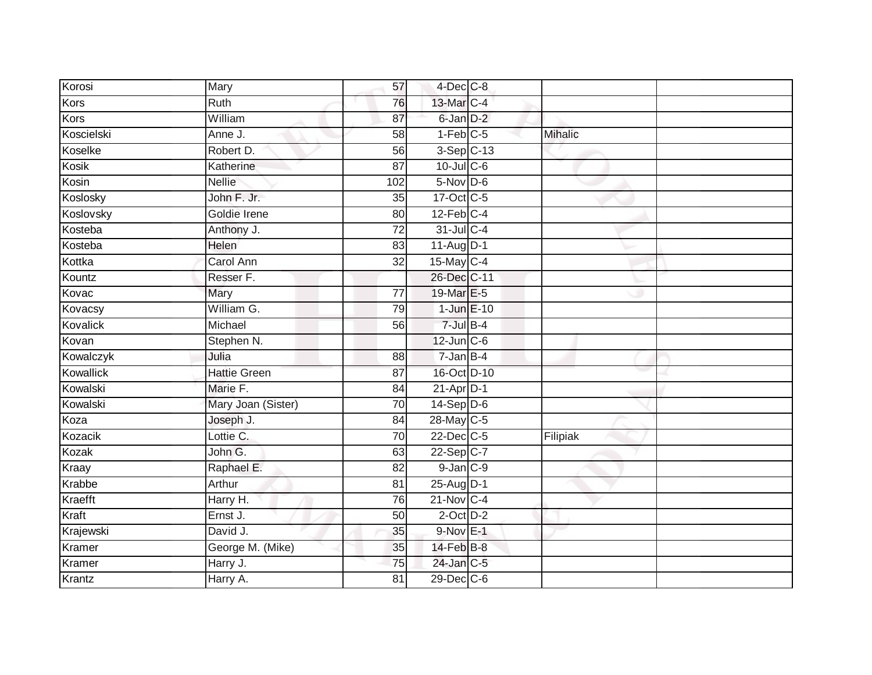| Korosi      | Mary                | 57              | $4$ -Dec $C$ -8  |          |  |
|-------------|---------------------|-----------------|------------------|----------|--|
| <b>Kors</b> | Ruth                | 76              | 13-Mar C-4       |          |  |
| Kors        | William             | 87              | 6-Jan D-2        |          |  |
| Koscielski  | Anne J.             | 58              | $1-Feb$ C-5      | Mihalic  |  |
| Koselke     | Robert D.           | $\overline{56}$ | $3-Sep$ C-13     |          |  |
| Kosik       | Katherine           | $\overline{87}$ | $10$ -Jul $C$ -6 |          |  |
| Kosin       | <b>Nellie</b>       | 102             | $5-Nov$ D-6      |          |  |
| Koslosky    | John F. Jr.         | 35              | 17-Oct C-5       |          |  |
| Koslovsky   | Goldie Irene        | 80              | $12$ -Feb $C-4$  |          |  |
| Kosteba     | Anthony J.          | $\overline{72}$ | 31-Jul C-4       |          |  |
| Kosteba     | Helen               | 83              | 11-Aug D-1       |          |  |
| Kottka      | Carol Ann           | $\overline{32}$ | $15$ -May C-4    |          |  |
| Kountz      | Resser F.           |                 | 26-Dec C-11      |          |  |
| Kovac       | Mary                | $\overline{77}$ | 19-Mar E-5       |          |  |
| Kovacsy     | William G.          | 79              | $1$ -Jun $E-10$  |          |  |
| Kovalick    | Michael             | $\overline{56}$ | $7$ -Jul $B-4$   |          |  |
| Kovan       | Stephen N.          |                 | $12$ -Jun $C$ -6 |          |  |
| Kowalczyk   | Julia               | 88              | $7 - Jan$ B-4    |          |  |
| Kowallick   | <b>Hattie Green</b> | 87              | 16-Oct D-10      |          |  |
| Kowalski    | Marie F.            | 84              | $21-AprD-1$      |          |  |
| Kowalski    | Mary Joan (Sister)  | 70              | $14-Sep$ D-6     |          |  |
| Koza        | Joseph J.           | 84              | 28-May C-5       |          |  |
| Kozacik     | Lottie C.           | 70              | 22-Dec C-5       | Filipiak |  |
| Kozak       | John G.             | 63              | 22-Sep C-7       |          |  |
| Kraay       | Raphael E.          | 82              | $9$ -Jan $C-9$   |          |  |
| Krabbe      | Arthur              | 81              | 25-Aug D-1       |          |  |
| Kraefft     | Harry H.            | 76              | 21-Nov C-4       |          |  |
| Kraft       | Ernst J.            | 50              | $2$ -Oct $D-2$   |          |  |
| Krajewski   | David J.            | 35              | 9-Nov E-1        |          |  |
| Kramer      | George M. (Mike)    | 35              | 14-Feb B-8       |          |  |
| Kramer      | Harry J.            | 75              | 24-Jan C-5       |          |  |
| Krantz      | Harry A.            | 81              | $29$ -Dec $C$ -6 |          |  |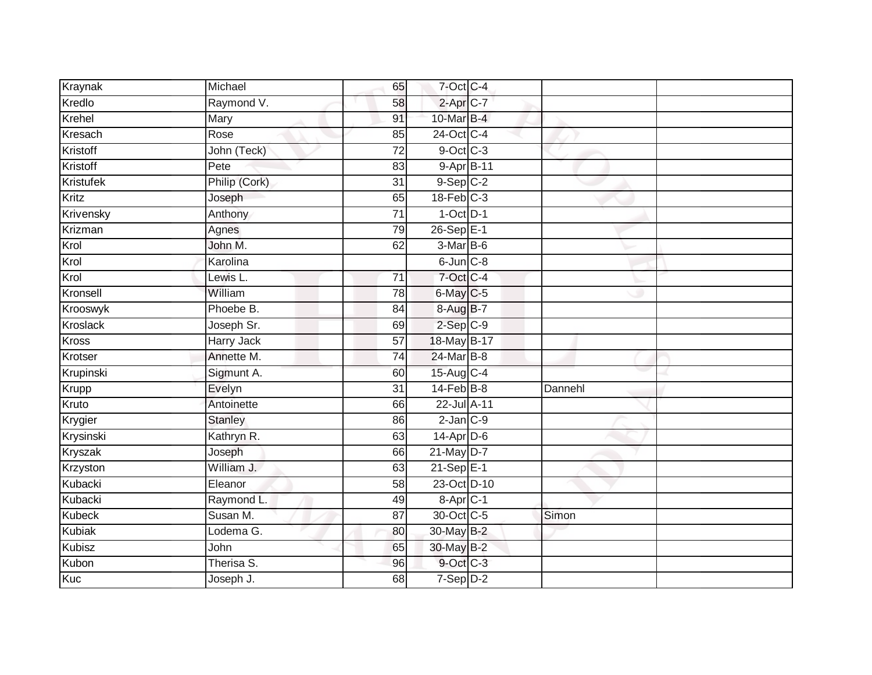| Kraynak          | Michael           | 65              | 7-Oct C-4        |         |  |
|------------------|-------------------|-----------------|------------------|---------|--|
| Kredlo           | Raymond V.        | 58              | $2$ -Apr $C$ -7  |         |  |
| Krehel           | Mary              | 91              | 10-Mar B-4       |         |  |
| Kresach          | Rose              | 85              | 24-Oct C-4       |         |  |
| Kristoff         | John (Teck)       | $\overline{72}$ | 9-Oct C-3        |         |  |
| Kristoff         | Pete              | 83              | $9 - Apr$ B-11   |         |  |
| <b>Kristufek</b> | Philip (Cork)     | 31              | $9-Sep$ $C-2$    |         |  |
| Kritz            | Joseph            | 65              | $18$ -Feb $C-3$  |         |  |
| Krivensky        | Anthony           | $\overline{71}$ | $1$ -Oct $D-1$   |         |  |
| Krizman          | Agnes             | 79              | 26-Sep E-1       |         |  |
| Krol             | John M.           | 62              | $3-MarB-6$       |         |  |
| Krol             | Karolina          |                 | $6$ -Jun $C-8$   |         |  |
| Krol             | Lewis L.          | 71              | 7-Oct C-4        |         |  |
| Kronsell         | William           | 78              | 6-May C-5        |         |  |
| Krooswyk         | Phoebe B.         | 84              | 8-Aug B-7        |         |  |
| Kroslack         | Joseph Sr.        | 69              | $2-Sep$ $C-9$    |         |  |
| <b>Kross</b>     | <b>Harry Jack</b> | $\overline{57}$ | 18-May B-17      |         |  |
| Krotser          | Annette M.        | 74              | 24-Mar B-8       |         |  |
| Krupinski        | Sigmunt A.        | 60              | 15-Aug C-4       |         |  |
| Krupp            | Evelyn            | $\overline{31}$ | $14$ -Feb $B$ -8 | Dannehl |  |
| Kruto            | Antoinette        | 66              | 22-Jul A-11      |         |  |
| Krygier          | <b>Stanley</b>    | 86              | $2$ -Jan $C-9$   |         |  |
| Krysinski        | Kathryn R.        | 63              | $14$ -Apr $D-6$  |         |  |
| Kryszak          | Joseph            | 66              | 21-May D-7       |         |  |
| Krzyston         | William J.        | 63              | $21-Sep \tE-1$   |         |  |
| Kubacki          | Eleanor           | 58              | 23-Oct D-10      |         |  |
| Kubacki          | Raymond L.        | 49              | $8 - Apr$ $C-1$  |         |  |
| <b>Kubeck</b>    | Susan M.          | 87              | 30-Oct C-5       | Simon   |  |
| <b>Kubiak</b>    | Lodema G.         | 80              | 30-May B-2       |         |  |
| <b>Kubisz</b>    | John              | 65              | 30-May B-2       |         |  |
| Kubon            | Therisa S.        | 96              | 9-Oct C-3        |         |  |
| Kuc              | Joseph J.         | 68              | $7-Sep$ $D-2$    |         |  |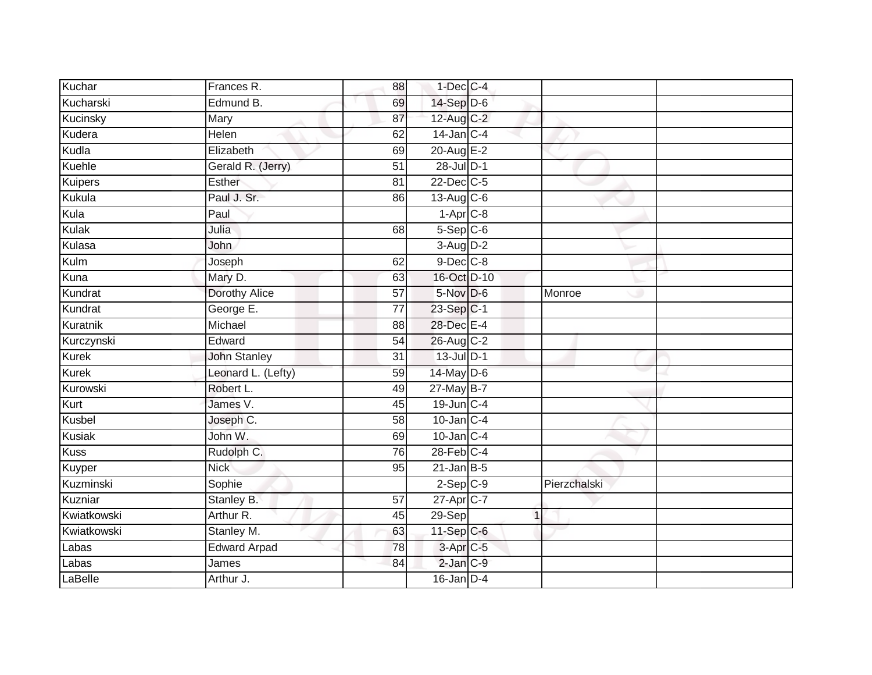| Kuchar         | Frances R.           | 88              | $1$ -Dec $C$ -4   |              |  |
|----------------|----------------------|-----------------|-------------------|--------------|--|
| Kucharski      | Edmund B.            | 69              | 14-Sep D-6        |              |  |
| Kucinsky       | Mary                 | 87              | 12-Aug C-2        |              |  |
| Kudera         | Helen                | 62              | $14$ -Jan $C-4$   |              |  |
| Kudla          | Elizabeth            | 69              | 20-Aug E-2        |              |  |
| Kuehle         | Gerald R. (Jerry)    | 51              | 28-Jul D-1        |              |  |
| <b>Kuipers</b> | Esther               | 81              | 22-Dec C-5        |              |  |
| Kukula         | Paul J. Sr.          | 86              | $13-Aug$ C-6      |              |  |
| Kula           | Paul                 |                 | $1$ -Apr $C-8$    |              |  |
| Kulak          | Julia                | 68              | $5-$ Sep $C-6$    |              |  |
| Kulasa         | John                 |                 | $3-Aug$ $D-2$     |              |  |
| Kulm           | Joseph               | 62              | $9$ -Dec $C$ -8   |              |  |
| Kuna           | Mary D.              | 63              | 16-Oct D-10       |              |  |
| Kundrat        | <b>Dorothy Alice</b> | 57              | $5-Nov$ D-6       | Monroe       |  |
| Kundrat        | George E.            | $\overline{77}$ | $23-Sep C-1$      |              |  |
| Kuratnik       | Michael              | 88              | 28-Dec E-4        |              |  |
| Kurczynski     | Edward               | $\overline{54}$ | 26-Aug C-2        |              |  |
| Kurek          | <b>John Stanley</b>  | 31              | $13$ -Jul $D-1$   |              |  |
| <b>Kurek</b>   | Leonard L. (Lefty)   | 59              | 14-May D-6        |              |  |
| Kurowski       | Robert L.            | 49              | 27-May B-7        |              |  |
| Kurt           | James V.             | 45              | 19-Jun C-4        |              |  |
| Kusbel         | Joseph C.            | 58              | $10$ -Jan $C-4$   |              |  |
| <b>Kusiak</b>  | John W.              | 69              | $10$ -Jan $ C-4 $ |              |  |
| <b>Kuss</b>    | Rudolph C.           | 76              | $28$ -Feb $C-4$   |              |  |
| Kuyper         | <b>Nick</b>          | 95              | $21$ -Jan B-5     |              |  |
| Kuzminski      | Sophie               |                 | $2-Sep$ $C-9$     | Pierzchalski |  |
| Kuzniar        | Stanley B.           | $\overline{57}$ | 27-Apr C-7        |              |  |
| Kwiatkowski    | Arthur R.            | 45              | 29-Sep            | $\mathbf 1$  |  |
| Kwiatkowski    | Stanley M.           | 63              | $11-Sep$ C-6      |              |  |
| Labas          | <b>Edward Arpad</b>  | 78              | $3-AprC-5$        |              |  |
| Labas          | James                | 84              | $2$ -Jan $C-9$    |              |  |
| LaBelle        | Arthur J.            |                 | $16$ -Jan $D-4$   |              |  |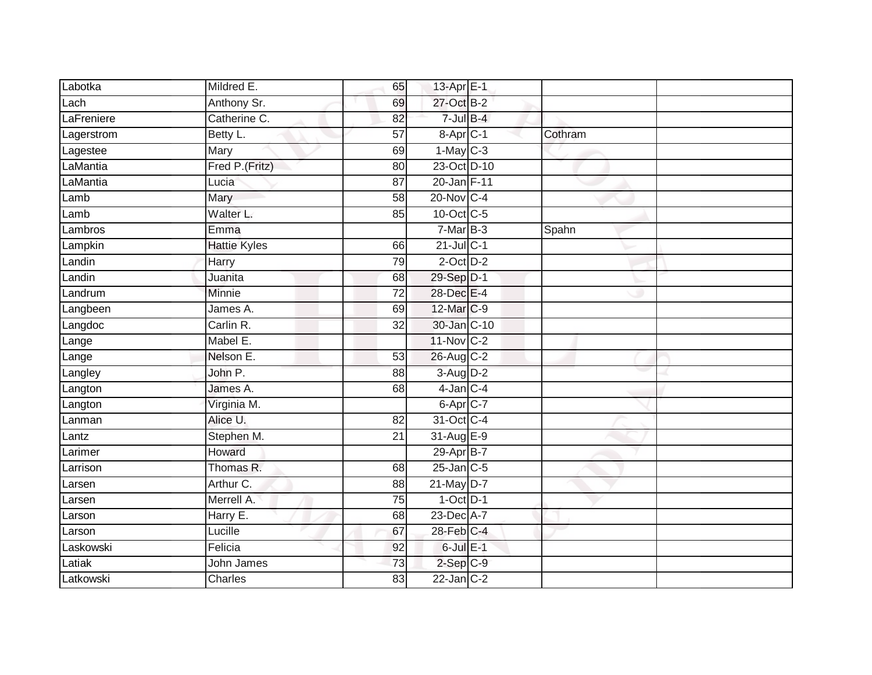| Labotka    | Mildred E.          | 65              | 13-Apr E-1                |         |
|------------|---------------------|-----------------|---------------------------|---------|
| Lach       | Anthony Sr.         | 69              | 27-Oct B-2                |         |
| LaFreniere | Catherine C.        | 82              | $7$ -Jul B-4              |         |
| Lagerstrom | Betty L.            | 57              | 8-Apr C-1                 | Cothram |
| Lagestee   | Mary                | 69              | $1-May$ C-3               |         |
| LaMantia   | Fred P.(Fritz)      | 80              | 23-Oct D-10               |         |
| LaMantia   | Lucia               | 87              | 20-Jan F-11               |         |
| Lamb       | Mary                | 58              | $20$ -Nov $ C-4 $         |         |
| Lamb       | Walter L.           | 85              | 10-Oct C-5                |         |
| Lambros    | Emma                |                 | $7-MarB-3$                | Spahn   |
| Lampkin    | <b>Hattie Kyles</b> | 66              | $21$ -Jul C-1             |         |
| Landin     | Harry               | 79              | $2$ -Oct $D-2$            |         |
| Landin     | Juanita             | 68              | 29-Sep D-1                |         |
| Landrum    | Minnie              | 72              | 28-Dec E-4                |         |
| Langbeen   | James A.            | 69              | 12-Mar C-9                |         |
| Langdoc    | Carlin R.           | 32              | 30-Jan C-10               |         |
| Lange      | Mabel E.            |                 | $11-Nov$ <sub>C</sub> -2  |         |
| Lange      | Nelson E.           | 53              | 26-Aug C-2                |         |
| Langley    | John P.             | 88              | $3-Aug$ $D-2$             |         |
| Langton    | James A.            | 68              | $4$ -Jan $C-4$            |         |
| Langton    | Virginia M.         |                 | $6 - Apr$ <sub>C</sub> -7 |         |
| Lanman     | Alice U.            | $\overline{82}$ | 31-Oct C-4                |         |
| Lantz      | Stephen M.          | 21              | 31-Aug E-9                |         |
| Larimer    | Howard              |                 | 29-Apr B-7                |         |
| Larrison   | Thomas R.           | 68              | $25$ -Jan $C$ -5          |         |
| Larsen     | Arthur C.           | 88              | $21$ -May $D-7$           |         |
| Larsen     | Merrell A.          | $\overline{75}$ | $1-Oct$ $D-1$             |         |
| Larson     | Harry E.            | 68              | 23-Dec A-7                |         |
| Larson     | Lucille             | 67              | 28-Feb C-4                |         |
| Laskowski  | Felicia             | 92              | $6$ -Jul $E-1$            |         |
| Latiak     | John James          | 73              | $2-Sep$ $C-9$             |         |
| Latkowski  | Charles             | $\overline{83}$ | $22$ -Jan $C-2$           |         |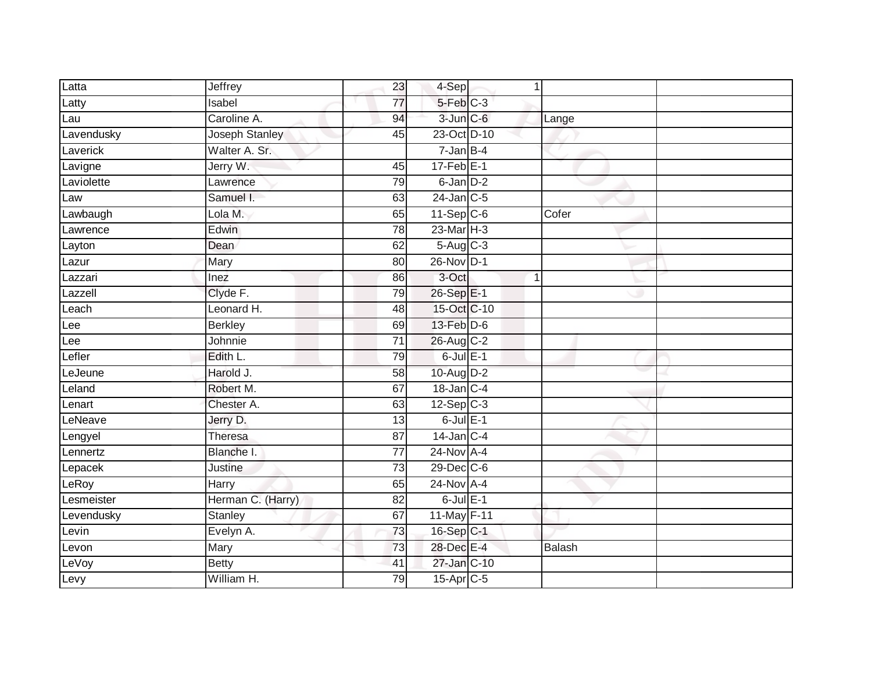| Latta      | Jeffrey           | 23              | 4-Sep           | 1           |        |  |
|------------|-------------------|-----------------|-----------------|-------------|--------|--|
| Latty      | Isabel            | 77              | 5-Feb C-3       |             |        |  |
| Lau        | Caroline A.       | 94              | $3$ -Jun $C$ -6 |             | Lange  |  |
| Lavendusky | Joseph Stanley    | 45              | 23-Oct D-10     |             |        |  |
| Laverick   | Walter A. Sr.     |                 | $7 - Jan$ B-4   |             |        |  |
| Lavigne    | Jerry W.          | 45              | $17$ -Feb $E-1$ |             |        |  |
| Laviolette | Lawrence          | 79              | 6-Jan D-2       |             |        |  |
| Law        | Samuel I.         | 63              | $24$ -Jan $C-5$ |             |        |  |
| Lawbaugh   | Lola M.           | 65              | $11-Sep C-6$    |             | Cofer  |  |
| Lawrence   | Edwin             | 78              | $23$ -Mar $H-3$ |             |        |  |
| Layton     | Dean              | 62              | 5-Aug C-3       |             |        |  |
| Lazur      | Mary              | 80              | 26-Nov D-1      |             |        |  |
| Lazzari    | Inez              | 86              | 3-Oct           | $\mathbf 1$ |        |  |
| Lazzell    | Clyde F.          | 79              | 26-Sep E-1      |             |        |  |
| Leach      | Leonard H.        | 48              | 15-Oct C-10     |             |        |  |
| Lee        | <b>Berkley</b>    | 69              | $13$ -Feb $D-6$ |             |        |  |
| Lee        | Johnnie           | 71              | 26-Aug C-2      |             |        |  |
| Lefler     | Edith L.          | 79              | $6$ -Jul $E-1$  |             |        |  |
| LeJeune    | Harold J.         | 58              | 10-Aug D-2      |             |        |  |
| Leland     | Robert M.         | 67              | $18$ -Jan $C-4$ |             |        |  |
| Lenart     | Chester A.        | 63              | $12-Sep C-3$    |             |        |  |
| LeNeave    | Jerry D.          | 13              | $6$ -Jul $E-1$  |             |        |  |
| Lengyel    | Theresa           | 87              | $14$ -Jan C-4   |             |        |  |
| Lennertz   | Blanche I.        | $\overline{77}$ | $24$ -Nov $A-4$ |             |        |  |
| Lepacek    | Justine           | 73              | 29-Dec C-6      |             |        |  |
| LeRoy      | Harry             | 65              | $24$ -Nov A-4   |             |        |  |
| Lesmeister | Herman C. (Harry) | 82              | $6$ -Jul $E-1$  |             |        |  |
| Levendusky | <b>Stanley</b>    | 67              | 11-May F-11     |             |        |  |
| Levin      | Evelyn A.         | 73              | 16-Sep C-1      |             |        |  |
| Levon      | Mary              | 73              | 28-Dec E-4      |             | Balash |  |
| LeVoy      | <b>Betty</b>      | 41              | 27-Jan C-10     |             |        |  |
| Levy       | William H.        | 79              | 15-Apr C-5      |             |        |  |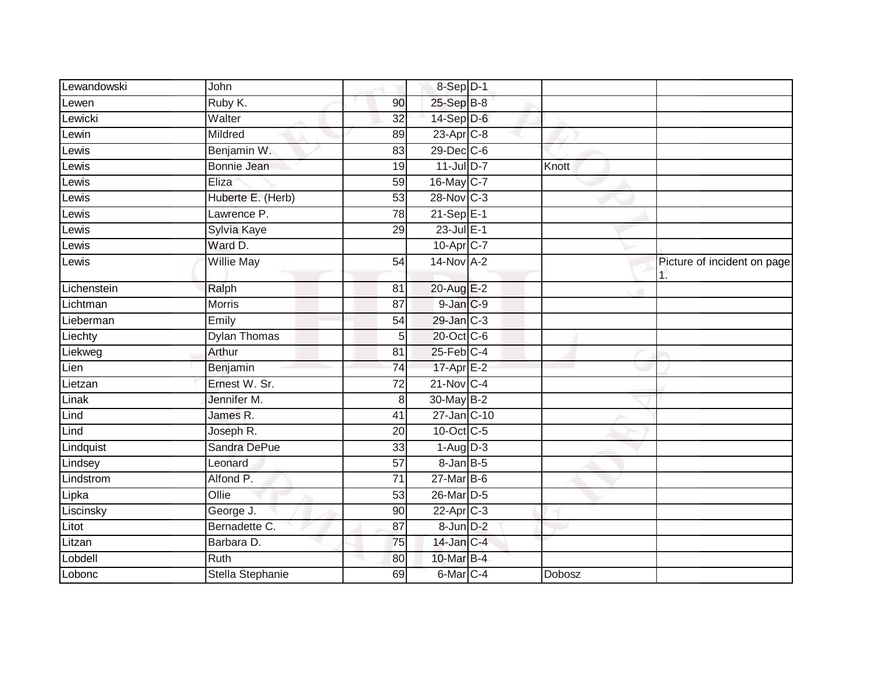| Lewandowski | John                |                 | 8-Sep D-1            |        |                                   |
|-------------|---------------------|-----------------|----------------------|--------|-----------------------------------|
| Lewen       | Ruby K.             | 90              | 25-Sep B-8           |        |                                   |
| Lewicki     | Walter              | 32              | $14-Sep$ D-6         |        |                                   |
| Lewin       | Mildred             | 89              | $23$ -Apr $C-8$      |        |                                   |
| Lewis       | Benjamin W.         | 83              | $29$ -Dec $C$ -6     |        |                                   |
| _ewis       | <b>Bonnie Jean</b>  | 19              | $11$ -Jul $D-7$      | Knott  |                                   |
| _ewis       | Eliza               | 59              | 16-May C-7           |        |                                   |
| Lewis       | Huberte E. (Herb)   | 53              | 28-Nov C-3           |        |                                   |
| _ewis       | Lawrence P.         | 78              | $21-Sep$ E-1         |        |                                   |
| Lewis       | Sylvia Kaye         | $\overline{29}$ | 23-Jul E-1           |        |                                   |
| Lewis       | Ward D.             |                 | 10-Apr C-7           |        |                                   |
| Lewis       | Willie May          | 54              | $14$ -Nov $A-2$      |        | Picture of incident on page<br>1. |
| Lichenstein | Ralph               | 81              | 20-Aug E-2           |        |                                   |
| Lichtman    | <b>Morris</b>       | 87              | 9-Jan C-9            |        |                                   |
| Lieberman   | Emily               | 54              | 29-Jan C-3           |        |                                   |
| Liechty     | <b>Dylan Thomas</b> | 5               | 20-Oct C-6           |        |                                   |
| Liekweg     | Arthur              | 81              | $25$ -Feb $C-4$      |        |                                   |
| Lien        | Benjamin            | 74              | 17-Apr E-2           |        |                                   |
| Lietzan     | Ernest W. Sr.       | $\overline{72}$ | $21$ -Nov $C-4$      |        |                                   |
| Linak       | Jennifer M.         | 8               | 30-May B-2           |        |                                   |
| Lind        | James R.            | 41              | 27-Jan C-10          |        |                                   |
| Lind        | Joseph R.           | 20              | 10-Oct C-5           |        |                                   |
| Lindquist   | Sandra DePue        | 33              | $1-AugD-3$           |        |                                   |
| Lindsey     | Leonard             | 57              | $8 - Jan$ $B - 5$    |        |                                   |
| Lindstrom   | Alfond P.           | $\overline{71}$ | 27-Mar B-6           |        |                                   |
| Lipka       | Ollie               | 53              | 26-Mar D-5           |        |                                   |
| Liscinsky   | George J.           | 90              | $22$ -Apr $C-3$      |        |                                   |
| Litot       | Bernadette C.       | 87              | 8-Jun D-2            |        |                                   |
| Litzan      | Barbara D.          | 75              | 14-Jan C-4           |        |                                   |
| Lobdell     | Ruth                | 80              | 10-Mar B-4           |        |                                   |
| Lobonc      | Stella Stephanie    | 69              | 6-Mar <sub>C-4</sub> | Dobosz |                                   |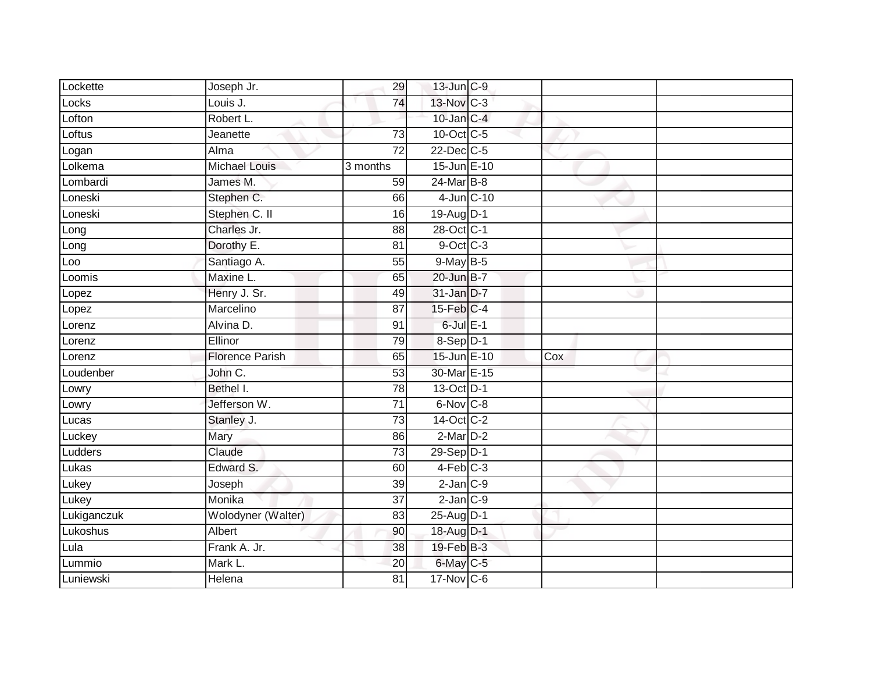| Lockette    | Joseph Jr.             | 29              | 13-Jun C-9        |     |  |
|-------------|------------------------|-----------------|-------------------|-----|--|
| Locks       | Louis J.               | 74              | 13-Nov C-3        |     |  |
| Lofton      | Robert L.              |                 | $10$ -Jan $C-4$   |     |  |
| Loftus      | Jeanette               | 73              | 10-Oct C-5        |     |  |
| Logan       | Alma                   | $\overline{72}$ | $22$ -Dec $C-5$   |     |  |
| Lolkema     | <b>Michael Louis</b>   | 3 months        | 15-Jun E-10       |     |  |
| Lombardi    | James M.               | 59              | 24-Mar B-8        |     |  |
| Loneski     | Stephen C.             | 66              | 4-Jun C-10        |     |  |
| Loneski     | Stephen C. II          | 16              | 19-Aug D-1        |     |  |
| Long        | Charles Jr.            | 88              | 28-Oct C-1        |     |  |
| Long        | Dorothy E.             | 81              | $9$ -Oct C-3      |     |  |
| Loo         | Santiago A.            | 55              | 9-May B-5         |     |  |
| Loomis      | Maxine L.              | 65              | 20-Jun B-7        |     |  |
| Lopez       | Henry J. Sr.           | 49              | 31-Jan D-7        |     |  |
| Lopez       | Marcelino              | $\overline{87}$ | $15$ -Feb $ C-4 $ |     |  |
| Lorenz      | Alvina D.              | 91              | $6$ -Jul $E-1$    |     |  |
| Lorenz      | Ellinor                | 79              | 8-Sep D-1         |     |  |
| Lorenz      | <b>Florence Parish</b> | 65              | 15-Jun E-10       | Cox |  |
| Loudenber   | John C.                | 53              | 30-Mar E-15       |     |  |
| Lowry       | Bethel I.              | 78              | 13-Oct D-1        |     |  |
| Lowry       | Jefferson W.           | $\overline{71}$ | 6-Nov C-8         |     |  |
| Lucas       | Stanley J.             | $\overline{73}$ | 14-Oct C-2        |     |  |
| Luckey      | Mary                   | 86              | 2-Mar D-2         |     |  |
| Ludders     | Claude                 | $\overline{73}$ | 29-Sep D-1        |     |  |
| Lukas       | Edward S.              | 60              | $4-Feb$ $C-3$     |     |  |
| Lukey       | Joseph                 | 39              | $2$ -Jan $C-9$    |     |  |
| Lukey       | Monika                 | $\overline{37}$ | $2$ -Jan $C-9$    |     |  |
| Lukiganczuk | Wolodyner (Walter)     | 83              | 25-Aug D-1        |     |  |
| Lukoshus    | Albert                 | 90              | 18-Aug D-1        |     |  |
| Lula        | Frank A. Jr.           | 38              | 19-Feb B-3        |     |  |
| Lummio      | Mark L.                | 20              | 6-May C-5         |     |  |
| Luniewski   | <b>Helena</b>          | $\overline{81}$ | 17-Nov C-6        |     |  |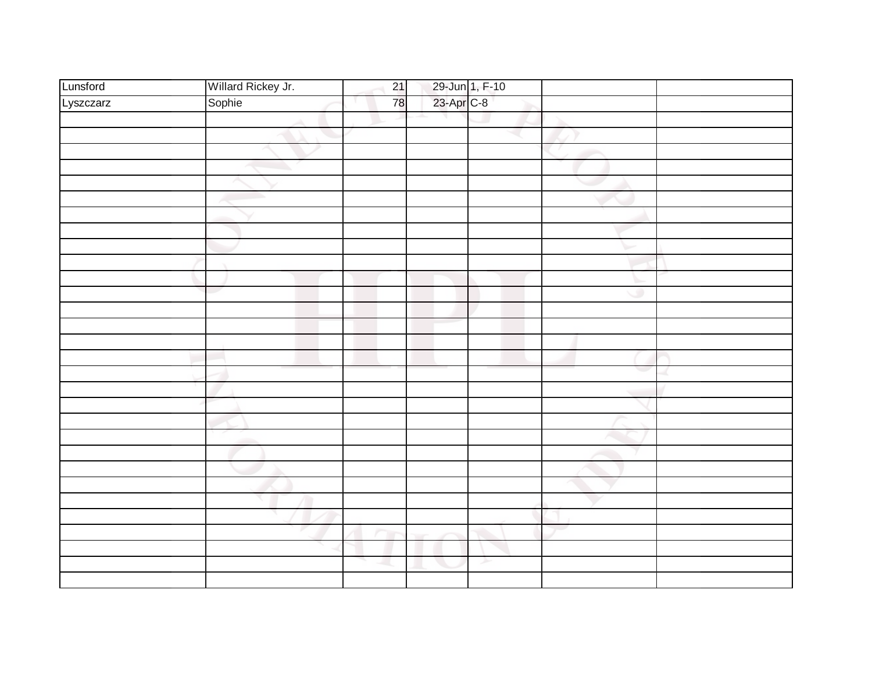| Lunsford  | Willard Rickey Jr. | 21 |                              |   |  |
|-----------|--------------------|----|------------------------------|---|--|
| Lyszczarz | Sophie             | 78 | 29-Jun 1, F-10<br>23-Apr C-8 |   |  |
|           |                    |    |                              |   |  |
|           |                    |    |                              |   |  |
|           |                    |    |                              |   |  |
|           |                    |    |                              |   |  |
|           |                    |    |                              |   |  |
|           |                    |    |                              |   |  |
|           |                    |    |                              |   |  |
|           |                    |    |                              |   |  |
|           |                    |    |                              |   |  |
|           |                    |    |                              |   |  |
|           |                    |    |                              |   |  |
|           |                    |    |                              | ۰ |  |
|           |                    |    |                              |   |  |
|           |                    |    |                              |   |  |
|           |                    |    |                              |   |  |
|           |                    |    |                              |   |  |
|           |                    |    |                              |   |  |
|           |                    |    |                              |   |  |
|           |                    |    |                              |   |  |
|           |                    |    |                              |   |  |
|           |                    |    |                              |   |  |
|           |                    |    |                              |   |  |
|           |                    |    |                              |   |  |
|           |                    |    |                              |   |  |
|           |                    |    |                              |   |  |
|           |                    |    |                              |   |  |
|           |                    |    |                              |   |  |
|           |                    |    |                              |   |  |
|           |                    |    | ≻                            |   |  |
|           |                    |    |                              |   |  |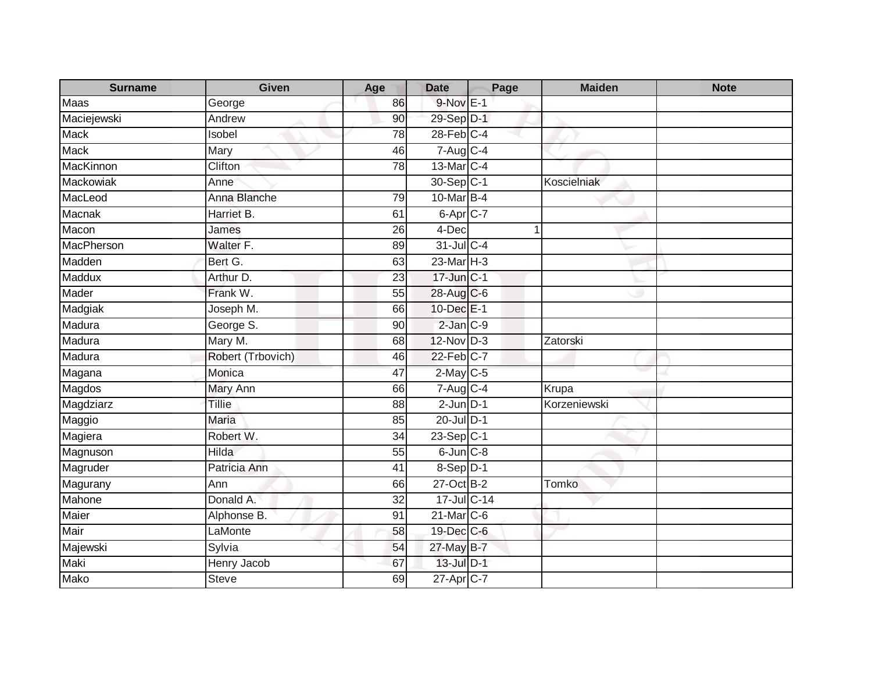| <b>Surname</b> | <b>Given</b>      | Age             | <b>Date</b>              | Page | <b>Maiden</b> | <b>Note</b> |
|----------------|-------------------|-----------------|--------------------------|------|---------------|-------------|
| Maas           | George            | 86              | $9-NovE-1$               |      |               |             |
| Maciejewski    | Andrew            | 90              | 29-Sep D-1               |      |               |             |
| Mack           | Isobel            | 78              | $28$ -Feb $C-4$          |      |               |             |
| <b>Mack</b>    | Mary              | 46              | 7-Aug C-4                |      |               |             |
| MacKinnon      | Clifton           | 78              | 13-Mar C-4               |      |               |             |
| Mackowiak      | Anne              |                 | 30-Sep C-1               |      | Koscielniak   |             |
| MacLeod        | Anna Blanche      | 79              | 10-Mar B-4               |      |               |             |
| Macnak         | Harriet B.        | 61              | 6-Apr C-7                |      |               |             |
| Macon          | James             | $\overline{26}$ | 4-Dec                    |      | $\mathbf 1$   |             |
| MacPherson     | Walter F.         | 89              | $31 -$ Jul C-4           |      |               |             |
| Madden         | Bert G.           | 63              | $23$ -Mar $H - 3$        |      |               |             |
| Maddux         | Arthur D.         | 23              | 17-Jun C-1               |      |               |             |
| Mader          | Frank W.          | 55              | 28-Aug C-6               |      |               |             |
| Madgiak        | Joseph M.         | 66              | 10-Dec E-1               |      |               |             |
| Madura         | George S.         | 90              | $2$ -Jan $C-9$           |      |               |             |
| Madura         | Mary M.           | 68              | 12-Nov D-3               |      | Zatorski      |             |
| Madura         | Robert (Trbovich) | 46              | $22-Feb$ <sub>C-7</sub>  |      |               |             |
| Magana         | Monica            | 47              | $2$ -May C-5             |      |               |             |
| <b>Magdos</b>  | <b>Mary Ann</b>   | 66              | $7 - Aug$ <sub>C-4</sub> |      | Krupa         |             |
| Magdziarz      | <b>Tillie</b>     | 88              | $2$ -Jun $D-1$           |      | Korzeniewski  |             |
| Maggio         | Maria             | 85              | 20-Jul D-1               |      |               |             |
| Magiera        | Robert W.         | 34              | $23-Sep C-1$             |      |               |             |
| Magnuson       | Hilda             | 55              | $6$ -Jun $C$ -8          |      |               |             |
| Magruder       | Patricia Ann      | 41              | $8-Sep$ D-1              |      |               |             |
| Magurany       | Ann               | 66              | 27-Oct B-2               |      | Tomko         |             |
| Mahone         | Donald A.         | $\overline{32}$ | 17-Jul C-14              |      |               |             |
| Maier          | Alphonse B.       | 91              | $21$ -Mar $C-6$          |      |               |             |
| Mair           | LaMonte           | 58              | 19-Dec C-6               |      |               |             |
| Majewski       | Sylvia            | 54              | 27-May B-7               |      |               |             |
| Maki           | Henry Jacob       | 67              | 13-Jul D-1               |      |               |             |
| Mako           | <b>Steve</b>      | 69              | 27-Apr C-7               |      |               |             |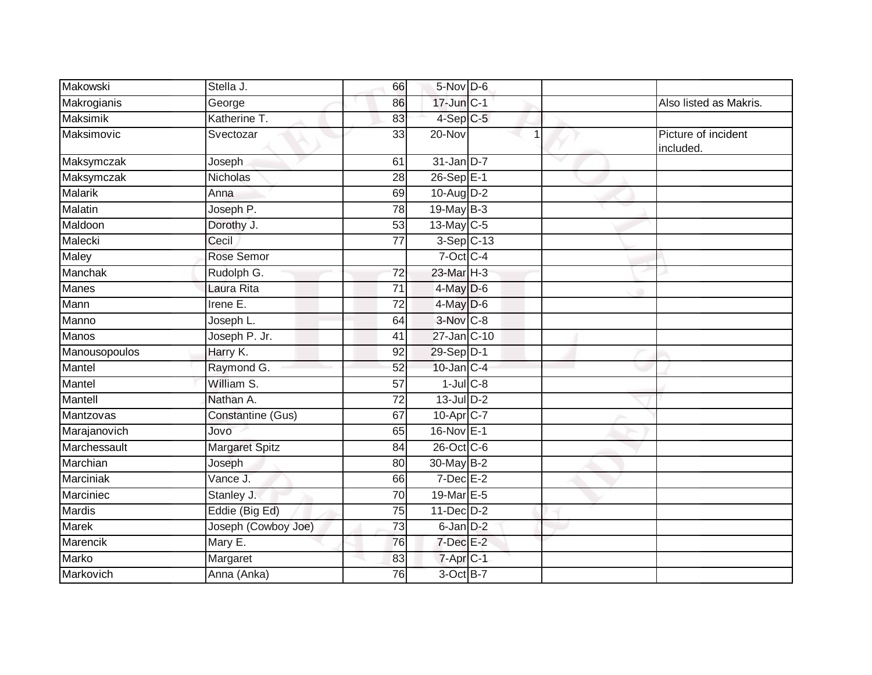| Makowski         | Stella J.           | 66              | 5-Nov D-6             |  |                                  |
|------------------|---------------------|-----------------|-----------------------|--|----------------------------------|
| Makrogianis      | George              | 86              | 17-Jun C-1            |  | Also listed as Makris.           |
| <b>Maksimik</b>  | Katherine T.        | 83              | $4-Sep$ $C-5$         |  |                                  |
| Maksimovic       | Svectozar           | 33              | 20-Nov                |  | Picture of incident<br>included. |
| Maksymczak       | Joseph              | 61              | $31$ -Jan D-7         |  |                                  |
| Maksymczak       | Nicholas            | 28              | 26-Sep E-1            |  |                                  |
| <b>Malarik</b>   | Anna                | 69              | 10-Aug D-2            |  |                                  |
| Malatin          | Joseph P.           | $\overline{78}$ | 19-May B-3            |  |                                  |
| Maldoon          | Dorothy J.          | 53              | 13-May C-5            |  |                                  |
| Malecki          | Cecil               | 77              | $3-Sep$ C-13          |  |                                  |
| <b>Maley</b>     | Rose Semor          |                 | $7$ -Oct C-4          |  |                                  |
| <b>Manchak</b>   | Rudolph G.          | $\overline{72}$ | 23-Mar H-3            |  |                                  |
| <b>Manes</b>     | Laura Rita          | $\overline{71}$ | $4$ -May D-6          |  |                                  |
| Mann             | Irene E.            | 72              | $4$ -May D-6          |  |                                  |
| Manno            | Joseph L.           | 64              | 3-Nov C-8             |  |                                  |
| Manos            | Joseph P. Jr.       | 41              | $27$ -Jan $ C-10$     |  |                                  |
| Manousopoulos    | Harry K.            | 92              | 29-Sep D-1            |  |                                  |
| Mantel           | Raymond G.          | 52              | $10$ -Jan $ C-4 $     |  |                                  |
| Mantel           | William S.          | 57              | $1$ -Jul $C$ -8       |  |                                  |
| Mantell          | Nathan A.           | $\overline{72}$ | 13-Jul D-2            |  |                                  |
| Mantzovas        | Constantine (Gus)   | 67              | 10-Apr C-7            |  |                                  |
| Marajanovich     | Jovo                | 65              | 16-Nov E-1            |  |                                  |
| Marchessault     | Margaret Spitz      | 84              | 26-Oct C-6            |  |                                  |
| Marchian         | Joseph              | 80              | 30-May B-2            |  |                                  |
| <b>Marciniak</b> | Vance J.            | 66              | $7$ -Dec $E-2$        |  |                                  |
| Marciniec        | Stanley J.          | 70              | 19-Mar E-5            |  |                                  |
| <b>Mardis</b>    | Eddie (Big Ed)      | 75              | $11$ -Dec $D-2$       |  |                                  |
| Marek            | Joseph (Cowboy Joe) | 73              | $6$ -Jan $D-2$        |  |                                  |
| Marencik         | Mary E.             | 76              | $7$ -Dec $E-2$        |  |                                  |
| Marko            | Margaret            | 83              | 7-Apr <sub>IC-1</sub> |  |                                  |
| Markovich        | Anna (Anka)         | 76              | 3-Oct B-7             |  |                                  |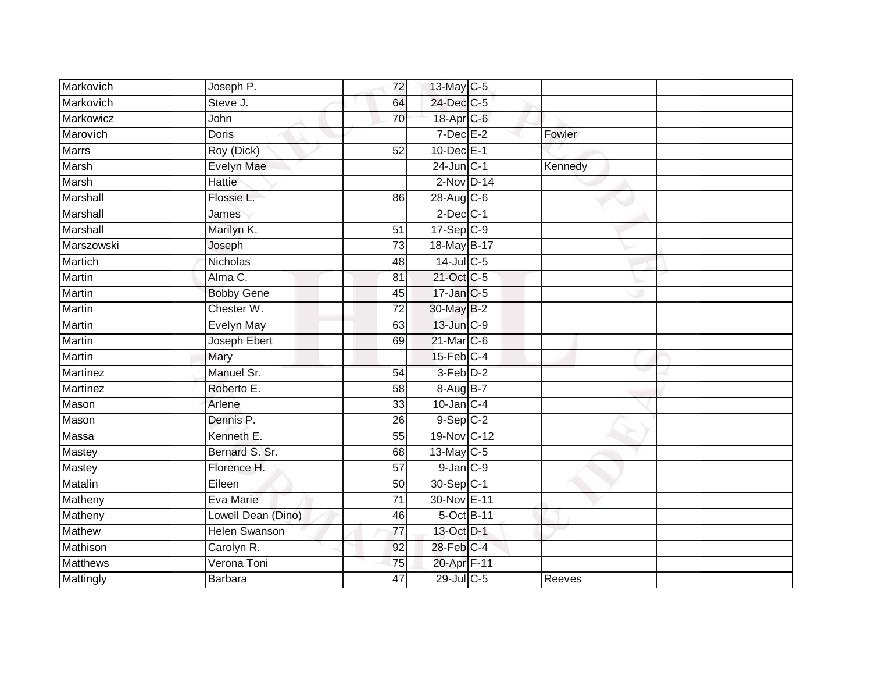| Markovich       | Joseph P.            | 72              | 13-May C-5      |         |  |
|-----------------|----------------------|-----------------|-----------------|---------|--|
| Markovich       | Steve J.             | 64              | 24-Dec C-5      |         |  |
| Markowicz       | John                 | 70              | 18-Apr C-6      |         |  |
| Marovich        | Doris                |                 | $7$ -Dec $E-2$  | Fowler  |  |
| <b>Marrs</b>    | Roy (Dick)           | 52              | $10$ -Dec $E-1$ |         |  |
| Marsh           | Evelyn Mae           |                 | $24$ -Jun $C-1$ | Kennedy |  |
| Marsh           | <b>Hattie</b>        |                 | $2-Nov$ D-14    |         |  |
| Marshall        | Flossie L.           | 86              | 28-Aug C-6      |         |  |
| Marshall        | James                |                 | $2$ -Dec $C-1$  |         |  |
| Marshall        | Marilyn K.           | $\overline{51}$ | $17-Sep C-9$    |         |  |
| Marszowski      | Joseph               | 73              | 18-May B-17     |         |  |
| Martich         | Nicholas             | 48              | 14-Jul C-5      |         |  |
| <b>Martin</b>   | Alma C.              | 81              | 21-Oct C-5      |         |  |
| <b>Martin</b>   | <b>Bobby Gene</b>    | 45              | 17-Jan C-5      |         |  |
| <b>Martin</b>   | Chester W.           | $\overline{72}$ | 30-May B-2      |         |  |
| Martin          | Evelyn May           | 63              | 13-Jun C-9      |         |  |
| Martin          | Joseph Ebert         | 69              | 21-Mar C-6      |         |  |
| <b>Martin</b>   | Mary                 |                 | $15$ -Feb $C-4$ |         |  |
| <b>Martinez</b> | Manuel Sr.           | 54              | 3-Feb D-2       |         |  |
| <b>Martinez</b> | Roberto E.           | 58              | 8-Aug B-7       |         |  |
| Mason           | Arlene               | 33              | $10$ -Jan $C-4$ |         |  |
| Mason           | Dennis P.            | 26              | $9-Sep$ $C-2$   |         |  |
| <b>Massa</b>    | Kenneth E.           | 55              | 19-Nov C-12     |         |  |
| <b>Mastey</b>   | Bernard S. Sr.       | 68              | 13-May C-5      |         |  |
| Mastey          | Florence H.          | 57              | $9$ -Jan $C-9$  |         |  |
| <b>Matalin</b>  | Eileen               | 50              | 30-Sep C-1      |         |  |
| Matheny         | Eva Marie            | $\overline{71}$ | 30-Nov E-11     |         |  |
| <b>Matheny</b>  | Lowell Dean (Dino)   | 46              | 5-Oct B-11      |         |  |
| <b>Mathew</b>   | <b>Helen Swanson</b> | $\overline{77}$ | 13-Oct D-1      |         |  |
| Mathison        | Carolyn R.           | 92              | 28-Feb C-4      |         |  |
| Matthews        | Verona Toni          | 75              | 20-Apr F-11     |         |  |
| Mattingly       | Barbara              | $\overline{47}$ | 29-Jul C-5      | Reeves  |  |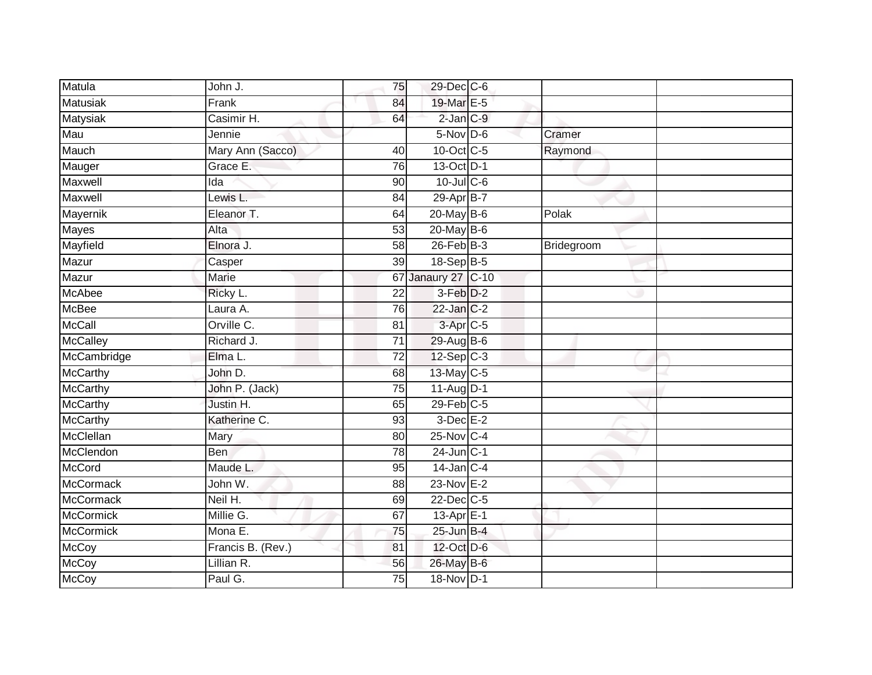| <b>Matula</b>    | John J.           | 75              | 29-Dec C-6           |            |  |
|------------------|-------------------|-----------------|----------------------|------------|--|
| Matusiak         | Frank             | 84              | 19-Mar E-5           |            |  |
| Matysiak         | Casimir H.        | 64              | $2$ -Jan $C-9$       |            |  |
| Mau              | Jennie            |                 | 5-Nov D-6            | Cramer     |  |
| Mauch            | Mary Ann (Sacco)  | 40              | 10-Oct C-5           | Raymond    |  |
| Mauger           | Grace E.          | 76              | 13-Oct D-1           |            |  |
| Maxwell          | Ida               | 90              | 10-Jul C-6           |            |  |
| Maxwell          | Lewis L.          | 84              | 29-Apr B-7           |            |  |
| Mayernik         | Eleanor T.        | 64              | 20-May B-6           | Polak      |  |
| <b>Mayes</b>     | Alta              | 53              | $20$ -May $B-6$      |            |  |
| Mayfield         | Elnora J.         | 58              | $26$ -Feb $B-3$      | Bridegroom |  |
| Mazur            | Casper            | 39              | 18-Sep B-5           |            |  |
| Mazur            | Marie             |                 | 67 Janaury 27 C-10   |            |  |
| McAbee           | Ricky L.          | $\overline{22}$ | 3-Feb D-2            |            |  |
| <b>McBee</b>     | Laura A.          | 76              | $22$ -Jan $C-2$      |            |  |
| McCall           | Orville C.        | $\overline{81}$ | 3-Apr <sub>C-5</sub> |            |  |
| McCalley         | Richard J.        | $\overline{71}$ | 29-Aug B-6           |            |  |
| McCambridge      | Elma L.           | 72              | $12-Sep$ C-3         |            |  |
| McCarthy         | John D.           | 68              | 13-May C-5           |            |  |
| McCarthy         | John P. (Jack)    | 75              | 11-Aug D-1           |            |  |
| <b>McCarthy</b>  | Justin H.         | 65              | $29$ -Feb $C-5$      |            |  |
| McCarthy         | Katherine C.      | 93              | $3$ -Dec $E-2$       |            |  |
| McClellan        | Mary              | 80              | 25-Nov C-4           |            |  |
| McClendon        | <b>Ben</b>        | 78              | $24$ -Jun $C-1$      |            |  |
| McCord           | Maude L.          | 95              | $14$ -Jan $C-4$      |            |  |
| <b>McCormack</b> | John W.           | 88              | $23-Nov$ E-2         |            |  |
| <b>McCormack</b> | Neil H.           | 69              | 22-Dec C-5           |            |  |
| <b>McCormick</b> | Millie G.         | 67              | $13$ -Apr $E-1$      |            |  |
| <b>McCormick</b> | Mona E.           | 75              | $25$ -Jun $B-4$      |            |  |
| <b>McCoy</b>     | Francis B. (Rev.) | 81              | 12-Oct D-6           |            |  |
| McCoy            | Lillian R.        | 56              | 26-May B-6           |            |  |
| McCoy            | Paul G.           | 75              | 18-Nov D-1           |            |  |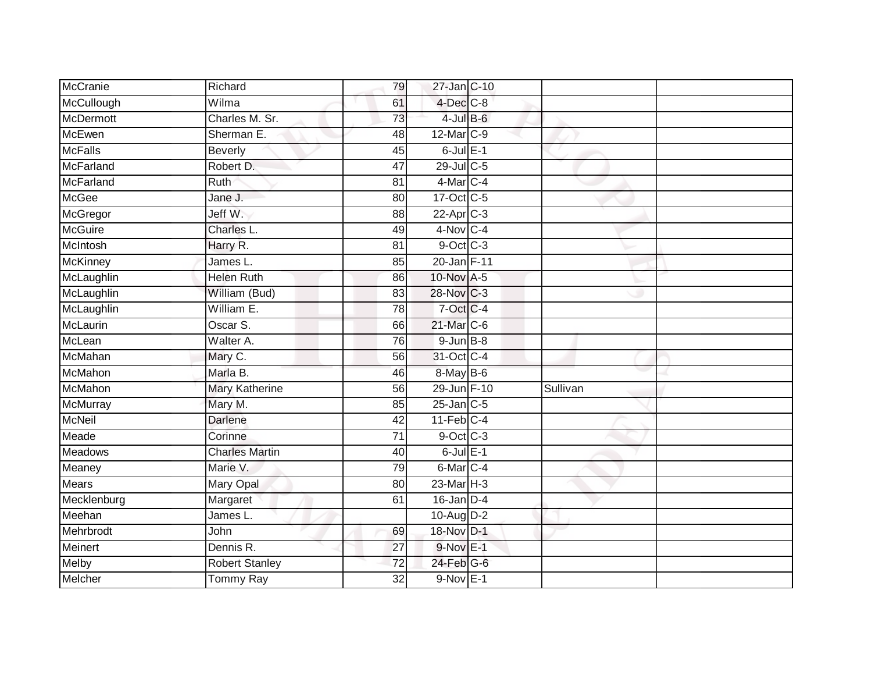| Richard               | 79              |  |                                                                                                                                                                                                                                                                                                                                                                                                                                                                                                                                |
|-----------------------|-----------------|--|--------------------------------------------------------------------------------------------------------------------------------------------------------------------------------------------------------------------------------------------------------------------------------------------------------------------------------------------------------------------------------------------------------------------------------------------------------------------------------------------------------------------------------|
| Wilma                 | 61              |  |                                                                                                                                                                                                                                                                                                                                                                                                                                                                                                                                |
| Charles M. Sr.        | 73              |  |                                                                                                                                                                                                                                                                                                                                                                                                                                                                                                                                |
| Sherman E.            | 48              |  |                                                                                                                                                                                                                                                                                                                                                                                                                                                                                                                                |
| <b>Beverly</b>        | 45              |  |                                                                                                                                                                                                                                                                                                                                                                                                                                                                                                                                |
| Robert D.             | 47              |  |                                                                                                                                                                                                                                                                                                                                                                                                                                                                                                                                |
| Ruth                  | 81              |  |                                                                                                                                                                                                                                                                                                                                                                                                                                                                                                                                |
| Jane J.               | 80              |  |                                                                                                                                                                                                                                                                                                                                                                                                                                                                                                                                |
| Jeff W.               | 88              |  |                                                                                                                                                                                                                                                                                                                                                                                                                                                                                                                                |
| Charles L.            | 49              |  |                                                                                                                                                                                                                                                                                                                                                                                                                                                                                                                                |
| Harry R.              | 81              |  |                                                                                                                                                                                                                                                                                                                                                                                                                                                                                                                                |
| James L.              | 85              |  |                                                                                                                                                                                                                                                                                                                                                                                                                                                                                                                                |
| <b>Helen Ruth</b>     | 86              |  |                                                                                                                                                                                                                                                                                                                                                                                                                                                                                                                                |
| William (Bud)         | 83              |  |                                                                                                                                                                                                                                                                                                                                                                                                                                                                                                                                |
| William E.            | 78              |  |                                                                                                                                                                                                                                                                                                                                                                                                                                                                                                                                |
| Oscar S.              | 66              |  |                                                                                                                                                                                                                                                                                                                                                                                                                                                                                                                                |
| Walter A.             | 76              |  |                                                                                                                                                                                                                                                                                                                                                                                                                                                                                                                                |
| Mary C.               | 56              |  |                                                                                                                                                                                                                                                                                                                                                                                                                                                                                                                                |
| Marla B.              | 46              |  |                                                                                                                                                                                                                                                                                                                                                                                                                                                                                                                                |
| <b>Mary Katherine</b> | 56              |  | Sullivan                                                                                                                                                                                                                                                                                                                                                                                                                                                                                                                       |
| Mary M.               | 85              |  |                                                                                                                                                                                                                                                                                                                                                                                                                                                                                                                                |
| Darlene               | 42              |  |                                                                                                                                                                                                                                                                                                                                                                                                                                                                                                                                |
| Corinne               | 71              |  |                                                                                                                                                                                                                                                                                                                                                                                                                                                                                                                                |
| <b>Charles Martin</b> | 40              |  |                                                                                                                                                                                                                                                                                                                                                                                                                                                                                                                                |
| Marie V.              | 79              |  |                                                                                                                                                                                                                                                                                                                                                                                                                                                                                                                                |
| Mary Opal             | 80              |  |                                                                                                                                                                                                                                                                                                                                                                                                                                                                                                                                |
| Margaret              | 61              |  |                                                                                                                                                                                                                                                                                                                                                                                                                                                                                                                                |
| James L.              |                 |  |                                                                                                                                                                                                                                                                                                                                                                                                                                                                                                                                |
| John                  | 69              |  |                                                                                                                                                                                                                                                                                                                                                                                                                                                                                                                                |
| Dennis R.             | 27              |  |                                                                                                                                                                                                                                                                                                                                                                                                                                                                                                                                |
| <b>Robert Stanley</b> | 72              |  |                                                                                                                                                                                                                                                                                                                                                                                                                                                                                                                                |
| Tommy Ray             | $\overline{32}$ |  |                                                                                                                                                                                                                                                                                                                                                                                                                                                                                                                                |
|                       |                 |  | 27-Jan C-10<br>$4$ -Dec $C$ -8<br>$4$ -Jul $B$ -6<br>12-Mar C-9<br>$6$ -Jul $E-1$<br>29-Jul C-5<br>$4$ -Mar $ C-4 $<br>17-Oct C-5<br>22-Apr <sub>C-3</sub><br>4-Nov C-4<br>$9$ -Oct $C$ -3<br>20-Jan F-11<br>10-Nov A-5<br>28-Nov C-3<br>7-Oct C-4<br>21-Mar C-6<br>$9$ -Jun $B$ -8<br>31-Oct C-4<br>8-May B-6<br>29-Jun F-10<br>$25$ -Jan $C$ -5<br>$11$ -Feb $C-4$<br>9-Oct C-3<br>$6$ -Jul $E-1$<br>6-Mar C-4<br>$23$ -Mar $H-3$<br>$16$ -Jan $D-4$<br>10-Aug $D-2$<br>18-Nov D-1<br>9-Nov E-1<br>24-Feb G-6<br>$9-Nov$ E-1 |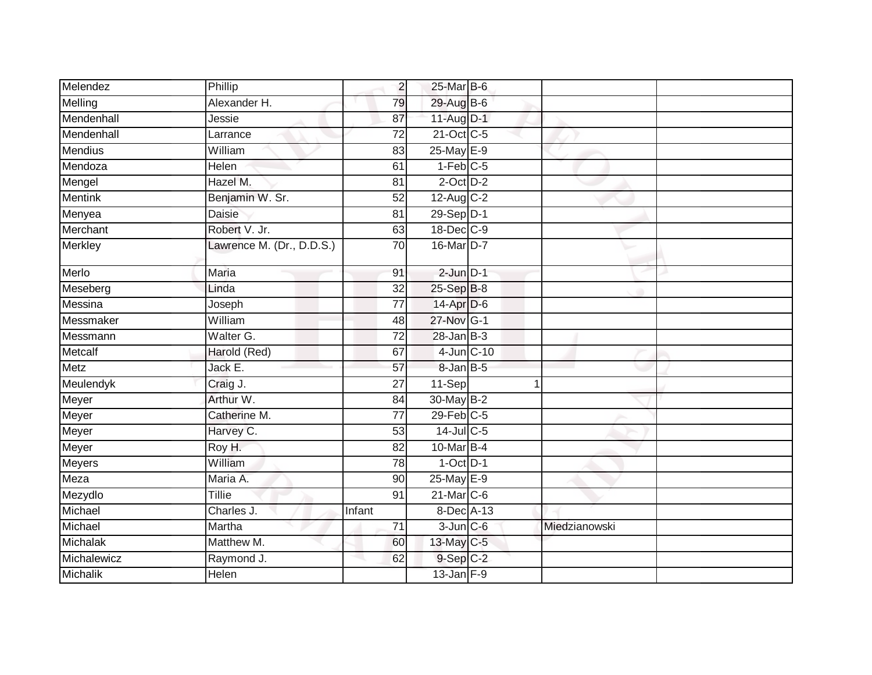| Melendez       | Phillip                   | $\overline{2}$  | 25-Mar B-6             |               |  |
|----------------|---------------------------|-----------------|------------------------|---------------|--|
| Melling        | Alexander H.              | 79              | 29-Aug B-6             |               |  |
| Mendenhall     | Jessie                    | 87              | 11-Aug D-1             |               |  |
| Mendenhall     | Larrance                  | 72              | 21-Oct C-5             |               |  |
| <b>Mendius</b> | William                   | 83              | 25-May E-9             |               |  |
| Mendoza        | Helen                     | 61              | $1-Feb$ <sub>C-5</sub> |               |  |
| Mengel         | Hazel M.                  | 81              | $2$ -Oct $D-2$         |               |  |
| <b>Mentink</b> | Benjamin W. Sr.           | 52              | 12-Aug C-2             |               |  |
| Menyea         | Daisie                    | 81              | 29-Sep D-1             |               |  |
| Merchant       | Robert V. Jr.             | 63              | 18-Dec C-9             |               |  |
| Merkley        | Lawrence M. (Dr., D.D.S.) | 70              | 16-Mar D-7             |               |  |
| Merlo          | Maria                     | 91              | $2$ -Jun $D-1$         |               |  |
| Meseberg       | Linda                     | $\overline{32}$ | 25-Sep B-8             |               |  |
| Messina        | Joseph                    | 77              | 14-Apr D-6             |               |  |
| Messmaker      | William                   | 48              | 27-Nov G-1             |               |  |
| Messmann       | Walter G.                 | $\overline{72}$ | $28$ -Jan B-3          |               |  |
| Metcalf        | Harold (Red)              | 67              | 4-Jun C-10             |               |  |
| Metz           | Jack E.                   | 57              | 8-Jan B-5              |               |  |
| Meulendyk      | Craig J.                  | 27              | 11-Sep                 |               |  |
| Meyer          | Arthur W.                 | 84              | 30-May B-2             |               |  |
| Meyer          | Catherine M.              | 77              | $29$ -Feb $C-5$        |               |  |
| Meyer          | Harvey C.                 | 53              | $14$ -Jul C-5          |               |  |
| Meyer          | Roy H.                    | 82              | 10-Mar B-4             |               |  |
| Meyers         | William                   | 78              | $1-Oct$ $D-1$          |               |  |
| Meza           | Maria A.                  | 90              | 25-May E-9             |               |  |
| Mezydlo        | <b>Tillie</b>             | 91              | 21-Mar C-6             |               |  |
| Michael        | Charles J.                | Infant          | 8-Dec A-13             |               |  |
| Michael        | Martha                    | 71              | $3$ -Jun $C$ -6        | Miedzianowski |  |
| Michalak       | Matthew M.                | 60              | 13-May C-5             |               |  |
| Michalewicz    | Raymond J.                | 62              | 9-Sep C-2              |               |  |
| Michalik       | Helen                     |                 | $13$ -Jan $F-9$        |               |  |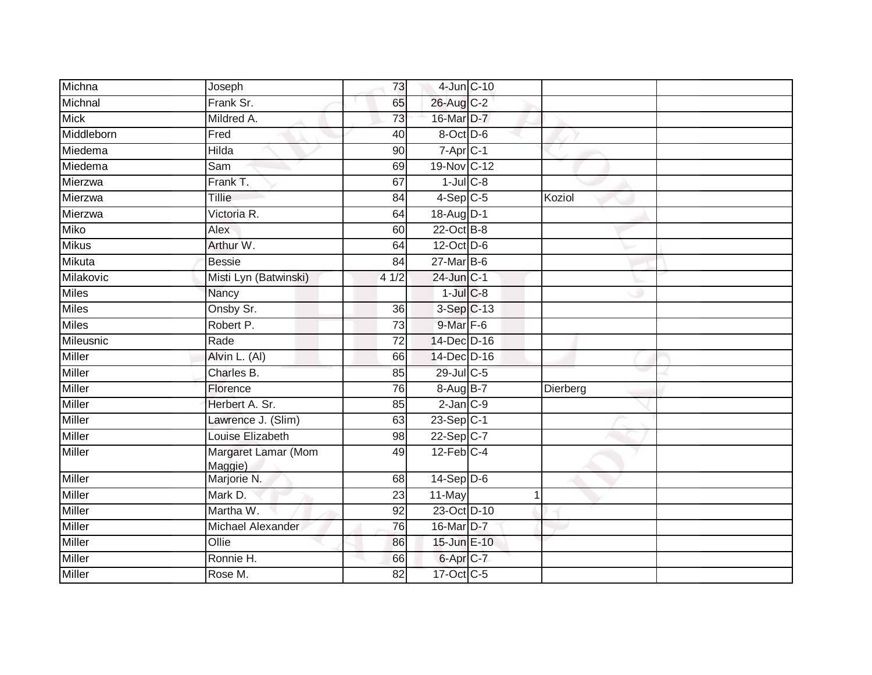| Michna        | Joseph                         | 73              | 4-Jun C-10       |          |  |
|---------------|--------------------------------|-----------------|------------------|----------|--|
| Michnal       | Frank Sr.                      | 65              | 26-Aug C-2       |          |  |
| <b>Mick</b>   | Mildred A.                     | 73              | 16-Mar D-7       |          |  |
| Middleborn    | Fred                           | 40              | 8-Oct D-6        |          |  |
| Miedema       | Hilda                          | 90              | $7 - Apr$ $C-1$  |          |  |
| Miedema       | Sam                            | 69              | 19-Nov C-12      |          |  |
| Mierzwa       | Frank T.                       | 67              | $1$ -Jul $C$ -8  |          |  |
| Mierzwa       | Tillie                         | 84              | $4-Sep$ C-5      | Koziol   |  |
| Mierzwa       | Victoria R.                    | 64              | 18-Aug D-1       |          |  |
| Miko          | Alex                           | 60              | $22$ -Oct $B-8$  |          |  |
| <b>Mikus</b>  | Arthur W.                      | 64              | 12-Oct D-6       |          |  |
| Mikuta        | <b>Bessie</b>                  | 84              | $27$ -Mar $B$ -6 |          |  |
| Milakovic     | Misti Lyn (Batwinski)          | 41/2            | 24-Jun C-1       |          |  |
| <b>Miles</b>  | Nancy                          |                 | $1$ -Jul $C$ -8  |          |  |
| <b>Miles</b>  | Onsby Sr.                      | 36              | $3-Sep C-13$     |          |  |
| <b>Miles</b>  | Robert P.                      | $\overline{73}$ | 9-Mar F-6        |          |  |
| Mileusnic     | Rade                           | $\overline{72}$ | 14-Dec D-16      |          |  |
| Miller        | Alvin L. (Al)                  | 66              | 14-Dec D-16      |          |  |
| <b>Miller</b> | Charles B.                     | 85              | 29-Jul C-5       |          |  |
| <b>Miller</b> | Florence                       | 76              | 8-Aug B-7        | Dierberg |  |
| Miller        | Herbert A. Sr.                 | 85              | $2$ -Jan $C-9$   |          |  |
| Miller        | Lawrence J. (Slim)             | 63              | $23-Sep C-1$     |          |  |
| <b>Miller</b> | Louise Elizabeth               | 98              | 22-Sep C-7       |          |  |
| <b>Miller</b> | Margaret Lamar (Mom<br>Maggie) | 49              | $12$ -Feb $C-4$  |          |  |
| <b>Miller</b> | Marjorie N.                    | 68              | $14-Sep D-6$     |          |  |
| <b>Miller</b> | Mark D.                        | 23              | 11-May           |          |  |
| Miller        | Martha W.                      | 92              | 23-Oct D-10      |          |  |
| Miller        | Michael Alexander              | 76              | 16-Mar D-7       |          |  |
| <b>Miller</b> | Ollie                          | 86              | 15-Jun E-10      |          |  |
| Miller        | Ronnie H.                      | 66              | 6-Apr C-7        |          |  |
| Miller        | Rose M.                        | 82              | 17-Oct C-5       |          |  |
|               |                                |                 |                  |          |  |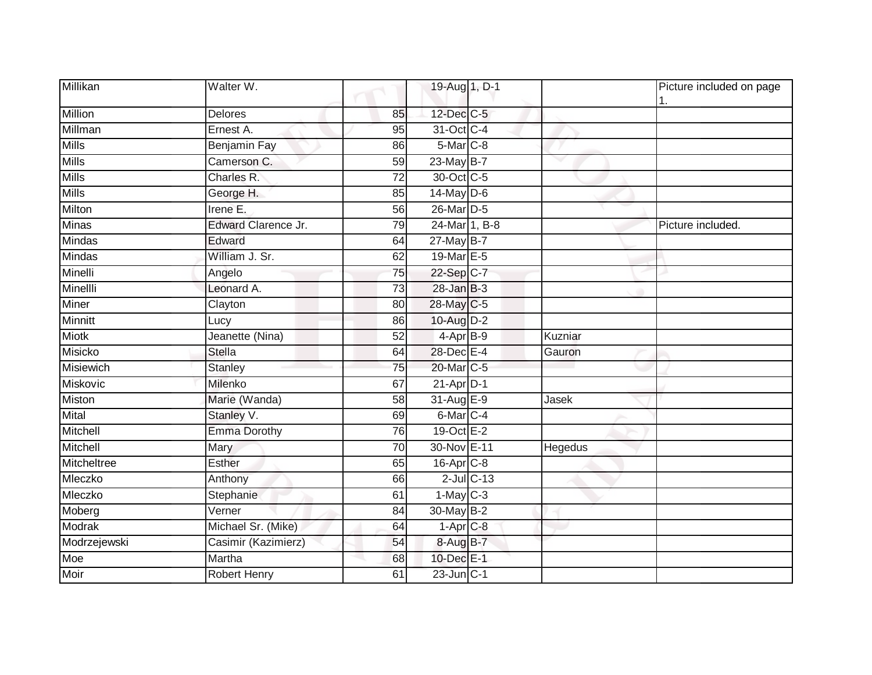| Millikan       | Walter W.           |                 | 19-Aug 1, D-1     |         | Picture included on page |
|----------------|---------------------|-----------------|-------------------|---------|--------------------------|
| Million        | <b>Delores</b>      | 85              | 12-Dec C-5        |         |                          |
| Millman        | Ernest A.           | 95              | 31-Oct C-4        |         |                          |
| Mills          | <b>Benjamin Fay</b> | 86              | 5-Mar C-8         |         |                          |
| <b>Mills</b>   | Camerson C.         | 59              | 23-May B-7        | v       |                          |
| <b>Mills</b>   | Charles R.          | $\overline{72}$ | 30-Oct C-5        |         |                          |
| <b>Mills</b>   | George H.           | 85              | $14$ -May D-6     |         |                          |
| Milton         | Irene E.            | $\overline{56}$ | 26-Mar D-5        |         |                          |
| Minas          | Edward Clarence Jr. | 79              | 24-Mar 1, B-8     |         | Picture included.        |
| Mindas         | Edward              | 64              | 27-May B-7        |         |                          |
| Mindas         | William J. Sr.      | 62              | 19-Mar E-5        |         |                          |
| Minelli        | Angelo              | $\overline{75}$ | 22-Sep C-7        |         |                          |
| Minellli       | Leonard A.          | $\overline{73}$ | $28 - Jan$ $B-3$  |         |                          |
| <b>Miner</b>   | Clayton             | 80              | 28-May C-5        |         |                          |
| <b>Minnitt</b> | Lucy                | 86              | 10-Aug D-2        |         |                          |
| <b>Miotk</b>   | Jeanette (Nina)     | 52              | 4-Apr B-9         | Kuzniar |                          |
| Misicko        | <b>Stella</b>       | 64              | 28-Dec E-4        | Gauron  |                          |
| Misiewich      | <b>Stanley</b>      | 75              | 20-Mar C-5        |         |                          |
| Miskovic       | Milenko             | 67              | $21-Apr D-1$      |         |                          |
| Miston         | Marie (Wanda)       | 58              | 31-Aug E-9        | Jasek   |                          |
| Mital          | Stanley V.          | 69              | 6-Mar C-4         |         |                          |
| Mitchell       | <b>Emma Dorothy</b> | 76              | 19-Oct E-2        |         |                          |
| Mitchell       | Mary                | 70              | 30-Nov E-11       | Hegedus |                          |
| Mitcheltree    | Esther              | 65              | 16-Apr C-8        |         |                          |
| Mleczko        | Anthony             | 66              | $2$ -Jul $C$ -13  |         |                          |
| Mleczko        | Stephanie           | 61              | $1-May$ $C-3$     |         |                          |
| Moberg         | Verner              | 84              | 30-May B-2        |         |                          |
| Modrak         | Michael Sr. (Mike)  | 64              | $1-AprC-8$        |         |                          |
| Modrzejewski   | Casimir (Kazimierz) | 54              | 8-Aug B-7         |         |                          |
| Moe            | Martha              | 68              | 10-Dec E-1        |         |                          |
| Moir           | <b>Robert Henry</b> | 61              | $23$ -Jun $ C-1 $ |         |                          |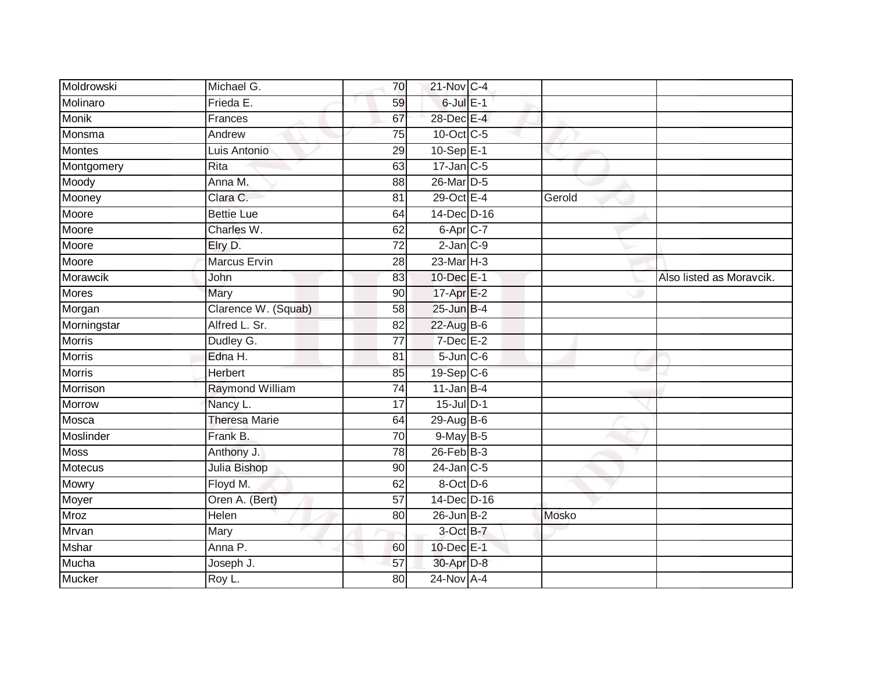| Moldrowski     | Michael G.             | 70              | 21-Nov C-4        |        |                          |
|----------------|------------------------|-----------------|-------------------|--------|--------------------------|
| Molinaro       | Frieda E.              | 59              | $6$ -Jul $E-1$    |        |                          |
| <b>Monik</b>   | Frances                | 67              | 28-Dec E-4        |        |                          |
| Monsma         | Andrew                 | 75              | 10-Oct C-5        |        |                          |
| <b>Montes</b>  | Luis Antonio           | 29              | $10-Sep$ E-1      |        |                          |
| Montgomery     | Rita                   | 63              | $17$ -Jan C-5     |        |                          |
| Moody          | Anna M.                | 88              | 26-Mar D-5        |        |                          |
| Mooney         | Clara C.               | 81              | 29-Oct E-4        | Gerold |                          |
| Moore          | <b>Bettie Lue</b>      | 64              | 14-Dec D-16       |        |                          |
| Moore          | Charles W.             | 62              | 6-Apr C-7         |        |                          |
| Moore          | Elry D.                | 72              | $2$ -Jan $C-9$    |        |                          |
| Moore          | <b>Marcus Ervin</b>    | 28              | $23$ -Mar $H-3$   |        |                          |
| Morawcik       | John                   | 83              | 10-Dec E-1        |        | Also listed as Moravcik. |
| <b>Mores</b>   | Mary                   | 90              | 17-Apr E-2        |        |                          |
| Morgan         | Clarence W. (Squab)    | $\overline{58}$ | $25$ -Jun $B-4$   |        |                          |
| Morningstar    | Alfred L. Sr.          | 82              | 22-Aug B-6        |        |                          |
| <b>Morris</b>  | Dudley G.              | 77              | $7$ -Dec $E-2$    |        |                          |
| <b>Morris</b>  | Edna H.                | 81              | $5 - Jun$ $C - 6$ |        |                          |
| <b>Morris</b>  | Herbert                | 85              | 19-Sep C-6        |        |                          |
| Morrison       | <b>Raymond William</b> | 74              | $11$ -Jan B-4     |        |                          |
| Morrow         | Nancy L.               | 17              | $15$ -Jul $D-1$   |        |                          |
| Mosca          | <b>Theresa Marie</b>   | 64              | 29-Aug B-6        |        |                          |
| Moslinder      | Frank B.               | 70              | 9-May B-5         |        |                          |
| <b>Moss</b>    | Anthony J.             | $\overline{78}$ | $26$ -Feb $B-3$   |        |                          |
| <b>Motecus</b> | Julia Bishop           | 90              | $24$ -Jan C-5     |        |                          |
| <b>Mowry</b>   | Floyd M.               | 62              | 8-Oct D-6         |        |                          |
| Moyer          | Oren A. (Bert)         | $\overline{57}$ | 14-Dec D-16       |        |                          |
| Mroz           | Helen                  | 80              | $26$ -Jun $B-2$   | Mosko  |                          |
| Mrvan          | Mary                   |                 | 3-Oct B-7         |        |                          |
| Mshar          | Anna P.                | 60              | 10-Dec E-1        |        |                          |
| Mucha          | Joseph J.              | 57              | 30-Apr D-8        |        |                          |
| <b>Mucker</b>  | Roy L.                 | $\overline{80}$ | 24-Nov A-4        |        |                          |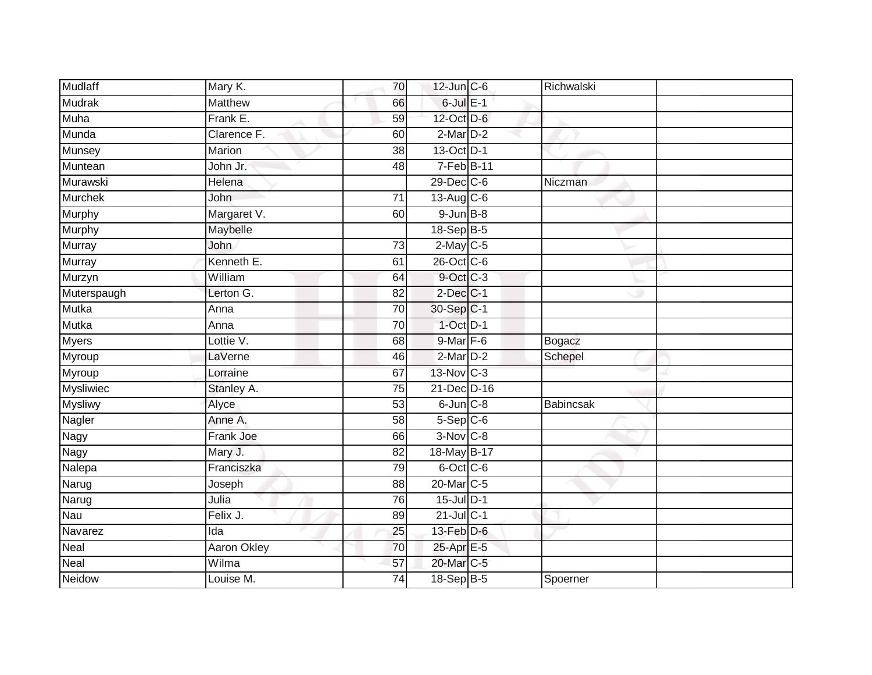| Mudlaff          | Mary K.            | 70              | $12$ -Jun $C - 6$        | Richwalski    |
|------------------|--------------------|-----------------|--------------------------|---------------|
| Mudrak           | <b>Matthew</b>     | 66              | $6$ -Jul $E-1$           |               |
| Muha             | Frank E.           | 59              | 12-Oct D-6               |               |
| Munda            | Clarence F.        | 60              | $2$ -Mar $D-2$           |               |
| Munsey           | Marion             | $\overline{38}$ | 13-Oct D-1               |               |
| Muntean          | John Jr:           | 48              | 7-Feb B-11               |               |
| Murawski         | Helena             |                 | 29-Dec C-6               | Niczman       |
| <b>Murchek</b>   | John               | 71              | 13-Aug C-6               |               |
| <b>Murphy</b>    | Margaret V.        | 60              | $9$ -Jun $B - 8$         |               |
| <b>Murphy</b>    | Maybelle           |                 | 18-Sep B-5               |               |
| Murray           | John               | 73              | $2$ -May C-5             |               |
| <b>Murray</b>    | Kenneth E.         | 61              | 26-Oct C-6               |               |
| Murzyn           | William            | 64              | 9-Oct C-3                |               |
| Muterspaugh      | Lerton G.          | 82              | $2$ -Dec $C-1$           |               |
| Mutka            | Anna               | 70              | 30-Sep C-1               |               |
| Mutka            | Anna               | 70              | $1$ -Oct $D-1$           |               |
| Myers            | Lottie V.          | 68              | 9-Mar F-6                | <b>Bogacz</b> |
| Myroup           | LaVerne            | 46              | $2-Mar$ D-2              | Schepel       |
| Myroup           | Lorraine           | 67              | 13-Nov C-3               |               |
| <b>Mysliwiec</b> | Stanley A.         | 75              | 21-Dec D-16              |               |
| <b>Mysliwy</b>   | Alyce              | 53              | $6$ -Jun $C-8$           | Babincsak     |
| Nagler           | Anne A.            | $\overline{58}$ | $5-Sep$ C-6              |               |
| Nagy             | Frank Joe          | 66              | $3-Nov$ C-8              |               |
| Nagy             | Mary J.            | 82              | 18-May B-17              |               |
| Nalepa           | Franciszka         | 79              | 6-Oct C-6                |               |
| Narug            | Joseph             | 88              | 20-Mar C-5               |               |
| Narug            |                    |                 | $15$ -Jul $D-1$          |               |
| Nau              | Julia              | 76              |                          |               |
|                  | Felix J.           | 89              | $21$ -Jul C-1            |               |
| Navarez          | Ida                | 25              | 13-Feb D-6               |               |
| Neal             | <b>Aaron Okley</b> | 70              | 25-Apr E-5               |               |
| Neal<br>Neidow   | Wilma<br>Louise M. | 57              | 20-Mar C-5<br>18-Sep B-5 |               |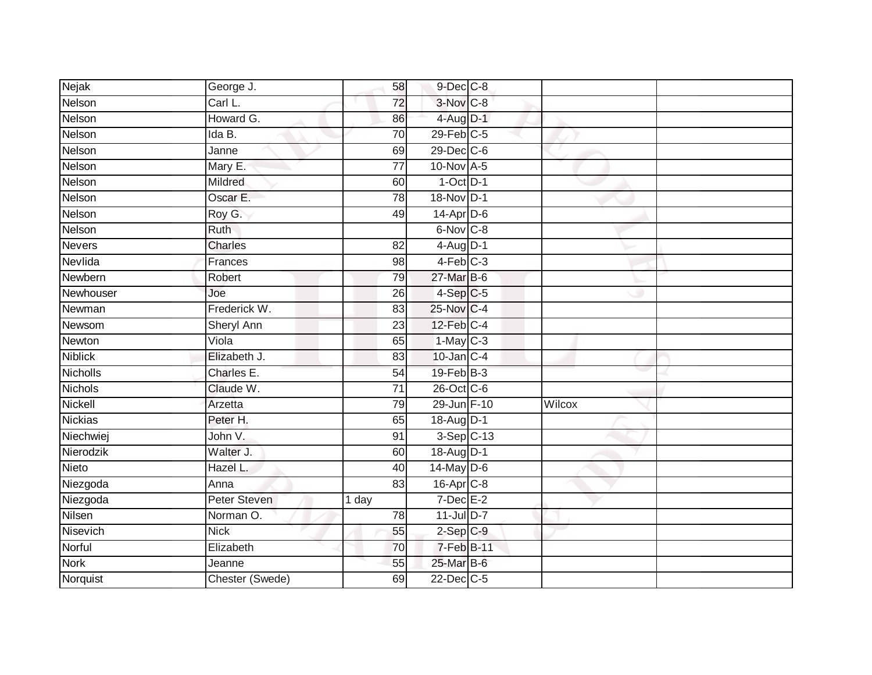| Nejak          | George J.           | 58              | 9-Dec C-8              |        |  |
|----------------|---------------------|-----------------|------------------------|--------|--|
| Nelson         | Carl L.             | 72              | $3-Nov$ <sub>C-8</sub> |        |  |
| Nelson         | Howard G.           | 86              | 4-Aug D-1              |        |  |
| Nelson         | Ida B.              | 70              | $29$ -Feb $C-5$        |        |  |
| Nelson         | Janne               | 69              | 29-Dec C-6             |        |  |
| Nelson         | Mary E.             | $\overline{77}$ | 10-Nov A-5             |        |  |
| Nelson         | Mildred             | 60              | $1-Oct$ <sub>D-1</sub> |        |  |
| Nelson         | Oscar E.            | 78              | 18-Nov D-1             |        |  |
| Nelson         | Roy G.              | 49              | $14$ -Apr $D-6$        |        |  |
| Nelson         | Ruth                |                 | 6-Nov C-8              |        |  |
| <b>Nevers</b>  | <b>Charles</b>      | 82              | $4$ -Aug $D-1$         |        |  |
| Nevlida        | Frances             | 98              | $4-Feb$ <sub>C-3</sub> |        |  |
| Newbern        | Robert              | 79              | $27$ -Mar $B$ -6       |        |  |
| Newhouser      | Joe                 | 26              | $4-Sep$ C-5            |        |  |
| Newman         | Frederick W.        | 83              | 25-Nov C-4             |        |  |
| Newsom         | Sheryl Ann          | 23              | 12-Feb C-4             |        |  |
| Newton         | Viola               | 65              | $1-May$ C-3            |        |  |
| <b>Niblick</b> | Elizabeth J.        | 83              | $10$ -Jan $C-4$        |        |  |
| Nicholls       | Charles E.          | 54              | $19$ -Feb $B-3$        |        |  |
| <b>Nichols</b> | Claude W.           | $\overline{71}$ | 26-Oct C-6             |        |  |
| Nickell        | Arzetta             | 79              | 29-Jun F-10            | Wilcox |  |
| <b>Nickias</b> | Peter H.            | 65              | 18-Aug D-1             |        |  |
| Niechwiej      | John V.             | 91              | $3-Sep$ C-13           |        |  |
| Nierodzik      | Walter J.           | 60              | 18-Aug D-1             |        |  |
| Nieto          | Hazel L.            | 40              | $14$ -May D-6          |        |  |
| Niezgoda       | Anna                | 83              | 16-Apr C-8             |        |  |
| Niezgoda       | <b>Peter Steven</b> | 1 day           | $7$ -Dec $E-2$         |        |  |
| Nilsen         | Norman O.           | 78              | $11$ -Jul D-7          |        |  |
| Nisevich       | <b>Nick</b>         | 55              | $2-Sep$ $C-9$          |        |  |
| Norful         | Elizabeth           | 70              | 7-Feb B-11             |        |  |
| <b>Nork</b>    | Jeanne              | 55              | 25-Mar B-6             |        |  |
| Norquist       | Chester (Swede)     | 69              | 22-Dec C-5             |        |  |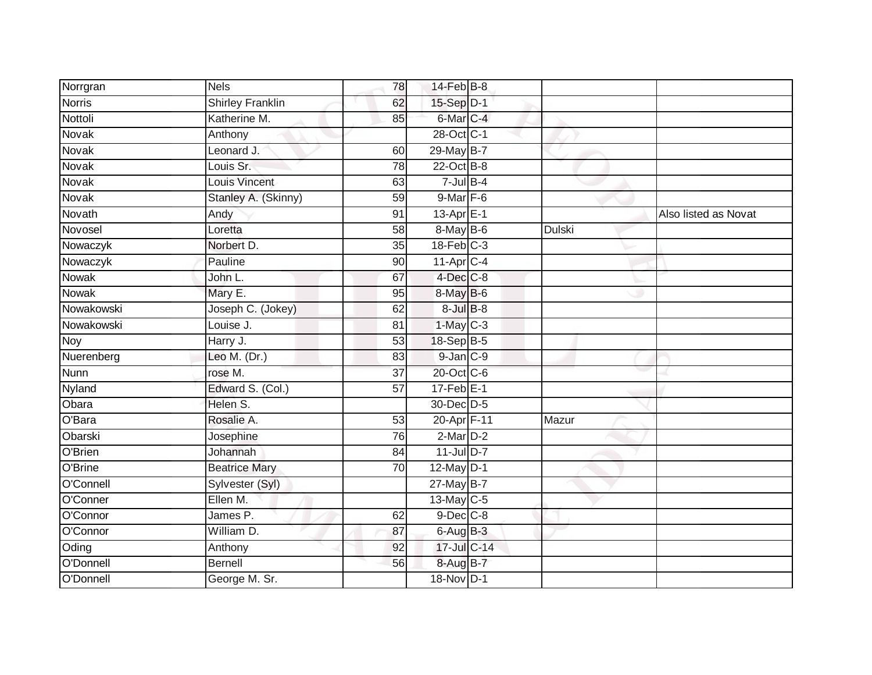| Norrgran      | <b>Nels</b>             | 78              | $14$ -Feb $B$ -8      |               |                      |
|---------------|-------------------------|-----------------|-----------------------|---------------|----------------------|
| <b>Norris</b> | <b>Shirley Franklin</b> | 62              | 15-Sep D-1            |               |                      |
| Nottoli       | Katherine M.            | 85              | 6-Mar C-4             |               |                      |
| Novak         | Anthony                 |                 | 28-Oct C-1            |               |                      |
| Novak         | Leonard J.              | 60              | 29-May B-7            |               |                      |
| Novak         | Louis Sr.               | 78              | $22$ -Oct B-8         |               |                      |
| <b>Novak</b>  | <b>Louis Vincent</b>    | 63              | $7$ -Jul $B-4$        |               |                      |
| Novak         | Stanley A. (Skinny)     | 59              | $9$ -Mar $F-6$        |               |                      |
| Novath        | Andy                    | 91              | 13-Apr <sub>E-1</sub> |               | Also listed as Novat |
| Novosel       | Loretta                 | $\overline{58}$ | 8-May B-6             | <b>Dulski</b> |                      |
| Nowaczyk      | Norbert D.              | 35              | 18-Feb C-3            |               |                      |
| Nowaczyk      | Pauline                 | 90              | 11-Apr C-4            |               |                      |
| Nowak         | John L.                 | 67              | 4-Dec <sub>C-8</sub>  |               |                      |
| Nowak         | Mary E.                 | 95              | 8-May B-6             |               |                      |
| Nowakowski    | Joseph C. (Jokey)       | 62              | $8$ -Jul $B$ -8       |               |                      |
| Nowakowski    | Louise J.               | $\overline{81}$ | 1-May C-3             |               |                      |
| <b>Noy</b>    | Harry J.                | 53              | 18-Sep B-5            |               |                      |
| Nuerenberg    | Leo M. $(Dr.)$          | 83              | $9$ -Jan $C-9$        |               |                      |
| Nunn          | rose M.                 | 37              | 20-Oct C-6            |               |                      |
| Nyland        | Edward S. (Col.)        | $\overline{57}$ | $17-FebE-1$           |               |                      |
| Obara         | Helen S.                |                 | 30-Dec D-5            |               |                      |
| O'Bara        | Rosalie A.              | 53              | 20-Apr F-11           | Mazur         |                      |
| Obarski       | Josephine               | 76              | $2$ -Mar $D-2$        |               |                      |
| O'Brien       | Johannah                | 84              | $11$ -Jul $D-7$       |               |                      |
| O'Brine       | <b>Beatrice Mary</b>    | 70              | 12-May D-1            |               |                      |
| O'Connell     | Sylvester (Syl)         |                 | 27-May B-7            |               |                      |
| O'Conner      | Ellen M.                |                 | 13-May C-5            |               |                      |
| O'Connor      | James P.                | 62              | $9$ -Dec $C$ -8       |               |                      |
| O'Connor      | William D.              | 87              | 6-Aug B-3             |               |                      |
| Oding         | Anthony                 | 92              | 17-Jul C-14           |               |                      |
| O'Donnell     | <b>Bernell</b>          | 56              | 8-Aug B-7             |               |                      |
| O'Donnell     | George M. Sr.           |                 | 18-Nov D-1            |               |                      |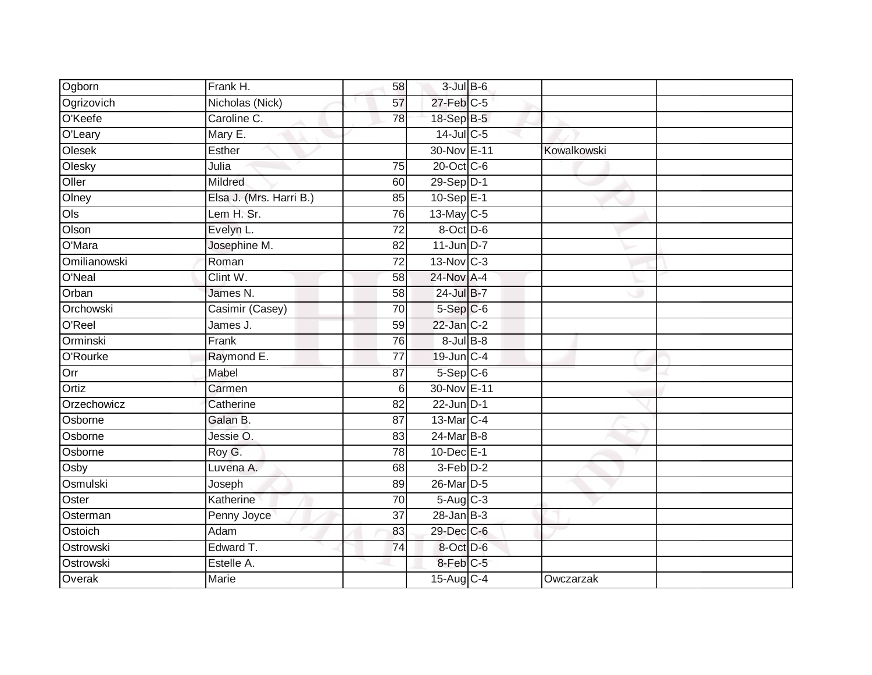| Ogborn       | Frank H.                | 58              | $3$ -Jul $B$ -6   |             |  |
|--------------|-------------------------|-----------------|-------------------|-------------|--|
| Ogrizovich   | Nicholas (Nick)         | 57              | $27$ -Feb $C-5$   |             |  |
| O'Keefe      | Caroline C.             | 78              | 18-Sep B-5        |             |  |
| O'Leary      | Mary E.                 |                 | $14$ -Jul C-5     |             |  |
| Olesek       | Esther                  |                 | 30-Nov E-11       | Kowalkowski |  |
| Olesky       | Julia                   | $\overline{75}$ | 20-Oct C-6        |             |  |
| Oller        | Mildred                 | 60              | 29-Sep D-1        |             |  |
| Olney        | Elsa J. (Mrs. Harri B.) | 85              | 10-Sep $E-1$      |             |  |
| Ols          | Lem H. Sr.              | 76              | 13-May C-5        |             |  |
| Olson        | Evelyn L.               | $\overline{72}$ | 8-Oct D-6         |             |  |
| O'Mara       | Josephine M.            | 82              | $11$ -Jun D-7     |             |  |
| Omilianowski | Roman                   | $\overline{72}$ | 13-Nov C-3        |             |  |
| O'Neal       | Clint W.                | 58              | 24-Nov A-4        |             |  |
| Orban        | James N.                | 58              | 24-Jul B-7        |             |  |
| Orchowski    | Casimir (Casey)         | $\overline{70}$ | $5-Sep$ $C-6$     |             |  |
| O'Reel       | James J.                | 59              | $22$ -Jan $C-2$   |             |  |
| Orminski     | Frank                   | 76              | $8 -$ Jul $B - 8$ |             |  |
| O'Rourke     | Raymond E.              | 77              | 19-Jun C-4        |             |  |
| Orr          | Mabel                   | 87              | $5-$ Sep $C-6$    |             |  |
| Ortiz        | Carmen                  | 6               | 30-Nov E-11       |             |  |
| Orzechowicz  | Catherine               | 82              | $22$ -Jun $D-1$   |             |  |
| Osborne      | Galan B.                | 87              | 13-Mar C-4        |             |  |
| Osborne      | Jessie O.               | 83              | 24-Mar B-8        |             |  |
| Osborne      | Roy G.                  | 78              | 10-Dec E-1        |             |  |
| Osby         | Luvena A.               | 68              | $3-Feb D-2$       |             |  |
| Osmulski     | Joseph                  | 89              | 26-Mar D-5        |             |  |
| Oster        | Katherine               | 70              | $5-Aug$ $C-3$     |             |  |
| Osterman     | Penny Joyce             | 37              | $28$ -Jan $B-3$   |             |  |
| Ostoich      | Adam                    | 83              | 29-Dec C-6        |             |  |
| Ostrowski    | Edward T.               | 74              | 8-Oct D-6         |             |  |
| Ostrowski    | Estelle A.              |                 | 8-Feb C-5         |             |  |
| Overak       | <b>Marie</b>            |                 | 15-Aug C-4        | Owczarzak   |  |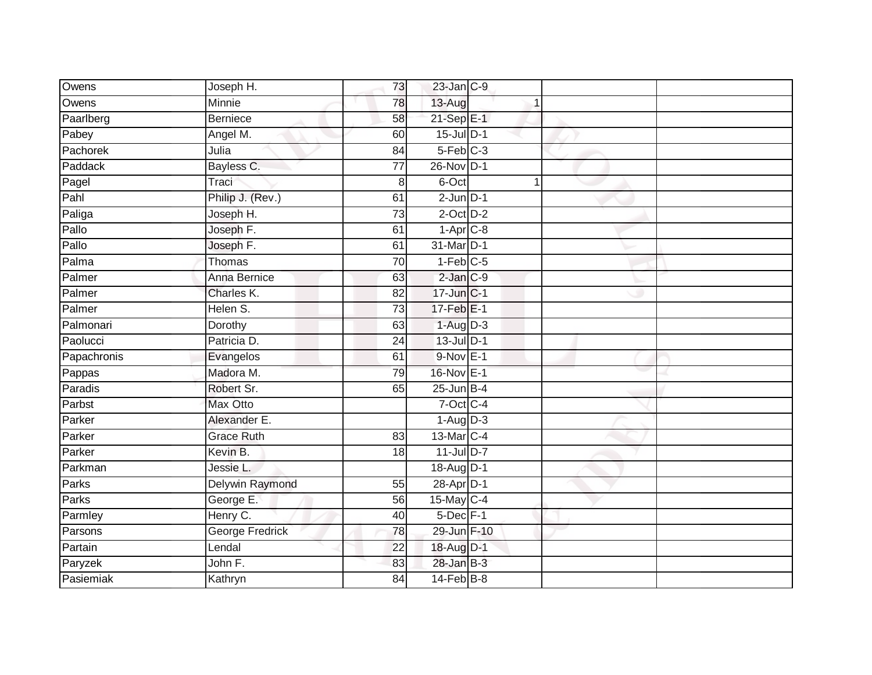| Owens       | Joseph H.              | 73              | $23$ -Jan $C-9$        |   |  |
|-------------|------------------------|-----------------|------------------------|---|--|
| Owens       | Minnie                 | 78              | $13-Aug$               |   |  |
| Paarlberg   | <b>Berniece</b>        | 58              | 21-Sep E-1             |   |  |
| Pabey       | Angel M.               | 60              | 15-Jul D-1             |   |  |
| Pachorek    | Julia                  | $\overline{84}$ | $5-Feb$ <sub>C-3</sub> |   |  |
| Paddack     | Bayless C.             | 77              | 26-Nov D-1             |   |  |
| Pagel       | Traci                  | 8               | 6-Oct                  | 1 |  |
| Pahl        | Philip J. (Rev.)       | 61              | $2$ -Jun $D-1$         |   |  |
| Paliga      | Joseph H.              | $\overline{73}$ | $2$ -Oct $D-2$         |   |  |
| Pallo       | Joseph F.              | 61              | $1-AprC-8$             |   |  |
| Pallo       | Joseph F.              | 61              | 31-Mar D-1             |   |  |
| Palma       | Thomas                 | 70              | $1-Feb$ C-5            |   |  |
| Palmer      | <b>Anna Bernice</b>    | 63              | $2$ -Jan $C-9$         |   |  |
| Palmer      | Charles K.             | 82              | 17-Jun C-1             |   |  |
| Palmer      | Helen S.               | $\overline{73}$ | 17-Feb E-1             |   |  |
| Palmonari   | Dorothy                | 63              | $1-Aug$ D-3            |   |  |
| Paolucci    | Patricia D.            | $\overline{24}$ | $13$ -Jul $D-1$        |   |  |
| Papachronis | Evangelos              | 61              | $9-Nov$ E-1            |   |  |
| Pappas      | Madora M.              | 79              | 16-Nov E-1             |   |  |
| Paradis     | Robert Sr.             | 65              | $25$ -Jun $B-4$        |   |  |
| Parbst      | Max Otto               |                 | $7$ -Oct $C-4$         |   |  |
| Parker      | Alexander E.           |                 | $1-Aug$ $D-3$          |   |  |
| Parker      | <b>Grace Ruth</b>      | 83              | 13-Mar C-4             |   |  |
| Parker      | Kevin B.               | 18              | $11$ -Jul D-7          |   |  |
| Parkman     | Jessie L.              |                 | 18-Aug D-1             |   |  |
| Parks       | Delywin Raymond        | 55              | 28-Apr D-1             |   |  |
| Parks       | George E.              | 56              | 15-May C-4             |   |  |
| Parmley     | Henry C.               | 40              | $5$ -Dec $F-1$         |   |  |
| Parsons     | <b>George Fredrick</b> | 78              | 29-Jun F-10            |   |  |
| Partain     | Lendal                 | 22              | 18-Aug D-1             |   |  |
| Paryzek     | John F.                | 83              | $28$ -Jan B-3          |   |  |
| Pasiemiak   | Kathryn                | $\overline{84}$ | $14$ -Feb $B$ -8       |   |  |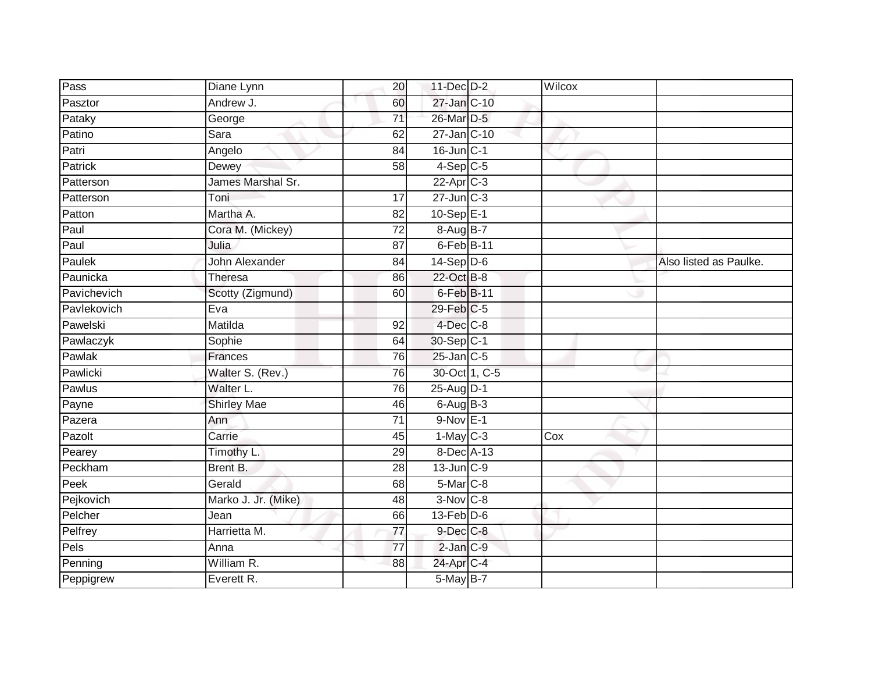| Pass        | Diane Lynn          | 20              | 11-Dec D-2              | Wilcox |                        |
|-------------|---------------------|-----------------|-------------------------|--------|------------------------|
| Pasztor     | Andrew J.           | 60              | 27-Jan C-10             |        |                        |
| Pataky      | George              | $\overline{71}$ | 26-Mar D-5              |        |                        |
| Patino      | Sara                | 62              | 27-Jan C-10             |        |                        |
| Patri       | Angelo              | $\overline{84}$ | 16-Jun C-1              |        |                        |
| Patrick     | Dewey               | 58              | $4-Sep$ $C-5$           |        |                        |
| Patterson   | James Marshal Sr.   |                 | $22-Apr$ <sub>C-3</sub> |        |                        |
| Patterson   | Toni                | 17              | $27$ -Jun $C-3$         |        |                        |
| Patton      | Martha A.           | 82              | $10-Sep$ E-1            |        |                        |
| Paul        | Cora M. (Mickey)    | $\overline{72}$ | 8-Aug B-7               |        |                        |
| Paul        | Julia               | 87              | 6-Feb B-11              |        |                        |
| Paulek      | John Alexander      | 84              | $14-Sep$ D-6            |        | Also listed as Paulke. |
| Paunicka    | Theresa             | 86              | 22-Oct B-8              |        |                        |
| Pavichevich | Scotty (Zigmund)    | 60              | 6-Feb B-11              |        |                        |
| Pavlekovich | Eva                 |                 | 29-Feb C-5              |        |                        |
| Pawelski    | Matilda             | 92              | $4$ -Dec $C$ -8         |        |                        |
| Pawlaczyk   | Sophie              | 64              | 30-Sep C-1              |        |                        |
| Pawlak      | <b>Frances</b>      | 76              | 25-Jan C-5              |        |                        |
| Pawlicki    | Walter S. (Rev.)    | 76              | 30-Oct 1, C-5           |        |                        |
| Pawlus      | Walter L.           | 76              | 25-Aug D-1              |        |                        |
| Payne       | <b>Shirley Mae</b>  | 46              | $6$ -Aug $B-3$          |        |                        |
| Pazera      | Ann                 | $\overline{71}$ | $9-Nov$ E-1             |        |                        |
| Pazolt      | Carrie              | 45              | $1-May$ <sub>C-3</sub>  | Cox    |                        |
| Pearey      | Timothy L.          | 29              | 8-Dec A-13              |        |                        |
| Peckham     | Brent B.            | 28              | $13$ -Jun $C-9$         |        |                        |
| Peek        | Gerald              | 68              | $5$ -Mar $C$ -8         |        |                        |
| Pejkovich   | Marko J. Jr. (Mike) | 48              | $3-Nov$ $C-8$           |        |                        |
| Pelcher     | Jean                | 66              | $13$ -Feb $D-6$         |        |                        |
| Pelfrey     | Harrietta M.        | 77              | $9$ -Dec $C$ -8         |        |                        |
| Pels        | Anna                | $\overline{77}$ | $2$ -Jan $C-9$          |        |                        |
| Penning     | William R.          | 88              | 24-Apr C-4              |        |                        |
| Peppigrew   | Everett R.          |                 | $5-MayB-7$              |        |                        |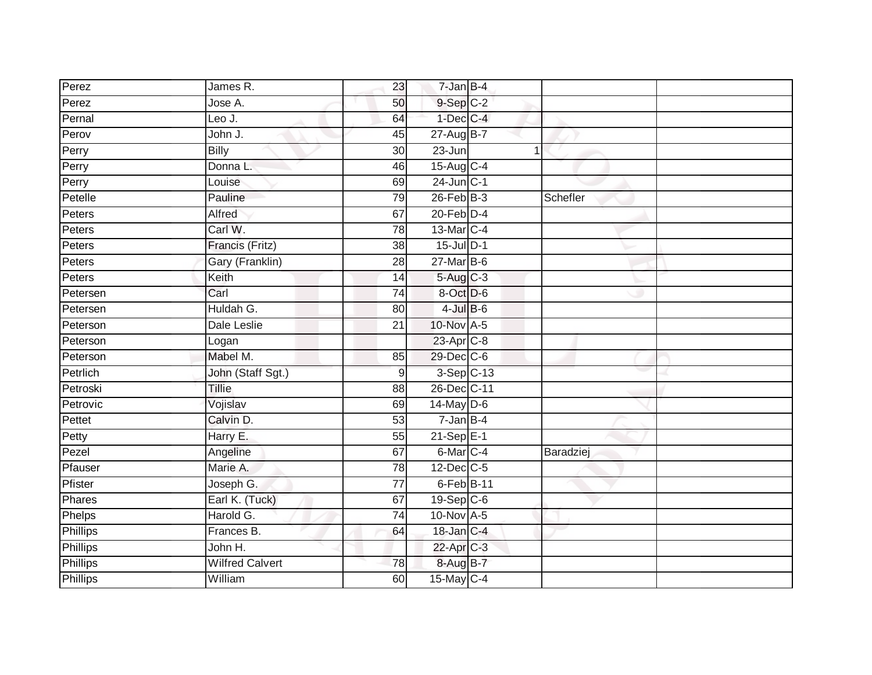| Perez           | James R.               | 23              | $7 - Jan$ B-4           |           |  |
|-----------------|------------------------|-----------------|-------------------------|-----------|--|
| Perez           | Jose A.                | 50              | $9-Sep$ $C-2$           |           |  |
| Pernal          | Leo J.                 | 64              | $1$ -Dec $C-4$          |           |  |
| Perov           | John J.                | 45              | 27-Aug B-7              |           |  |
| Perry           | <b>Billy</b>           | 30              | $23 - Jun$              | 1         |  |
| Perry           | Donna L.               | 46              | 15-Aug C-4              |           |  |
| Perry           | Louise                 | 69              | $24$ -Jun C-1           |           |  |
| Petelle         | Pauline                | 79              | $26$ -Feb $B-3$         | Schefler  |  |
| Peters          | Alfred                 | 67              | $20$ -Feb $D-4$         |           |  |
| Peters          | Carl W.                | 78              | 13-Mar C-4              |           |  |
| Peters          | Francis (Fritz)        | $\overline{38}$ | $15$ -Jul $D-1$         |           |  |
| Peters          | Gary (Franklin)        | 28              | $27$ -Mar $B$ -6        |           |  |
| Peters          | Keith                  | 14              | $5-Aug$ $C-3$           |           |  |
| Petersen        | Carl                   | 74              | 8-Oct D-6               |           |  |
| Petersen        | Huldah G.              | $\overline{80}$ | $4$ -Jul $B$ -6         |           |  |
| Peterson        | Dale Leslie            | 21              | 10-Nov A-5              |           |  |
| Peterson        | Logan                  |                 | $23$ -Apr $C-8$         |           |  |
| Peterson        | Mabel M.               | 85              | $29$ -Dec $C$ -6        |           |  |
| Petrlich        | John (Staff Sgt.)      | 9               | 3-Sep C-13              |           |  |
| Petroski        | <b>Tillie</b>          | $\overline{88}$ | 26-Dec C-11             |           |  |
| Petrovic        | Vojislav               | 69              | 14-May D-6              |           |  |
| Pettet          | Calvin D.              | 53              | $7 - Jan$ B-4           |           |  |
| Petty           | Harry E.               | 55              | $21 - \text{Sep}E - 1$  |           |  |
| Pezel           | Angeline               | 67              | 6-Mar C-4               | Baradziej |  |
| Pfauser         | Marie A.               | 78              | $12$ -Dec $C-5$         |           |  |
| Pfister         | Joseph G.              | $\overline{77}$ | $6$ -Feb $B$ -11        |           |  |
| Phares          | Earl K. (Tuck)         | 67              | $19-Sep$ <sub>C-6</sub> |           |  |
| Phelps          | Harold G.              | 74              | $10$ -Nov $A-5$         |           |  |
| <b>Phillips</b> | Frances B.             | 64              | 18-Jan C-4              |           |  |
| Phillips        | John H.                |                 | 22-Apr C-3              |           |  |
| Phillips        | <b>Wilfred Calvert</b> | 78              | 8-Aug B-7               |           |  |
| Phillips        | William                | 60              | $15$ -May C-4           |           |  |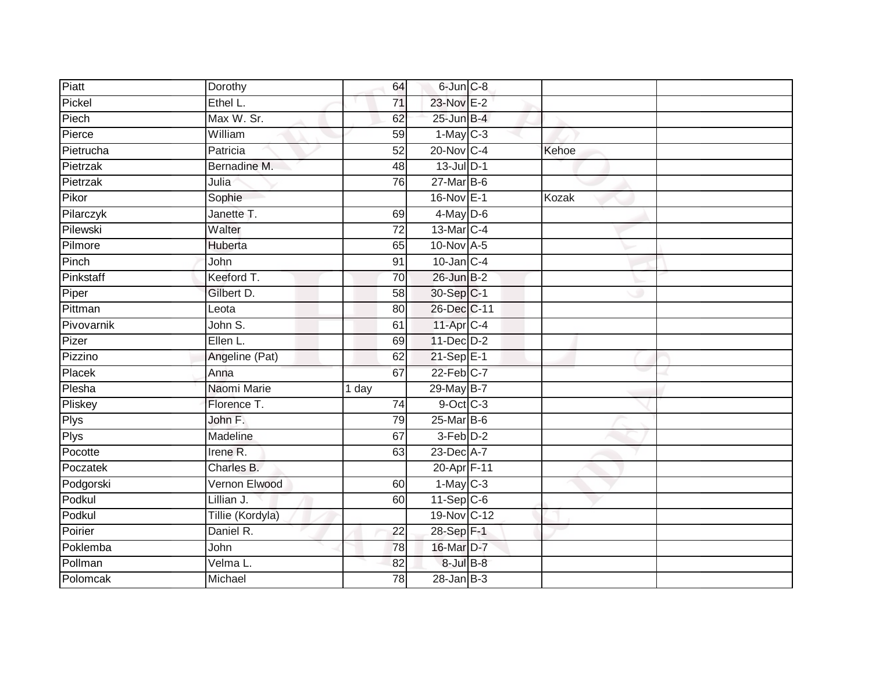| Piatt       | Dorothy          | 64              | 6-Jun C-8        |       |  |
|-------------|------------------|-----------------|------------------|-------|--|
| Pickel      | Ethel L.         | 71              | 23-Nov E-2       |       |  |
| Piech       | Max W. Sr.       | 62              | 25-Jun B-4       |       |  |
| Pierce      | William          | 59              | $1-May$ C-3      |       |  |
| Pietrucha   | Patricia         | $\overline{52}$ | 20-Nov C-4       | Kehoe |  |
| Pietrzak    | Bernadine M.     | 48              | $13$ -Jul $D-1$  |       |  |
| Pietrzak    | Julia            | 76              | $27$ -Mar $B$ -6 |       |  |
| Pikor       | Sophie           |                 | 16-Nov E-1       | Kozak |  |
| Pilarczyk   | Janette T.       | 69              | $4$ -May D-6     |       |  |
| Pilewski    | Walter           | $\overline{72}$ | 13-Mar C-4       |       |  |
| Pilmore     | Huberta          | 65              | $10$ -Nov A-5    |       |  |
| Pinch       | John             | 91              | $10$ -Jan C-4    |       |  |
| Pinkstaff   | Keeford T.       | 70              | $26$ -Jun $B-2$  |       |  |
| Piper       | Gilbert D.       | 58              | 30-Sep C-1       |       |  |
| Pittman     | Leota            | 80              | 26-Dec C-11      |       |  |
| Pivovarnik  | John S.          | 61              | 11-Apr C-4       |       |  |
| Pizer       | Ellen L.         | 69              | 11-Dec D-2       |       |  |
| Pizzino     | Angeline (Pat)   | 62              | $21-Sep$ E-1     |       |  |
| Placek      | Anna             | 67              | 22-Feb C-7       |       |  |
| Plesha      | Naomi Marie      | 1 day           | 29-May B-7       |       |  |
| Pliskey     | Florence T.      | 74              | $9$ -Oct $C$ -3  |       |  |
| <b>Plys</b> | John F.          | 79              | $25$ -Mar $B$ -6 |       |  |
| <b>Plys</b> | Madeline         | 67              | $3-Feb$ $D-2$    |       |  |
| Pocotte     | Irene R.         | 63              | 23-Dec A-7       |       |  |
| Poczatek    | Charles B.       |                 | 20-Apr F-11      |       |  |
| Podgorski   | Vernon Elwood    | 60              | $1-May$ C-3      |       |  |
| Podkul      | Lillian J.       | 60              | $11-Sep$ C-6     |       |  |
| Podkul      | Tillie (Kordyla) |                 | 19-Nov C-12      |       |  |
| Poirier     | Daniel R.        | 22              | 28-Sep F-1       |       |  |
| Poklemba    | John             | 78              | 16-Mar D-7       |       |  |
| Pollman     | Velma L.         | 82              | 8-Jul B-8        |       |  |
| Polomcak    | Michael          | $\overline{78}$ | $28$ -Jan $B-3$  |       |  |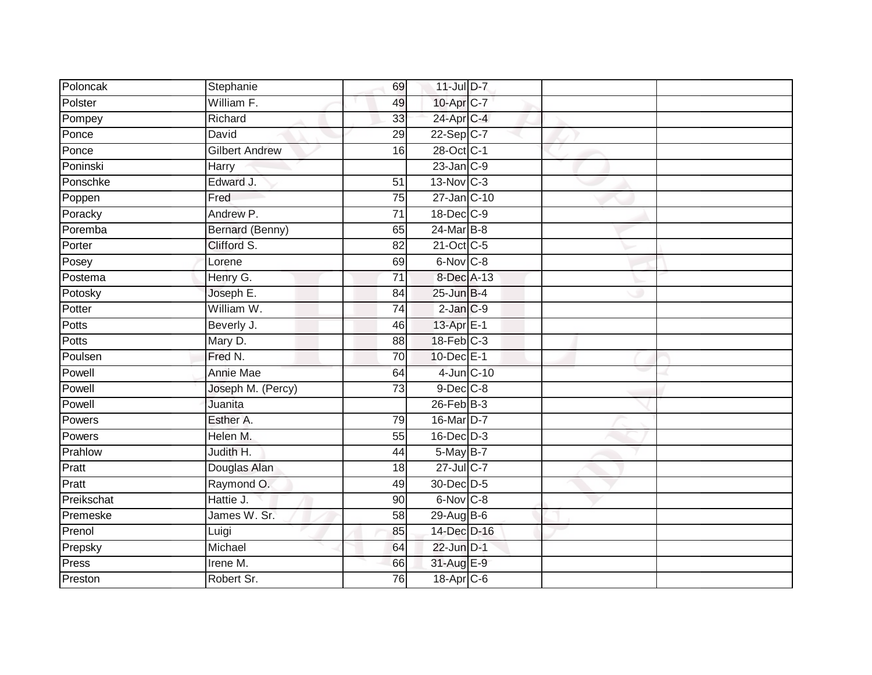| Poloncak     | Stephanie             | 69              | 11-Jul D-7            |  |  |
|--------------|-----------------------|-----------------|-----------------------|--|--|
| Polster      | William F.            | 49              | 10-Apr C-7            |  |  |
| Pompey       | Richard               | 33              | 24-Apr C-4            |  |  |
| Ponce        | David                 | 29              | 22-Sep C-7            |  |  |
| Ponce        | <b>Gilbert Andrew</b> | 16              | 28-Oct C-1            |  |  |
| Poninski     | Harry                 |                 | $23$ -Jan $C-9$       |  |  |
| Ponschke     | Edward J.             | 51              | 13-Nov C-3            |  |  |
| Poppen       | Fred                  | 75              | 27-Jan C-10           |  |  |
| Poracky      | Andrew P.             | $\overline{71}$ | 18-Dec C-9            |  |  |
| Poremba      | Bernard (Benny)       | 65              | 24-Mar B-8            |  |  |
| Porter       | Clifford S.           | 82              | 21-Oct C-5            |  |  |
| Posey        | Lorene                | 69              | 6-Nov C-8             |  |  |
| Postema      | Henry G.              | $\overline{71}$ | 8-Dec A-13            |  |  |
| Potosky      | Joseph E.             | 84              | $25$ -Jun $B-4$       |  |  |
| Potter       | William W.            | $\overline{74}$ | $2$ -Jan $C-9$        |  |  |
| Potts        | Beverly J.            | 46              | 13-Apr <sub>E-1</sub> |  |  |
| <b>Potts</b> | Mary D.               | $\overline{88}$ | 18-Feb C-3            |  |  |
| Poulsen      | Fred N.               | 70              | 10-Dec E-1            |  |  |
| Powell       | <b>Annie Mae</b>      | 64              | 4-Jun C-10            |  |  |
| Powell       | Joseph M. (Percy)     | $\overline{73}$ | $9$ -Dec $C$ -8       |  |  |
| Powell       | Juanita               |                 | $26$ -Feb $B-3$       |  |  |
| Powers       | Esther A.             | 79              | 16-Mar D-7            |  |  |
| Powers       | Helen M.              | 55              | $16$ -Dec $D-3$       |  |  |
| Prahlow      | Judith H.             | 44              | 5-May B-7             |  |  |
| Pratt        | Douglas Alan          | 18              | 27-Jul C-7            |  |  |
| Pratt        | Raymond O.            | 49              | 30-Dec D-5            |  |  |
| Preikschat   | Hattie J.             | 90              | 6-Nov C-8             |  |  |
| Premeske     | James W. Sr.          | 58              | 29-Aug B-6            |  |  |
| Prenol       | Luigi                 | 85              | 14-Dec D-16           |  |  |
| Prepsky      | Michael               | 64              | 22-Jun D-1            |  |  |
| Press        | Irene M.              | 66              | 31-Aug E-9            |  |  |
| Preston      | Robert Sr.            | 76              | 18-Apr C-6            |  |  |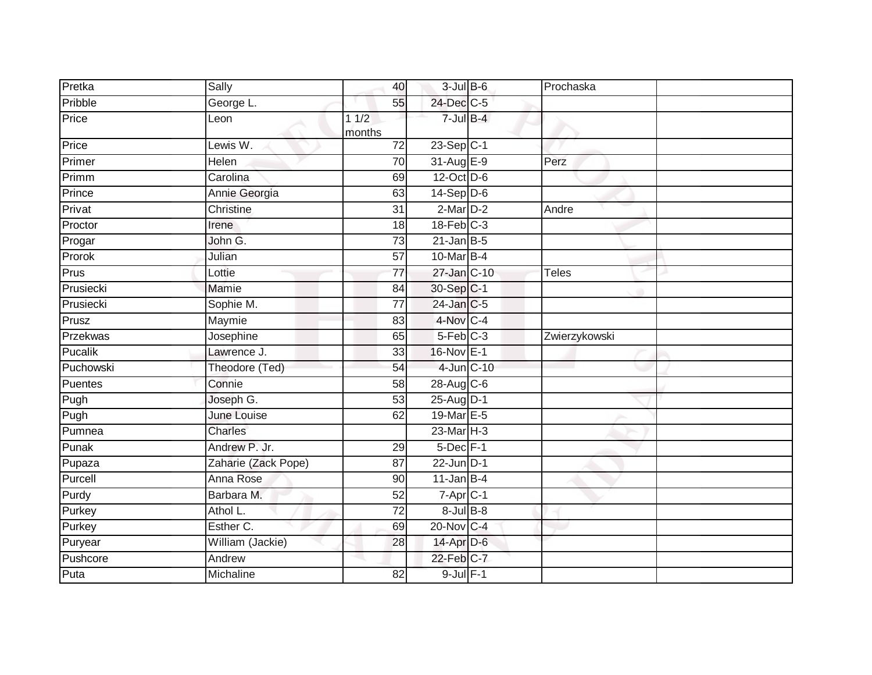| Pretka    | Sally               | 40              | $3$ -Jul $B$ -6   | Prochaska     |  |
|-----------|---------------------|-----------------|-------------------|---------------|--|
| Pribble   | George L.           | 55              | 24-Dec C-5        |               |  |
| Price     | Leon                | 11/2<br>months  | $7$ -Jul $B-4$    |               |  |
| Price     | Lewis W.            | 72              | $23 - Sep$ C-1    |               |  |
| Primer    | Helen               | 70              | 31-Aug E-9        | Perz          |  |
| Primm     | Carolina            | 69              | 12-Oct D-6        |               |  |
| Prince    | Annie Georgia       | 63              | $14 - Sep$ $D-6$  |               |  |
| Privat    | <b>Christine</b>    | $\overline{31}$ | $2-MarD-2$        | Andre         |  |
| Proctor   | Irene               | 18              | $18$ -Feb $C-3$   |               |  |
| Progar    | John G.             | 73              | $21$ -Jan $B-5$   |               |  |
| Prorok    | Julian              | 57              | 10-Mar B-4        |               |  |
| Prus      | Lottie              | $\overline{77}$ | 27-Jan C-10       | <b>Teles</b>  |  |
| Prusiecki | Mamie               | 84              | 30-Sep C-1        |               |  |
| Prusiecki | Sophie M.           | 77              | 24-Jan C-5        |               |  |
| Prusz     | Maymie              | 83              | 4-Nov C-4         |               |  |
| Przekwas  | Josephine           | 65              | $5-Feb$ $C-3$     | Zwierzykowski |  |
| Pucalik   | Lawrence J.         | 33              | 16-Nov E-1        |               |  |
| Puchowski | Theodore (Ted)      | 54              | 4-Jun C-10        |               |  |
| Puentes   | Connie              | 58              | $28$ -Aug C-6     |               |  |
| Pugh      | Joseph G.           | 53              | 25-Aug D-1        |               |  |
| Pugh      | June Louise         | 62              | 19-Mar E-5        |               |  |
| Pumnea    | <b>Charles</b>      |                 | $23$ -Mar $H-3$   |               |  |
| Punak     | Andrew P. Jr.       | 29              | 5-Dec F-1         |               |  |
| Pupaza    | Zaharie (Zack Pope) | 87              | $22$ -Jun $D-1$   |               |  |
| Purcell   | Anna Rose           | 90              | $11$ -Jan B-4     |               |  |
| Purdy     | Barbara M.          | 52              | $7 - Apr$ $C-1$   |               |  |
| Purkey    | Athol L.            | $\overline{72}$ | $8 -$ Jul $B - 8$ |               |  |
| Purkey    | Esther C.           | 69              | 20-Nov C-4        |               |  |
| Puryear   | William (Jackie)    | 28              | 14-Apr D-6        |               |  |
| Pushcore  | Andrew              |                 | 22-Feb C-7        |               |  |
| Puta      | Michaline           | 82              | 9-Jul F-1         |               |  |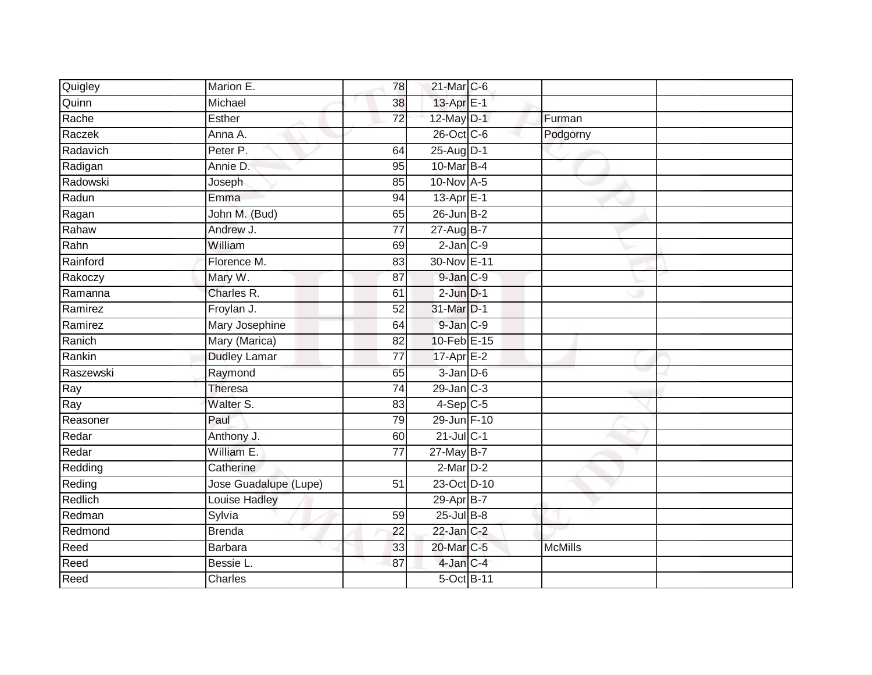| Quigley   | Marion E.             | 78              | 21-Mar C-6                   |                |  |
|-----------|-----------------------|-----------------|------------------------------|----------------|--|
| Quinn     | Michael               | 38              | 13-Apr <sub>E-1</sub>        |                |  |
| Rache     | <b>Esther</b>         | $\overline{72}$ | 12-May D-1                   | Furman         |  |
| Raczek    | Anna A.               |                 | 26-Oct C-6                   | Podgorny       |  |
| Radavich  | Peter P.              | 64              | 25-Aug D-1                   |                |  |
| Radigan   | Annie D.              | 95              | 10-Mar B-4                   |                |  |
| Radowski  | Joseph                | 85              | 10-Nov A-5                   |                |  |
| Radun     | Emma                  | 94              | $13-Apr \nightharpoonup 5-1$ |                |  |
| Ragan     | John M. (Bud)         | 65              | $26$ -Jun $B-2$              |                |  |
| Rahaw     | Andrew J.             | $\overline{77}$ | 27-Aug B-7                   |                |  |
| Rahn      | William               | 69              | $2$ -Jan $C-9$               |                |  |
| Rainford  | Florence M.           | 83              | 30-Nov E-11                  |                |  |
| Rakoczy   | Mary W.               | 87              | $9$ -Jan $C-9$               |                |  |
| Ramanna   | Charles R.            | 61              | $2$ -Jun $D-1$               |                |  |
| Ramirez   | Froylan J.            | 52              | 31-Mar D-1                   |                |  |
| Ramirez   | Mary Josephine        | 64              | 9-Jan C-9                    |                |  |
| Ranich    | Mary (Marica)         | $\overline{82}$ | 10-Feb E-15                  |                |  |
| Rankin    | Dudley Lamar          | $\overline{77}$ | 17-Apr E-2                   |                |  |
| Raszewski | Raymond               | 65              | $3$ -Jan $D$ -6              |                |  |
| Ray       | <b>Theresa</b>        | 74              | $29$ -Jan $C-3$              |                |  |
| Ray       | Walter S.             | 83              | $4-Sep C-5$                  |                |  |
| Reasoner  | Paul                  | 79              | 29-Jun F-10                  |                |  |
| Redar     | Anthony J.            | 60              | $21$ -Jul C-1                |                |  |
| Redar     | William E.            | 77              | 27-May B-7                   |                |  |
| Redding   | Catherine             |                 | $2-Mar$ D-2                  |                |  |
| Reding    | Jose Guadalupe (Lupe) | 51              | 23-Oct D-10                  |                |  |
| Redlich   | <b>Louise Hadley</b>  |                 | 29-Apr B-7                   |                |  |
| Redman    | Sylvia                | 59              | $25$ -Jul B-8                |                |  |
| Redmond   | <b>Brenda</b>         | 22              | $22$ -Jan $C-2$              |                |  |
| Reed      | <b>Barbara</b>        | 33              | 20-Mar C-5                   | <b>McMills</b> |  |
| Reed      | Bessie L.             | 87              | 4-Jan C-4                    |                |  |
| Reed      | <b>Charles</b>        |                 | 5-Oct B-11                   |                |  |
|           |                       |                 |                              |                |  |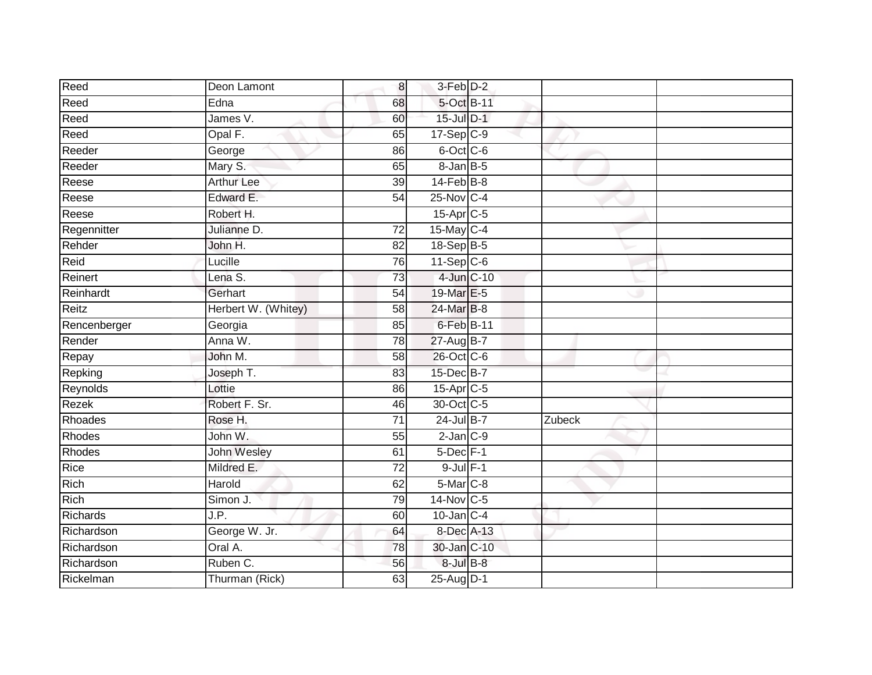| Reed         | Deon Lamont         | $\boldsymbol{8}$ | $3-Feb$ D-2       |        |
|--------------|---------------------|------------------|-------------------|--------|
| Reed         | Edna                | 68               | 5-Oct B-11        |        |
| Reed         | James V.            | 60               | 15-Jul D-1        |        |
| Reed         | Opal F.             | 65               | $17-Sep$ C-9      |        |
| Reeder       | George              | 86               | 6-Oct C-6         |        |
| Reeder       | Mary S.             | 65               | $8 - Jan$ $B - 5$ |        |
| Reese        | <b>Arthur Lee</b>   | 39               | $14$ -Feb $B$ -8  |        |
| Reese        | Edward E.           | 54               | 25-Nov C-4        |        |
| Reese        | Robert H.           |                  | 15-Apr C-5        |        |
| Regennitter  | Julianne D.         | $\overline{72}$  | 15-May C-4        |        |
| Rehder       | John H.             | 82               | 18-Sep B-5        |        |
| Reid         | Lucille             | 76               | $11-Sep$ C-6      |        |
| Reinert      | Lena S.             | 73               | 4-Jun C-10        |        |
| Reinhardt    | Gerhart             | 54               | 19-Mar E-5        |        |
| Reitz        | Herbert W. (Whitey) | 58               | 24-Mar B-8        |        |
| Rencenberger | Georgia             | 85               | 6-Feb B-11        |        |
| Render       | Anna W.             | $\overline{78}$  | 27-Aug B-7        |        |
| Repay        | John M.             | $\overline{58}$  | 26-Oct C-6        |        |
| Repking      | Joseph T.           | 83               | 15-Dec B-7        |        |
| Reynolds     | Lottie              | 86               | $15-Apr$ $C-5$    |        |
| Rezek        | Robert F. Sr.       | 46               | 30-Oct C-5        |        |
| Rhoades      | Rose H.             | $\overline{71}$  | $24$ -Jul B-7     | Zubeck |
| Rhodes       | John W.             | 55               | $2$ -Jan $C-9$    |        |
| Rhodes       | John Wesley         | 61               | $5$ -Dec $F-1$    |        |
| Rice         | Mildred E.          | $\overline{72}$  | $9$ -Jul $F-1$    |        |
| <b>Rich</b>  | Harold              | 62               | $5-Mar$ $C-8$     |        |
| <b>Rich</b>  | Simon J.            | 79               | 14-Nov C-5        |        |
| Richards     | J.P.                | 60               | $10$ -Jan C-4     |        |
| Richardson   | George W. Jr.       | 64               | 8-Dec A-13        |        |
| Richardson   | Oral A.             | 78               | 30-Jan C-10       |        |
| Richardson   | Ruben C.            | 56               | 8-Jul B-8         |        |
| Rickelman    | Thurman (Rick)      | 63               | 25-Aug D-1        |        |
|              |                     |                  |                   |        |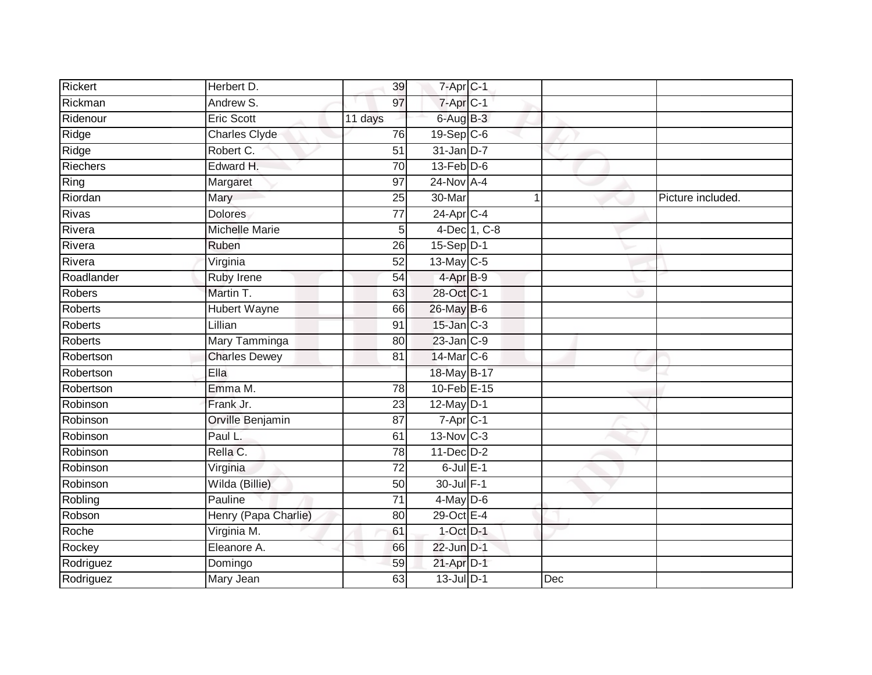| Rickert        | Herbert D.            | 39              | 7-Apr C-1              |              |     |                   |
|----------------|-----------------------|-----------------|------------------------|--------------|-----|-------------------|
| Rickman        | Andrew S.             | 97              | 7-Apr <sub>C-1</sub>   |              |     |                   |
| Ridenour       | <b>Eric Scott</b>     | 11 days         | 6-Aug B-3              |              |     |                   |
| Ridge          | <b>Charles Clyde</b>  | 76              | $19-Sep$ $C-6$         |              |     |                   |
| Ridge          | Robert C.             | $\overline{51}$ | $31$ -Jan D-7          |              |     |                   |
| Riechers       | Edward H.             | 70              | $13$ -Feb $D-6$        |              |     |                   |
| Ring           | Margaret              | 97              | $24$ -Nov $A-4$        |              |     |                   |
| Riordan        | Mary                  | 25              | 30-Mar                 |              |     | Picture included. |
| Rivas          | <b>Dolores</b>        | $\overline{77}$ | 24-Apr C-4             |              |     |                   |
| Rivera         | <b>Michelle Marie</b> | 5 <sub>5</sub>  |                        | 4-Dec 1, C-8 |     |                   |
| Rivera         | Ruben                 | 26              | 15-Sep D-1             |              |     |                   |
| Rivera         | Virginia              | 52              | 13-May C-5             |              |     |                   |
| Roadlander     | <b>Ruby Irene</b>     | 54              | 4-Apr B-9              |              |     |                   |
| <b>Robers</b>  | Martin T.             | 63              | 28-Oct C-1             |              |     |                   |
| <b>Roberts</b> | <b>Hubert Wayne</b>   | 66              | 26-May B-6             |              |     |                   |
| Roberts        | Lillian               | 91              | $15$ -Jan $C-3$        |              |     |                   |
| Roberts        | Mary Tamminga         | 80              | 23-Jan C-9             |              |     |                   |
| Robertson      | <b>Charles Dewey</b>  | 81              | 14-Mar C-6             |              |     |                   |
| Robertson      | Ella                  |                 | 18-May B-17            |              |     |                   |
| Robertson      | Emma M.               | 78              | 10-Feb <sup>E-15</sup> |              |     |                   |
| Robinson       | Frank Jr.             | 23              | $12$ -May D-1          |              |     |                   |
| Robinson       | Orville Benjamin      | 87              | $7 - Apr$ $C-1$        |              |     |                   |
| Robinson       | Paul L.               | 61              | 13-Nov C-3             |              |     |                   |
| Robinson       | Rella C.              | 78              | $11$ -Dec $D-2$        |              |     |                   |
| Robinson       | Virginia              | 72              | $6$ -Jul $E-1$         |              |     |                   |
| Robinson       | Wilda (Billie)        | 50              | 30-Jul F-1             |              |     |                   |
| Robling        | Pauline               | $\overline{71}$ | $4$ -May $D$ -6        |              |     |                   |
| Robson         | Henry (Papa Charlie)  | 80              | 29-Oct E-4             |              |     |                   |
| Roche          | Virginia M.           | 61              | $1$ -Oct $D-1$         |              |     |                   |
| Rockey         | Eleanore A.           | 66              | $22$ -Jun $D-1$        |              |     |                   |
| Rodriguez      | Domingo               | 59              | 21-Apr D-1             |              |     |                   |
| Rodriguez      | Mary Jean             | 63              | $13$ -Jul $D-1$        |              | Dec |                   |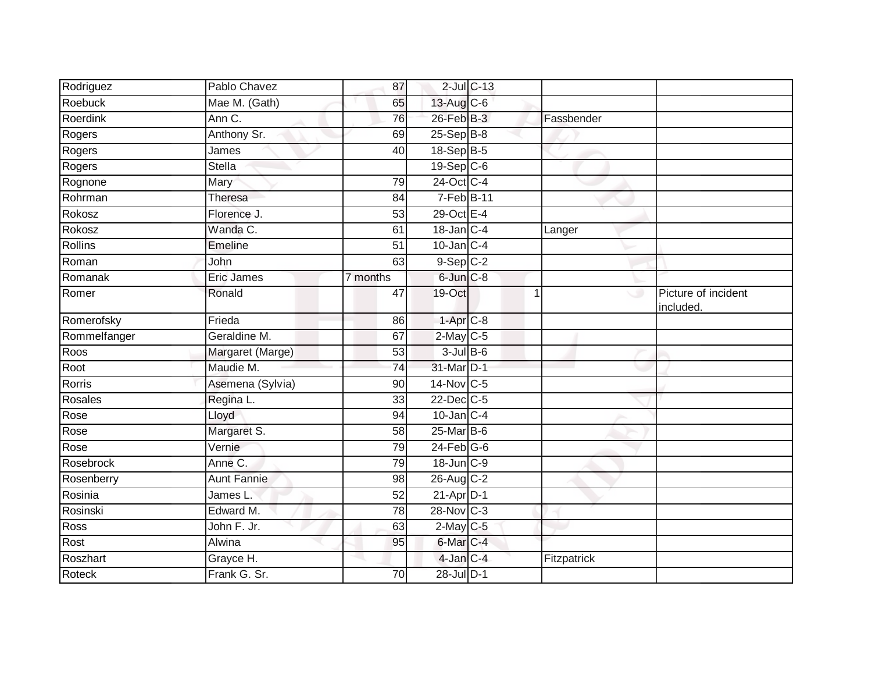| Rodriguez      | Pablo Chavez       | 87       |                         | $2$ -Jul $C$ -13 |             |                                  |
|----------------|--------------------|----------|-------------------------|------------------|-------------|----------------------------------|
| <b>Roebuck</b> | Mae M. (Gath)      | 65       | 13-Aug C-6              |                  |             |                                  |
| Roerdink       | Ann C.             | 76       | 26-Feb B-3              |                  | Fassbender  |                                  |
| Rogers         | Anthony Sr.        | 69       | 25-Sep B-8              |                  |             |                                  |
| Rogers         | James              | 40       | 18-Sep B-5              |                  |             |                                  |
| Rogers         | <b>Stella</b>      |          | $19-Sep$ <sub>C-6</sub> |                  |             |                                  |
| Rognone        | Mary               | 79       | 24-Oct C-4              |                  |             |                                  |
| Rohrman        | Theresa            | 84       | $7-Feb$ B-11            |                  |             |                                  |
| Rokosz         | Florence J.        | 53       | 29-Oct E-4              |                  |             |                                  |
| Rokosz         | Wanda C.           | 61       | $18 - Jan$ $C - 4$      |                  | Langer      |                                  |
| <b>Rollins</b> | Emeline            | 51       | $10$ -Jan C-4           |                  |             |                                  |
| Roman          | John               | 63       | $9-Sep$ $C-2$           |                  |             |                                  |
| Romanak        | <b>Eric James</b>  | 7 months | 6-Jun C-8               |                  |             |                                  |
| Romer          | Ronald             | 47       | 19-Oct                  | 1                | ال          | Picture of incident<br>included. |
| Romerofsky     | Frieda             | 86       | $1-AprC-8$              |                  |             |                                  |
| Rommelfanger   | Geraldine M.       | 67       | $2$ -May C-5            |                  |             |                                  |
| Roos           | Margaret (Marge)   | 53       | $3$ -Jul $B$ -6         |                  |             |                                  |
| Root           | Maudie M.          | 74       | 31-Mar D-1              |                  |             |                                  |
| Rorris         | Asemena (Sylvia)   | 90       | 14-Nov C-5              |                  |             |                                  |
| Rosales        | Regina L.          | 33       | 22-Dec C-5              |                  |             |                                  |
| Rose           | Lloyd              | 94       | $10$ -Jan $C-4$         |                  |             |                                  |
| Rose           | Margaret S.        | 58       | $25$ -Mar $B$ -6        |                  |             |                                  |
| Rose           | Vernie             | 79       | $24$ -Feb $G-6$         |                  |             |                                  |
| Rosebrock      | Anne C.            | 79       | 18-Jun C-9              |                  |             |                                  |
| Rosenberry     | <b>Aunt Fannie</b> | 98       | 26-Aug C-2              |                  |             |                                  |
| Rosinia        | James L.           | 52       | $21-Apr D-1$            |                  |             |                                  |
| Rosinski       | Edward M.          | 78       | 28-Nov C-3              |                  |             |                                  |
| Ross           | John F. Jr.        | 63       | $2$ -May C-5            |                  |             |                                  |
| Rost           | Alwina             | 95       | 6-Mar C-4               |                  |             |                                  |
| Roszhart       | Grayce H.          |          | $4$ -Jan $C-4$          |                  | Fitzpatrick |                                  |
| <b>Roteck</b>  | Frank G. Sr.       | 70       | 28-Jul D-1              |                  |             |                                  |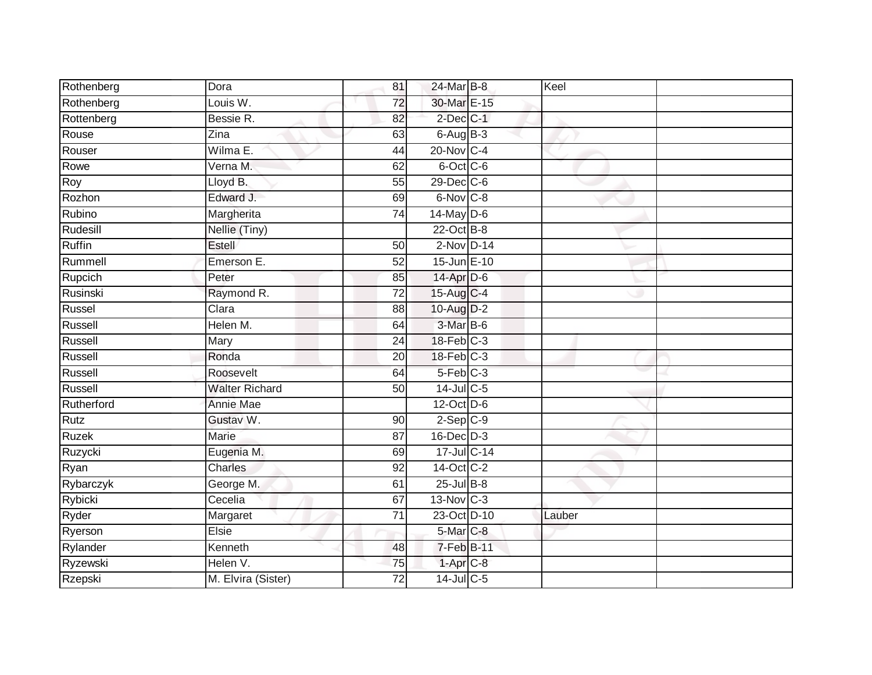| Rothenberg    | Dora                  | 81              | 24-Mar B-8      | Keel   |  |
|---------------|-----------------------|-----------------|-----------------|--------|--|
| Rothenberg    | Louis W.              | 72              | 30-Mar E-15     |        |  |
| Rottenberg    | Bessie R.             | 82              | $2$ -Dec $C-1$  |        |  |
| Rouse         | Zina                  | 63              | $6$ -Aug $B$ -3 |        |  |
| Rouser        | Wilma E.              | 44              | 20-Nov C-4      |        |  |
| Rowe          | Verna M.              | 62              | $6$ -Oct C-6    |        |  |
| Roy           | Lloyd B.              | 55              | 29-Dec C-6      |        |  |
| Rozhon        | Edward J.             | 69              | 6-Nov C-8       |        |  |
| Rubino        | Margherita            | 74              | $14$ -May D-6   |        |  |
| Rudesill      | Nellie (Tiny)         |                 | 22-Oct B-8      |        |  |
| <b>Ruffin</b> | Estell                | 50              | $2$ -Nov $D-14$ |        |  |
| Rummell       | Emerson E.            | 52              | 15-Jun E-10     |        |  |
| Rupcich       | Peter                 | 85              | $14$ -Apr $D-6$ |        |  |
| Rusinski      | Raymond R.            | 72              | 15-Aug C-4      |        |  |
| Russel        | Clara                 | 88              | 10-Aug D-2      |        |  |
| Russell       | Helen M.              | 64              | 3-Mar B-6       |        |  |
| Russell       | Mary                  | $\overline{24}$ | $18$ -Feb $C-3$ |        |  |
| Russell       | Ronda                 | 20              | $18$ -Feb $C-3$ |        |  |
| Russell       | Roosevelt             | 64              | 5-Feb C-3       |        |  |
| Russell       | <b>Walter Richard</b> | $\overline{50}$ | 14-Jul C-5      |        |  |
| Rutherford    | Annie Mae             |                 | 12-Oct D-6      |        |  |
| Rutz          | Gustav W.             | 90              | $2-Sep C-9$     |        |  |
| Ruzek         | Marie                 | 87              | 16-Dec D-3      |        |  |
| Ruzycki       | Eugenia M.            | 69              | 17-Jul C-14     |        |  |
| Ryan          | <b>Charles</b>        | 92              | $14-Oct$ $C-2$  |        |  |
| Rybarczyk     | George M.             | 61              | $25$ -Jul $B-8$ |        |  |
| Rybicki       | Cecelia               | 67              | 13-Nov C-3      |        |  |
| Ryder         | Margaret              | $\overline{71}$ | 23-Oct D-10     | Lauber |  |
| Ryerson       | Elsie                 |                 | 5-Mar C-8       |        |  |
| Rylander      | Kenneth               | 48              | 7-Feb B-11      |        |  |
| Ryzewski      | Helen V.              | 75              | $1-AprC-8$      |        |  |
| Rzepski       | M. Elvira (Sister)    | $\overline{72}$ | 14-Jul C-5      |        |  |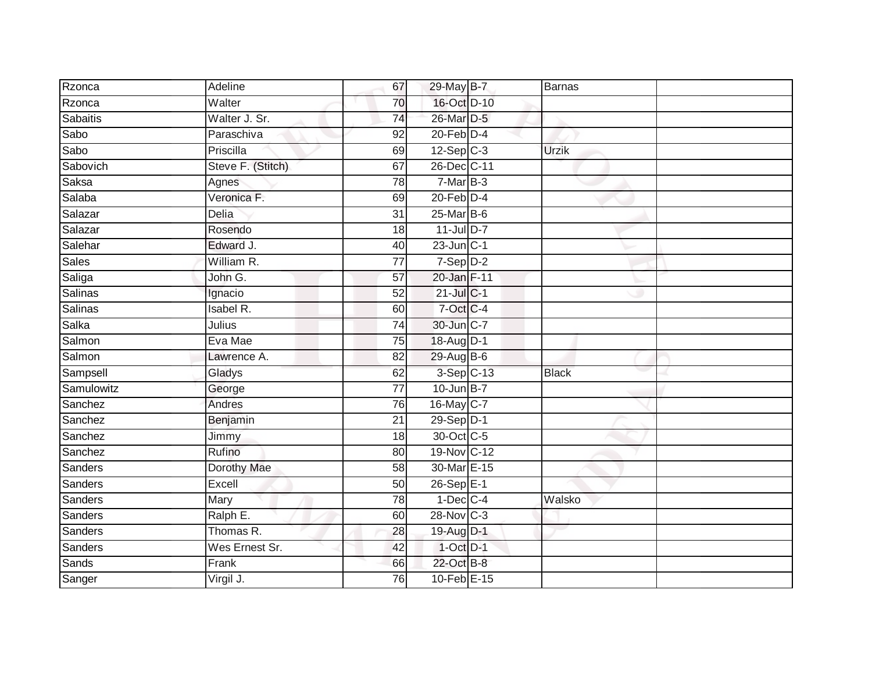| Rzonca         | Adeline           | 67              | 29-May B-7      | Barnas       |  |
|----------------|-------------------|-----------------|-----------------|--------------|--|
| Rzonca         | Walter            | 70              | 16-Oct D-10     |              |  |
| Sabaitis       | Walter J. Sr.     | 74              | 26-Mar D-5      |              |  |
| Sabo           | Paraschiva        | 92              | $20$ -Feb $D-4$ |              |  |
| Sabo           | Priscilla         | 69              | $12-Sep$ C-3    | <b>Urzik</b> |  |
| Sabovich       | Steve F. (Stitch) | 67              | 26-Dec C-11     |              |  |
| Saksa          | Agnes             | 78              | $7-MarB-3$      |              |  |
| Salaba         | Veronica F.       | 69              | $20$ -Feb $D-4$ |              |  |
| Salazar        | <b>Delia</b>      | 31              | 25-Mar B-6      |              |  |
| Salazar        | Rosendo           | 18              | $11$ -Jul $D-7$ |              |  |
| Salehar        | Edward J.         | 40              | $23$ -Jun $C-1$ |              |  |
| <b>Sales</b>   | William R.        | $\overline{77}$ | $7-Sep$ $D-2$   |              |  |
| Saliga         | John G.           | 57              | 20-Jan F-11     |              |  |
| <b>Salinas</b> | Ignacio           | 52              | 21-Jul C-1      |              |  |
| <b>Salinas</b> | Isabel R.         | 60              | 7-Oct C-4       |              |  |
| Salka          | Julius            | $\overline{74}$ | 30-Jun C-7      |              |  |
| Salmon         | Eva Mae           | $\overline{75}$ | 18-Aug D-1      |              |  |
| Salmon         | Lawrence A.       | 82              | 29-Aug B-6      |              |  |
| Sampsell       | Gladys            | 62              | 3-Sep C-13      | <b>Black</b> |  |
| Samulowitz     | George            | $\overline{77}$ | $10$ -Jun B-7   |              |  |
| Sanchez        | Andres            | 76              | 16-May C-7      |              |  |
| Sanchez        | Benjamin          | $\overline{21}$ | $29-Sep$ $D-1$  |              |  |
| Sanchez        | Jimmy             | 18              | 30-Oct C-5      |              |  |
| Sanchez        | Rufino            | 80              | 19-Nov C-12     |              |  |
| Sanders        | Dorothy Mae       | 58              | 30-Mar E-15     |              |  |
| Sanders        | Excell            | 50              | $26-Sep \tE-1$  |              |  |
| Sanders        | Mary              | 78              | $1-Dec$ $C-4$   | Walsko       |  |
| Sanders        | Ralph E.          | 60              | 28-Nov C-3      |              |  |
| Sanders        | Thomas R.         | 28              | 19-Aug D-1      |              |  |
| Sanders        | Wes Ernest Sr.    | 42              | $1$ -Oct $D-1$  |              |  |
| Sands          | Frank             | 66              | 22-Oct B-8      |              |  |
| Sanger         | Virgil J.         | 76              | 10-Feb E-15     |              |  |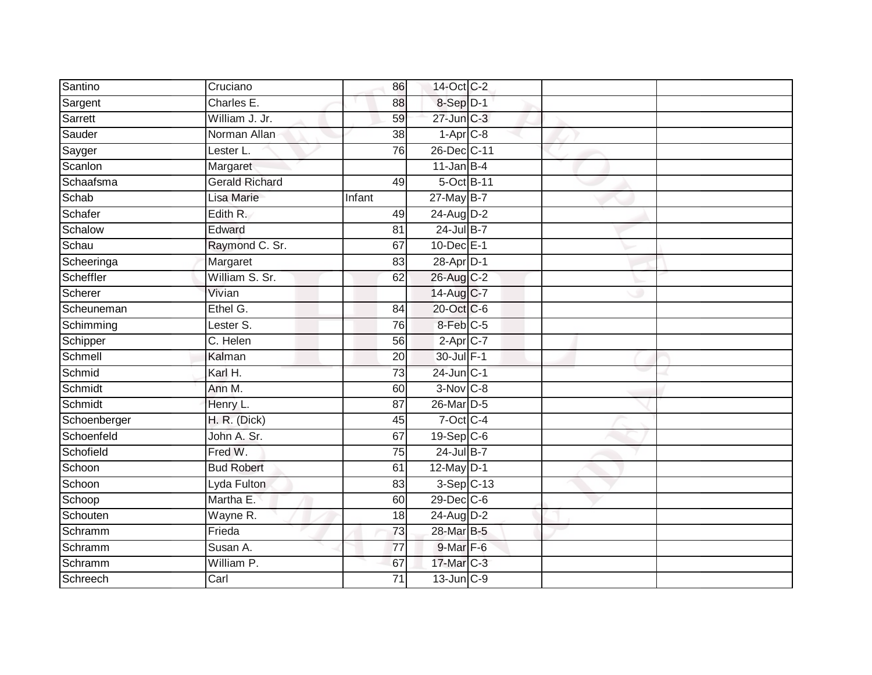| Santino      | Cruciano              | 86              | 14-Oct C-2              |  |  |
|--------------|-----------------------|-----------------|-------------------------|--|--|
| Sargent      | Charles E.            | 88              | 8-Sep D-1               |  |  |
| Sarrett      | William J. Jr.        | 59              | $27$ -Jun $C-3$         |  |  |
| Sauder       | Norman Allan          | 38              | $1-Apr$ <sub>C-8</sub>  |  |  |
| Sayger       | Lester L.             | 76              | 26-Dec C-11             |  |  |
| Scanlon      | Margaret              |                 | $11$ -Jan B-4           |  |  |
| Schaafsma    | <b>Gerald Richard</b> | 49              | 5-Oct B-11              |  |  |
| Schab        | Lisa Marie            | Infant          | 27-May B-7              |  |  |
| Schafer      | Edith R.              | 49              | $24$ -Aug D-2           |  |  |
| Schalow      | Edward                | 81              | 24-Jul B-7              |  |  |
| Schau        | Raymond C. Sr.        | 67              | 10-Dec E-1              |  |  |
| Scheeringa   | Margaret              | 83              | 28-Apr D-1              |  |  |
| Scheffler    | William S. Sr.        | 62              | 26-Aug C-2              |  |  |
| Scherer      | Vivian                |                 | 14-Aug C-7              |  |  |
| Scheuneman   | Ethel G.              | $\overline{84}$ | 20-Oct C-6              |  |  |
| Schimming    | Lester S.             | 76              | 8-Feb C-5               |  |  |
| Schipper     | C. Helen              | 56              | $2-AprC-7$              |  |  |
| Schmell      | Kalman                | 20              | 30-Jul F-1              |  |  |
| Schmid       | Karl H.               | 73              | $24$ -Jun $C-1$         |  |  |
| Schmidt      | Ann M.                | 60              | $3-Nov$ C-8             |  |  |
| Schmidt      | Henry L.              | 87              | 26-Mar D-5              |  |  |
| Schoenberger | H. R. (Dick)          | 45              | $7$ -Oct C-4            |  |  |
| Schoenfeld   | John A. Sr.           | 67              | $19-Sep$ <sub>C-6</sub> |  |  |
| Schofield    | Fred W.               | 75              | $24$ -Jul B-7           |  |  |
| Schoon       | <b>Bud Robert</b>     | 61              | 12-May $D-1$            |  |  |
| Schoon       | Lyda Fulton           | 83              | $3-Sep$ C-13            |  |  |
| Schoop       | Martha E.             | 60              | 29-Dec C-6              |  |  |
| Schouten     | Wayne R.              | 18              | 24-Aug D-2              |  |  |
| Schramm      | Frieda                | 73              | 28-Mar B-5              |  |  |
| Schramm      | Susan A.              | 77              | 9-Mar F-6               |  |  |
| Schramm      | William P.            | 67              | 17-Mar C-3              |  |  |
| Schreech     | Carl                  | $\overline{71}$ | 13-Jun C-9              |  |  |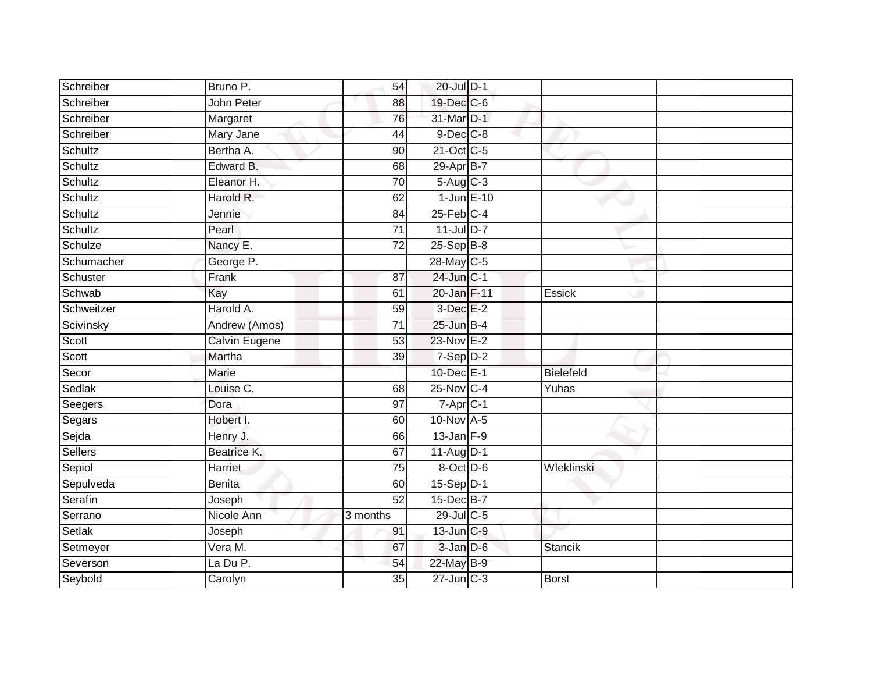| Schreiber  | Bruno P.             | 54              | 20-Jul D-1               |                |  |
|------------|----------------------|-----------------|--------------------------|----------------|--|
| Schreiber  | John Peter           | 88              | 19-Dec C-6               |                |  |
| Schreiber  | Margaret             | 76              | 31-Mar D-1               |                |  |
| Schreiber  | Mary Jane            | 44              | $9$ -Dec $C$ -8          |                |  |
| Schultz    | Bertha A.            | $\overline{90}$ | 21-Oct C-5               |                |  |
| Schultz    | Edward B.            | 68              | 29-Apr B-7               |                |  |
| Schultz    | Eleanor H.           | $\overline{70}$ | $5-Aug$ $C-3$            |                |  |
| Schultz    | Harold R.            | 62              | $1$ -Jun $E-10$          |                |  |
| Schultz    | Jennie               | 84              | $25$ -Feb $C-4$          |                |  |
| Schultz    | Pearl                | 71              | $11$ -Jul D-7            |                |  |
| Schulze    | Nancy E.             | 72              | 25-Sep B-8               |                |  |
| Schumacher | George P.            |                 | 28-May C-5               |                |  |
| Schuster   | Frank                | 87              | $24$ -Jun $C-1$          |                |  |
| Schwab     | Kay                  | 61              | 20-Jan F-11              | Essick         |  |
| Schweitzer | Harold A.            | 59              | $3$ -Dec $E-2$           |                |  |
| Scivinsky  | Andrew (Amos)        | 71              | $25$ -Jun $B-4$          |                |  |
| Scott      | <b>Calvin Eugene</b> | $\overline{53}$ | 23-Nov E-2               |                |  |
| Scott      | Martha               | 39              | $7-Sep D-2$              |                |  |
| Secor      | Marie                |                 | 10-Dec E-1               | Bielefeld      |  |
| Sedlak     | Louise C.            | 68              | 25-Nov C-4               | Yuhas          |  |
| Seegers    | Dora                 | 97              | $7 - \overline{Apr}$ C-1 |                |  |
| Segars     | Hobert I.            | 60              | 10-Nov A-5               |                |  |
| Sejda      | Henry J.             | 66              | $13$ -Jan $F-9$          |                |  |
| Sellers    | Beatrice K.          | 67              | $11-Auq$ D-1             |                |  |
| Sepiol     | Harriet              | 75              | $8-Oct$ D-6              | Wleklinski     |  |
| Sepulveda  | <b>Benita</b>        | 60              | $15-Sep$ $D-1$           |                |  |
| Serafin    | Joseph               | 52              | 15-Dec B-7               |                |  |
| Serrano    | Nicole Ann           | 3 months        | 29-Jul C-5               |                |  |
| Setlak     | Joseph               | 91              | 13-Jun C-9               |                |  |
| Setmeyer   | Vera M.              | 67              | 3-Jan D-6                | <b>Stancik</b> |  |
| Severson   | La Du P.             | 54              | 22-May B-9               |                |  |
| Seybold    | Carolyn              | $\overline{35}$ | $27$ -Jun $C-3$          | <b>Borst</b>   |  |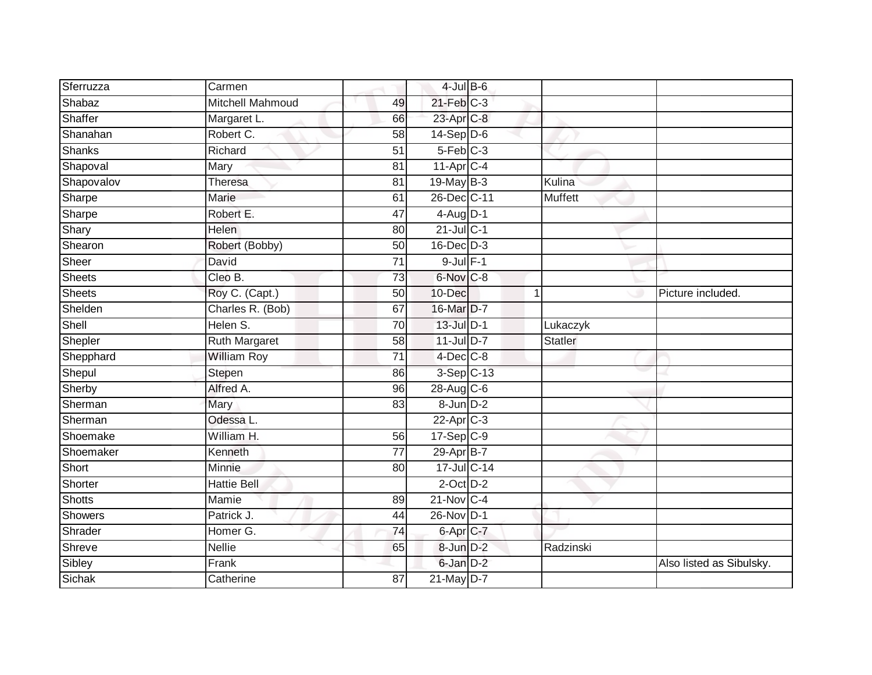| Sferruzza      | Carmen                  |                 | $4$ -Jul $B$ -6         |                |                          |
|----------------|-------------------------|-----------------|-------------------------|----------------|--------------------------|
| Shabaz         | <b>Mitchell Mahmoud</b> | 49              | $21$ -Feb $C-3$         |                |                          |
| Shaffer        | Margaret L.             | 66              | 23-Apr C-8              |                |                          |
| Shanahan       | Robert C.               | 58              | $14-Sep$ D-6            |                |                          |
| <b>Shanks</b>  | Richard                 | $\overline{51}$ | $5-Feb$ $C-3$           |                |                          |
| Shapoval       | Mary                    | 81              | $11-Apr$ <sub>C-4</sub> |                |                          |
| Shapovalov     | <b>Theresa</b>          | 81              | 19-May $B-3$            | Kulina         |                          |
| Sharpe         | Marie                   | 61              | 26-Dec C-11             | Muffett        |                          |
| Sharpe         | Robert E.               | 47              | $4-\overline{Aug}$ D-1  |                |                          |
| Shary          | <b>Helen</b>            | 80              | $21$ -Jul C-1           |                |                          |
| Shearon        | Robert (Bobby)          | 50              | 16-Dec D-3              |                |                          |
| Sheer          | David                   | $\overline{71}$ | $9$ -Jul $F-1$          |                |                          |
| <b>Sheets</b>  | Cleo B.                 | 73              | 6-Nov C-8               |                |                          |
| Sheets         | Roy C. (Capt.)          | 50              | 10-Dec                  | $\overline{1}$ | Picture included.        |
| Shelden        | Charles R. (Bob)        | 67              | 16-Mar D-7              |                |                          |
| Shell          | Helen S.                | 70              | $13$ -Jul $D-1$         | Lukaczyk       |                          |
| Shepler        | <b>Ruth Margaret</b>    | 58              | $11$ -Jul D-7           | Statler        |                          |
| Shepphard      | <b>William Roy</b>      | $\overline{71}$ | $4$ -Dec $C$ -8         |                |                          |
| Shepul         | Stepen                  | 86              | 3-Sep C-13              |                |                          |
| Sherby         | Alfred A.               | 96              | $28-Aug$ <sub>C-6</sub> |                |                          |
| Sherman        | Mary                    | 83              | $8$ -Jun $D-2$          |                |                          |
| Sherman        | Odessa L.               |                 | $22$ -Apr $C-3$         |                |                          |
| Shoemake       | William H.              | 56              | $17-Sep$ $C-9$          |                |                          |
| Shoemaker      | Kenneth                 | $\overline{77}$ | 29-Apr B-7              |                |                          |
| Short          | Minnie                  | 80              | 17-Jul C-14             |                |                          |
| Shorter        | <b>Hattie Bell</b>      |                 | $2$ -Oct $D-2$          |                |                          |
| <b>Shotts</b>  | Mamie                   | 89              | 21-Nov C-4              |                |                          |
| <b>Showers</b> | Patrick J.              | 44              | 26-Nov D-1              |                |                          |
| Shrader        | Homer G.                | 74              | 6-Apr C-7               |                |                          |
| Shreve         | <b>Nellie</b>           | 65              | 8-Jun D-2               | Radzinski      |                          |
| Sibley         | Frank                   |                 | 6-Jan D-2               |                | Also listed as Sibulsky. |
| Sichak         | Catherine               | $\overline{87}$ | 21-May D-7              |                |                          |
|                |                         |                 |                         |                |                          |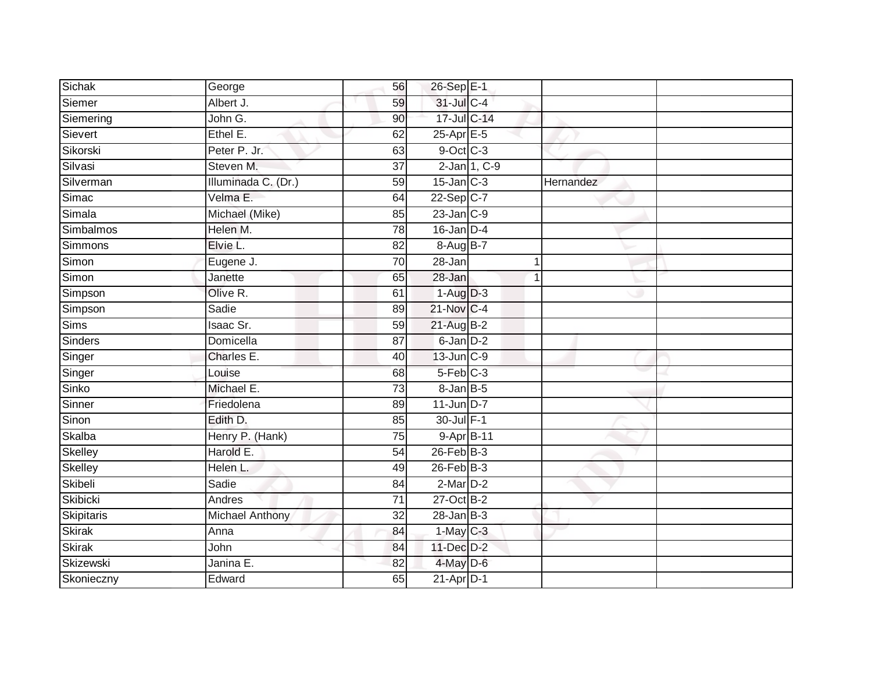| Sichak         | George              | 56              | 26-Sep E-1        |              |           |  |
|----------------|---------------------|-----------------|-------------------|--------------|-----------|--|
| Siemer         | Albert J.           | 59              | 31-Jul C-4        |              |           |  |
| Siemering      | John G.             | 90              | 17-Jul C-14       |              |           |  |
| Sievert        | Ethel E.            | 62              | $25$ -Apr $E$ -5  |              |           |  |
| Sikorski       | Peter P. Jr.        | 63              | $9$ -Oct C-3      |              |           |  |
| Silvasi        | Steven M.           | $\overline{37}$ |                   | 2-Jan 1, C-9 |           |  |
| Silverman      | Illuminada C. (Dr.) | $\overline{59}$ | $15$ -Jan $C-3$   |              | Hernandez |  |
| Simac          | Velma E.            | 64              | $22-Sep C-7$      |              |           |  |
| Simala         | Michael (Mike)      | 85              | $23$ -Jan $C-9$   |              |           |  |
| Simbalmos      | Helen M.            | $\overline{78}$ | $16$ -Jan $D-4$   |              |           |  |
| Simmons        | Elvie L.            | 82              | 8-Aug B-7         |              |           |  |
| Simon          | Eugene J.           | 70              | $28 - Jan$        | $\mathbf 1$  |           |  |
| Simon          | Janette             | 65              | 28-Jan            | 1            |           |  |
| Simpson        | Olive R.            | 61              | $1-Aug$ $D-3$     |              |           |  |
| Simpson        | Sadie               | 89              | 21-Nov C-4        |              |           |  |
| Sims           | <b>Isaac Sr.</b>    | 59              | 21-Aug B-2        |              |           |  |
| <b>Sinders</b> | Domicella           | 87              | $6$ -Jan $D-2$    |              |           |  |
| Singer         | Charles E.          | 40              | 13-Jun C-9        |              |           |  |
| Singer         | Louise              | 68              | 5-Feb C-3         |              |           |  |
| Sinko          | Michael E.          | 73              | $8 - Jan$ $B - 5$ |              |           |  |
| Sinner         | Friedolena          | 89              | $11$ -Jun D-7     |              |           |  |
| Sinon          | Edith D.            | 85              | 30-Jul F-1        |              |           |  |
| Skalba         | Henry P. (Hank)     | 75              | 9-Apr B-11        |              |           |  |
| <b>Skelley</b> | Harold E.           | $\overline{54}$ | $26$ -Feb $B-3$   |              |           |  |
| Skelley        | Helen L.            | 49              | $26$ -Feb $B-3$   |              |           |  |
| Skibeli        | Sadie               | 84              | $2$ -Mar $D-2$    |              |           |  |
| Skibicki       | Andres              | $\overline{71}$ | 27-Oct B-2        |              |           |  |
| Skipitaris     | Michael Anthony     | 32              | $28$ -Jan $B-3$   |              |           |  |
| <b>Skirak</b>  | Anna                | 84              | $1-May$ C-3       |              |           |  |
| <b>Skirak</b>  | John                | 84              | 11-Dec D-2        |              |           |  |
| Skizewski      | Janina E.           | 82              | 4-May D-6         |              |           |  |
| Skonieczny     | Edward              | 65              | $21-Apr2$ D-1     |              |           |  |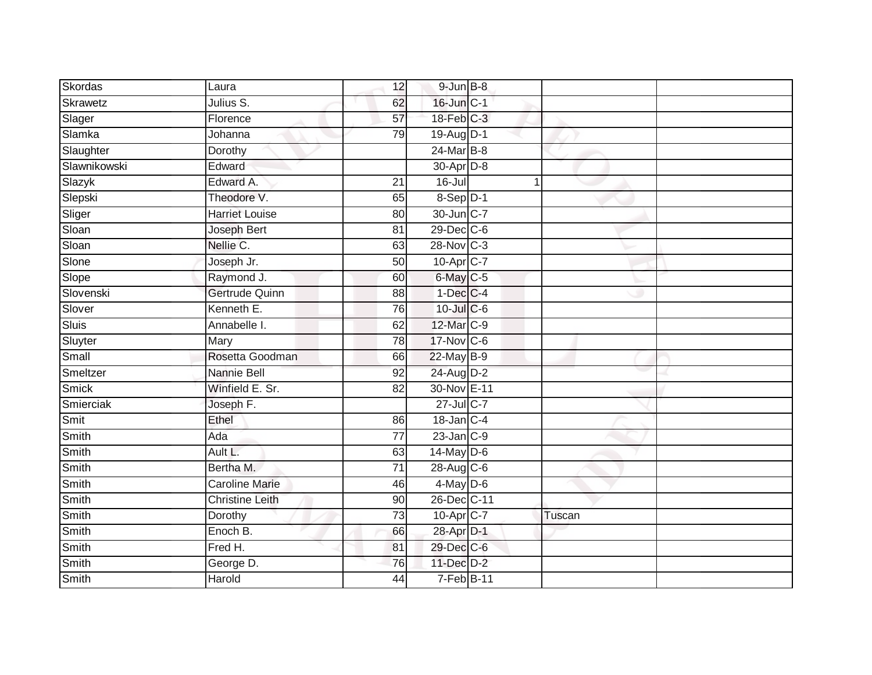| Skordas      | Laura                  | 12              | $9$ -Jun $B$ -8         |                      |  |
|--------------|------------------------|-----------------|-------------------------|----------------------|--|
| Skrawetz     | Julius S.              | 62              | 16-Jun C-1              |                      |  |
| Slager       | Florence               | 57              | 18-Feb C-3              |                      |  |
| Slamka       | Johanna                | 79              | 19-Aug D-1              |                      |  |
| Slaughter    | Dorothy                |                 | 24-Mar B-8              |                      |  |
| Slawnikowski | Edward                 |                 | 30-Apr D-8              |                      |  |
| Slazyk       | Edward A.              | 21              | $16$ -Jul               | $\blacktriangleleft$ |  |
| Slepski      | Theodore V.            | 65              | $8-Sep$ D-1             |                      |  |
| Sliger       | <b>Harriet Louise</b>  | 80              | 30-Jun C-7              |                      |  |
| Sloan        | Joseph Bert            | $\overline{81}$ | $29$ -Dec $C$ -6        |                      |  |
| Sloan        | Nellie C.              | 63              | $28-Nov$ <sub>C-3</sub> |                      |  |
| Slone        | Joseph Jr.             | 50              | 10-Apr C-7              |                      |  |
| Slope        | Raymond J.             | 60              | 6-May C-5               |                      |  |
| Slovenski    | Gertrude Quinn         | 88              | $1-Dec$ $C-4$           |                      |  |
| Slover       | Kenneth E.             | 76              | 10-Jul C-6              |                      |  |
| <b>Sluis</b> | Annabelle I.           | 62              | 12-Mar C-9              |                      |  |
| Sluyter      | Mary                   | $\overline{78}$ | 17-Nov C-6              |                      |  |
| Small        | Rosetta Goodman        | 66              | 22-May B-9              |                      |  |
| Smeltzer     | Nannie Bell            | 92              | 24-Aug D-2              |                      |  |
| <b>Smick</b> | Winfield E. Sr.        | 82              | 30-Nov E-11             |                      |  |
| Smierciak    | Joseph F.              |                 | 27-Jul C-7              |                      |  |
| Smit         | Ethel                  | 86              | $18$ -Jan $ C-4 $       |                      |  |
| Smith        | Ada                    | 77              | $23$ -Jan $C-9$         |                      |  |
| Smith        | Ault L.                | 63              | $14$ -May D-6           |                      |  |
| Smith        | Bertha M.              | $\overline{71}$ | 28-Aug C-6              |                      |  |
| Smith        | <b>Caroline Marie</b>  | 46              | $4$ -May $D$ -6         |                      |  |
| Smith        | <b>Christine Leith</b> | 90              | 26-Dec C-11             |                      |  |
| Smith        | Dorothy                | 73              | 10-Apr C-7              | Tuscan               |  |
| Smith        | Enoch B.               | 66              | 28-Apr D-1              |                      |  |
| Smith        | Fred H.                | 81              | 29-Dec C-6              |                      |  |
| Smith        | George D.              | 76              | 11-Dec D-2              |                      |  |
| <b>Smith</b> | Harold                 | 44              | 7-Feb B-11              |                      |  |
|              |                        |                 |                         |                      |  |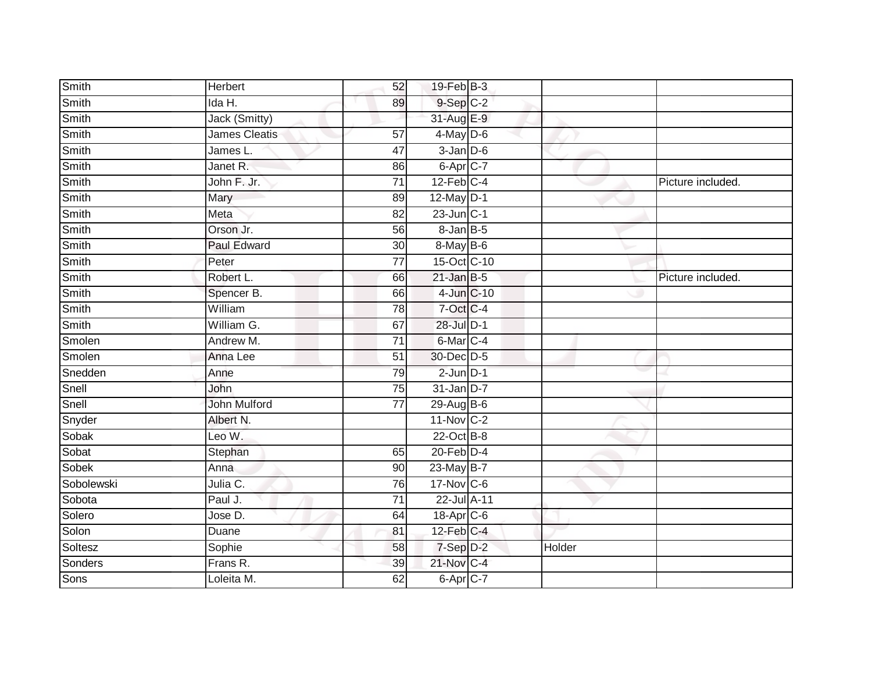| Smith        | Herbert             | 52              | 19-Feb B-3                |        |                   |
|--------------|---------------------|-----------------|---------------------------|--------|-------------------|
| <b>Smith</b> | Ida H.              | 89              | $9-Sep$ $C-2$             |        |                   |
| Smith        | Jack (Smitty)       |                 | 31-Aug E-9                |        |                   |
| Smith        | James Cleatis       | 57              | $4$ -May $D$ -6           |        |                   |
| Smith        | James L.            | 47              | $3$ -Jan $D-6$            |        |                   |
| Smith        | Janet R.            | 86              | $6 - Apr$ <sub>C</sub> -7 |        |                   |
| Smith        | John F. Jr.         | 71              | $12$ -Feb $C-4$           |        | Picture included. |
| Smith        | Mary                | 89              | $12$ -May $D-1$           |        |                   |
| Smith        | Meta                | 82              | $23$ -Jun $C-1$           |        |                   |
| Smith        | Orson Jr.           | 56              | $8$ -Jan $B$ -5           |        |                   |
| Smith        | <b>Paul Edward</b>  | $\overline{30}$ | 8-May B-6                 |        |                   |
| Smith        | Peter               | $\overline{77}$ | 15-Oct C-10               |        |                   |
| Smith        | Robert L.           | 66              | $21$ -Jan B-5             |        | Picture included. |
| Smith        | Spencer B.          | 66              | 4-Jun C-10                |        |                   |
| Smith        | William             | 78              | 7-Oct C-4                 |        |                   |
| Smith        | William G.          | 67              | 28-Jul D-1                |        |                   |
| Smolen       | Andrew M.           | $\overline{71}$ | 6-Mar C-4                 |        |                   |
| Smolen       | Anna Lee            | 51              | 30-Dec D-5                |        |                   |
| Snedden      | Anne                | 79              | $2$ -Jun $D-1$            |        |                   |
| Snell        | <b>John</b>         | 75              | 31-Jan D-7                |        |                   |
| Snell        | <b>John Mulford</b> | 77              | 29-Aug B-6                |        |                   |
| Snyder       | Albert N.           |                 | $11-Nov$ C-2              |        |                   |
| Sobak        | Leo W.              |                 | 22-Oct B-8                |        |                   |
| Sobat        | Stephan             | 65              | $20$ -Feb $D-4$           |        |                   |
| <b>Sobek</b> | Anna                | 90              | 23-May B-7                |        |                   |
| Sobolewski   | Julia C.            | 76              | $17$ -Nov $ C-6 $         |        |                   |
| Sobota       | Paul J.             | $\overline{71}$ | 22-Jul A-11               |        |                   |
| Solero       | Jose D.             | 64              | $18$ -Apr $C$ -6          |        |                   |
| Solon        | Duane               | 81              | $12$ -Feb $C-4$           |        |                   |
| Soltesz      | Sophie              | 58              | 7-Sep D-2                 | Holder |                   |
| Sonders      | Frans R.            | 39              | 21-Nov C-4                |        |                   |
| Sons         | Loleita M.          | 62              | 6-Apr <sub>C-7</sub>      |        |                   |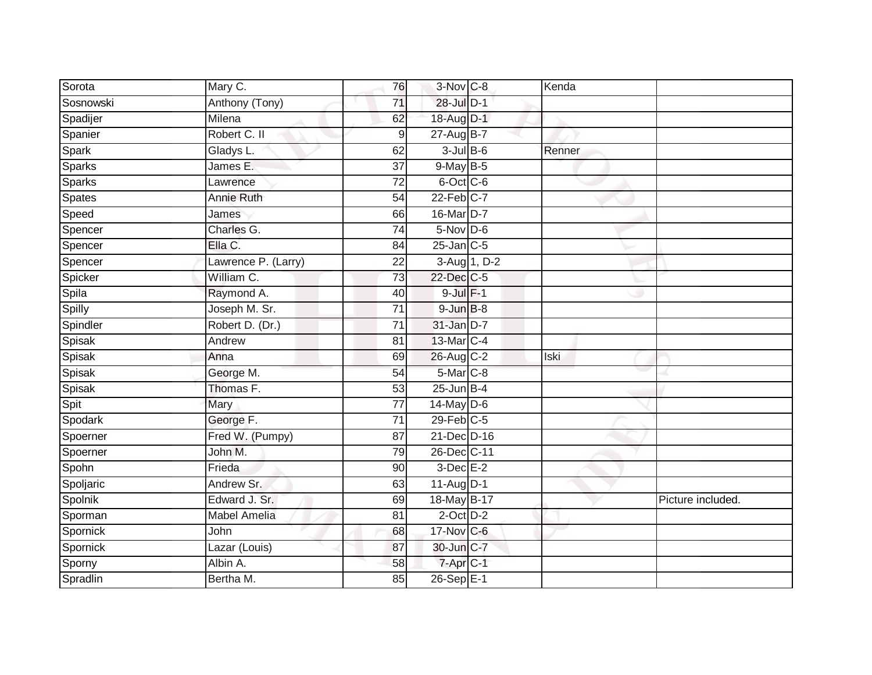| Sorota        | Mary C.             | 76              | $3-Nov$ C-8       |              | Kenda  |                   |
|---------------|---------------------|-----------------|-------------------|--------------|--------|-------------------|
| Sosnowski     | Anthony (Tony)      | 71              | 28-Jul D-1        |              |        |                   |
| Spadijer      | Milena              | 62              | 18-Aug D-1        |              |        |                   |
| Spanier       | Robert C. II        | 9               | 27-Aug B-7        |              |        |                   |
| Spark         | Gladys L.           | 62              | $3$ -Jul $B$ -6   |              | Renner |                   |
| <b>Sparks</b> | James E.            | 37              | 9-May B-5         |              |        |                   |
| Sparks        | Lawrence            | $\overline{72}$ | 6-Oct C-6         |              |        |                   |
| Spates        | Annie Ruth          | 54              | $22$ -Feb $C-7$   |              |        |                   |
| Speed         | James               | 66              | 16-Mar D-7        |              |        |                   |
| Spencer       | Charles G.          | $\overline{74}$ | $5-Nov$ D-6       |              |        |                   |
| Spencer       | Ella C.             | 84              | $25$ -Jan $C$ -5  |              |        |                   |
| Spencer       | Lawrence P. (Larry) | 22              |                   | 3-Aug 1, D-2 |        |                   |
| Spicker       | William C.          | 73              | 22-Dec C-5        |              |        |                   |
| Spila         | Raymond A.          | 40              | $9$ -Jul $F-1$    |              |        |                   |
| Spilly        | Joseph M. Sr.       | $\overline{71}$ | $9 - JunB - 8$    |              |        |                   |
| Spindler      | Robert D. (Dr.)     | 71              | $31$ -Jan D-7     |              |        |                   |
| Spisak        | Andrew              | 81              | 13-Mar C-4        |              |        |                   |
| Spisak        | Anna                | 69              | 26-Aug C-2        |              | Iski   |                   |
| Spisak        | George M.           | 54              | 5-Mar C-8         |              |        |                   |
| Spisak        | Thomas F.           | 53              | $25$ -Jun B-4     |              |        |                   |
| Spit          | Mary                | 77              | $14$ -May D-6     |              |        |                   |
| Spodark       | George F.           | $\overline{71}$ | $29$ -Feb $C-5$   |              |        |                   |
| Spoerner      | Fred W. (Pumpy)     | 87              | 21-Dec D-16       |              |        |                   |
| Spoerner      | John M.             | 79              | 26-Dec C-11       |              |        |                   |
| Spohn         | Frieda              | 90              | $3-Dec$ $E-2$     |              |        |                   |
| Spoljaric     | Andrew Sr.          | 63              | 11-Aug D-1        |              |        |                   |
| Spolnik       | Edward J. Sr.       | 69              | 18-May B-17       |              |        | Picture included. |
| Sporman       | Mabel Amelia        | 81              | $2$ -Oct $D-2$    |              |        |                   |
| Spornick      | John                | 68              | $17$ -Nov $ C-6 $ |              |        |                   |
| Spornick      | Lazar (Louis)       | 87              | 30-Jun C-7        |              |        |                   |
| Sporny        | Albin A.            | 58              | 7-Apr C-1         |              |        |                   |
| Spradlin      | Bertha M.           | 85              | $26-Sep \tE-1$    |              |        |                   |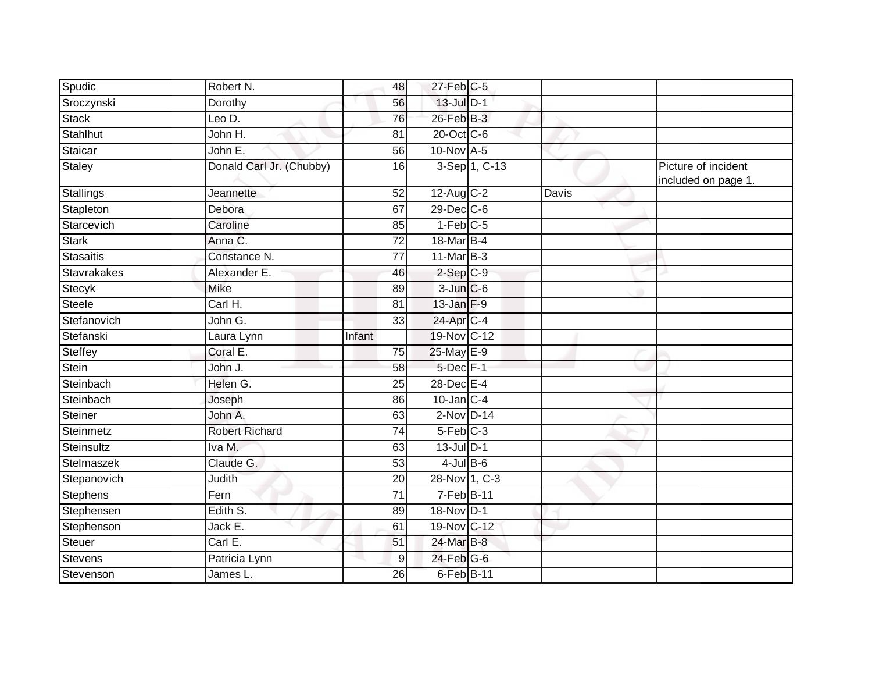| Spudic           | Robert N.                | 48              | $27$ -Feb $C-5$  |               |              |                                            |
|------------------|--------------------------|-----------------|------------------|---------------|--------------|--------------------------------------------|
| Sroczynski       | Dorothy                  | 56              | 13-Jul D-1       |               |              |                                            |
| <b>Stack</b>     | Leo D.                   | 76              | $26$ -Feb $B-3$  |               |              |                                            |
| <b>Stahlhut</b>  | John H.                  | 81              | $20$ -Oct $C$ -6 |               |              |                                            |
| Staicar          | John E.                  | 56              | 10-Nov A-5       |               |              |                                            |
| Staley           | Donald Carl Jr. (Chubby) | 16              |                  | 3-Sep 1, C-13 |              | Picture of incident<br>included on page 1. |
| <b>Stallings</b> | Jeannette                | 52              | $12$ -Aug C-2    |               | <b>Davis</b> |                                            |
| Stapleton        | Debora                   | 67              | 29-Dec C-6       |               |              |                                            |
| Starcevich       | Caroline                 | 85              | $1-Feb$ $C-5$    |               |              |                                            |
| <b>Stark</b>     | Anna C.                  | 72              | 18-Mar B-4       |               |              |                                            |
| <b>Stasaitis</b> | Constance N.             | 77              | $11$ -Mar $B-3$  |               |              |                                            |
| Stavrakakes      | Alexander E.             | 46              | $2-Sep$ $C-9$    |               |              |                                            |
| <b>Stecyk</b>    | <b>Mike</b>              | 89              | $3$ -Jun $C$ -6  |               |              |                                            |
| <b>Steele</b>    | Carl H.                  | 81              | $13$ -Jan $F-9$  |               |              |                                            |
| Stefanovich      | John G.                  | 33              | 24-Apr C-4       |               |              |                                            |
| Stefanski        | Laura Lynn               | Infant          | 19-Nov C-12      |               |              |                                            |
| Steffey          | Coral E.                 | 75              | 25-May E-9       |               |              |                                            |
| Stein            | John J.                  | 58              | 5-Dec F-1        |               |              |                                            |
| Steinbach        | Helen G.                 | 25              | 28-Dec E-4       |               |              |                                            |
| Steinbach        | Joseph                   | 86              | $10$ -Jan C-4    |               |              |                                            |
| Steiner          | John A.                  | 63              | $2-Nov$ D-14     |               |              |                                            |
| Steinmetz        | <b>Robert Richard</b>    | 74              | $5$ -Feb $C-3$   |               |              |                                            |
| Steinsultz       | Iva M.                   | 63              | $13$ -Jul $D-1$  |               |              |                                            |
| Stelmaszek       | Claude G.                | 53              | $4$ -Jul B-6     |               |              |                                            |
| Stepanovich      | <b>Judith</b>            | 20              | 28-Nov 1, C-3    |               |              |                                            |
| <b>Stephens</b>  | Fern                     | $\overline{71}$ | 7-Feb B-11       |               |              |                                            |
| Stephensen       | Edith S.                 | 89              | 18-Nov D-1       |               |              |                                            |
| Stephenson       | Jack E.                  | 61              | 19-Nov C-12      |               |              |                                            |
| Steuer           | Carl E.                  | 51              | 24-Mar B-8       |               |              |                                            |
| Stevens          | Patricia Lynn            | 9               | 24-Feb G-6       |               |              |                                            |
| Stevenson        | James L.                 | 26              | 6-Feb B-11       |               |              |                                            |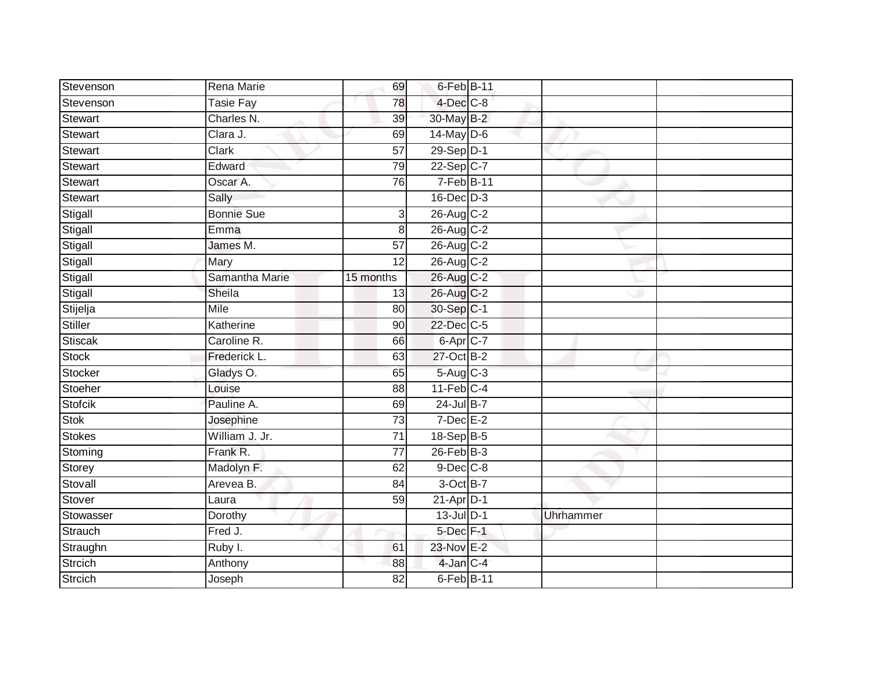| Stevenson      | Rena Marie        | 69              | 6-Feb B-11            |           |  |
|----------------|-------------------|-----------------|-----------------------|-----------|--|
| Stevenson      | <b>Tasie Fay</b>  | 78              | 4-Dec C-8             |           |  |
| Stewart        | Charles N.        | 39              | 30-May B-2            |           |  |
| Stewart        | Clara J.          | 69              | $14$ -May D-6         |           |  |
| Stewart        | <b>Clark</b>      | $\overline{57}$ | 29-Sep D-1            |           |  |
| <b>Stewart</b> | Edward            | 79              | 22-Sep C-7            |           |  |
| Stewart        | Oscar A.          | 76              | 7-Feb B-11            |           |  |
| Stewart        | Sally             |                 | $16$ -Dec $D-3$       |           |  |
| Stigall        | <b>Bonnie Sue</b> | 3               | 26-Aug C-2            |           |  |
| Stigall        | Emma              | 8               | 26-Aug C-2            |           |  |
| Stigall        | James M.          | 57              | 26-Aug C-2            |           |  |
| Stigall        | Mary              | 12              | 26-Aug C-2            |           |  |
| Stigall        | Samantha Marie    | 15 months       | 26-Aug C-2            |           |  |
| Stigall        | Sheila            | 13              | 26-Aug C-2            |           |  |
| Stijelja       | Mile              | 80              | 30-Sep C-1            |           |  |
| <b>Stiller</b> | Katherine         | 90              | 22-Dec C-5            |           |  |
| Stiscak        | Caroline R.       | 66              | 6-Apr C-7             |           |  |
| <b>Stock</b>   | Frederick L.      | 63              | 27-Oct B-2            |           |  |
| Stocker        | Gladys O.         | 65              | 5-Aug C-3             |           |  |
| Stoeher        | Louise            | 88              | $11$ -Feb $C-4$       |           |  |
| <b>Stofcik</b> | Pauline A.        | 69              | 24-Jul B-7            |           |  |
| <b>Stok</b>    | Josephine         | $\overline{73}$ | $7$ -Dec $E-2$        |           |  |
| <b>Stokes</b>  | William J. Jr.    | 71              | 18-Sep B-5            |           |  |
| Stoming        | Frank R.          | $\overline{77}$ | $26$ -Feb $B-3$       |           |  |
| Storey         | Madolyn F.        | 62              | $9$ -Dec $C$ -8       |           |  |
| Stovall        | Arevea B.         | 84              | $3-OctB-7$            |           |  |
| Stover         | Laura             | 59              | $21-Apr2$ D-1         |           |  |
| Stowasser      | Dorothy           |                 | $13$ -Jul $D-1$       | Uhrhammer |  |
| Strauch        | Fred J.           |                 | 5-Dec F-1             |           |  |
| Straughn       | Ruby I.           | 61              | 23-Nov E-2            |           |  |
| <b>Strcich</b> | Anthony           | 88              | 4-Jan C-4             |           |  |
| <b>Strcich</b> | Joseph            | $\overline{82}$ | 6-Feb <sup>B-11</sup> |           |  |
|                |                   |                 |                       |           |  |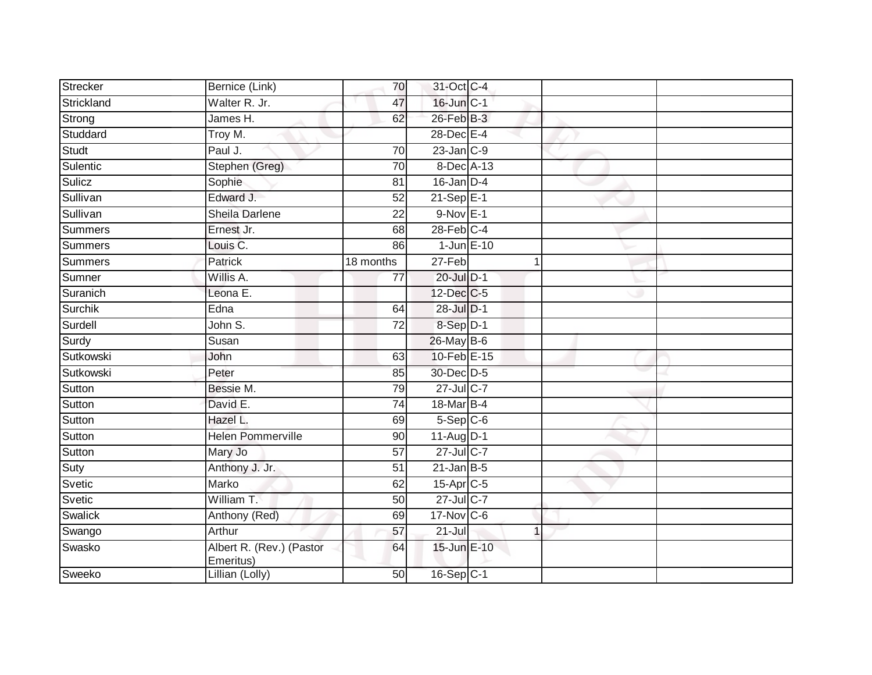| Strecker       | Bernice (Link)                        | 70              | 31-Oct C-4       |                |  |
|----------------|---------------------------------------|-----------------|------------------|----------------|--|
| Strickland     | Walter R. Jr.                         | 47              | 16-Jun C-1       |                |  |
| Strong         | James H.                              | 62              | 26-Feb B-3       |                |  |
| Studdard       | Troy M.                               |                 | $28$ -Dec $E-4$  |                |  |
| Studt          | Paul J.                               | $\overline{70}$ | $23$ -Jan $C-9$  |                |  |
| Sulentic       | Stephen (Greg)                        | $\overline{70}$ | 8-Dec A-13       |                |  |
| Sulicz         | Sophie                                | 81              | $16$ -Jan $D-4$  |                |  |
| Sullivan       | Edward J.                             | 52              | $21-Sep \tE-1$   |                |  |
| Sullivan       | Sheila Darlene                        | 22              | $9-Nov$ E-1      |                |  |
| <b>Summers</b> | Ernest Jr.                            | 68              | $28$ -Feb $C-4$  |                |  |
| <b>Summers</b> | Louis <sub>C.</sub>                   | 86              | $1$ -Jun $E-10$  |                |  |
| <b>Summers</b> | Patrick                               | 18 months       | 27-Feb           |                |  |
| Sumner         | Willis A.                             | 77              | 20-Jul D-1       |                |  |
| Suranich       | Leona E.                              |                 | 12-Dec C-5       |                |  |
| Surchik        | Edna                                  | 64              | 28-Jul D-1       |                |  |
| Surdell        | John S.                               | 72              | 8-Sep D-1        |                |  |
| Surdy          | Susan                                 |                 | 26-May B-6       |                |  |
| Sutkowski      | John                                  | 63              | 10-Feb E-15      |                |  |
| Sutkowski      | Peter                                 | 85              | 30-Dec D-5       |                |  |
| Sutton         | Bessie M.                             | 79              | 27-Jul C-7       |                |  |
| Sutton         | David E.                              | 74              | 18-Mar B-4       |                |  |
| Sutton         | Hazel L.                              | 69              | $5-$ Sep $C-6$   |                |  |
| Sutton         | <b>Helen Pommerville</b>              | 90              | $11-Auq$ D-1     |                |  |
| Sutton         | Mary Jo                               | 57              | 27-Jul C-7       |                |  |
| Suty           | Anthony J. Jr.                        | 51              | $21$ -Jan B-5    |                |  |
| Svetic         | Marko                                 | 62              | $15$ -Apr $C$ -5 |                |  |
| Svetic         | William T.                            | $\overline{50}$ | 27-Jul C-7       |                |  |
| Swalick        | Anthony (Red)                         | 69              | 17-Nov C-6       |                |  |
| Swango         | Arthur                                | 57              | $21 -$ Jul       | $\overline{1}$ |  |
| Swasko         | Albert R. (Rev.) (Pastor<br>Emeritus) | 64              | 15-Jun E-10      |                |  |
| Sweeko         | Lillian (Lolly)                       | 50              | 16-Sep C-1       |                |  |
|                |                                       |                 |                  |                |  |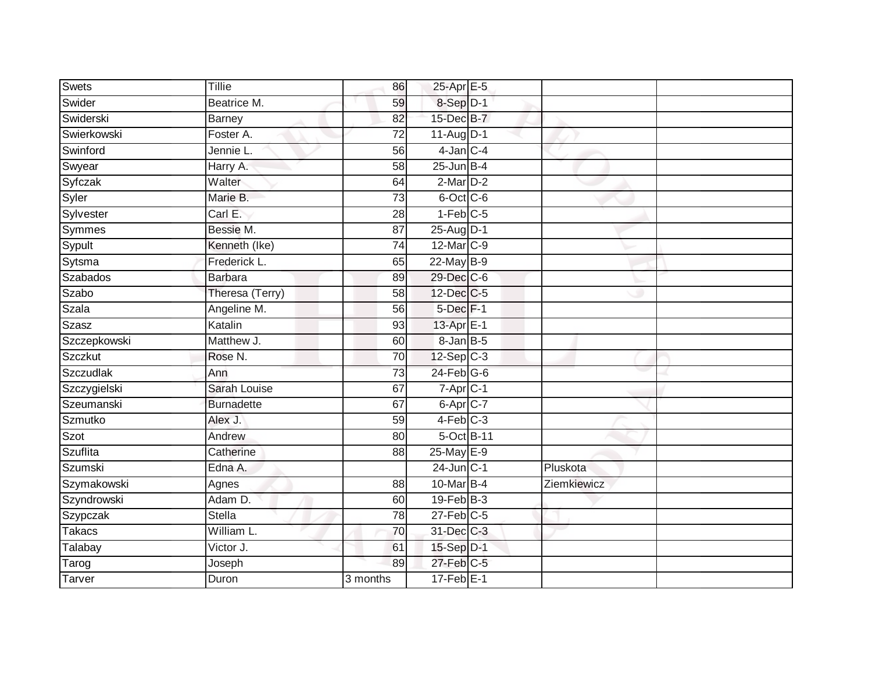| Swets           | <b>Tillie</b>       | 86              | 25-Apr E-5             |             |  |
|-----------------|---------------------|-----------------|------------------------|-------------|--|
| Swider          | Beatrice M.         | 59              | 8-Sep D-1              |             |  |
| Swiderski       | Barney              | 82              | 15-Dec B-7             |             |  |
| Swierkowski     | Foster A.           | $\overline{72}$ | 11-Aug D-1             |             |  |
| Swinford        | Jennie L.           | 56              | $4$ -Jan $C$ -4        |             |  |
| Swyear          | Harry A.            | 58              | $25$ -Jun $B-4$        |             |  |
| Syfczak         | Walter              | 64              | $2$ -Mar $D-2$         |             |  |
| Syler           | Marie B.            | 73              | 6-Oct C-6              |             |  |
| Sylvester       | Carl E.             | 28              | $1-Feb$ <sub>C-5</sub> |             |  |
| Symmes          | Bessie M.           | 87              | 25-Aug D-1             |             |  |
| Sypult          | Kenneth (Ike)       | 74              | 12-Mar C-9             |             |  |
| Sytsma          | Frederick L.        | 65              | $22$ -May B-9          |             |  |
| <b>Szabados</b> | <b>Barbara</b>      | 89              | 29-Dec C-6             |             |  |
| <b>Szabo</b>    | Theresa (Terry)     | 58              | 12-Dec C-5             |             |  |
| Szala           | Angeline M.         | $\overline{56}$ | $5$ -Dec $F-1$         |             |  |
| Szasz           | Katalin             | 93              | 13-Apr E-1             |             |  |
| Szczepkowski    | Matthew J.          | 60              | 8-Jan B-5              |             |  |
| <b>Szczkut</b>  | Rose N.             | 70              | $12-Sep$ C-3           |             |  |
| Szczudlak       | Ann                 | 73              | $24$ -Feb $G-6$        |             |  |
| Szczygielski    | <b>Sarah Louise</b> | 67              | $7 - Apr$ $C-1$        |             |  |
| Szeumanski      | <b>Burnadette</b>   | 67              | $6 - Apr$ $C - 7$      |             |  |
| Szmutko         | Alex J.             | 59              | $4-Feb$ $C-3$          |             |  |
| Szot            | Andrew              | 80              | 5-Oct B-11             |             |  |
| Szuflita        | Catherine           | 88              | $25 - May \tE-9$       |             |  |
| Szumski         | Edna A.             |                 | $24$ -Jun $C-1$        | Pluskota    |  |
| Szymakowski     | Agnes               | 88              | 10-Mar B-4             | Ziemkiewicz |  |
| Szyndrowski     | Adam D.             | 60              | $19$ -Feb $B$ -3       |             |  |
| Szypczak        | <b>Stella</b>       | 78              | $27$ -Feb $C-5$        |             |  |
| <b>Takacs</b>   | William L.          | 70              | 31-Dec C-3             |             |  |
| Talabay         | Victor J.           | 61              | 15-Sep D-1             |             |  |
| Tarog           | Joseph              | 89              | $27$ -Feb $C-5$        |             |  |
| Tarver          | Duron               | 3 months        | $17$ -Feb $E-1$        |             |  |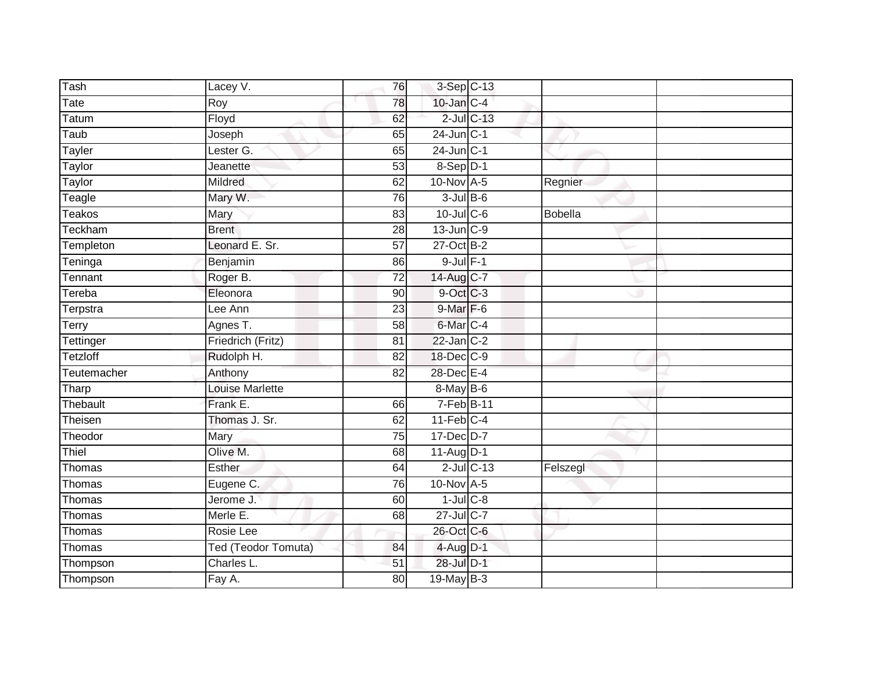| Tash            | Lacey V.               | 76              | 3-Sep C-13       |                  |          |
|-----------------|------------------------|-----------------|------------------|------------------|----------|
| Tate            | Roy                    | 78              | $10$ -Jan $C-4$  |                  |          |
| Tatum           | Floyd                  | 62              |                  | $2$ -Jul $C-13$  |          |
| Taub            | Joseph                 | 65              | $24$ -Jun $C-1$  |                  |          |
| Tayler          | Lester G.              | 65              | $24$ -Jun $C-1$  |                  |          |
| Taylor          | Jeanette               | 53              | 8-Sep D-1        |                  |          |
| Taylor          | Mildred                | 62              | 10-Nov A-5       |                  | Regnier  |
| Teagle          | Mary W.                | 76              | $3$ -Jul $B$ -6  |                  |          |
| Teakos          | Mary                   | 83              | $10$ -Jul $C$ -6 |                  | Bobella  |
| <b>Teckham</b>  | <b>Brent</b>           | 28              | $13$ -Jun $C-9$  |                  |          |
| Templeton       | Leonard E. Sr.         | 57              | 27-Oct B-2       |                  |          |
| Teninga         | Benjamin               | 86              | $9$ -Jul $F-1$   |                  |          |
| Tennant         | Roger B.               | 72              | 14-Aug C-7       |                  |          |
| Tereba          | Eleonora               | 90              | 9-Oct C-3        |                  |          |
| Terpstra        | Lee Ann                | 23              | 9-Mar F-6        |                  |          |
| Terry           | Agnes T.               | 58              | 6-Mar C-4        |                  |          |
| Tettinger       | Friedrich (Fritz)      | $\overline{81}$ | $22$ -Jan $C-2$  |                  |          |
| <b>Tetzloff</b> | Rudolph H.             | 82              | 18-Dec C-9       |                  |          |
| Teutemacher     | Anthony                | 82              | 28-Dec E-4       |                  |          |
| Tharp           | <b>Louise Marlette</b> |                 | 8-May B-6        |                  |          |
| Thebault        | Frank E.               | 66              | $7-Feb$ B-11     |                  |          |
| Theisen         | Thomas J. Sr.          | 62              | $11$ -Feb $C-4$  |                  |          |
| Theodor         | Mary                   | 75              | 17-Dec D-7       |                  |          |
| Thiel           | Olive M.               | 68              | 11-Aug D-1       |                  |          |
| Thomas          | Esther                 | 64              |                  | $2$ -Jul $C$ -13 | Felszegl |
| Thomas          | Eugene C.              | 76              | $10$ -Nov A-5    |                  |          |
| Thomas          | Jerome J.              | 60              | $1$ -Jul $C$ -8  |                  |          |
| Thomas          | Merle E.               | 68              | 27-Jul C-7       |                  |          |
| Thomas          | Rosie Lee              |                 | 26-Oct C-6       |                  |          |
| Thomas          | Ted (Teodor Tomuta)    | 84              | $4-Aug$ D-1      |                  |          |
| Thompson        | Charles L.             | 51              | 28-Jul D-1       |                  |          |
| Thompson        | Fay A.                 | $\overline{80}$ | 19-May B-3       |                  |          |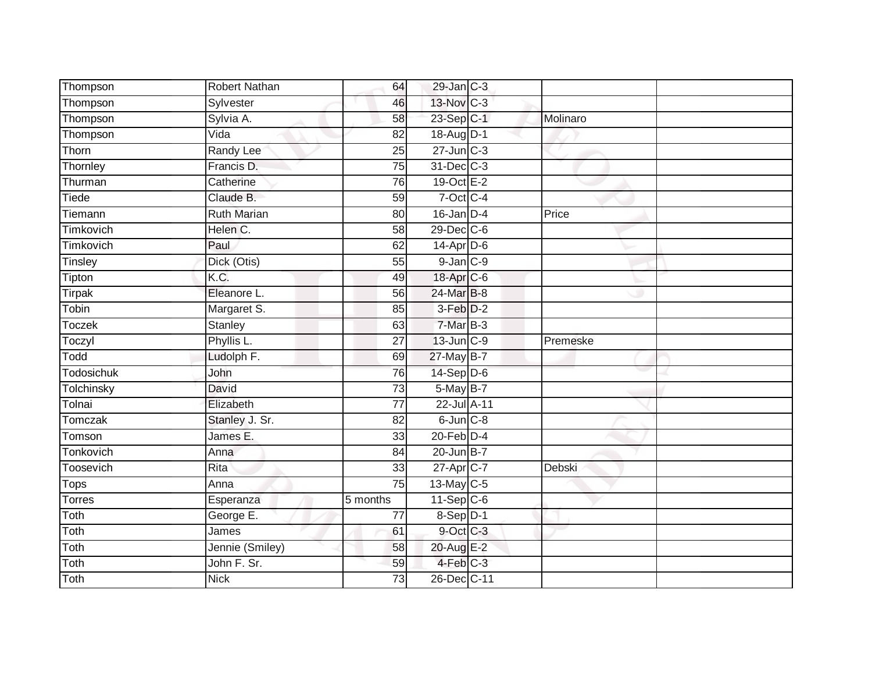| Thompson       | <b>Robert Nathan</b> | 64              | 29-Jan C-3      |          |
|----------------|----------------------|-----------------|-----------------|----------|
| Thompson       | Sylvester            | 46              | 13-Nov C-3      |          |
| Thompson       | Sylvia A.            | 58              | 23-Sep C-1      | Molinaro |
| Thompson       | $\overline{V}$ ida   | 82              | 18-Aug D-1      |          |
| Thorn          | <b>Randy Lee</b>     | $\overline{25}$ | $27$ -Jun $C-3$ |          |
| Thornley       | Francis D.           | $\overline{75}$ | 31-Dec C-3      |          |
| Thurman        | Catherine            | 76              | 19-Oct E-2      |          |
| Tiede          | Claude B.            | 59              | $7$ -Oct C-4    |          |
| Tiemann        | <b>Ruth Marian</b>   | 80              | $16$ -Jan $D-4$ | Price    |
| Timkovich      | Helen C.             | $\overline{58}$ | 29-Dec C-6      |          |
| Timkovich      | Paul                 | 62              | 14-Apr D-6      |          |
| Tinsley        | Dick (Otis)          | 55              | $9$ -Jan $C-9$  |          |
| Tipton         | K.C.                 | 49              | 18-Apr C-6      |          |
| <b>Tirpak</b>  | Eleanore L.          | 56              | 24-Mar B-8      |          |
| Tobin          | Margaret S.          | 85              | 3-Feb D-2       |          |
| <b>Toczek</b>  | <b>Stanley</b>       | 63              | $7$ -Mar $B-3$  |          |
| Toczyl         | Phyllis L.           | 27              | 13-Jun C-9      | Premeske |
| Todd           | Ludolph F.           | 69              | 27-May B-7      |          |
| Todosichuk     | John                 | 76              | 14-Sep D-6      |          |
| Tolchinsky     | David                | 73              | 5-May B-7       |          |
| Tolnai         | Elizabeth            | 77              | 22-Jul A-11     |          |
| <b>Tomczak</b> | Stanley J. Sr.       | $\overline{82}$ | $6$ -Jun $C-8$  |          |
| Tomson         | James E.             | 33              | $20$ -Feb $D-4$ |          |
| Tonkovich      | Anna                 | 84              | $20$ -Jun $B-7$ |          |
| Toosevich      | Rita                 | 33              | 27-Apr C-7      | Debski   |
| Tops           | Anna                 | 75              | 13-May C-5      |          |
| <b>Torres</b>  | Esperanza            | 5 months        | $11-Sep$ C-6    |          |
| Toth           | George E.            | 77              | $8-Sep$ D-1     |          |
| Toth           | James                | 61              | 9-Oct C-3       |          |
| Toth           | Jennie (Smiley)      | 58              | 20-Aug E-2      |          |
|                |                      |                 |                 |          |
| Toth           | John F. Sr.          | 59              | 4-Feb C-3       |          |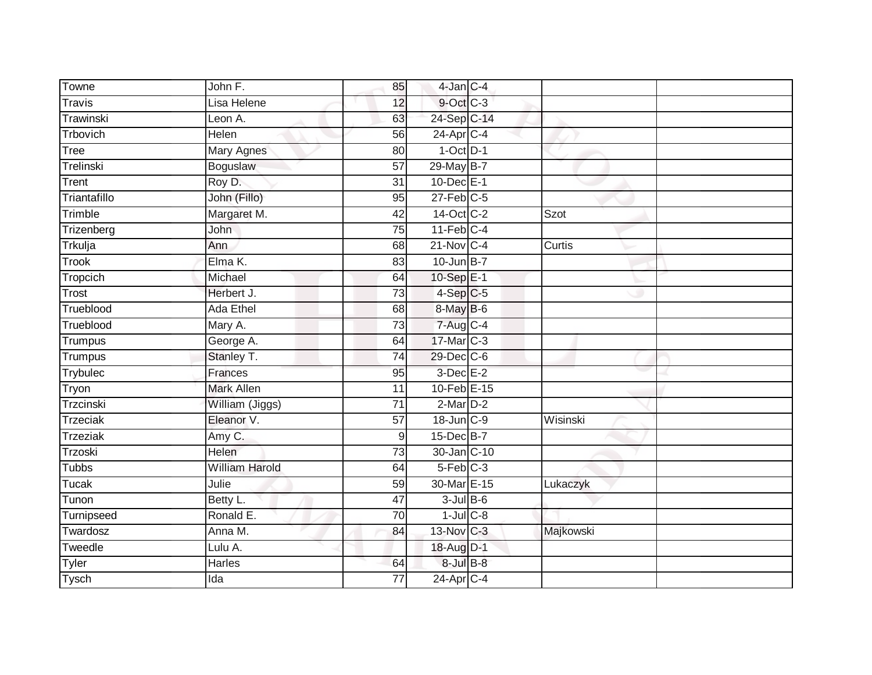| Towne           | John F.               | 85              | $4$ -Jan $C-4$    |           |  |
|-----------------|-----------------------|-----------------|-------------------|-----------|--|
| Travis          | Lisa Helene           | 12              | 9-Oct C-3         |           |  |
| Trawinski       | Leon A.               | 63              | 24-Sep C-14       |           |  |
| Trbovich        | Helen                 | 56              | 24-Apr C-4        |           |  |
| Tree            | <b>Mary Agnes</b>     | $\overline{80}$ | $1$ -Oct $D-1$    |           |  |
| Trelinski       | Boguslaw              | 57              | 29-May B-7        |           |  |
| Trent           | Roy D.                | 31              | 10-Dec E-1        |           |  |
| Triantafillo    | John (Fillo)          | 95              | $27$ -Feb $C-5$   |           |  |
| Trimble         | Margaret M.           | 42              | 14-Oct C-2        | Szot      |  |
| Trizenberg      | <b>John</b>           | 75              | $11$ -Feb $ C-4 $ |           |  |
| Trkulja         | Ann                   | 68              | $21-Nov$ C-4      | Curtis    |  |
| <b>Trook</b>    | Elma K.               | 83              | $10$ -Jun $B - 7$ |           |  |
| Tropcich        | Michael               | 64              | 10-Sep E-1        |           |  |
| Trost           | Herbert J.            | 73              | $4-Sep$ C-5       |           |  |
| Trueblood       | <b>Ada Ethel</b>      | 68              | 8-May B-6         |           |  |
| Trueblood       | Mary A.               | $\overline{73}$ | 7-Aug C-4         |           |  |
| Trumpus         | George A.             | 64              | 17-Mar C-3        |           |  |
| Trumpus         | Stanley T.            | 74              | 29-Dec C-6        |           |  |
| Trybulec        | Frances               | 95              | $3$ -Dec $E-2$    |           |  |
| Tryon           | <b>Mark Allen</b>     | $\overline{11}$ | 10-Feb E-15       |           |  |
| Trzcinski       | William (Jiggs)       | 71              | $2$ -Mar $D-2$    |           |  |
| <b>Trzeciak</b> | Eleanor V.            | $\overline{57}$ | 18-Jun C-9        | Wisinski  |  |
| Trzeziak        | Amy C.                | 9               | 15-Dec B-7        |           |  |
| Trzoski         | Helen                 | $\overline{73}$ | 30-Jan C-10       |           |  |
| Tubbs           | <b>William Harold</b> | 64              | $5-Feb$ $C-3$     |           |  |
| Tucak           | Julie                 | 59              | 30-Mar E-15       | Lukaczyk  |  |
| Tunon           | Betty L.              | $\overline{47}$ | $3$ -Jul $B$ -6   |           |  |
| Turnipseed      | Ronald E.             | 70              | $1$ -Jul $C$ -8   |           |  |
| Twardosz        | Anna M.               | 84              | 13-Nov C-3        | Majkowski |  |
| Tweedle         | Lulu A.               |                 | 18-Aug D-1        |           |  |
| <b>Tyler</b>    | Harles                | 64              | 8-Jul B-8         |           |  |
| <b>Tysch</b>    | Ida                   | $\overline{77}$ | 24-Apr C-4        |           |  |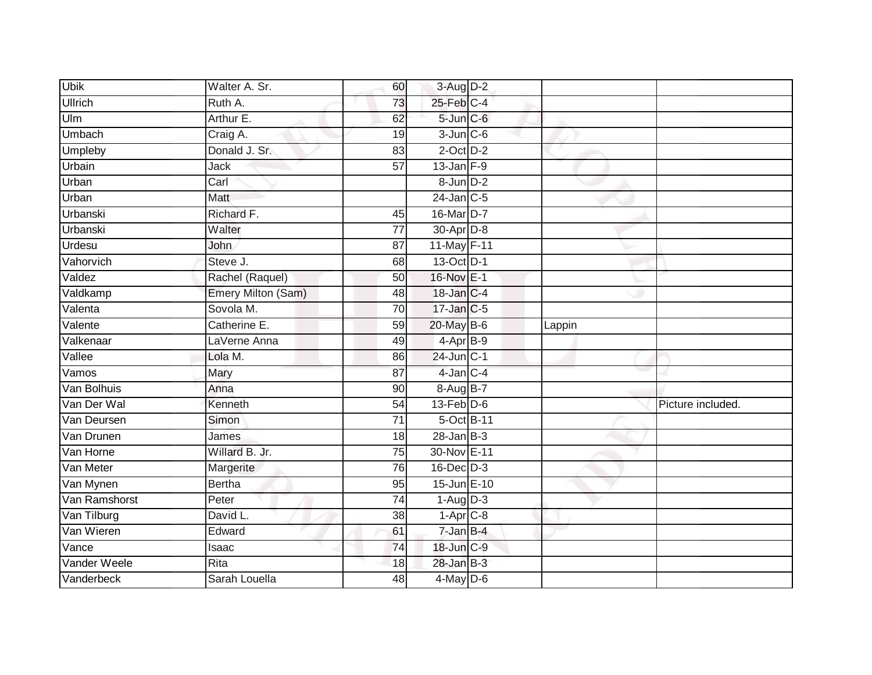| <b>Ubik</b>    | Walter A. Sr.      | 60              | 3-Aug D-2       |        |                   |
|----------------|--------------------|-----------------|-----------------|--------|-------------------|
| <b>Ullrich</b> | Ruth A.            | 73              | $25$ -Feb $C-4$ |        |                   |
| U/m            | Arthur E.          | 62              | 5-Jun C-6       |        |                   |
| Umbach         | Craig A.           | 19              | $3$ -Jun $C$ -6 |        |                   |
| <b>Umpleby</b> | Donald J. Sr.      | $\overline{83}$ | $2$ -Oct $D-2$  |        |                   |
| Urbain         | Jack               | 57              | $13$ -Jan $F-9$ |        |                   |
| Urban          | Carl               |                 | $8$ -Jun $D-2$  |        |                   |
| Urban          | Matt               |                 | $24$ -Jan C-5   |        |                   |
| Urbanski       | Richard F.         | 45              | 16-Mar D-7      |        |                   |
| Urbanski       | Walter             | $\overline{77}$ | 30-Apr D-8      |        |                   |
| Urdesu         | John               | 87              | 11-May F-11     |        |                   |
| Vahorvich      | Steve J.           | 68              | 13-Oct D-1      |        |                   |
| Valdez         | Rachel (Raquel)    | 50              | 16-Nov E-1      |        |                   |
| Valdkamp       | Emery Milton (Sam) | 48              | 18-Jan C-4      |        |                   |
| Valenta        | Sovola M.          | 70              | 17-Jan C-5      |        |                   |
| Valente        | Catherine E.       | 59              | 20-May B-6      | Lappin |                   |
| Valkenaar      | LaVerne Anna       | 49              | $4-AprB-9$      |        |                   |
| Vallee         | Lola M.            | 86              | $24$ -Jun $C-1$ |        |                   |
| Vamos          | Mary               | 87              | 4-Jan C-4       |        |                   |
| Van Bolhuis    | Anna               | 90              | 8-Aug B-7       |        |                   |
| Van Der Wal    | Kenneth            | 54              | $13$ -Feb $D-6$ |        | Picture included. |
| Van Deursen    | Simon              | $\overline{71}$ | 5-Oct B-11      |        |                   |
| Van Drunen     | James              | 18              | $28$ -Jan B-3   |        |                   |
| Van Horne      | Willard B. Jr.     | $\overline{75}$ | 30-Nov E-11     |        |                   |
| Van Meter      | Margerite          | $\overline{76}$ | 16-Dec D-3      |        |                   |
| Van Mynen      | <b>Bertha</b>      | 95              | 15-Jun E-10     |        |                   |
| Van Ramshorst  | Peter              | 74              | $1-Aug$ $D-3$   |        |                   |
| Van Tilburg    | David L.           | 38              | $1-Apr$ C-8     |        |                   |
| Van Wieren     | Edward             | 61              | $7 - Jan$ B-4   |        |                   |
| Vance          | Isaac              | 74              | 18-Jun C-9      |        |                   |
| Vander Weele   | Rita               | 18              | $28$ -Jan B-3   |        |                   |
| Vanderbeck     | Sarah Louella      | 48              | $4$ -May D-6    |        |                   |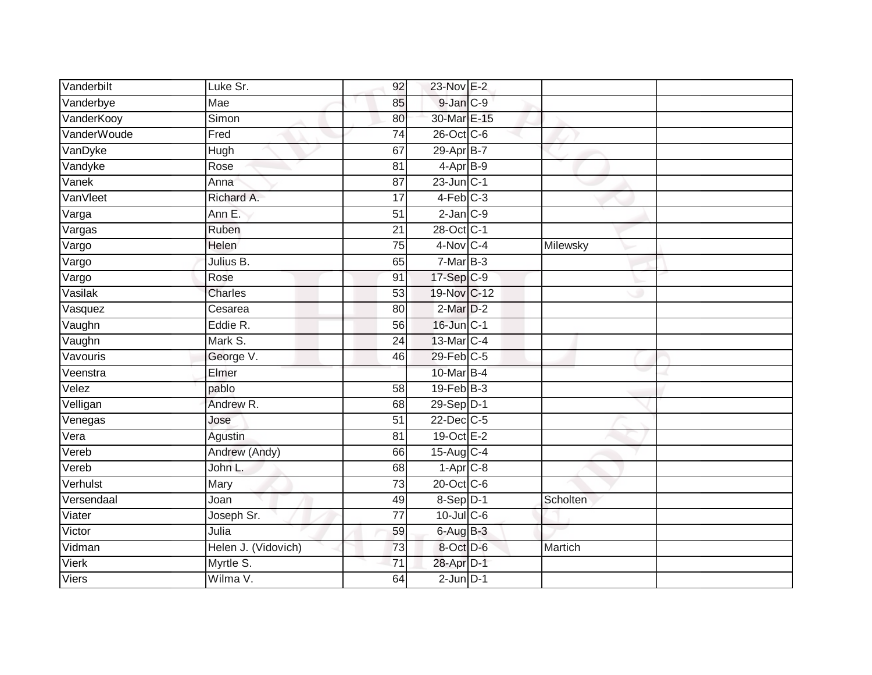| Vanderbilt         | Luke Sr.            | 92              | 23-Nov E-2      |          |  |
|--------------------|---------------------|-----------------|-----------------|----------|--|
| Vanderbye          | Mae                 | 85              | 9-Jan C-9       |          |  |
| VanderKooy         | Simon               | 80              | 30-Mar E-15     |          |  |
| <b>VanderWoude</b> | Fred                | 74              | 26-Oct C-6      |          |  |
| VanDyke            | Hugh                | 67              | 29-Apr B-7      |          |  |
| Vandyke            | Rose                | 81              | 4-Apr B-9       |          |  |
| Vanek              | Anna                | 87              | $23$ -Jun $C-1$ |          |  |
| VanVleet           | Richard A.          | 17              | $4-Feb$ $C-3$   |          |  |
| Varga              | Ann E.              | 51              | $2$ -Jan $C-9$  |          |  |
| Vargas             | Ruben               | 21              | 28-Oct C-1      |          |  |
| Vargo              | <b>Helen</b>        | 75              | $4-Nov$ C-4     | Milewsky |  |
| Vargo              | Julius B.           | 65              | $7-MarB-3$      |          |  |
| Vargo              | Rose                | 91              | 17-Sep C-9      |          |  |
| Vasilak            | Charles             | 53              | 19-Nov C-12     |          |  |
| Vasquez            | Cesarea             | 80              | 2-Mar D-2       |          |  |
| Vaughn             | Eddie R.            | 56              | 16-Jun C-1      |          |  |
| Vaughn             | Mark S.             | $\overline{24}$ | 13-Mar C-4      |          |  |
| Vavouris           | George V.           | 46              | 29-Feb C-5      |          |  |
| Veenstra           | Elmer               |                 | 10-Mar B-4      |          |  |
| Velez              | pablo               | $\overline{58}$ | $19$ -Feb $B-3$ |          |  |
| Velligan           | Andrew R.           | 68              | 29-Sep D-1      |          |  |
| Venegas            | Jose                | $\overline{51}$ | 22-Dec C-5      |          |  |
| Vera               | Agustin             | 81              | 19-Oct E-2      |          |  |
| Vereb              | Andrew (Andy)       | 66              | 15-Aug C-4      |          |  |
| Vereb              | John L.             | 68              | $1-Apr$ C-8     |          |  |
| Verhulst           | Mary                | 73              | 20-Oct C-6      |          |  |
| Versendaal         | Joan                | 49              | 8-Sep D-1       | Scholten |  |
| Viater             | Joseph Sr.          | $\overline{77}$ | $10$ -Jul C-6   |          |  |
| Victor             | Julia               | 59              | $6$ -Aug $B$ -3 |          |  |
| Vidman             | Helen J. (Vidovich) | 73              | 8-Oct D-6       | Martich  |  |
| Vierk              | Myrtle S.           | $\overline{71}$ | 28-Apr D-1      |          |  |
| <b>Viers</b>       | Wilma V.            | 64              | $2$ -Jun $D-1$  |          |  |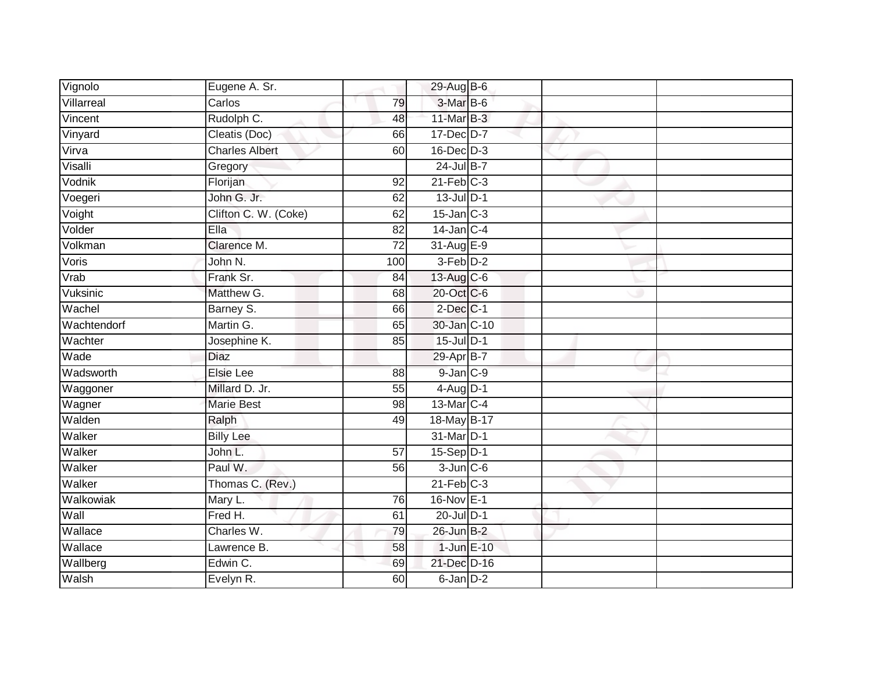| Vignolo     | Eugene A. Sr.         |                 | 29-Aug B-6           |  |  |
|-------------|-----------------------|-----------------|----------------------|--|--|
| Villarreal  | Carlos                | 79              | 3-Mar B-6            |  |  |
| Vincent     | Rudolph C.            | 48              | 11-Mar B-3           |  |  |
| Vinyard     | Cleatis (Doc)         | 66              | $17$ -Dec $D-7$      |  |  |
| Virva       | <b>Charles Albert</b> | 60              | 16-Dec D-3           |  |  |
| Visalli     | Gregory               |                 | 24-Jul B-7           |  |  |
| Vodnik      | Florijan              | 92              | $21$ -Feb $C-3$      |  |  |
| Voegeri     | John G. Jr.           | 62              | $13$ -Jul $D-1$      |  |  |
| Voight      | Clifton C. W. (Coke)  | 62              | $15$ -Jan $C-3$      |  |  |
| Volder      | Ella                  | 82              | $14$ -Jan C-4        |  |  |
| Volkman     | Clarence M.           | 72              | 31-Aug E-9           |  |  |
| Voris       | John N.               | 100             | 3-Feb <sup>D-2</sup> |  |  |
| Vrab        | Frank Sr.             | 84              | 13-Aug C-6           |  |  |
| Vuksinic    | Matthew G.            | 68              | 20-Oct C-6           |  |  |
| Wachel      | Barney S.             | 66              | $2$ -Dec $C-1$       |  |  |
| Wachtendorf | Martin G.             | 65              | 30-Jan C-10          |  |  |
| Wachter     | Josephine K.          | 85              | $15$ -Jul $D-1$      |  |  |
| Wade        | <b>Diaz</b>           |                 | 29-Apr B-7           |  |  |
| Wadsworth   | <b>Elsie Lee</b>      | 88              | $9$ -Jan $C-9$       |  |  |
| Waggoner    | Millard D. Jr.        | $\overline{55}$ | $4$ -Aug $D-1$       |  |  |
| Wagner      | <b>Marie Best</b>     | 98              | 13-Mar C-4           |  |  |
| Walden      | Ralph                 | 49              | 18-May B-17          |  |  |
| Walker      | <b>Billy Lee</b>      |                 | 31-Mar D-1           |  |  |
| Walker      | John L.               | 57              | 15-Sep D-1           |  |  |
| Walker      | Paul W.               | 56              | $3$ -Jun $C$ -6      |  |  |
| Walker      | Thomas C. (Rev.)      |                 | $21$ -Feb $C-3$      |  |  |
| Walkowiak   | Mary L.               | 76              | 16-Nov E-1           |  |  |
| Wall        | Fred H.               | 61              | 20-Jul D-1           |  |  |
| Wallace     | Charles W.            | 79              | 26-Jun B-2           |  |  |
| Wallace     | Lawrence B.           | 58              | $1$ -Jun $E-10$      |  |  |
| Wallberg    | Edwin C.              | 69              | 21-Dec D-16          |  |  |
| Walsh       | Evelyn R.             | 60              | 6-Jan D-2            |  |  |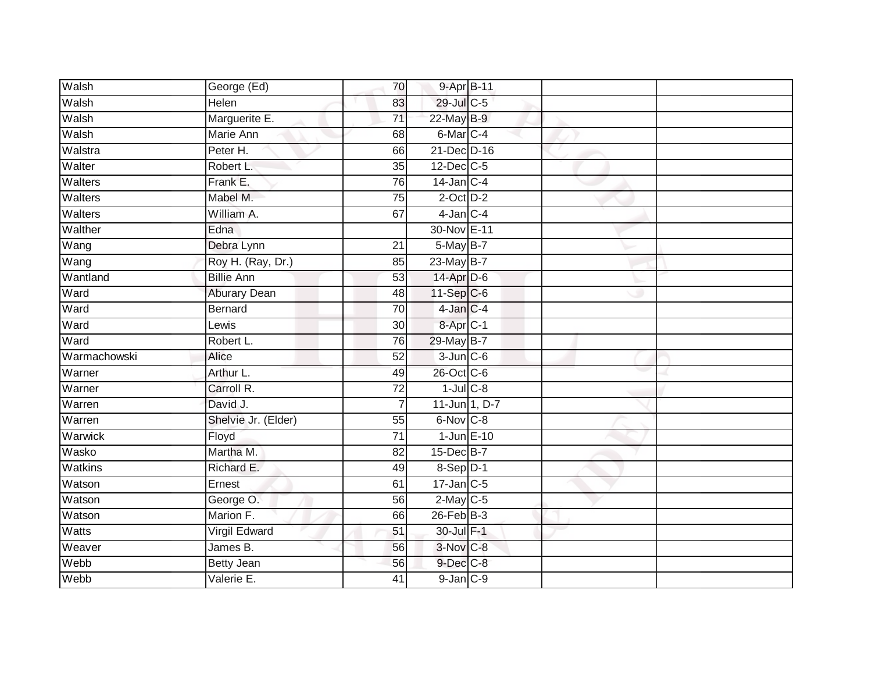| Walsh        | George (Ed)         | 70              | 9-Apr B-11                |  |  |
|--------------|---------------------|-----------------|---------------------------|--|--|
| Walsh        | <b>Helen</b>        | 83              | $29$ -Jul C-5             |  |  |
| Walsh        | Marguerite E.       | $\overline{71}$ | 22-May B-9                |  |  |
| Walsh        | Marie Ann           | 68              | 6-Mar C-4                 |  |  |
| Walstra      | Peter H.            | 66              | 21-Dec D-16               |  |  |
| Walter       | Robert L.           | 35              | $12$ -Dec $C-5$           |  |  |
| Walters      | Frank E.            | 76              | $14$ -Jan $C-4$           |  |  |
| Walters      | Mabel M.            | 75              | $2$ -Oct $D-2$            |  |  |
| Walters      | William A.          | 67              | $4$ -Jan $C-4$            |  |  |
| Walther      | Edna                |                 | 30-Nov E-11               |  |  |
| Wang         | Debra Lynn          | 21              | 5-May B-7                 |  |  |
| Wang         | Roy H. (Ray, Dr.)   | 85              | 23-May B-7                |  |  |
| Wantland     | <b>Billie Ann</b>   | 53              | 14-Apr D-6                |  |  |
| Ward         | <b>Aburary Dean</b> | 48              | 11-Sep C-6                |  |  |
| Ward         | Bernard             | $\overline{70}$ | 4-Jan C-4                 |  |  |
| Ward         | Lewis               | 30              | 8-Apr C-1                 |  |  |
| Ward         | Robert L.           | 76              | 29-May B-7                |  |  |
| Warmachowski | Alice               | $\overline{52}$ | $3$ -Jun $C$ -6           |  |  |
| Warner       | Arthur L.           | 49              | 26-Oct C-6                |  |  |
| Warner       | Carroll R.          | $\overline{72}$ | $1$ -Jul $C$ -8           |  |  |
| Warren       | David J.            | $\overline{7}$  | 11-Jun 1, D-7             |  |  |
| Warren       | Shelvie Jr. (Elder) | 55              | 6-Nov C-8                 |  |  |
| Warwick      | Floyd               | 71              | $1$ -Jun $E-10$           |  |  |
| Wasko        | Martha M.           | 82              | $15$ -Dec $B$ -7          |  |  |
| Watkins      | Richard E.          | 49              | $8-Sep D-1$               |  |  |
| Watson       | Ernest              | 61              | $17 - Jan$ <sub>C-5</sub> |  |  |
| Watson       | George O.           | 56              | $2$ -May $C$ -5           |  |  |
| Watson       | Marion F.           | 66              | $26$ -Feb $B-3$           |  |  |
| Watts        | Virgil Edward       | 51              | 30-Jul F-1                |  |  |
| Weaver       | James B.            | 56              | 3-Nov C-8                 |  |  |
| Webb         | <b>Betty Jean</b>   | 56              | $9$ -Dec $C$ -8           |  |  |
| Webb         | Valerie E.          | $\overline{41}$ | 9-Jan C-9                 |  |  |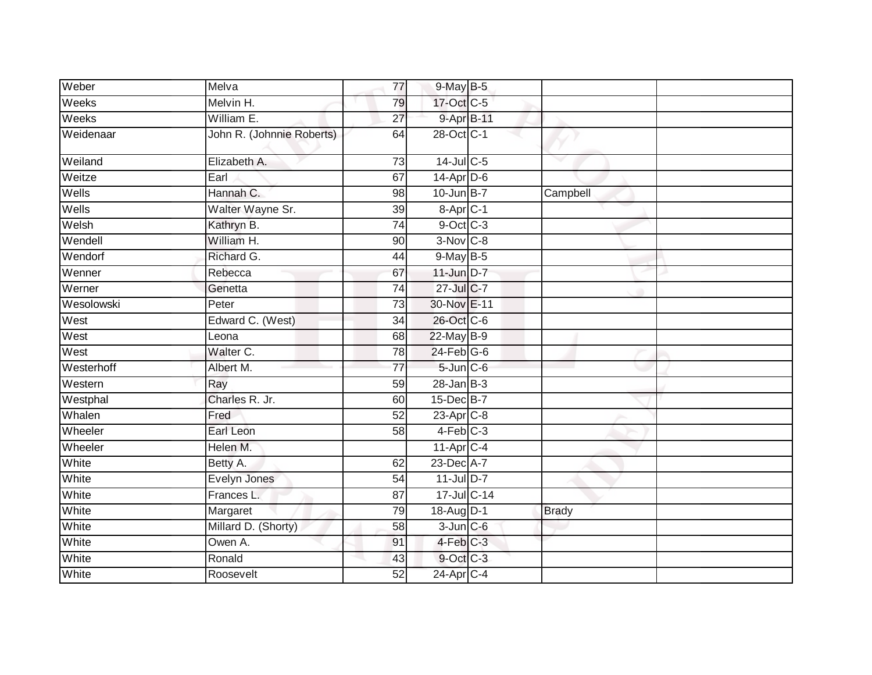| Weber      | Melva                     | 77              | 9-May B-5               |              |  |
|------------|---------------------------|-----------------|-------------------------|--------------|--|
| Weeks      | Melvin H.                 | 79              | 17-Oct C-5              |              |  |
| Weeks      | William E.                | 27              | 9-Apr B-11              |              |  |
| Weidenaar  | John R. (Johnnie Roberts) | 64              | 28-Oct C-1              |              |  |
| Weiland    | Elizabeth A.              | 73              | $14$ -Jul C-5           |              |  |
| Weitze     | Earl                      | 67              | $14$ -Apr $D-6$         |              |  |
| Wells      | Hannah C.                 | 98              | $10$ -Jun $B - 7$       | Campbell     |  |
| Wells      | Walter Wayne Sr.          | 39              | 8-Apr C-1               |              |  |
| Welsh      | Kathryn B.                | 74              | $9$ -Oct $C$ -3         |              |  |
| Wendell    | William H.                | 90              | $3-Nov$ $C-8$           |              |  |
| Wendorf    | Richard G.                | 44              | $9$ -May B-5            |              |  |
| Wenner     | Rebecca                   | 67              | $11$ -Jun $D-7$         |              |  |
| Werner     | Genetta                   | $\overline{74}$ | $27 -$ Jul C-7          |              |  |
| Wesolowski | Peter                     | 73              | 30-Nov E-11             |              |  |
| West       | Edward C. (West)          | 34              | 26-Oct C-6              |              |  |
| West       | Leona                     | 68              | 22-May B-9              |              |  |
| West       | Walter C.                 | 78              | $24$ -Feb $G-6$         |              |  |
| Westerhoff | Albert M.                 | 77              | $5 - Jun$ $C - 6$       |              |  |
| Western    | Ray                       | 59              | $28$ -Jan $B-3$         |              |  |
| Westphal   | Charles R. Jr.            | 60              | 15-Dec B-7              |              |  |
| Whalen     | Fred                      | 52              | 23-Apr C-8              |              |  |
| Wheeler    | Earl Leon                 | 58              | $4-Feb$ <sub>C-3</sub>  |              |  |
| Wheeler    | Helen M.                  |                 | $11-Apr$ <sub>C-4</sub> |              |  |
| White      | Betty A.                  | 62              | 23-Dec A-7              |              |  |
| White      | Evelyn Jones              | 54              | $11$ -Jul D-7           |              |  |
| White      | Frances L.                | 87              | 17-Jul C-14             |              |  |
| White      | Margaret                  | 79              | 18-Aug D-1              | <b>Brady</b> |  |
| White      | Millard D. (Shorty)       | 58              | $3$ -Jun $C$ -6         |              |  |
| White      | Owen A.                   | 91              | 4-Feb C-3               |              |  |
| White      | Ronald                    | 43              | 9-Oct C-3               |              |  |
| White      | Roosevelt                 | 52              | $24$ -Apr $C-4$         |              |  |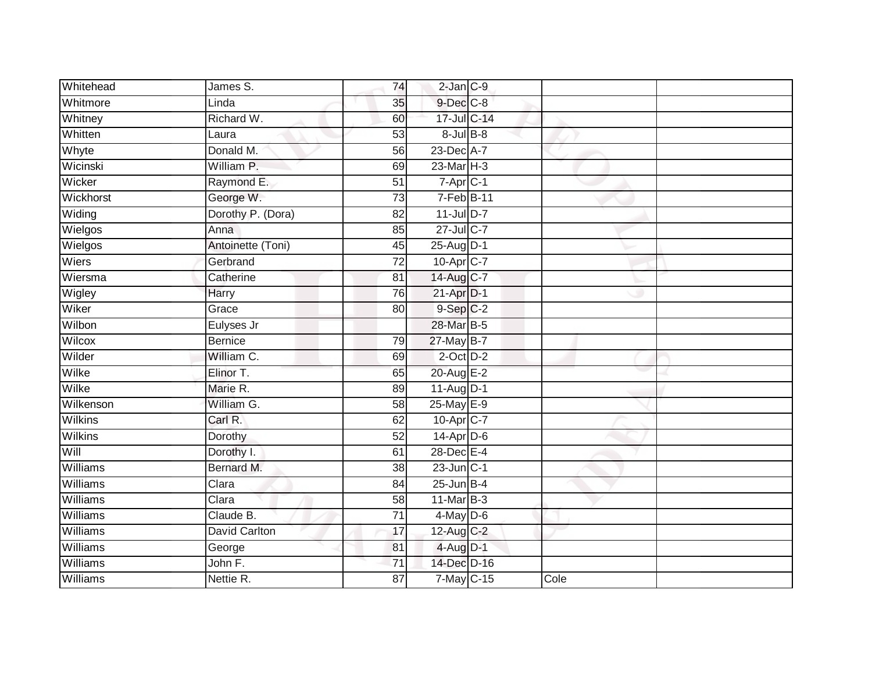| Whitehead       | James S.             | 74              | $2$ -Jan $C-9$    |      |  |
|-----------------|----------------------|-----------------|-------------------|------|--|
| Whitmore        | Linda                | 35              | 9-Dec C-8         |      |  |
| Whitney         | Richard W.           | 60              | 17-Jul C-14       |      |  |
| Whitten         | Laura                | 53              | $8 -$ Jul $B - 8$ |      |  |
| Whyte           | Donald M.            | $\overline{56}$ | $23$ -Dec $A-7$   |      |  |
| Wicinski        | William P.           | 69              | $23$ -Mar $H-3$   |      |  |
| Wicker          | Raymond E.           | $\overline{51}$ | $7$ -Apr $C-1$    |      |  |
| Wickhorst       | George W.            | $\overline{73}$ | $7-Feb$ B-11      |      |  |
| Widing          | Dorothy P. (Dora)    | 82              | $11$ -Jul $D-7$   |      |  |
| Wielgos         | Anna                 | 85              | 27-Jul C-7        |      |  |
| Wielgos         | Antoinette (Toni)    | 45              | 25-Aug D-1        |      |  |
| Wiers           | Gerbrand             | $\overline{72}$ | 10-Apr C-7        |      |  |
| Wiersma         | Catherine            | 81              | 14-Aug C-7        |      |  |
| Wigley          | Harry                | 76              | $21-AprD-1$       |      |  |
| Wiker           | Grace                | $\overline{80}$ | $9-Sep$ $C-2$     |      |  |
| Wilbon          | Eulyses Jr           |                 | 28-Mar B-5        |      |  |
| Wilcox          | <b>Bernice</b>       | 79              | 27-May B-7        |      |  |
| Wilder          | William C.           | 69              | $2$ -Oct $D-2$    |      |  |
| Wilke           | Elinor T.            | 65              | 20-Aug E-2        |      |  |
| Wilke           | Marie R.             | 89              | 11-Aug D-1        |      |  |
| Wilkenson       | William G.           | 58              | 25-May E-9        |      |  |
| <b>Wilkins</b>  | Carl R.              | 62              | 10-Apr C-7        |      |  |
| Wilkins         | Dorothy              | 52              | 14-Apr D-6        |      |  |
| Will            | Dorothy I.           | 61              | 28-Dec E-4        |      |  |
| Williams        | Bernard M.           | 38              | $23$ -Jun $ C-1 $ |      |  |
| Williams        | Clara                | 84              | $25 - Jun$ $B-4$  |      |  |
| Williams        | Clara                | 58              | $11$ -Mar $B-3$   |      |  |
| <b>Williams</b> | Claude B.            | 71              | $4$ -May $D-6$    |      |  |
| Williams        | <b>David Carlton</b> | 17              | 12-Aug C-2        |      |  |
| Williams        | George               | 81              | $4-Aug$ D-1       |      |  |
| Williams        | John F.              | 71              | 14-Dec D-16       |      |  |
| Williams        | Nettie R.            | 87              | 7-May C-15        | Cole |  |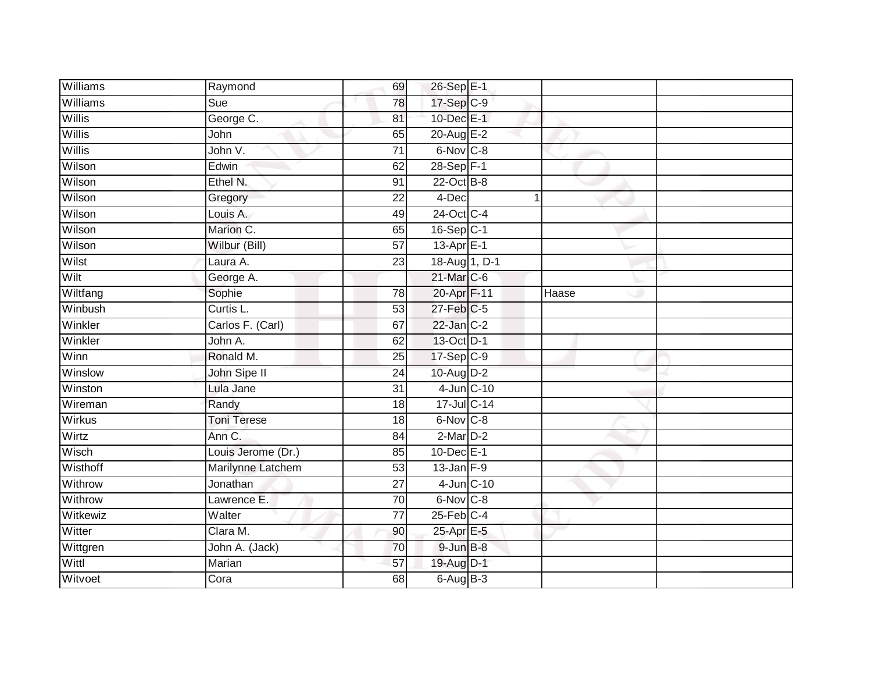| Williams      | Raymond            | 69              | 26-Sep E-1            |                |       |  |
|---------------|--------------------|-----------------|-----------------------|----------------|-------|--|
| Williams      | Sue                | 78              | 17-Sep C-9            |                |       |  |
| Willis        | George C.          | 81              | 10-Dec E-1            |                |       |  |
| Willis        | John               | 65              | 20-Aug E-2            |                |       |  |
| <b>Willis</b> | John V.            | $\overline{71}$ | 6-Nov C-8             |                |       |  |
| Wilson        | Edwin              | 62              | 28-Sep F-1            |                |       |  |
| Wilson        | Ethel N.           | 91              | 22-Oct B-8            |                |       |  |
| Wilson        | Gregory            | $\overline{22}$ | 4-Dec                 | $\overline{1}$ |       |  |
| Wilson        | Louis A.           | 49              | 24-Oct C-4            |                |       |  |
| Wilson        | Marion C.          | 65              | 16-Sep C-1            |                |       |  |
| Wilson        | Wilbur (Bill)      | $\overline{57}$ | 13-Apr <sub>E-1</sub> |                |       |  |
| Wilst         | Laura A.           | 23              | 18-Aug 1, D-1         |                |       |  |
| Wilt          | George A.          |                 | 21-Mar C-6            |                |       |  |
| Wiltfang      | Sophie             | 78              | 20-Apr F-11           |                | Haase |  |
| Winbush       | Curtis L.          | 53              | $27$ -Feb $ C-5 $     |                |       |  |
| Winkler       | Carlos F. (Carl)   | 67              | $22$ -Jan $C-2$       |                |       |  |
| Winkler       | John A.            | 62              | 13-Oct D-1            |                |       |  |
| Winn          | Ronald M.          | 25              | 17-Sep C-9            |                |       |  |
| Winslow       | John Sipe II       | 24              | 10-Aug D-2            |                |       |  |
| Winston       | Lula Jane          | $\overline{31}$ | $4$ -Jun $C-10$       |                |       |  |
| Wireman       | Randy              | 18              | 17-Jul C-14           |                |       |  |
| <b>Wirkus</b> | <b>Toni Terese</b> | 18              | 6-Nov C-8             |                |       |  |
| Wirtz         | Ann C.             | 84              | $2-MarD-2$            |                |       |  |
| Wisch         | Louis Jerome (Dr.) | 85              | 10-Dec E-1            |                |       |  |
| Wisthoff      | Marilynne Latchem  | 53              | $13$ -Jan F-9         |                |       |  |
| Withrow       | Jonathan           | 27              | 4-Jun C-10            |                |       |  |
| Withrow       | Lawrence E.        | 70              | 6-Nov C-8             |                |       |  |
| Witkewiz      | Walter             | $\overline{77}$ | $25$ -Feb $C-4$       |                |       |  |
| Witter        | Clara M.           | 90              | 25-Apr E-5            |                |       |  |
| Wittgren      | John A. (Jack)     | 70              | $9$ -Jun $B$ -8       |                |       |  |
| Wittl         | Marian             | 57              | 19-Aug D-1            |                |       |  |
| Witvoet       | Cora               | 68              | $6$ -Aug $B-3$        |                |       |  |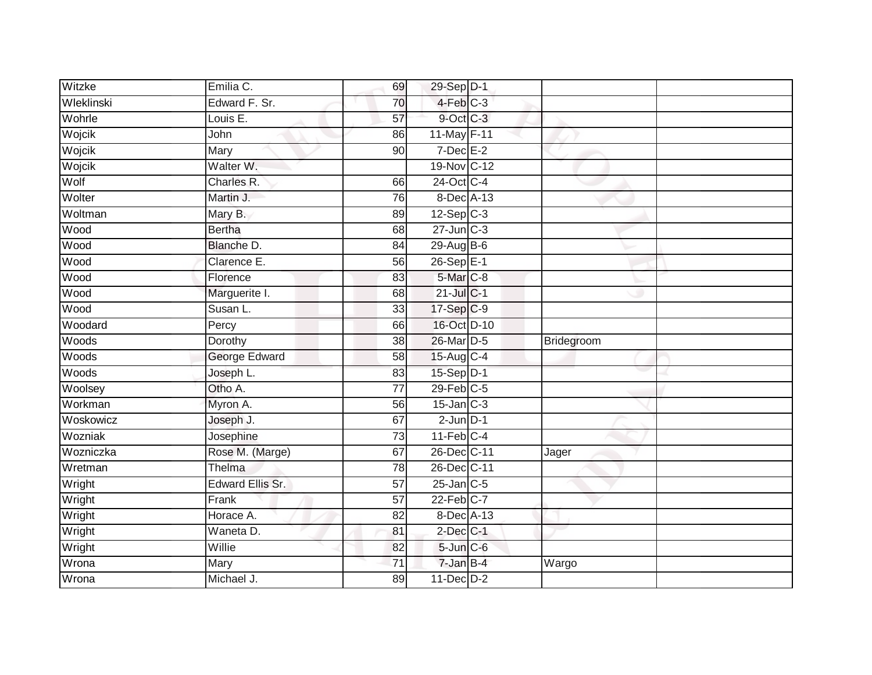| Witzke     | Emilia C.               | 69              | 29-Sep D-1              |            |  |
|------------|-------------------------|-----------------|-------------------------|------------|--|
| Wleklinski | Edward F. Sr.           | 70              | 4-Feb C-3               |            |  |
| Wohrle     | Louis E.                | 57              | $9$ -Oct $C$ -3         |            |  |
| Wojcik     | John                    | 86              | 11-May F-11             |            |  |
| Wojcik     | Mary                    | 90              | $7$ -Dec $E-2$          |            |  |
| Wojcik     | Walter W.               |                 | 19-Nov C-12             |            |  |
| Wolf       | Charles R.              | 66              | 24-Oct C-4              |            |  |
| Wolter     | Martin J.               | 76              | 8-Dec A-13              |            |  |
| Woltman    | Mary B.                 | 89              | $12-Sep$ C-3            |            |  |
| Wood       | <b>Bertha</b>           | 68              | $27$ -Jun $C-3$         |            |  |
| Wood       | Blanche D.              | 84              | $29$ -Aug B-6           |            |  |
| Wood       | Clarence E.             | 56              | 26-Sep E-1              |            |  |
| Wood       | Florence                | 83              | 5-Mar <sub>C-8</sub>    |            |  |
| Wood       | Marguerite I.           | 68              | 21-Jul C-1              |            |  |
| Wood       | Susan L.                | $\overline{33}$ | 17-Sep C-9              |            |  |
| Woodard    | Percy                   | 66              | 16-Oct D-10             |            |  |
| Woods      | Dorothy                 | 38              | 26-Mar D-5              | Bridegroom |  |
| Woods      | George Edward           | 58              | 15-Aug C-4              |            |  |
| Woods      | Joseph L.               | 83              | 15-Sep D-1              |            |  |
| Woolsey    | Otho A.                 | $\overline{77}$ | 29-Feb C-5              |            |  |
| Workman    | Myron A.                | 56              | $15$ -Jan $C-3$         |            |  |
| Woskowicz  | Joseph J.               | 67              | $2$ -Jun $D-1$          |            |  |
| Wozniak    | Josephine               | 73              | $11-Feb$ <sub>C-4</sub> |            |  |
| Wozniczka  | Rose M. (Marge)         | 67              | 26-Dec C-11             | Jager      |  |
| Wretman    | Thelma                  | 78              | 26-Dec C-11             |            |  |
| Wright     | <b>Edward Ellis Sr.</b> | $\overline{57}$ | $25$ -Jan $C$ -5        |            |  |
| Wright     | Frank                   | $\overline{57}$ | 22-Feb C-7              |            |  |
| Wright     | Horace A.               | 82              | 8-Dec A-13              |            |  |
| Wright     | Waneta D.               | 81              | $2$ -Dec $C-1$          |            |  |
| Wright     | Willie                  | 82              | 5-Jun C-6               |            |  |
| Wrona      | Mary                    | 71              | 7-Jan B-4               | Wargo      |  |
| Wrona      | Michael J.              | 89              | $11$ -Dec $D-2$         |            |  |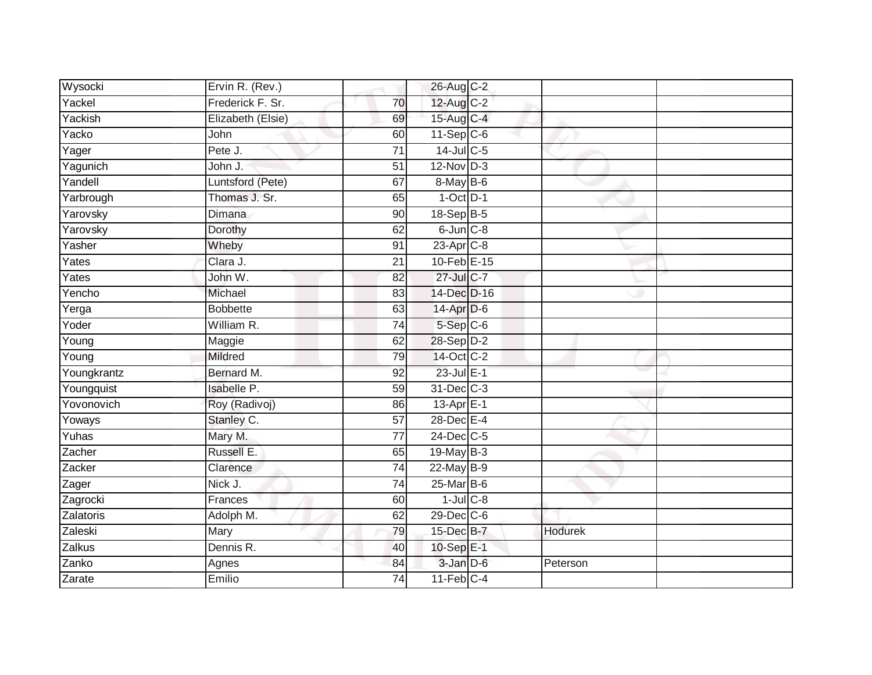| Wysocki     | Ervin R. (Rev.)   |                 | 26-Aug C-2       |                |  |
|-------------|-------------------|-----------------|------------------|----------------|--|
| Yackel      | Frederick F. Sr.  | 70              | 12-Aug C-2       |                |  |
| Yackish     | Elizabeth (Elsie) | 69              | 15-Aug C-4       |                |  |
| Yacko       | John              | 60              | $11-Sep$ C-6     |                |  |
| Yager       | Pete J.           | $\overline{71}$ | $14$ -Jul C-5    |                |  |
| Yagunich    | John J.           | $\overline{51}$ | $12-Nov$ D-3     |                |  |
| Yandell     | Luntsford (Pete)  | 67              | $8$ -May $B$ -6  |                |  |
| Yarbrough   | Thomas J. Sr.     | 65              | $1-Oct$ $D-1$    |                |  |
| Yarovsky    | Dimana            | 90              | 18-Sep B-5       |                |  |
| Yarovsky    | Dorothy           | 62              | $6$ -Jun $C-8$   |                |  |
| Yasher      | Wheby             | 91              | 23-Apr C-8       |                |  |
| Yates       | Clara J.          | $\overline{21}$ | $10$ -Feb $E-15$ |                |  |
| Yates       | John W.           | 82              | $27 -$ Jul C-7   |                |  |
| Yencho      | Michael           | 83              | 14-Dec D-16      |                |  |
| Yerga       | <b>Bobbette</b>   | 63              | 14-Apr D-6       |                |  |
| Yoder       | William R.        | $\overline{74}$ | $5-Sep$ $C-6$    |                |  |
| Young       | Maggie            | 62              | 28-Sep D-2       |                |  |
| Young       | Mildred           | 79              | 14-Oct C-2       |                |  |
| Youngkrantz | Bernard M.        | 92              | 23-Jul E-1       |                |  |
| Youngquist  | Isabelle P.       | 59              | 31-Dec C-3       |                |  |
| Yovonovich  | Roy (Radivoj)     | 86              | $13$ -Apr $E-1$  |                |  |
| Yoways      | Stanley C.        | $\overline{57}$ | 28-Dec E-4       |                |  |
| Yuhas       | Mary M.           | 77              | 24-Dec C-5       |                |  |
| Zacher      | Russell E.        | 65              | 19-May B-3       |                |  |
| Zacker      | Clarence          | 74              | 22-May B-9       |                |  |
| Zager       | Nick J.           | 74              | 25-Mar B-6       |                |  |
| Zagrocki    | Frances           | 60              | $1$ -Jul $C$ -8  |                |  |
| Zalatoris   | Adolph M.         | 62              | 29-Dec C-6       |                |  |
| Zaleski     | Mary              | 79              | 15-Dec B-7       | <b>Hodurek</b> |  |
| Zalkus      | Dennis R.         | 40              | $10-Sep$ E-1     |                |  |
| Zanko       | Agnes             | 84              | 3-Jan D-6        | Peterson       |  |
| Zarate      | Emilio            | 74              | $11-Feb$ C-4     |                |  |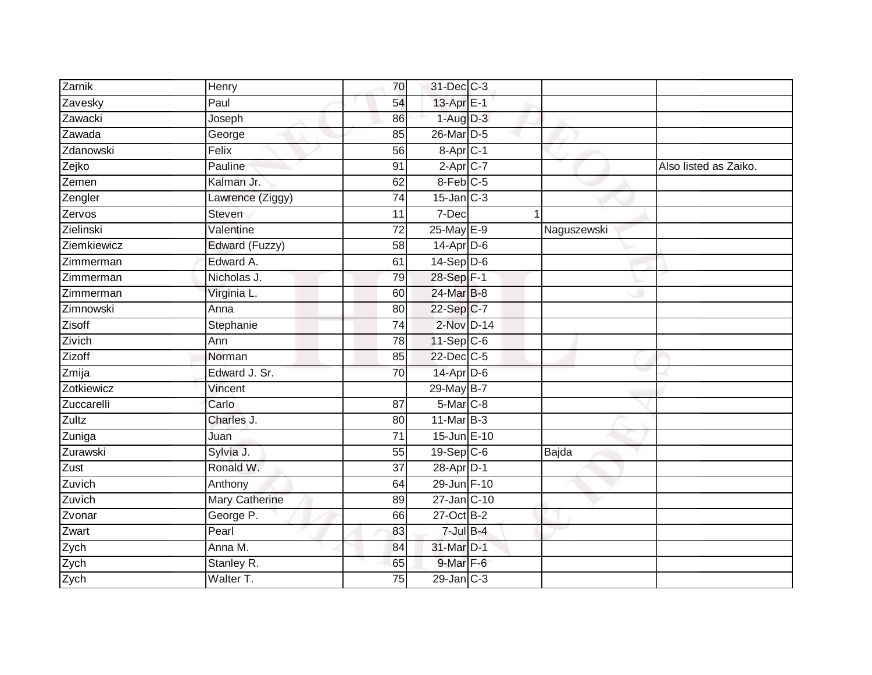| Zarnik      | Henry                 | 70              | 31-Dec C-3              |             |                       |
|-------------|-----------------------|-----------------|-------------------------|-------------|-----------------------|
| Zavesky     | Paul                  | 54              | 13-Apr <sub>E-1</sub>   |             |                       |
| Zawacki     | Joseph                | 86              | $1-Aug$ $D-3$           |             |                       |
| Zawada      | George                | 85              | 26-Mar D-5              |             |                       |
| Zdanowski   | Felix                 | $\overline{56}$ | 8-Apr C-1               |             |                       |
| Zejko       | Pauline               | 91              | $2-Apr$ C-7             |             | Also listed as Zaiko. |
| Zemen       | Kalman Jr.            | 62              | 8-Feb C-5               |             |                       |
| Zengler     | Lawrence (Ziggy)      | 74              | $15$ -Jan $C-3$         |             |                       |
| Zervos      | Steven                | 11              | 7-Dec                   |             |                       |
| Zielinski   | Valentine             | $\overline{72}$ | 25-May E-9              | Naguszewski |                       |
| Ziemkiewicz | Edward (Fuzzy)        | 58              | $14$ -Apr $D-6$         |             |                       |
| Zimmerman   | Edward A.             | 61              | $14-Sep$ D-6            |             |                       |
| Zimmerman   | Nicholas J.           | 79              | 28-Sep F-1              |             |                       |
| Zimmerman   | Virginia L.           | 60              | 24-Mar B-8              |             |                       |
| Zimnowski   | Anna                  | 80              | 22-Sep C-7              |             |                       |
| Zisoff      | Stephanie             | 74              | 2-Nov D-14              |             |                       |
| Zivich      | Ann                   | 78              | $11-Sep C-6$            |             |                       |
| Zizoff      | Norman                | 85              | 22-Dec C-5              |             |                       |
| Zmija       | Edward J. Sr.         | 70              | $14$ -Apr $D-6$         |             |                       |
| Zotkiewicz  | Vincent               |                 | 29-May B-7              |             |                       |
| Zuccarelli  | Carlo                 | 87              | 5-Mar <sub>C-8</sub>    |             |                       |
| Zultz       | Charles J.            | 80              | $11$ -Mar $B-3$         |             |                       |
| Zuniga      | Juan                  | 71              | 15-Jun E-10             |             |                       |
| Zurawski    | Sylvia J.             | 55              | $19-Sep$ <sub>C-6</sub> | Bajda       |                       |
| Zust        | Ronald W.             | $\overline{37}$ | 28-Apr D-1              |             |                       |
| Zuvich      | Anthony               | 64              | 29-Jun F-10             |             |                       |
| Zuvich      | <b>Mary Catherine</b> | 89              | 27-Jan C-10             |             |                       |
| Zvonar      | George P.             | 66              | 27-Oct B-2              |             |                       |
| Zwart       | Pearl                 | 83              | $7 -$ Jul $B - 4$       |             |                       |
| Zych        | Anna M.               | 84              | 31-Mar D-1              |             |                       |
| Zych        | Stanley R.            | 65              | 9-Mar F-6               |             |                       |
| Zych        | Walter T.             | $\overline{75}$ | $29$ -Jan $C-3$         |             |                       |
|             |                       |                 |                         |             |                       |